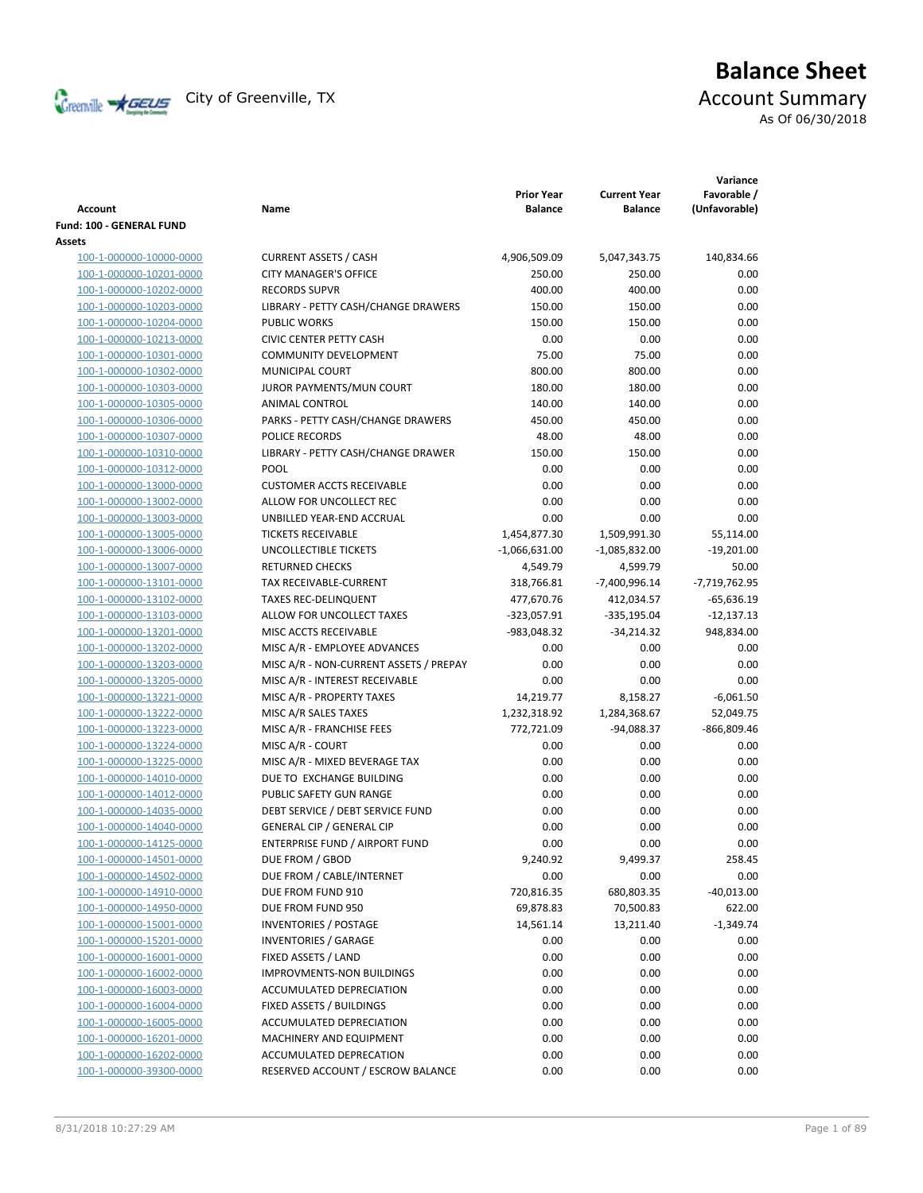

# **Balance Sheet** Creenville  $\star$  GEUS</del> City of Greenville, TX **ACCOUNT** Summary

As Of 06/30/2018

| <b>Account</b>           | Name                                   | <b>Prior Year</b><br><b>Balance</b> | <b>Current Year</b><br><b>Balance</b> | Variance<br>Favorable /<br>(Unfavorable) |
|--------------------------|----------------------------------------|-------------------------------------|---------------------------------------|------------------------------------------|
| Fund: 100 - GENERAL FUND |                                        |                                     |                                       |                                          |
| Assets                   |                                        |                                     |                                       |                                          |
| 100-1-000000-10000-0000  | <b>CURRENT ASSETS / CASH</b>           | 4,906,509.09                        | 5,047,343.75                          | 140,834.66                               |
| 100-1-000000-10201-0000  | <b>CITY MANAGER'S OFFICE</b>           | 250.00                              | 250.00                                | 0.00                                     |
| 100-1-000000-10202-0000  | <b>RECORDS SUPVR</b>                   | 400.00                              | 400.00                                | 0.00                                     |
| 100-1-000000-10203-0000  | LIBRARY - PETTY CASH/CHANGE DRAWERS    | 150.00                              | 150.00                                | 0.00                                     |
| 100-1-000000-10204-0000  | <b>PUBLIC WORKS</b>                    | 150.00                              | 150.00                                | 0.00                                     |
| 100-1-000000-10213-0000  | <b>CIVIC CENTER PETTY CASH</b>         | 0.00                                | 0.00                                  | 0.00                                     |
| 100-1-000000-10301-0000  | <b>COMMUNITY DEVELOPMENT</b>           | 75.00                               | 75.00                                 | 0.00                                     |
| 100-1-000000-10302-0000  | MUNICIPAL COURT                        | 800.00                              | 800.00                                | 0.00                                     |
| 100-1-000000-10303-0000  | JUROR PAYMENTS/MUN COURT               | 180.00                              | 180.00                                | 0.00                                     |
| 100-1-000000-10305-0000  | ANIMAL CONTROL                         | 140.00                              | 140.00                                | 0.00                                     |
| 100-1-000000-10306-0000  | PARKS - PETTY CASH/CHANGE DRAWERS      | 450.00                              | 450.00                                | 0.00                                     |
| 100-1-000000-10307-0000  | POLICE RECORDS                         | 48.00                               | 48.00                                 | 0.00                                     |
| 100-1-000000-10310-0000  | LIBRARY - PETTY CASH/CHANGE DRAWER     | 150.00                              | 150.00                                | 0.00                                     |
| 100-1-000000-10312-0000  | <b>POOL</b>                            | 0.00                                | 0.00                                  | 0.00                                     |
| 100-1-000000-13000-0000  | <b>CUSTOMER ACCTS RECEIVABLE</b>       | 0.00                                | 0.00                                  | 0.00                                     |
| 100-1-000000-13002-0000  | ALLOW FOR UNCOLLECT REC                | 0.00                                | 0.00                                  | 0.00                                     |
| 100-1-000000-13003-0000  | UNBILLED YEAR-END ACCRUAL              | 0.00                                | 0.00                                  | 0.00                                     |
| 100-1-000000-13005-0000  | <b>TICKETS RECEIVABLE</b>              | 1,454,877.30                        | 1,509,991.30                          | 55,114.00                                |
| 100-1-000000-13006-0000  | <b>UNCOLLECTIBLE TICKETS</b>           | $-1,066,631.00$                     | $-1,085,832.00$                       | $-19,201.00$                             |
| 100-1-000000-13007-0000  | <b>RETURNED CHECKS</b>                 | 4,549.79                            | 4,599.79                              | 50.00                                    |
| 100-1-000000-13101-0000  | TAX RECEIVABLE-CURRENT                 | 318,766.81                          | $-7,400,996.14$                       | $-7,719,762.95$                          |
| 100-1-000000-13102-0000  | <b>TAXES REC-DELINQUENT</b>            | 477,670.76                          | 412,034.57                            | $-65,636.19$                             |
| 100-1-000000-13103-0000  | ALLOW FOR UNCOLLECT TAXES              | -323,057.91                         | $-335,195.04$                         | $-12,137.13$                             |
| 100-1-000000-13201-0000  | MISC ACCTS RECEIVABLE                  | -983,048.32                         | $-34,214.32$                          | 948,834.00                               |
| 100-1-000000-13202-0000  | MISC A/R - EMPLOYEE ADVANCES           | 0.00                                | 0.00                                  | 0.00                                     |
| 100-1-000000-13203-0000  | MISC A/R - NON-CURRENT ASSETS / PREPAY | 0.00                                | 0.00                                  | 0.00                                     |
| 100-1-000000-13205-0000  | MISC A/R - INTEREST RECEIVABLE         | 0.00                                | 0.00                                  | 0.00                                     |
| 100-1-000000-13221-0000  | MISC A/R - PROPERTY TAXES              | 14,219.77                           | 8,158.27                              | $-6,061.50$                              |
| 100-1-000000-13222-0000  | MISC A/R SALES TAXES                   | 1,232,318.92                        | 1,284,368.67                          | 52,049.75                                |
| 100-1-000000-13223-0000  | MISC A/R - FRANCHISE FEES              | 772,721.09                          | $-94,088.37$                          | -866,809.46                              |
| 100-1-000000-13224-0000  | MISC A/R - COURT                       | 0.00                                | 0.00                                  | 0.00                                     |
| 100-1-000000-13225-0000  | MISC A/R - MIXED BEVERAGE TAX          | 0.00                                | 0.00                                  | 0.00                                     |
| 100-1-000000-14010-0000  | DUE TO EXCHANGE BUILDING               | 0.00                                | 0.00                                  | 0.00                                     |
| 100-1-000000-14012-0000  | PUBLIC SAFETY GUN RANGE                | 0.00                                | 0.00                                  | 0.00                                     |
| 100-1-000000-14035-0000  | DEBT SERVICE / DEBT SERVICE FUND       | 0.00                                | 0.00                                  | 0.00                                     |
| 100-1-000000-14040-0000  | <b>GENERAL CIP / GENERAL CIP</b>       | 0.00                                | 0.00                                  | 0.00                                     |
| 100-1-000000-14125-0000  | ENTERPRISE FUND / AIRPORT FUND         | 0.00                                | 0.00                                  | 0.00                                     |
| 100-1-000000-14501-0000  | DUE FROM / GBOD                        | 9,240.92                            | 9,499.37                              | 258.45                                   |
| 100-1-000000-14502-0000  | DUE FROM / CABLE/INTERNET              | 0.00                                | 0.00                                  | 0.00                                     |
| 100-1-000000-14910-0000  | DUE FROM FUND 910                      | 720,816.35                          | 680,803.35                            | $-40,013.00$                             |
| 100-1-000000-14950-0000  | DUE FROM FUND 950                      | 69,878.83                           | 70,500.83                             | 622.00                                   |
| 100-1-000000-15001-0000  | <b>INVENTORIES / POSTAGE</b>           | 14,561.14                           | 13,211.40                             | $-1,349.74$                              |
| 100-1-000000-15201-0000  | <b>INVENTORIES / GARAGE</b>            | 0.00                                | 0.00                                  | 0.00                                     |
| 100-1-000000-16001-0000  | FIXED ASSETS / LAND                    | 0.00                                | 0.00                                  | 0.00                                     |
| 100-1-000000-16002-0000  | <b>IMPROVMENTS-NON BUILDINGS</b>       | 0.00                                | 0.00                                  | 0.00                                     |
| 100-1-000000-16003-0000  | ACCUMULATED DEPRECIATION               | 0.00                                | 0.00                                  | 0.00                                     |
| 100-1-000000-16004-0000  | FIXED ASSETS / BUILDINGS               | 0.00                                | 0.00                                  | 0.00                                     |
| 100-1-000000-16005-0000  | ACCUMULATED DEPRECIATION               | 0.00                                | 0.00                                  | 0.00                                     |
| 100-1-000000-16201-0000  | MACHINERY AND EQUIPMENT                | 0.00                                | 0.00                                  | 0.00                                     |
| 100-1-000000-16202-0000  | ACCUMULATED DEPRECATION                | 0.00                                | 0.00                                  | 0.00                                     |
| 100-1-000000-39300-0000  | RESERVED ACCOUNT / ESCROW BALANCE      | 0.00                                | 0.00                                  | 0.00                                     |
|                          |                                        |                                     |                                       |                                          |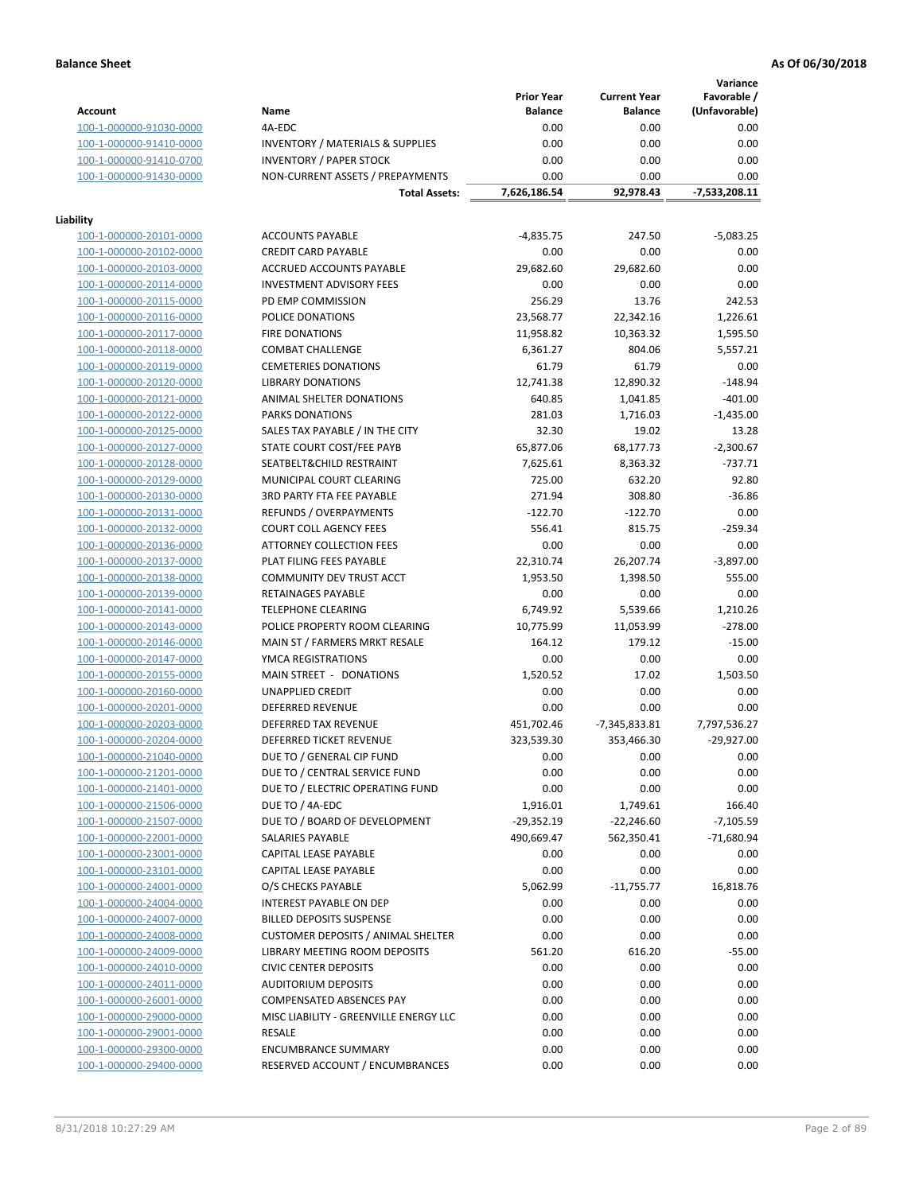**Variance**

|                         |                                                                                   | <b>Prior Year</b> | <b>Current Year</b> | Favorable /   |
|-------------------------|-----------------------------------------------------------------------------------|-------------------|---------------------|---------------|
| <b>Account</b>          | Name                                                                              | <b>Balance</b>    | <b>Balance</b>      | (Unfavorable) |
| 100-1-000000-91030-0000 | 4A-EDC                                                                            | 0.00              | 0.00                | 0.00          |
| 100-1-000000-91410-0000 | <b>INVENTORY / MATERIALS &amp; SUPPLIES</b>                                       | 0.00              | 0.00                | 0.00          |
| 100-1-000000-91410-0700 | <b>INVENTORY / PAPER STOCK</b>                                                    | 0.00              | 0.00                | 0.00          |
| 100-1-000000-91430-0000 | NON-CURRENT ASSETS / PREPAYMENTS                                                  | 0.00              | 0.00                | 0.00          |
|                         | <b>Total Assets:</b>                                                              | 7,626,186.54      | 92,978.43           | -7,533,208.11 |
|                         |                                                                                   |                   |                     |               |
| Liability               |                                                                                   |                   |                     |               |
| 100-1-000000-20101-0000 | <b>ACCOUNTS PAYABLE</b>                                                           | $-4,835.75$       | 247.50              | $-5,083.25$   |
| 100-1-000000-20102-0000 | <b>CREDIT CARD PAYABLE</b>                                                        | 0.00              | 0.00                | 0.00          |
| 100-1-000000-20103-0000 | ACCRUED ACCOUNTS PAYABLE                                                          | 29,682.60         | 29,682.60           | 0.00          |
| 100-1-000000-20114-0000 | <b>INVESTMENT ADVISORY FEES</b>                                                   | 0.00              | 0.00                | 0.00          |
| 100-1-000000-20115-0000 | PD EMP COMMISSION                                                                 | 256.29            | 13.76               | 242.53        |
| 100-1-000000-20116-0000 | POLICE DONATIONS                                                                  | 23,568.77         | 22,342.16           | 1,226.61      |
| 100-1-000000-20117-0000 | <b>FIRE DONATIONS</b>                                                             | 11,958.82         | 10,363.32           | 1,595.50      |
| 100-1-000000-20118-0000 | <b>COMBAT CHALLENGE</b>                                                           | 6,361.27          | 804.06              | 5,557.21      |
| 100-1-000000-20119-0000 | <b>CEMETERIES DONATIONS</b>                                                       | 61.79             | 61.79               | 0.00          |
| 100-1-000000-20120-0000 | <b>LIBRARY DONATIONS</b>                                                          | 12,741.38         | 12,890.32           | $-148.94$     |
| 100-1-000000-20121-0000 | <b>ANIMAL SHELTER DONATIONS</b>                                                   | 640.85            | 1,041.85            | $-401.00$     |
| 100-1-000000-20122-0000 | <b>PARKS DONATIONS</b>                                                            | 281.03            | 1,716.03            | $-1,435.00$   |
| 100-1-000000-20125-0000 | SALES TAX PAYABLE / IN THE CITY                                                   | 32.30             | 19.02               | 13.28         |
| 100-1-000000-20127-0000 | STATE COURT COST/FEE PAYB                                                         | 65,877.06         | 68,177.73           | $-2,300.67$   |
| 100-1-000000-20128-0000 | SEATBELT&CHILD RESTRAINT                                                          | 7,625.61          | 8,363.32            | $-737.71$     |
| 100-1-000000-20129-0000 | MUNICIPAL COURT CLEARING                                                          | 725.00            | 632.20              | 92.80         |
| 100-1-000000-20130-0000 | <b>3RD PARTY FTA FEE PAYABLE</b>                                                  | 271.94            | 308.80              | $-36.86$      |
| 100-1-000000-20131-0000 | REFUNDS / OVERPAYMENTS                                                            | $-122.70$         | $-122.70$           | 0.00          |
| 100-1-000000-20132-0000 | <b>COURT COLL AGENCY FEES</b>                                                     | 556.41            | 815.75              | $-259.34$     |
| 100-1-000000-20136-0000 | ATTORNEY COLLECTION FEES                                                          | 0.00              | 0.00                | 0.00          |
| 100-1-000000-20137-0000 | PLAT FILING FEES PAYABLE                                                          | 22,310.74         | 26,207.74           | $-3,897.00$   |
| 100-1-000000-20138-0000 | COMMUNITY DEV TRUST ACCT                                                          | 1,953.50          | 1,398.50            | 555.00        |
| 100-1-000000-20139-0000 | RETAINAGES PAYABLE                                                                | 0.00              | 0.00                | 0.00          |
| 100-1-000000-20141-0000 | <b>TELEPHONE CLEARING</b>                                                         | 6,749.92          | 5,539.66            | 1,210.26      |
| 100-1-000000-20143-0000 | POLICE PROPERTY ROOM CLEARING                                                     | 10,775.99         | 11,053.99           | $-278.00$     |
| 100-1-000000-20146-0000 | MAIN ST / FARMERS MRKT RESALE                                                     | 164.12            | 179.12              | $-15.00$      |
| 100-1-000000-20147-0000 | YMCA REGISTRATIONS                                                                | 0.00              | 0.00                | 0.00          |
| 100-1-000000-20155-0000 | MAIN STREET - DONATIONS                                                           | 1,520.52          | 17.02               | 1,503.50      |
| 100-1-000000-20160-0000 | <b>UNAPPLIED CREDIT</b>                                                           | 0.00              | 0.00                | 0.00          |
| 100-1-000000-20201-0000 | DEFERRED REVENUE                                                                  | 0.00              | 0.00                | 0.00          |
| 100-1-000000-20203-0000 | DEFERRED TAX REVENUE                                                              | 451,702.46        | $-7,345,833.81$     | 7,797,536.27  |
| 100-1-000000-20204-0000 | DEFERRED TICKET REVENUE                                                           | 323,539.30        | 353,466.30          | $-29,927.00$  |
| 100-1-000000-21040-0000 | DUE TO / GENERAL CIP FUND                                                         | 0.00              | 0.00                | 0.00          |
| 100-1-000000-21201-0000 | DUE TO / CENTRAL SERVICE FUND                                                     | 0.00              | 0.00                | 0.00          |
| 100-1-000000-21401-0000 | DUE TO / ELECTRIC OPERATING FUND                                                  | 0.00              | 0.00                | 0.00          |
| 100-1-000000-21506-0000 | DUE TO / 4A-EDC                                                                   | 1,916.01          | 1,749.61            | 166.40        |
| 100-1-000000-21507-0000 | DUE TO / BOARD OF DEVELOPMENT                                                     | $-29,352.19$      | $-22,246.60$        | $-7,105.59$   |
| 100-1-000000-22001-0000 | <b>SALARIES PAYABLE</b>                                                           | 490,669.47        | 562,350.41          | $-71,680.94$  |
| 100-1-000000-23001-0000 | CAPITAL LEASE PAYABLE                                                             | 0.00              | 0.00                | 0.00          |
| 100-1-000000-23101-0000 | CAPITAL LEASE PAYABLE                                                             | 0.00              | 0.00                | 0.00          |
| 100-1-000000-24001-0000 | O/S CHECKS PAYABLE                                                                | 5,062.99          | $-11,755.77$        | 16,818.76     |
| 100-1-000000-24004-0000 | <b>INTEREST PAYABLE ON DEP</b>                                                    | 0.00              | 0.00                | 0.00          |
| 100-1-000000-24007-0000 | <b>BILLED DEPOSITS SUSPENSE</b>                                                   | 0.00              | 0.00                | 0.00          |
|                         |                                                                                   |                   |                     |               |
| 100-1-000000-24008-0000 | <b>CUSTOMER DEPOSITS / ANIMAL SHELTER</b><br><b>LIBRARY MEETING ROOM DEPOSITS</b> | 0.00              | 0.00                | 0.00          |
| 100-1-000000-24009-0000 |                                                                                   | 561.20            | 616.20              | $-55.00$      |
| 100-1-000000-24010-0000 | <b>CIVIC CENTER DEPOSITS</b>                                                      | 0.00              | 0.00                | 0.00          |
| 100-1-000000-24011-0000 | <b>AUDITORIUM DEPOSITS</b>                                                        | 0.00              | 0.00                | 0.00          |
| 100-1-000000-26001-0000 | <b>COMPENSATED ABSENCES PAY</b>                                                   | 0.00              | 0.00                | 0.00          |
| 100-1-000000-29000-0000 | MISC LIABILITY - GREENVILLE ENERGY LLC                                            | 0.00              | 0.00                | 0.00          |
| 100-1-000000-29001-0000 | <b>RESALE</b>                                                                     | 0.00              | 0.00                | 0.00          |
| 100-1-000000-29300-0000 | <b>ENCUMBRANCE SUMMARY</b>                                                        | 0.00              | 0.00                | 0.00          |
| 100-1-000000-29400-0000 | RESERVED ACCOUNT / ENCUMBRANCES                                                   | 0.00              | 0.00                | 0.00          |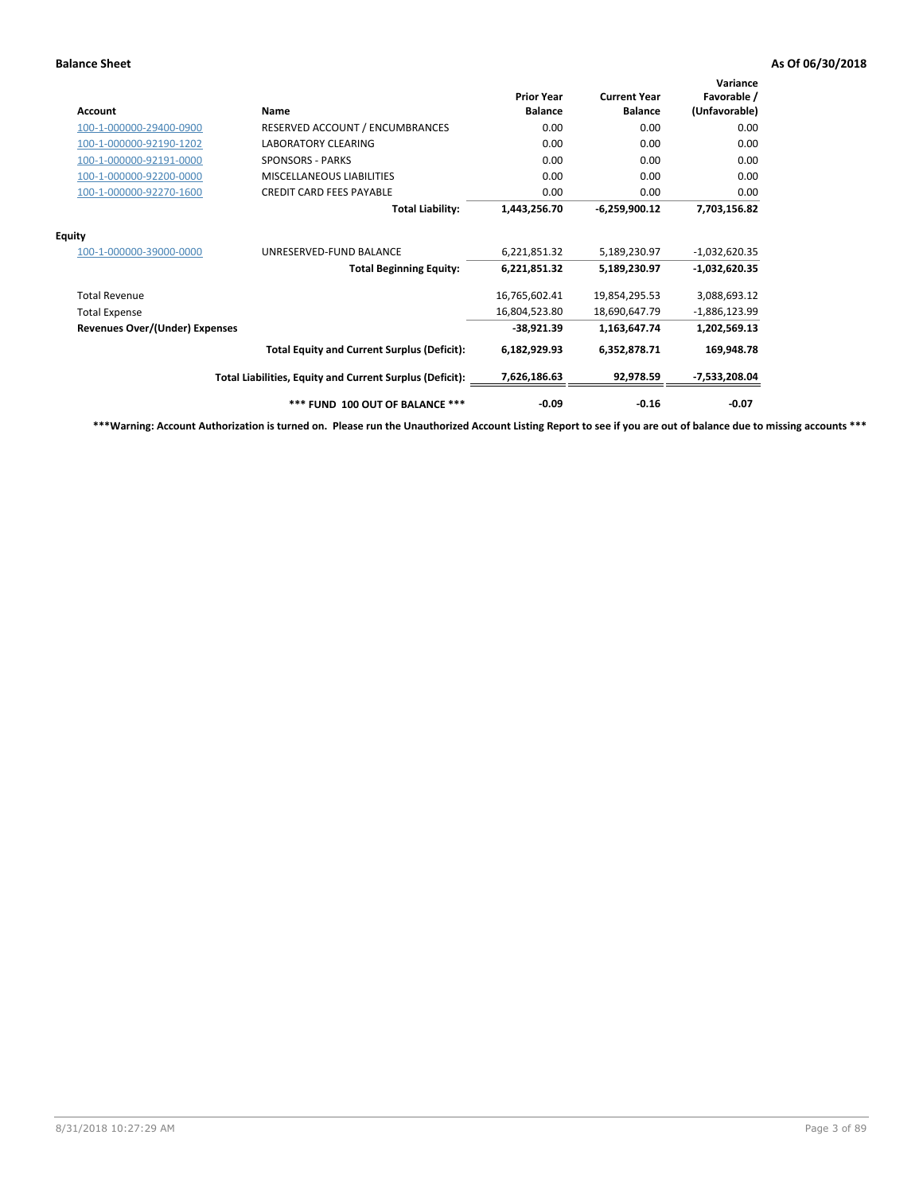| Account                               | Name                                                     | <b>Prior Year</b><br><b>Balance</b> | <b>Current Year</b><br><b>Balance</b> | Variance<br>Favorable /<br>(Unfavorable) |
|---------------------------------------|----------------------------------------------------------|-------------------------------------|---------------------------------------|------------------------------------------|
| 100-1-000000-29400-0900               | RESERVED ACCOUNT / ENCUMBRANCES                          | 0.00                                | 0.00                                  | 0.00                                     |
| 100-1-000000-92190-1202               | <b>LABORATORY CLEARING</b>                               | 0.00                                | 0.00                                  | 0.00                                     |
| 100-1-000000-92191-0000               | <b>SPONSORS - PARKS</b>                                  | 0.00                                | 0.00                                  | 0.00                                     |
| 100-1-000000-92200-0000               | <b>MISCELLANEOUS LIABILITIES</b>                         | 0.00                                | 0.00                                  | 0.00                                     |
| 100-1-000000-92270-1600               | <b>CREDIT CARD FEES PAYABLE</b>                          | 0.00                                | 0.00                                  | 0.00                                     |
|                                       | <b>Total Liability:</b>                                  | 1,443,256.70                        | $-6,259,900.12$                       | 7,703,156.82                             |
| <b>Equity</b>                         |                                                          |                                     |                                       |                                          |
| 100-1-000000-39000-0000               | UNRESERVED-FUND BALANCE                                  | 6,221,851.32                        | 5,189,230.97                          | $-1,032,620.35$                          |
|                                       | <b>Total Beginning Equity:</b>                           | 6,221,851.32                        | 5,189,230.97                          | $-1,032,620.35$                          |
| <b>Total Revenue</b>                  |                                                          | 16,765,602.41                       | 19,854,295.53                         | 3,088,693.12                             |
| <b>Total Expense</b>                  |                                                          | 16,804,523.80                       | 18,690,647.79                         | $-1,886,123.99$                          |
| <b>Revenues Over/(Under) Expenses</b> |                                                          | $-38,921.39$                        | 1,163,647.74                          | 1,202,569.13                             |
|                                       | <b>Total Equity and Current Surplus (Deficit):</b>       | 6,182,929.93                        | 6,352,878.71                          | 169,948.78                               |
|                                       | Total Liabilities, Equity and Current Surplus (Deficit): | 7,626,186.63                        | 92,978.59                             | -7,533,208.04                            |
|                                       | *** FUND 100 OUT OF BALANCE ***                          | $-0.09$                             | $-0.16$                               | $-0.07$                                  |

**\*\*\*Warning: Account Authorization is turned on. Please run the Unauthorized Account Listing Report to see if you are out of balance due to missing accounts \*\*\***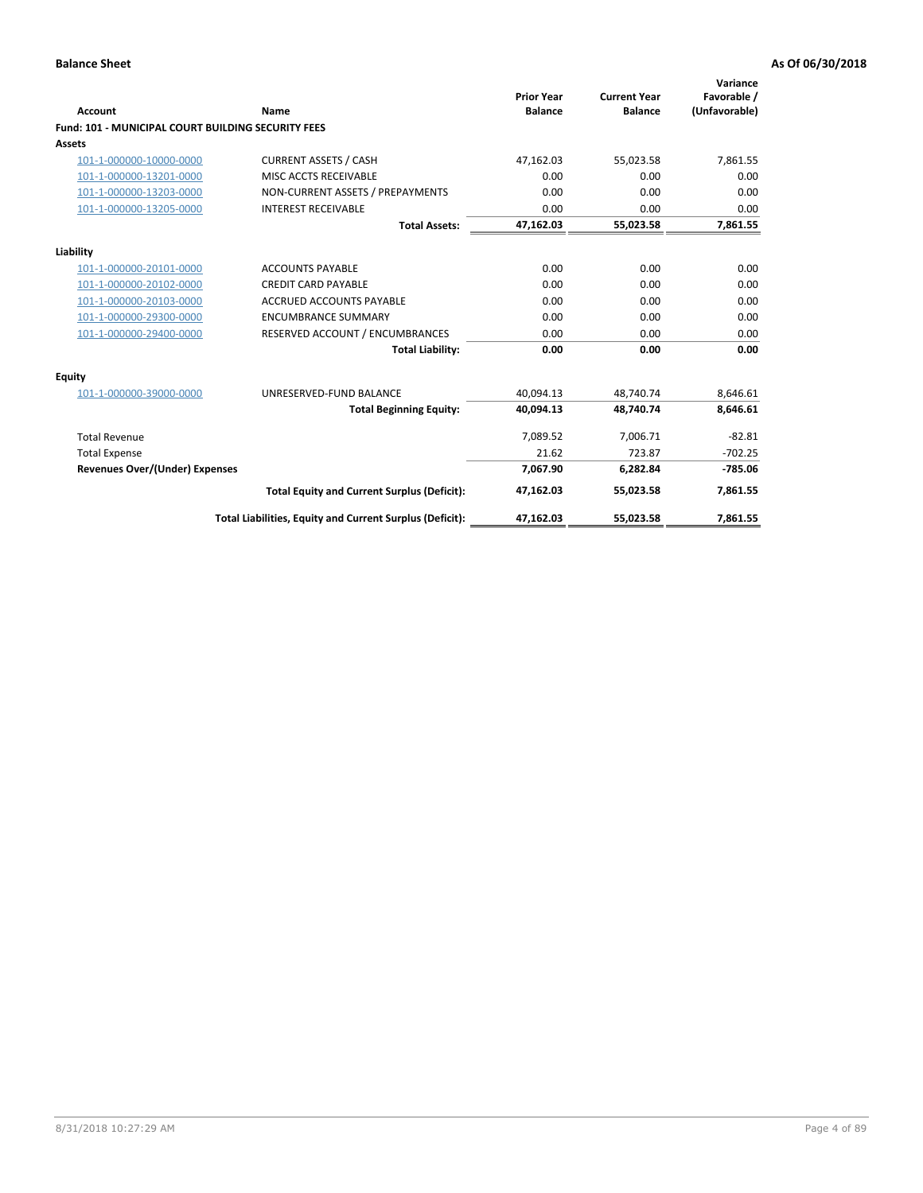| <b>Account</b>                                            | Name                                                     | <b>Prior Year</b><br><b>Balance</b> | <b>Current Year</b><br><b>Balance</b> | Variance<br>Favorable /<br>(Unfavorable) |
|-----------------------------------------------------------|----------------------------------------------------------|-------------------------------------|---------------------------------------|------------------------------------------|
| <b>Fund: 101 - MUNICIPAL COURT BUILDING SECURITY FEES</b> |                                                          |                                     |                                       |                                          |
| Assets                                                    |                                                          |                                     |                                       |                                          |
| 101-1-000000-10000-0000                                   | <b>CURRENT ASSETS / CASH</b>                             | 47,162.03                           | 55,023.58                             | 7,861.55                                 |
| 101-1-000000-13201-0000                                   | MISC ACCTS RECEIVABLE                                    | 0.00                                | 0.00                                  | 0.00                                     |
| 101-1-000000-13203-0000                                   | NON-CURRENT ASSETS / PREPAYMENTS                         | 0.00                                | 0.00                                  | 0.00                                     |
| 101-1-000000-13205-0000                                   | <b>INTEREST RECEIVABLE</b>                               | 0.00                                | 0.00                                  | 0.00                                     |
|                                                           | <b>Total Assets:</b>                                     | 47,162.03                           | 55,023.58                             | 7,861.55                                 |
| Liability                                                 |                                                          |                                     |                                       |                                          |
| 101-1-000000-20101-0000                                   | <b>ACCOUNTS PAYABLE</b>                                  | 0.00                                | 0.00                                  | 0.00                                     |
| 101-1-000000-20102-0000                                   | <b>CREDIT CARD PAYABLE</b>                               | 0.00                                | 0.00                                  | 0.00                                     |
| 101-1-000000-20103-0000                                   | <b>ACCRUED ACCOUNTS PAYABLE</b>                          | 0.00                                | 0.00                                  | 0.00                                     |
| 101-1-000000-29300-0000                                   | <b>ENCUMBRANCE SUMMARY</b>                               | 0.00                                | 0.00                                  | 0.00                                     |
| 101-1-000000-29400-0000                                   | RESERVED ACCOUNT / ENCUMBRANCES                          | 0.00                                | 0.00                                  | 0.00                                     |
|                                                           | <b>Total Liability:</b>                                  | 0.00                                | 0.00                                  | 0.00                                     |
| <b>Equity</b>                                             |                                                          |                                     |                                       |                                          |
| 101-1-000000-39000-0000                                   | UNRESERVED-FUND BALANCE                                  | 40.094.13                           | 48.740.74                             | 8,646.61                                 |
|                                                           | <b>Total Beginning Equity:</b>                           | 40.094.13                           | 48.740.74                             | 8.646.61                                 |
| <b>Total Revenue</b>                                      |                                                          | 7,089.52                            | 7,006.71                              | $-82.81$                                 |
| <b>Total Expense</b>                                      |                                                          | 21.62                               | 723.87                                | $-702.25$                                |
| <b>Revenues Over/(Under) Expenses</b>                     |                                                          | 7.067.90                            | 6.282.84                              | $-785.06$                                |
|                                                           | <b>Total Equity and Current Surplus (Deficit):</b>       | 47,162.03                           | 55,023.58                             | 7,861.55                                 |
|                                                           | Total Liabilities, Equity and Current Surplus (Deficit): | 47,162.03                           | 55,023.58                             | 7,861.55                                 |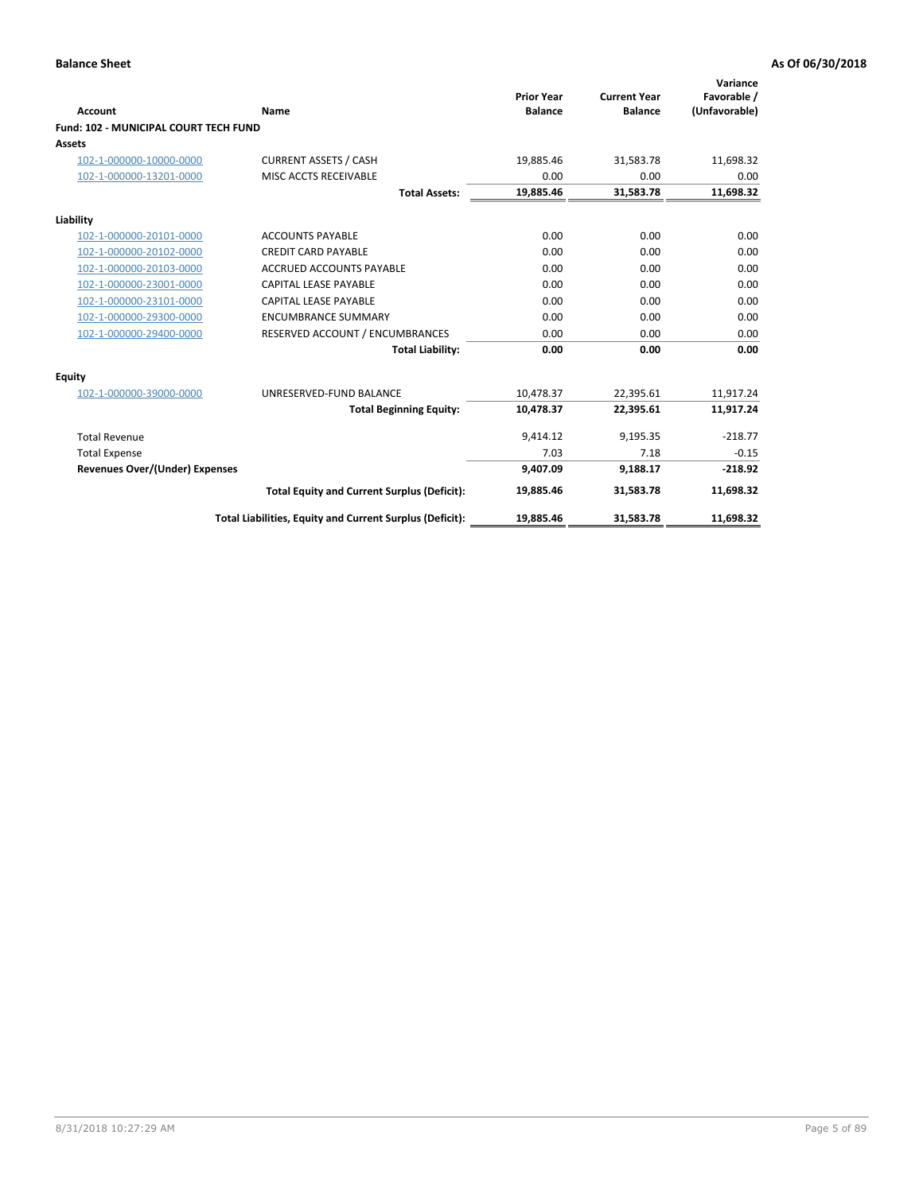| Account                                      | Name                                                     | <b>Prior Year</b><br><b>Balance</b> | <b>Current Year</b><br><b>Balance</b> | Variance<br>Favorable /<br>(Unfavorable) |
|----------------------------------------------|----------------------------------------------------------|-------------------------------------|---------------------------------------|------------------------------------------|
| <b>Fund: 102 - MUNICIPAL COURT TECH FUND</b> |                                                          |                                     |                                       |                                          |
| Assets                                       |                                                          |                                     |                                       |                                          |
| 102-1-000000-10000-0000                      | <b>CURRENT ASSETS / CASH</b>                             | 19,885.46                           | 31,583.78                             | 11,698.32                                |
| 102-1-000000-13201-0000                      | MISC ACCTS RECEIVABLE                                    | 0.00                                | 0.00                                  | 0.00                                     |
|                                              | <b>Total Assets:</b>                                     | 19,885.46                           | 31,583.78                             | 11,698.32                                |
| Liability                                    |                                                          |                                     |                                       |                                          |
| 102-1-000000-20101-0000                      | <b>ACCOUNTS PAYABLE</b>                                  | 0.00                                | 0.00                                  | 0.00                                     |
| 102-1-000000-20102-0000                      | <b>CREDIT CARD PAYABLE</b>                               | 0.00                                | 0.00                                  | 0.00                                     |
| 102-1-000000-20103-0000                      | <b>ACCRUED ACCOUNTS PAYABLE</b>                          | 0.00                                | 0.00                                  | 0.00                                     |
| 102-1-000000-23001-0000                      | <b>CAPITAL LEASE PAYABLE</b>                             | 0.00                                | 0.00                                  | 0.00                                     |
| 102-1-000000-23101-0000                      | <b>CAPITAL LEASE PAYABLE</b>                             | 0.00                                | 0.00                                  | 0.00                                     |
| 102-1-000000-29300-0000                      | <b>ENCUMBRANCE SUMMARY</b>                               | 0.00                                | 0.00                                  | 0.00                                     |
| 102-1-000000-29400-0000                      | RESERVED ACCOUNT / ENCUMBRANCES                          | 0.00                                | 0.00                                  | 0.00                                     |
|                                              | <b>Total Liability:</b>                                  | 0.00                                | 0.00                                  | 0.00                                     |
| <b>Equity</b>                                |                                                          |                                     |                                       |                                          |
| 102-1-000000-39000-0000                      | UNRESERVED-FUND BALANCE                                  | 10,478.37                           | 22,395.61                             | 11,917.24                                |
|                                              | <b>Total Beginning Equity:</b>                           | 10,478.37                           | 22,395.61                             | 11,917.24                                |
| <b>Total Revenue</b>                         |                                                          | 9,414.12                            | 9,195.35                              | $-218.77$                                |
| <b>Total Expense</b>                         |                                                          | 7.03                                | 7.18                                  | $-0.15$                                  |
| Revenues Over/(Under) Expenses               |                                                          | 9,407.09                            | 9,188.17                              | $-218.92$                                |
|                                              | <b>Total Equity and Current Surplus (Deficit):</b>       | 19,885.46                           | 31,583.78                             | 11,698.32                                |
|                                              | Total Liabilities, Equity and Current Surplus (Deficit): | 19,885.46                           | 31,583.78                             | 11,698.32                                |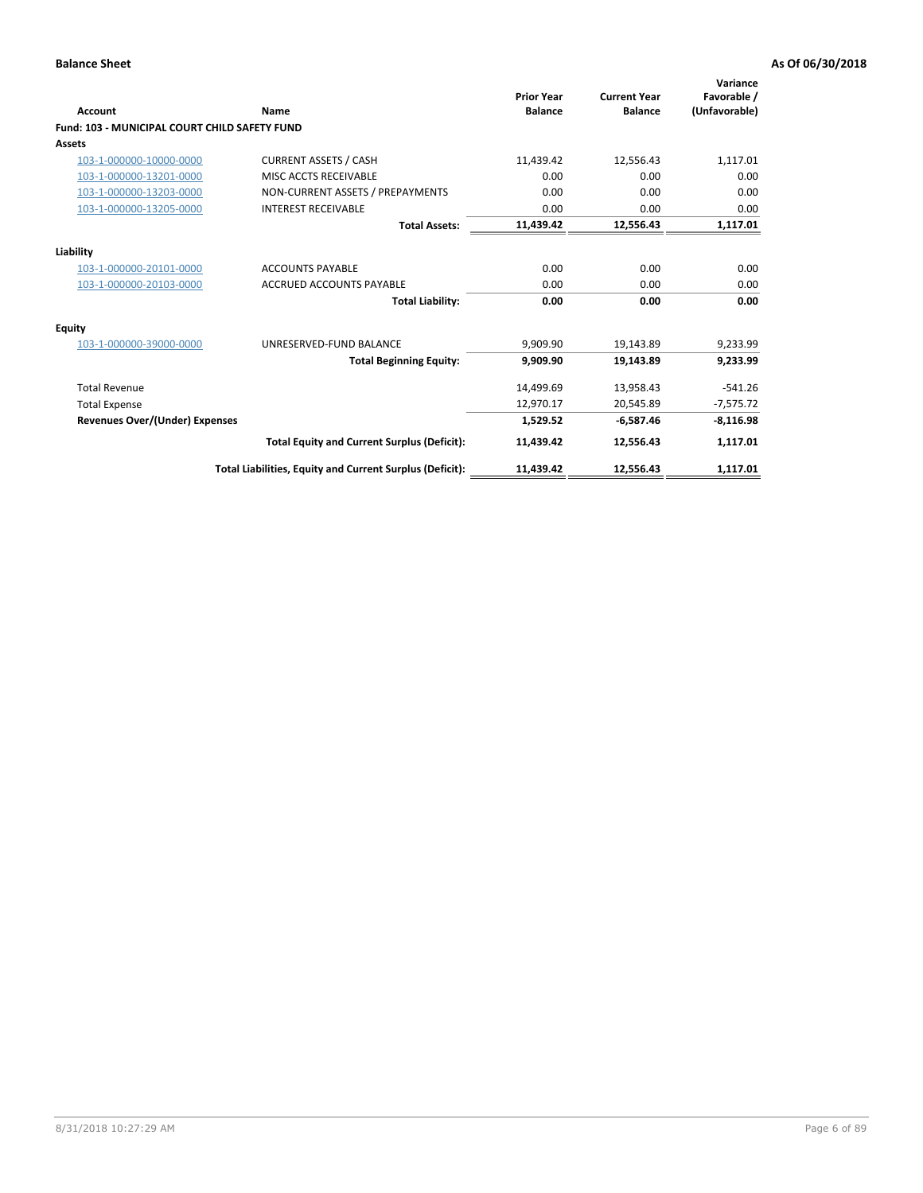| <b>Account</b>                                       | Name                                                     | <b>Prior Year</b><br><b>Balance</b> | <b>Current Year</b><br><b>Balance</b> | Variance<br>Favorable /<br>(Unfavorable) |
|------------------------------------------------------|----------------------------------------------------------|-------------------------------------|---------------------------------------|------------------------------------------|
| <b>Fund: 103 - MUNICIPAL COURT CHILD SAFETY FUND</b> |                                                          |                                     |                                       |                                          |
| <b>Assets</b>                                        |                                                          |                                     |                                       |                                          |
| 103-1-000000-10000-0000                              | <b>CURRENT ASSETS / CASH</b>                             | 11,439.42                           | 12,556.43                             | 1,117.01                                 |
| 103-1-000000-13201-0000                              | MISC ACCTS RECEIVABLE                                    | 0.00                                | 0.00                                  | 0.00                                     |
| 103-1-000000-13203-0000                              | NON-CURRENT ASSETS / PREPAYMENTS                         | 0.00                                | 0.00                                  | 0.00                                     |
| 103-1-000000-13205-0000                              | <b>INTEREST RECEIVABLE</b>                               | 0.00                                | 0.00                                  | 0.00                                     |
|                                                      | <b>Total Assets:</b>                                     | 11,439.42                           | 12,556.43                             | 1,117.01                                 |
| Liability                                            |                                                          |                                     |                                       |                                          |
| 103-1-000000-20101-0000                              | <b>ACCOUNTS PAYABLE</b>                                  | 0.00                                | 0.00                                  | 0.00                                     |
| 103-1-000000-20103-0000                              | <b>ACCRUED ACCOUNTS PAYABLE</b>                          | 0.00                                | 0.00                                  | 0.00                                     |
|                                                      | <b>Total Liability:</b>                                  | 0.00                                | 0.00                                  | 0.00                                     |
| Equity                                               |                                                          |                                     |                                       |                                          |
| 103-1-000000-39000-0000                              | UNRESERVED-FUND BALANCE                                  | 9,909.90                            | 19,143.89                             | 9,233.99                                 |
|                                                      | <b>Total Beginning Equity:</b>                           | 9,909.90                            | 19,143.89                             | 9,233.99                                 |
| <b>Total Revenue</b>                                 |                                                          | 14,499.69                           | 13,958.43                             | $-541.26$                                |
| <b>Total Expense</b>                                 |                                                          | 12,970.17                           | 20,545.89                             | $-7,575.72$                              |
| <b>Revenues Over/(Under) Expenses</b>                |                                                          | 1,529.52                            | $-6,587.46$                           | $-8,116.98$                              |
|                                                      | <b>Total Equity and Current Surplus (Deficit):</b>       | 11,439.42                           | 12,556.43                             | 1,117.01                                 |
|                                                      | Total Liabilities, Equity and Current Surplus (Deficit): | 11,439.42                           | 12,556.43                             | 1,117.01                                 |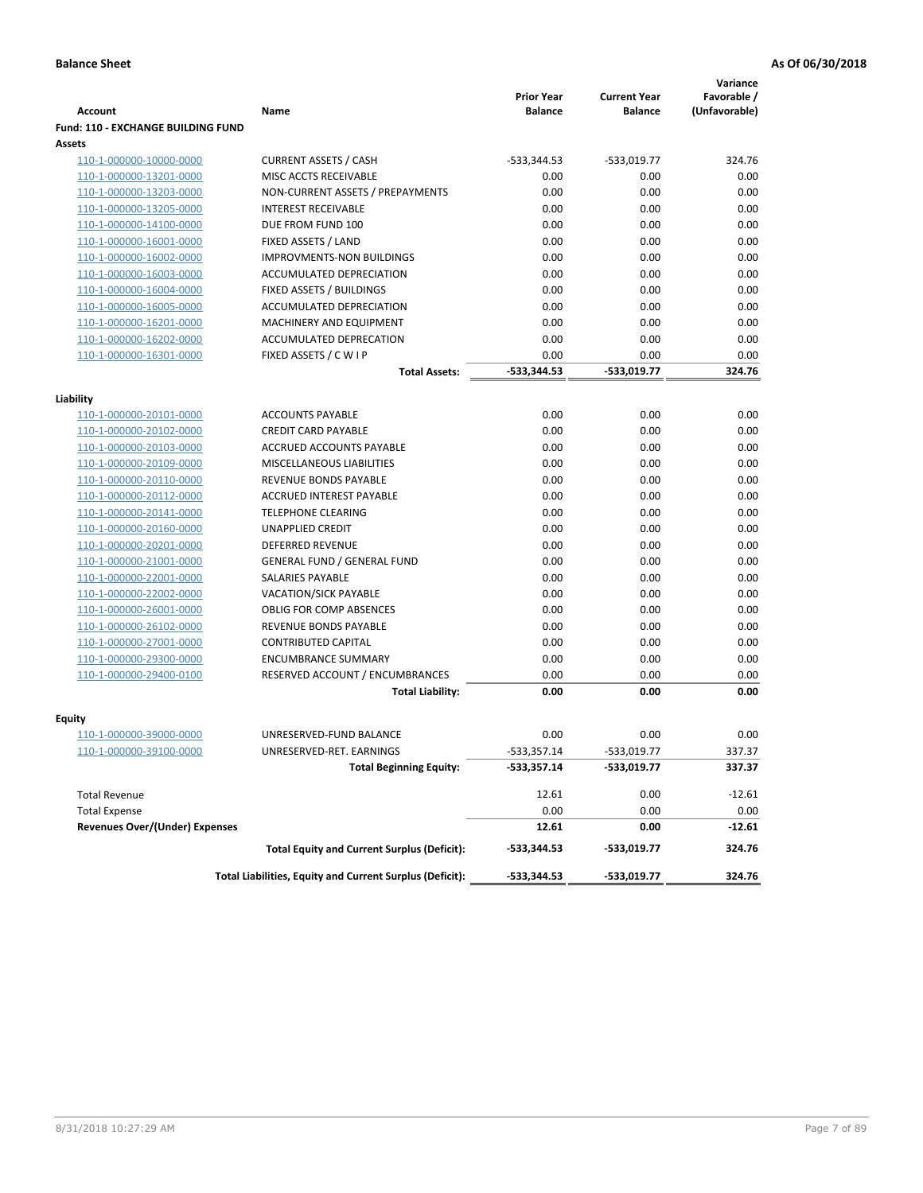|                                           |                                                          |                                     |                                       | Variance                     |
|-------------------------------------------|----------------------------------------------------------|-------------------------------------|---------------------------------------|------------------------------|
| <b>Account</b>                            | Name                                                     | <b>Prior Year</b><br><b>Balance</b> | <b>Current Year</b><br><b>Balance</b> | Favorable /<br>(Unfavorable) |
| <b>Fund: 110 - EXCHANGE BUILDING FUND</b> |                                                          |                                     |                                       |                              |
| Assets                                    |                                                          |                                     |                                       |                              |
| 110-1-000000-10000-0000                   | <b>CURRENT ASSETS / CASH</b>                             | -533,344.53                         | $-533,019.77$                         | 324.76                       |
| 110-1-000000-13201-0000                   | MISC ACCTS RECEIVABLE                                    | 0.00                                | 0.00                                  | 0.00                         |
| 110-1-000000-13203-0000                   | NON-CURRENT ASSETS / PREPAYMENTS                         | 0.00                                | 0.00                                  | 0.00                         |
| 110-1-000000-13205-0000                   | <b>INTEREST RECEIVABLE</b>                               | 0.00                                | 0.00                                  | 0.00                         |
| 110-1-000000-14100-0000                   | DUE FROM FUND 100                                        | 0.00                                | 0.00                                  | 0.00                         |
| 110-1-000000-16001-0000                   | FIXED ASSETS / LAND                                      | 0.00                                | 0.00                                  | 0.00                         |
| 110-1-000000-16002-0000                   | <b>IMPROVMENTS-NON BUILDINGS</b>                         | 0.00                                | 0.00                                  | 0.00                         |
| 110-1-000000-16003-0000                   | ACCUMULATED DEPRECIATION                                 | 0.00                                | 0.00                                  | 0.00                         |
| 110-1-000000-16004-0000                   | FIXED ASSETS / BUILDINGS                                 | 0.00                                | 0.00                                  | 0.00                         |
| 110-1-000000-16005-0000                   | ACCUMULATED DEPRECIATION                                 | 0.00                                | 0.00                                  | 0.00                         |
| 110-1-000000-16201-0000                   | <b>MACHINERY AND EQUIPMENT</b>                           | 0.00                                | 0.00                                  | 0.00                         |
| 110-1-000000-16202-0000                   | ACCUMULATED DEPRECATION                                  | 0.00                                | 0.00                                  | 0.00                         |
| 110-1-000000-16301-0000                   | FIXED ASSETS / C W I P                                   | 0.00                                | 0.00                                  | 0.00                         |
|                                           | <b>Total Assets:</b>                                     | $-533,344.53$                       | -533.019.77                           | 324.76                       |
| Liability                                 |                                                          |                                     |                                       |                              |
| 110-1-000000-20101-0000                   | <b>ACCOUNTS PAYABLE</b>                                  | 0.00                                | 0.00                                  | 0.00                         |
| 110-1-000000-20102-0000                   | <b>CREDIT CARD PAYABLE</b>                               | 0.00                                | 0.00                                  | 0.00                         |
| 110-1-000000-20103-0000                   | ACCRUED ACCOUNTS PAYABLE                                 | 0.00                                | 0.00                                  | 0.00                         |
| 110-1-000000-20109-0000                   | MISCELLANEOUS LIABILITIES                                | 0.00                                | 0.00                                  | 0.00                         |
| 110-1-000000-20110-0000                   | REVENUE BONDS PAYABLE                                    | 0.00                                | 0.00                                  | 0.00                         |
| 110-1-000000-20112-0000                   | <b>ACCRUED INTEREST PAYABLE</b>                          | 0.00                                | 0.00                                  | 0.00                         |
| 110-1-000000-20141-0000                   | <b>TELEPHONE CLEARING</b>                                | 0.00                                | 0.00                                  | 0.00                         |
| 110-1-000000-20160-0000                   | <b>UNAPPLIED CREDIT</b>                                  | 0.00                                | 0.00                                  | 0.00                         |
| 110-1-000000-20201-0000                   | <b>DEFERRED REVENUE</b>                                  | 0.00                                | 0.00                                  | 0.00                         |
| 110-1-000000-21001-0000                   | <b>GENERAL FUND / GENERAL FUND</b>                       | 0.00                                | 0.00                                  | 0.00                         |
| 110-1-000000-22001-0000                   | SALARIES PAYABLE                                         | 0.00                                | 0.00                                  | 0.00                         |
| 110-1-000000-22002-0000                   | <b>VACATION/SICK PAYABLE</b>                             | 0.00                                | 0.00                                  | 0.00                         |
| 110-1-000000-26001-0000                   | <b>OBLIG FOR COMP ABSENCES</b>                           | 0.00                                | 0.00                                  | 0.00                         |
| 110-1-000000-26102-0000                   | REVENUE BONDS PAYABLE                                    | 0.00                                | 0.00                                  | 0.00                         |
| 110-1-000000-27001-0000                   | <b>CONTRIBUTED CAPITAL</b>                               | 0.00                                | 0.00                                  | 0.00                         |
| 110-1-000000-29300-0000                   | <b>ENCUMBRANCE SUMMARY</b>                               | 0.00                                | 0.00                                  | 0.00                         |
| 110-1-000000-29400-0100                   | RESERVED ACCOUNT / ENCUMBRANCES                          | 0.00                                | 0.00                                  | 0.00                         |
|                                           | <b>Total Liability:</b>                                  | 0.00                                | 0.00                                  | 0.00                         |
|                                           |                                                          |                                     |                                       |                              |
| <b>Equity</b>                             |                                                          |                                     |                                       |                              |
| 110-1-000000-39000-0000                   | UNRESERVED-FUND BALANCE                                  | 0.00                                | 0.00                                  | 0.00                         |
| <u>110-1-000000-39100-0000</u>            | UNRESERVED-RET. EARNINGS                                 | -533,357.14<br>$-533,357.14$        | -533,019.77<br>-533,019.77            | 337.37<br>337.37             |
|                                           | <b>Total Beginning Equity:</b>                           |                                     |                                       |                              |
| <b>Total Revenue</b>                      |                                                          | 12.61                               | 0.00                                  | $-12.61$                     |
| <b>Total Expense</b>                      |                                                          | 0.00                                | 0.00                                  | 0.00                         |
| <b>Revenues Over/(Under) Expenses</b>     |                                                          | 12.61                               | 0.00                                  | $-12.61$                     |
|                                           | <b>Total Equity and Current Surplus (Deficit):</b>       | -533,344.53                         | -533,019.77                           | 324.76                       |
|                                           | Total Liabilities, Equity and Current Surplus (Deficit): | -533,344.53                         | -533,019.77                           | 324.76                       |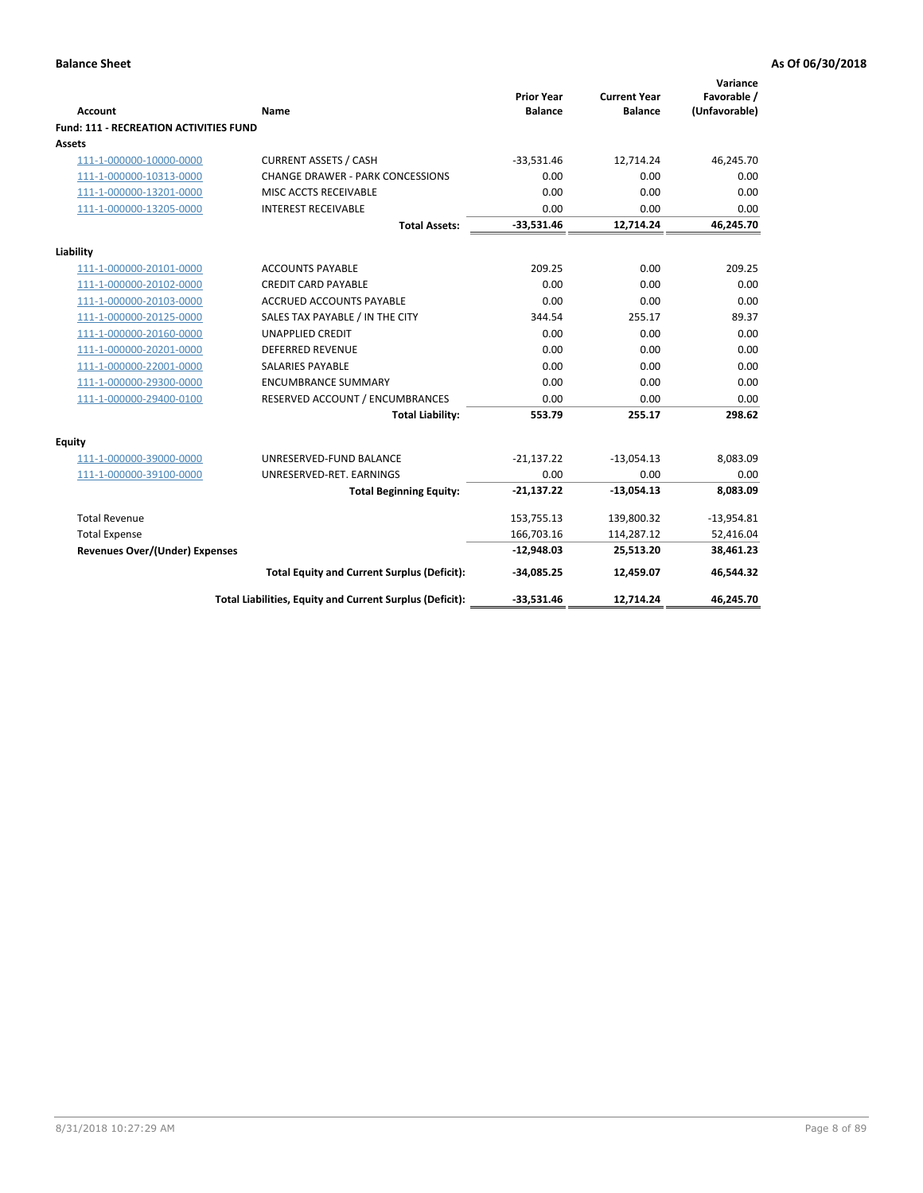| <b>Account</b>                                     | Name                                                     | <b>Prior Year</b><br><b>Balance</b> | <b>Current Year</b><br><b>Balance</b> | Variance<br>Favorable /<br>(Unfavorable) |
|----------------------------------------------------|----------------------------------------------------------|-------------------------------------|---------------------------------------|------------------------------------------|
| <b>Fund: 111 - RECREATION ACTIVITIES FUND</b>      |                                                          |                                     |                                       |                                          |
| <b>Assets</b>                                      |                                                          |                                     |                                       |                                          |
| 111-1-000000-10000-0000                            | <b>CURRENT ASSETS / CASH</b>                             | $-33,531.46$                        | 12,714.24                             | 46,245.70                                |
| 111-1-000000-10313-0000                            | <b>CHANGE DRAWER - PARK CONCESSIONS</b>                  | 0.00                                | 0.00                                  | 0.00                                     |
| 111-1-000000-13201-0000                            | MISC ACCTS RECEIVABLE                                    | 0.00                                | 0.00                                  | 0.00                                     |
| 111-1-000000-13205-0000                            | <b>INTEREST RECEIVABLE</b>                               | 0.00                                | 0.00                                  | 0.00                                     |
|                                                    | <b>Total Assets:</b>                                     | $-33,531.46$                        | 12,714.24                             | 46,245.70                                |
|                                                    |                                                          |                                     |                                       |                                          |
| Liability                                          |                                                          |                                     |                                       |                                          |
| 111-1-000000-20101-0000                            | <b>ACCOUNTS PAYABLE</b><br><b>CREDIT CARD PAYABLE</b>    | 209.25<br>0.00                      | 0.00<br>0.00                          | 209.25<br>0.00                           |
| 111-1-000000-20102-0000<br>111-1-000000-20103-0000 | <b>ACCRUED ACCOUNTS PAYABLE</b>                          | 0.00                                | 0.00                                  | 0.00                                     |
| 111-1-000000-20125-0000                            | SALES TAX PAYABLE / IN THE CITY                          | 344.54                              | 255.17                                | 89.37                                    |
| 111-1-000000-20160-0000                            | <b>UNAPPLIED CREDIT</b>                                  | 0.00                                | 0.00                                  | 0.00                                     |
| 111-1-000000-20201-0000                            | <b>DEFERRED REVENUE</b>                                  | 0.00                                | 0.00                                  | 0.00                                     |
| 111-1-000000-22001-0000                            | <b>SALARIES PAYABLE</b>                                  | 0.00                                | 0.00                                  | 0.00                                     |
| 111-1-000000-29300-0000                            | <b>ENCUMBRANCE SUMMARY</b>                               | 0.00                                | 0.00                                  | 0.00                                     |
| 111-1-000000-29400-0100                            | RESERVED ACCOUNT / ENCUMBRANCES                          | 0.00                                | 0.00                                  | 0.00                                     |
|                                                    | <b>Total Liability:</b>                                  | 553.79                              | 255.17                                | 298.62                                   |
| <b>Equity</b>                                      |                                                          |                                     |                                       |                                          |
| 111-1-000000-39000-0000                            | UNRESERVED-FUND BALANCE                                  | $-21,137.22$                        | $-13,054.13$                          | 8,083.09                                 |
| 111-1-000000-39100-0000                            | UNRESERVED-RET. EARNINGS                                 | 0.00                                | 0.00                                  | 0.00                                     |
|                                                    | <b>Total Beginning Equity:</b>                           | $-21,137.22$                        | $-13,054.13$                          | 8,083.09                                 |
| <b>Total Revenue</b>                               |                                                          | 153,755.13                          | 139,800.32                            | $-13,954.81$                             |
| <b>Total Expense</b>                               |                                                          | 166,703.16                          | 114,287.12                            | 52,416.04                                |
| <b>Revenues Over/(Under) Expenses</b>              |                                                          | $-12,948.03$                        | 25,513.20                             | 38,461.23                                |
|                                                    | <b>Total Equity and Current Surplus (Deficit):</b>       | $-34,085.25$                        | 12,459.07                             | 46,544.32                                |
|                                                    | Total Liabilities, Equity and Current Surplus (Deficit): | $-33,531.46$                        | 12,714.24                             | 46,245.70                                |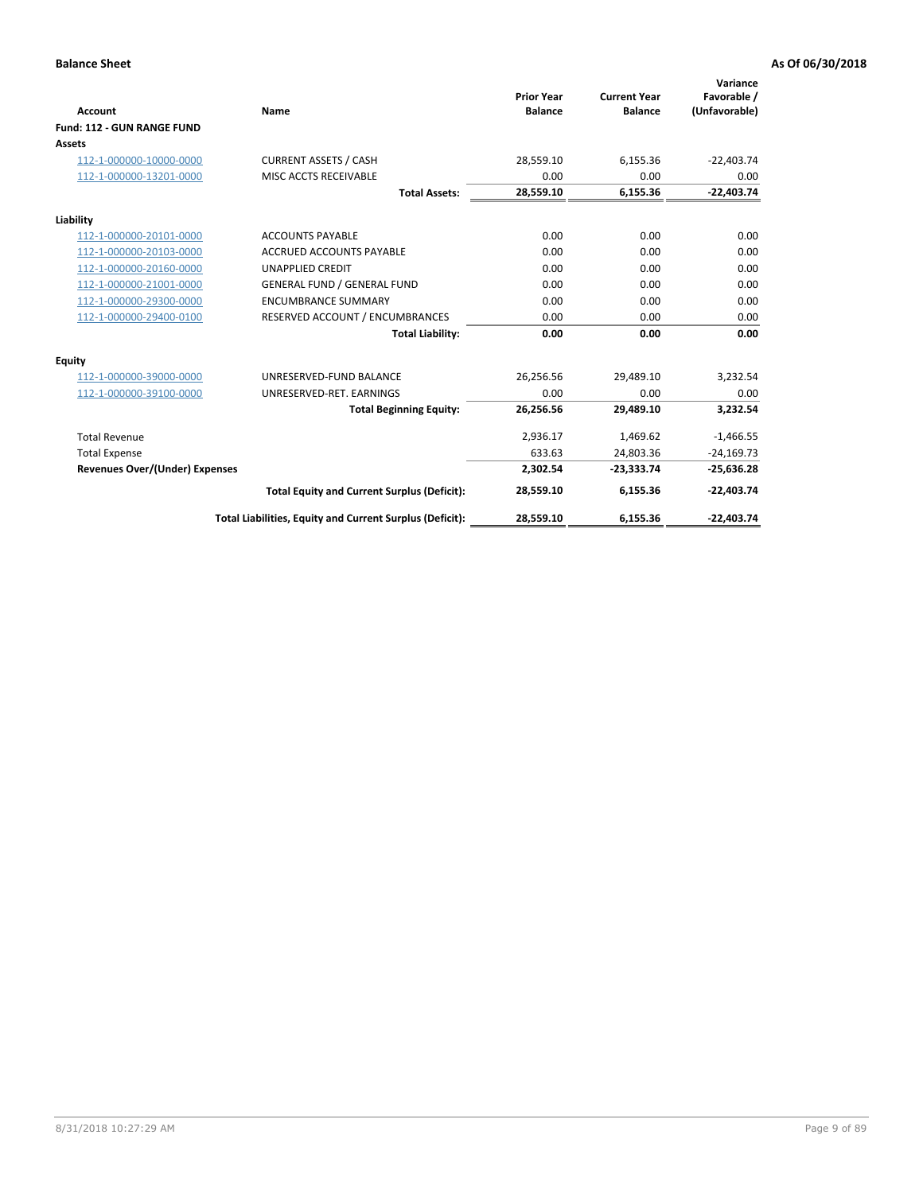|                                       |                                                          |                                     |                                       | Variance                     |
|---------------------------------------|----------------------------------------------------------|-------------------------------------|---------------------------------------|------------------------------|
| <b>Account</b>                        | Name                                                     | <b>Prior Year</b><br><b>Balance</b> | <b>Current Year</b><br><b>Balance</b> | Favorable /<br>(Unfavorable) |
| Fund: 112 - GUN RANGE FUND            |                                                          |                                     |                                       |                              |
| <b>Assets</b>                         |                                                          |                                     |                                       |                              |
| 112-1-000000-10000-0000               | <b>CURRENT ASSETS / CASH</b>                             | 28,559.10                           | 6,155.36                              | $-22,403.74$                 |
| 112-1-000000-13201-0000               | MISC ACCTS RECEIVABLE                                    | 0.00                                | 0.00                                  | 0.00                         |
|                                       | <b>Total Assets:</b>                                     | 28,559.10                           | 6,155.36                              | $-22,403.74$                 |
| Liability                             |                                                          |                                     |                                       |                              |
| 112-1-000000-20101-0000               | <b>ACCOUNTS PAYABLE</b>                                  | 0.00                                | 0.00                                  | 0.00                         |
| 112-1-000000-20103-0000               | <b>ACCRUED ACCOUNTS PAYABLE</b>                          | 0.00                                | 0.00                                  | 0.00                         |
| 112-1-000000-20160-0000               | <b>UNAPPLIED CREDIT</b>                                  | 0.00                                | 0.00                                  | 0.00                         |
| 112-1-000000-21001-0000               | <b>GENERAL FUND / GENERAL FUND</b>                       | 0.00                                | 0.00                                  | 0.00                         |
| 112-1-000000-29300-0000               | <b>ENCUMBRANCE SUMMARY</b>                               | 0.00                                | 0.00                                  | 0.00                         |
| 112-1-000000-29400-0100               | RESERVED ACCOUNT / ENCUMBRANCES                          | 0.00                                | 0.00                                  | 0.00                         |
|                                       | <b>Total Liability:</b>                                  | 0.00                                | 0.00                                  | 0.00                         |
| Equity                                |                                                          |                                     |                                       |                              |
| 112-1-000000-39000-0000               | UNRESERVED-FUND BALANCE                                  | 26,256.56                           | 29,489.10                             | 3,232.54                     |
| 112-1-000000-39100-0000               | UNRESERVED-RET. EARNINGS                                 | 0.00                                | 0.00                                  | 0.00                         |
|                                       | <b>Total Beginning Equity:</b>                           | 26,256.56                           | 29,489.10                             | 3,232.54                     |
| <b>Total Revenue</b>                  |                                                          | 2,936.17                            | 1,469.62                              | $-1,466.55$                  |
| <b>Total Expense</b>                  |                                                          | 633.63                              | 24,803.36                             | $-24,169.73$                 |
| <b>Revenues Over/(Under) Expenses</b> |                                                          | 2,302.54                            | $-23,333.74$                          | $-25,636.28$                 |
|                                       | <b>Total Equity and Current Surplus (Deficit):</b>       | 28,559.10                           | 6,155.36                              | $-22,403.74$                 |
|                                       | Total Liabilities, Equity and Current Surplus (Deficit): | 28,559.10                           | 6,155.36                              | $-22,403.74$                 |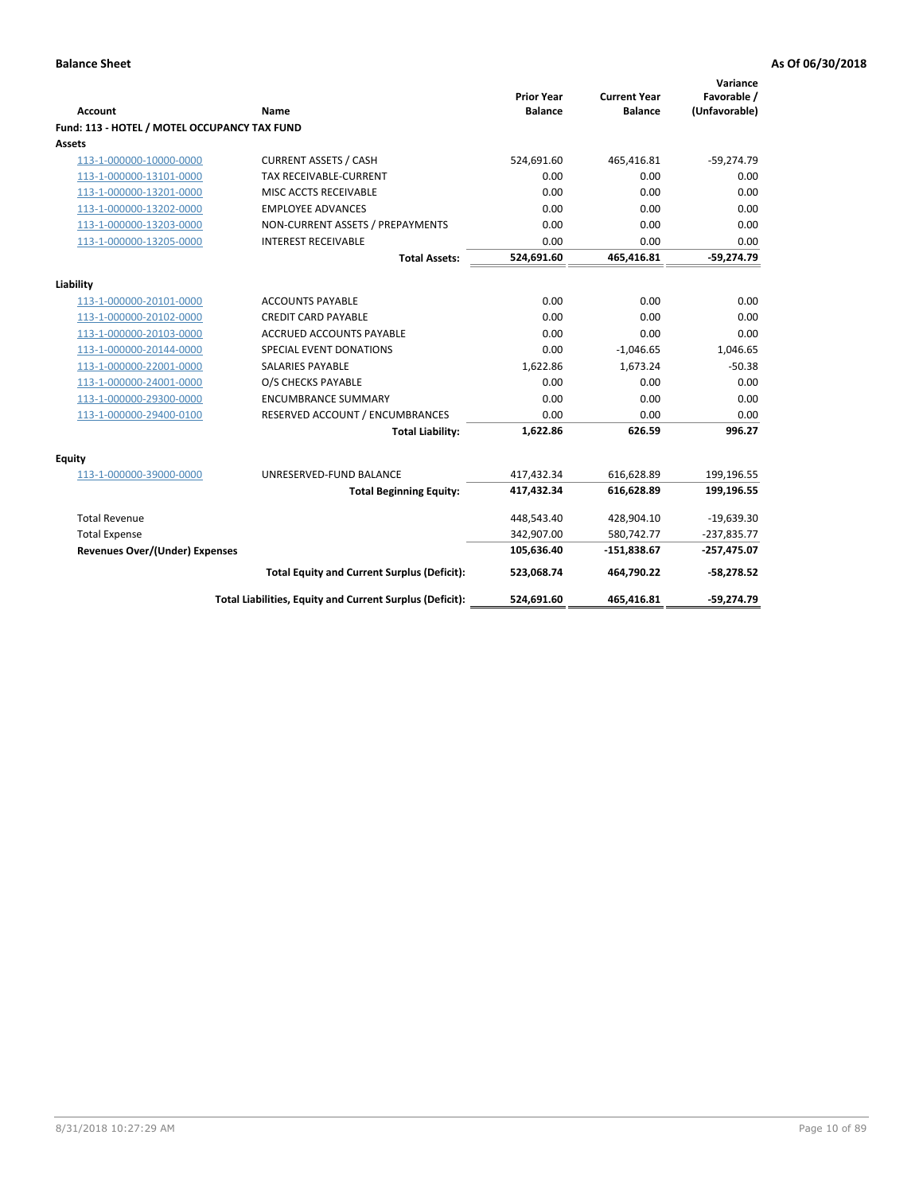| <b>Account</b>                               | Name                                                     | <b>Prior Year</b><br><b>Balance</b> | <b>Current Year</b><br><b>Balance</b> | Variance<br>Favorable /<br>(Unfavorable) |
|----------------------------------------------|----------------------------------------------------------|-------------------------------------|---------------------------------------|------------------------------------------|
| Fund: 113 - HOTEL / MOTEL OCCUPANCY TAX FUND |                                                          |                                     |                                       |                                          |
| Assets                                       |                                                          |                                     |                                       |                                          |
| 113-1-000000-10000-0000                      | <b>CURRENT ASSETS / CASH</b>                             | 524,691.60                          | 465,416.81                            | $-59,274.79$                             |
| 113-1-000000-13101-0000                      | <b>TAX RECEIVABLE-CURRENT</b>                            | 0.00                                | 0.00                                  | 0.00                                     |
| 113-1-000000-13201-0000                      | MISC ACCTS RECEIVABLE                                    | 0.00                                | 0.00                                  | 0.00                                     |
| 113-1-000000-13202-0000                      | <b>EMPLOYEE ADVANCES</b>                                 | 0.00                                | 0.00                                  | 0.00                                     |
| 113-1-000000-13203-0000                      | NON-CURRENT ASSETS / PREPAYMENTS                         | 0.00                                | 0.00                                  | 0.00                                     |
| 113-1-000000-13205-0000                      | <b>INTEREST RECEIVABLE</b>                               | 0.00                                | 0.00                                  | 0.00                                     |
|                                              | <b>Total Assets:</b>                                     | 524,691.60                          | 465,416.81                            | $-59,274.79$                             |
|                                              |                                                          |                                     |                                       |                                          |
| Liability                                    |                                                          |                                     |                                       |                                          |
| 113-1-000000-20101-0000                      | <b>ACCOUNTS PAYABLE</b>                                  | 0.00<br>0.00                        | 0.00                                  | 0.00<br>0.00                             |
| 113-1-000000-20102-0000                      | <b>CREDIT CARD PAYABLE</b>                               |                                     | 0.00                                  |                                          |
| 113-1-000000-20103-0000                      | ACCRUED ACCOUNTS PAYABLE                                 | 0.00<br>0.00                        | 0.00                                  | 0.00                                     |
| 113-1-000000-20144-0000                      | SPECIAL EVENT DONATIONS                                  |                                     | $-1,046.65$                           | 1,046.65                                 |
| 113-1-000000-22001-0000                      | <b>SALARIES PAYABLE</b>                                  | 1,622.86                            | 1,673.24                              | $-50.38$                                 |
| 113-1-000000-24001-0000                      | O/S CHECKS PAYABLE                                       | 0.00                                | 0.00                                  | 0.00                                     |
| 113-1-000000-29300-0000                      | <b>ENCUMBRANCE SUMMARY</b>                               | 0.00                                | 0.00                                  | 0.00                                     |
| 113-1-000000-29400-0100                      | RESERVED ACCOUNT / ENCUMBRANCES                          | 0.00                                | 0.00                                  | 0.00                                     |
|                                              | <b>Total Liability:</b>                                  | 1,622.86                            | 626.59                                | 996.27                                   |
| Equity                                       |                                                          |                                     |                                       |                                          |
| 113-1-000000-39000-0000                      | UNRESERVED-FUND BALANCE                                  | 417,432.34                          | 616,628.89                            | 199,196.55                               |
|                                              | <b>Total Beginning Equity:</b>                           | 417,432.34                          | 616,628.89                            | 199,196.55                               |
| <b>Total Revenue</b>                         |                                                          | 448,543.40                          | 428,904.10                            | $-19,639.30$                             |
| <b>Total Expense</b>                         |                                                          | 342,907.00                          | 580,742.77                            | $-237,835.77$                            |
| <b>Revenues Over/(Under) Expenses</b>        |                                                          | 105,636.40                          | $-151,838.67$                         | $-257,475.07$                            |
|                                              | <b>Total Equity and Current Surplus (Deficit):</b>       | 523,068.74                          | 464,790.22                            | $-58,278.52$                             |
|                                              | Total Liabilities, Equity and Current Surplus (Deficit): | 524,691.60                          | 465,416.81                            | $-59,274.79$                             |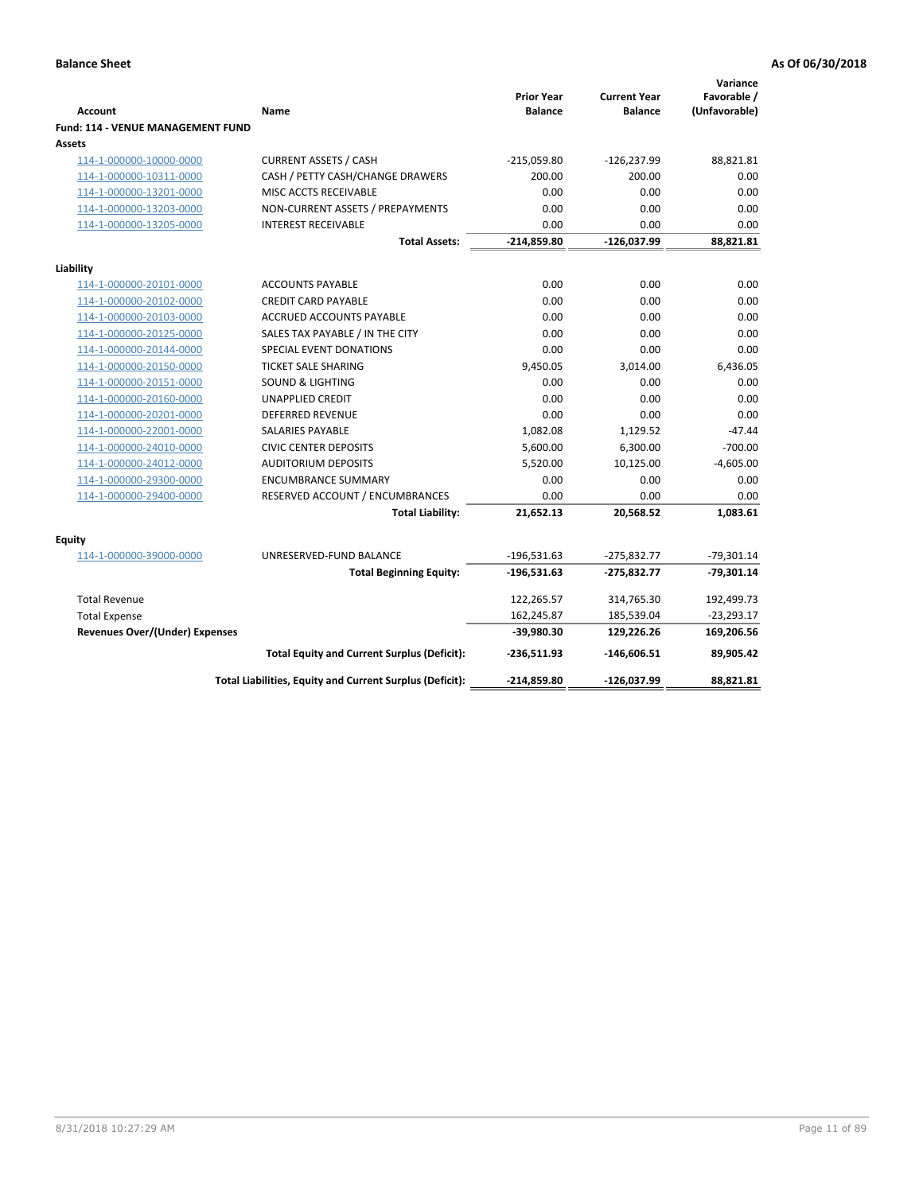| <b>Account</b>                              | Name                                                     | <b>Prior Year</b><br><b>Balance</b> | <b>Current Year</b><br><b>Balance</b> | Variance<br>Favorable /<br>(Unfavorable) |
|---------------------------------------------|----------------------------------------------------------|-------------------------------------|---------------------------------------|------------------------------------------|
| Fund: 114 - VENUE MANAGEMENT FUND<br>Assets |                                                          |                                     |                                       |                                          |
| 114-1-000000-10000-0000                     | <b>CURRENT ASSETS / CASH</b>                             | $-215,059.80$                       | $-126,237.99$                         | 88,821.81                                |
| 114-1-000000-10311-0000                     | CASH / PETTY CASH/CHANGE DRAWERS                         | 200.00                              | 200.00                                | 0.00                                     |
| 114-1-000000-13201-0000                     | MISC ACCTS RECEIVABLE                                    | 0.00                                | 0.00                                  | 0.00                                     |
| 114-1-000000-13203-0000                     | NON-CURRENT ASSETS / PREPAYMENTS                         | 0.00                                | 0.00                                  | 0.00                                     |
| 114-1-000000-13205-0000                     | <b>INTEREST RECEIVABLE</b>                               | 0.00                                | 0.00                                  | 0.00                                     |
|                                             | <b>Total Assets:</b>                                     | $-214,859.80$                       | $-126,037.99$                         | 88,821.81                                |
| Liability                                   |                                                          |                                     |                                       |                                          |
| 114-1-000000-20101-0000                     | <b>ACCOUNTS PAYABLE</b>                                  | 0.00                                | 0.00                                  | 0.00                                     |
| 114-1-000000-20102-0000                     | <b>CREDIT CARD PAYABLE</b>                               | 0.00                                | 0.00                                  | 0.00                                     |
| 114-1-000000-20103-0000                     | <b>ACCRUED ACCOUNTS PAYABLE</b>                          | 0.00                                | 0.00                                  | 0.00                                     |
| 114-1-000000-20125-0000                     | SALES TAX PAYABLE / IN THE CITY                          | 0.00                                | 0.00                                  | 0.00                                     |
| 114-1-000000-20144-0000                     | SPECIAL EVENT DONATIONS                                  | 0.00                                | 0.00                                  | 0.00                                     |
| 114-1-000000-20150-0000                     | <b>TICKET SALE SHARING</b>                               | 9,450.05                            | 3,014.00                              | 6,436.05                                 |
| 114-1-000000-20151-0000                     | <b>SOUND &amp; LIGHTING</b>                              | 0.00                                | 0.00                                  | 0.00                                     |
| 114-1-000000-20160-0000                     | <b>UNAPPLIED CREDIT</b>                                  | 0.00                                | 0.00                                  | 0.00                                     |
| 114-1-000000-20201-0000                     | <b>DEFERRED REVENUE</b>                                  | 0.00                                | 0.00                                  | 0.00                                     |
| 114-1-000000-22001-0000                     | <b>SALARIES PAYABLE</b>                                  | 1,082.08                            | 1,129.52                              | $-47.44$                                 |
| 114-1-000000-24010-0000                     | <b>CIVIC CENTER DEPOSITS</b>                             | 5,600.00                            | 6,300.00                              | $-700.00$                                |
| 114-1-000000-24012-0000                     | <b>AUDITORIUM DEPOSITS</b>                               | 5,520.00                            | 10,125.00                             | $-4,605.00$                              |
| 114-1-000000-29300-0000                     | <b>ENCUMBRANCE SUMMARY</b>                               | 0.00                                | 0.00                                  | 0.00                                     |
| 114-1-000000-29400-0000                     | RESERVED ACCOUNT / ENCUMBRANCES                          | 0.00                                | 0.00                                  | 0.00                                     |
|                                             | <b>Total Liability:</b>                                  | 21,652.13                           | 20,568.52                             | 1,083.61                                 |
| Equity                                      |                                                          |                                     |                                       |                                          |
| 114-1-000000-39000-0000                     | UNRESERVED-FUND BALANCE                                  | $-196,531.63$                       | $-275,832.77$                         | $-79,301.14$                             |
|                                             | <b>Total Beginning Equity:</b>                           | $-196,531.63$                       | $-275,832.77$                         | $-79,301.14$                             |
| <b>Total Revenue</b>                        |                                                          | 122,265.57                          | 314,765.30                            | 192,499.73                               |
| <b>Total Expense</b>                        |                                                          | 162,245.87                          | 185,539.04                            | $-23,293.17$                             |
| <b>Revenues Over/(Under) Expenses</b>       |                                                          | $-39,980.30$                        | 129,226.26                            | 169,206.56                               |
|                                             | <b>Total Equity and Current Surplus (Deficit):</b>       | $-236,511.93$                       | $-146,606.51$                         | 89,905.42                                |
|                                             | Total Liabilities, Equity and Current Surplus (Deficit): | $-214,859.80$                       | $-126,037.99$                         | 88.821.81                                |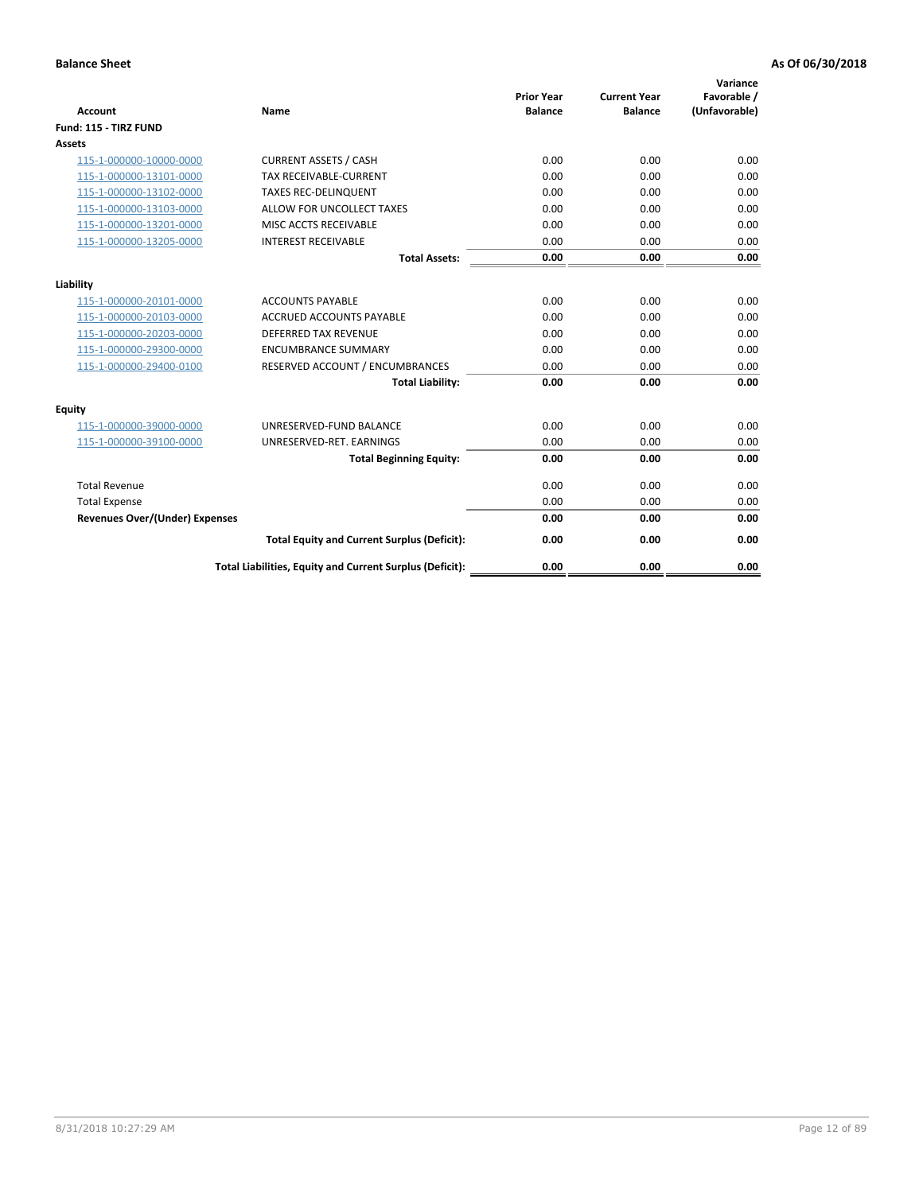| <b>Account</b>                        | <b>Name</b>                                              | <b>Prior Year</b><br><b>Balance</b> | <b>Current Year</b><br><b>Balance</b> | Variance<br>Favorable /<br>(Unfavorable) |
|---------------------------------------|----------------------------------------------------------|-------------------------------------|---------------------------------------|------------------------------------------|
| Fund: 115 - TIRZ FUND                 |                                                          |                                     |                                       |                                          |
| <b>Assets</b>                         |                                                          |                                     |                                       |                                          |
| 115-1-000000-10000-0000               | <b>CURRENT ASSETS / CASH</b>                             | 0.00                                | 0.00                                  | 0.00                                     |
| 115-1-000000-13101-0000               | <b>TAX RECEIVABLE-CURRENT</b>                            | 0.00                                | 0.00                                  | 0.00                                     |
| 115-1-000000-13102-0000               | <b>TAXES REC-DELINQUENT</b>                              | 0.00                                | 0.00                                  | 0.00                                     |
| 115-1-000000-13103-0000               | ALLOW FOR UNCOLLECT TAXES                                | 0.00                                | 0.00                                  | 0.00                                     |
| 115-1-000000-13201-0000               | MISC ACCTS RECEIVABLE                                    | 0.00                                | 0.00                                  | 0.00                                     |
| 115-1-000000-13205-0000               | <b>INTEREST RECEIVABLE</b>                               | 0.00                                | 0.00                                  | 0.00                                     |
|                                       | <b>Total Assets:</b>                                     | 0.00                                | 0.00                                  | 0.00                                     |
| Liability                             |                                                          |                                     |                                       |                                          |
| 115-1-000000-20101-0000               | <b>ACCOUNTS PAYABLE</b>                                  | 0.00                                | 0.00                                  | 0.00                                     |
| 115-1-000000-20103-0000               | <b>ACCRUED ACCOUNTS PAYABLE</b>                          | 0.00                                | 0.00                                  | 0.00                                     |
| 115-1-000000-20203-0000               | <b>DEFERRED TAX REVENUE</b>                              | 0.00                                | 0.00                                  | 0.00                                     |
| 115-1-000000-29300-0000               | <b>ENCUMBRANCE SUMMARY</b>                               | 0.00                                | 0.00                                  | 0.00                                     |
| 115-1-000000-29400-0100               | RESERVED ACCOUNT / ENCUMBRANCES                          | 0.00                                | 0.00                                  | 0.00                                     |
|                                       | <b>Total Liability:</b>                                  | 0.00                                | 0.00                                  | 0.00                                     |
| Equity                                |                                                          |                                     |                                       |                                          |
| 115-1-000000-39000-0000               | UNRESERVED-FUND BALANCE                                  | 0.00                                | 0.00                                  | 0.00                                     |
| 115-1-000000-39100-0000               | UNRESERVED-RET. EARNINGS                                 | 0.00                                | 0.00                                  | 0.00                                     |
|                                       | <b>Total Beginning Equity:</b>                           | 0.00                                | 0.00                                  | 0.00                                     |
| <b>Total Revenue</b>                  |                                                          | 0.00                                | 0.00                                  | 0.00                                     |
| <b>Total Expense</b>                  |                                                          | 0.00                                | 0.00                                  | 0.00                                     |
| <b>Revenues Over/(Under) Expenses</b> |                                                          | 0.00                                | 0.00                                  | 0.00                                     |
|                                       | <b>Total Equity and Current Surplus (Deficit):</b>       | 0.00                                | 0.00                                  | 0.00                                     |
|                                       | Total Liabilities, Equity and Current Surplus (Deficit): | 0.00                                | 0.00                                  | 0.00                                     |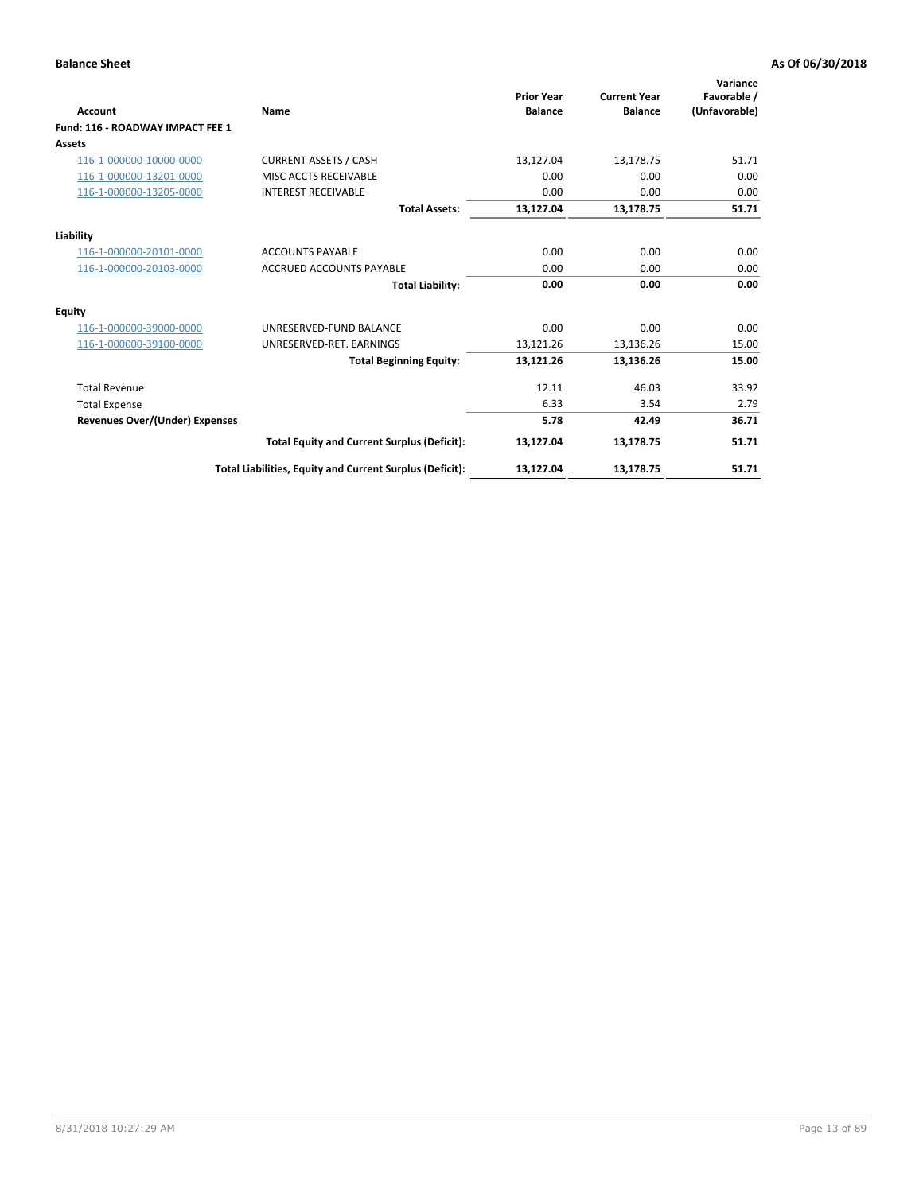| <b>Account</b>                        | Name                                                     | <b>Prior Year</b><br><b>Balance</b> | <b>Current Year</b><br><b>Balance</b> | Variance<br>Favorable /<br>(Unfavorable) |
|---------------------------------------|----------------------------------------------------------|-------------------------------------|---------------------------------------|------------------------------------------|
| Fund: 116 - ROADWAY IMPACT FEE 1      |                                                          |                                     |                                       |                                          |
| Assets                                |                                                          |                                     |                                       |                                          |
| 116-1-000000-10000-0000               | <b>CURRENT ASSETS / CASH</b>                             | 13,127.04                           | 13,178.75                             | 51.71                                    |
| 116-1-000000-13201-0000               | MISC ACCTS RECEIVABLE                                    | 0.00                                | 0.00                                  | 0.00                                     |
| 116-1-000000-13205-0000               | <b>INTEREST RECEIVABLE</b>                               | 0.00                                | 0.00                                  | 0.00                                     |
|                                       | <b>Total Assets:</b>                                     | 13,127.04                           | 13,178.75                             | 51.71                                    |
| Liability                             |                                                          |                                     |                                       |                                          |
| 116-1-000000-20101-0000               | <b>ACCOUNTS PAYABLE</b>                                  | 0.00                                | 0.00                                  | 0.00                                     |
| 116-1-000000-20103-0000               | <b>ACCRUED ACCOUNTS PAYABLE</b>                          | 0.00                                | 0.00                                  | 0.00                                     |
|                                       | <b>Total Liability:</b>                                  | 0.00                                | 0.00                                  | 0.00                                     |
| <b>Equity</b>                         |                                                          |                                     |                                       |                                          |
| 116-1-000000-39000-0000               | UNRESERVED-FUND BALANCE                                  | 0.00                                | 0.00                                  | 0.00                                     |
| 116-1-000000-39100-0000               | UNRESERVED-RET, EARNINGS                                 | 13,121.26                           | 13,136.26                             | 15.00                                    |
|                                       | <b>Total Beginning Equity:</b>                           | 13,121.26                           | 13,136.26                             | 15.00                                    |
| <b>Total Revenue</b>                  |                                                          | 12.11                               | 46.03                                 | 33.92                                    |
| <b>Total Expense</b>                  |                                                          | 6.33                                | 3.54                                  | 2.79                                     |
| <b>Revenues Over/(Under) Expenses</b> |                                                          | 5.78                                | 42.49                                 | 36.71                                    |
|                                       | <b>Total Equity and Current Surplus (Deficit):</b>       | 13,127.04                           | 13,178.75                             | 51.71                                    |
|                                       | Total Liabilities, Equity and Current Surplus (Deficit): | 13,127.04                           | 13,178.75                             | 51.71                                    |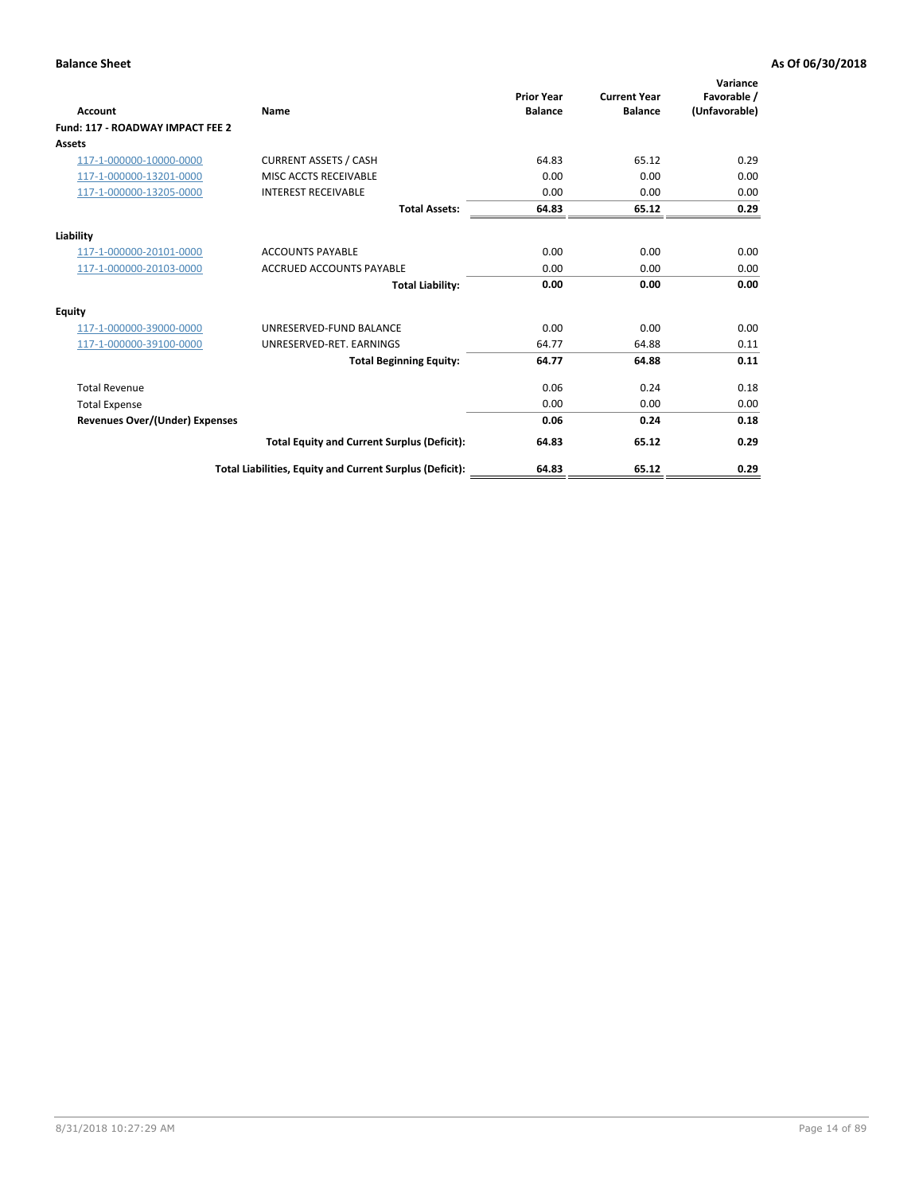| <b>Account</b>                   | Name                                                     | <b>Prior Year</b><br><b>Balance</b> | <b>Current Year</b><br><b>Balance</b> | Variance<br>Favorable /<br>(Unfavorable) |
|----------------------------------|----------------------------------------------------------|-------------------------------------|---------------------------------------|------------------------------------------|
| Fund: 117 - ROADWAY IMPACT FEE 2 |                                                          |                                     |                                       |                                          |
| <b>Assets</b>                    |                                                          |                                     |                                       |                                          |
| 117-1-000000-10000-0000          | <b>CURRENT ASSETS / CASH</b>                             | 64.83                               | 65.12                                 | 0.29                                     |
| 117-1-000000-13201-0000          | MISC ACCTS RECEIVABLE                                    | 0.00                                | 0.00                                  | 0.00                                     |
| 117-1-000000-13205-0000          | <b>INTEREST RECEIVABLE</b>                               | 0.00                                | 0.00                                  | 0.00                                     |
|                                  | <b>Total Assets:</b>                                     | 64.83                               | 65.12                                 | 0.29                                     |
| Liability                        |                                                          |                                     |                                       |                                          |
| 117-1-000000-20101-0000          | <b>ACCOUNTS PAYABLE</b>                                  | 0.00                                | 0.00                                  | 0.00                                     |
| 117-1-000000-20103-0000          | <b>ACCRUED ACCOUNTS PAYABLE</b>                          | 0.00                                | 0.00                                  | 0.00                                     |
|                                  | <b>Total Liability:</b>                                  | 0.00                                | 0.00                                  | 0.00                                     |
| <b>Equity</b>                    |                                                          |                                     |                                       |                                          |
| 117-1-000000-39000-0000          | UNRESERVED-FUND BALANCE                                  | 0.00                                | 0.00                                  | 0.00                                     |
| 117-1-000000-39100-0000          | UNRESERVED-RET. EARNINGS                                 | 64.77                               | 64.88                                 | 0.11                                     |
|                                  | <b>Total Beginning Equity:</b>                           | 64.77                               | 64.88                                 | 0.11                                     |
| <b>Total Revenue</b>             |                                                          | 0.06                                | 0.24                                  | 0.18                                     |
| <b>Total Expense</b>             |                                                          | 0.00                                | 0.00                                  | 0.00                                     |
| Revenues Over/(Under) Expenses   |                                                          | 0.06                                | 0.24                                  | 0.18                                     |
|                                  | <b>Total Equity and Current Surplus (Deficit):</b>       | 64.83                               | 65.12                                 | 0.29                                     |
|                                  | Total Liabilities, Equity and Current Surplus (Deficit): | 64.83                               | 65.12                                 | 0.29                                     |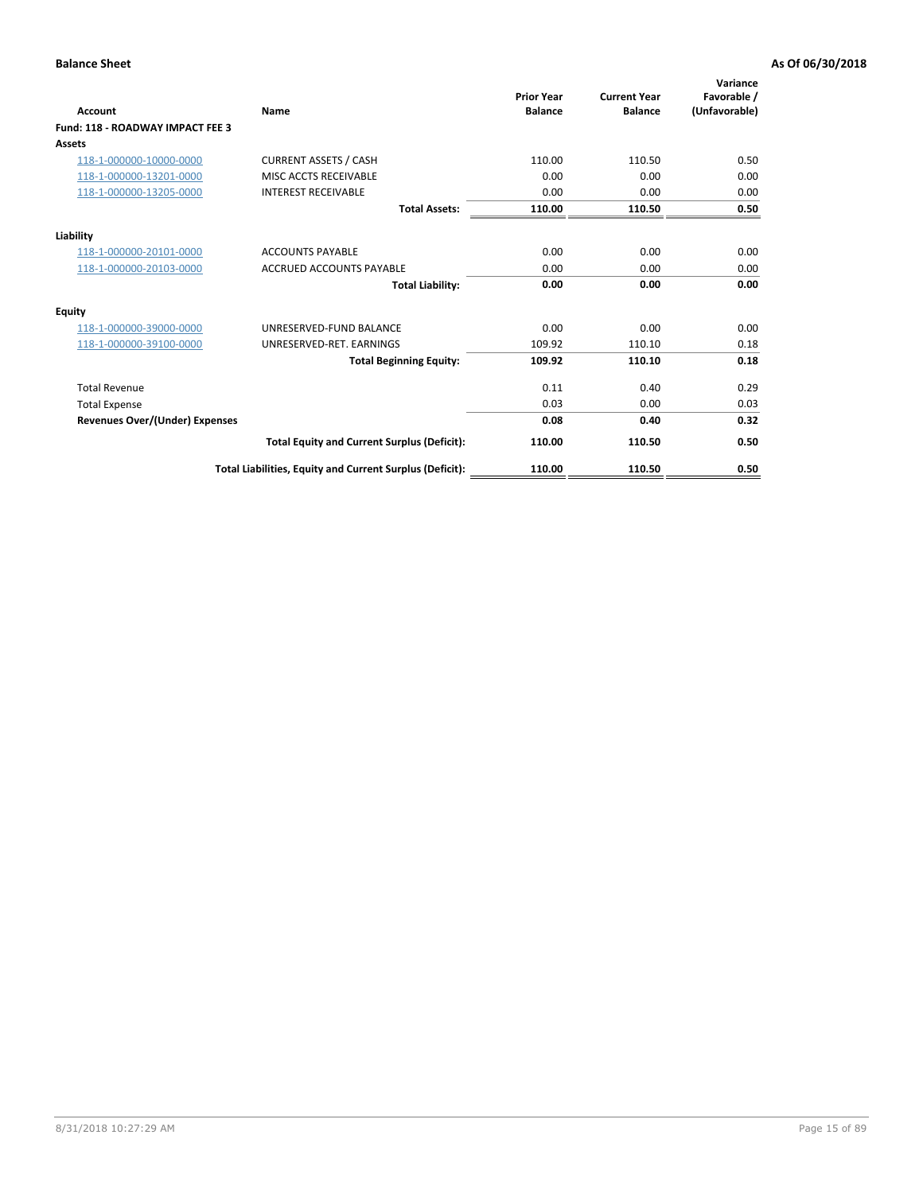| <b>Account</b>                        | Name                                                     | <b>Prior Year</b><br><b>Balance</b> | <b>Current Year</b><br><b>Balance</b> | Variance<br>Favorable /<br>(Unfavorable) |
|---------------------------------------|----------------------------------------------------------|-------------------------------------|---------------------------------------|------------------------------------------|
| Fund: 118 - ROADWAY IMPACT FEE 3      |                                                          |                                     |                                       |                                          |
| Assets                                |                                                          |                                     |                                       |                                          |
| 118-1-000000-10000-0000               | <b>CURRENT ASSETS / CASH</b>                             | 110.00                              | 110.50                                | 0.50                                     |
| 118-1-000000-13201-0000               | MISC ACCTS RECEIVABLE                                    | 0.00                                | 0.00                                  | 0.00                                     |
| 118-1-000000-13205-0000               | <b>INTEREST RECEIVABLE</b>                               | 0.00                                | 0.00                                  | 0.00                                     |
|                                       | <b>Total Assets:</b>                                     | 110.00                              | 110.50                                | 0.50                                     |
| Liability                             |                                                          |                                     |                                       |                                          |
| 118-1-000000-20101-0000               | <b>ACCOUNTS PAYABLE</b>                                  | 0.00                                | 0.00                                  | 0.00                                     |
| 118-1-000000-20103-0000               | <b>ACCRUED ACCOUNTS PAYABLE</b>                          | 0.00                                | 0.00                                  | 0.00                                     |
|                                       | <b>Total Liability:</b>                                  | 0.00                                | 0.00                                  | 0.00                                     |
| <b>Equity</b>                         |                                                          |                                     |                                       |                                          |
| 118-1-000000-39000-0000               | UNRESERVED-FUND BALANCE                                  | 0.00                                | 0.00                                  | 0.00                                     |
| 118-1-000000-39100-0000               | UNRESERVED-RET, EARNINGS                                 | 109.92                              | 110.10                                | 0.18                                     |
|                                       | <b>Total Beginning Equity:</b>                           | 109.92                              | 110.10                                | 0.18                                     |
| <b>Total Revenue</b>                  |                                                          | 0.11                                | 0.40                                  | 0.29                                     |
| <b>Total Expense</b>                  |                                                          | 0.03                                | 0.00                                  | 0.03                                     |
| <b>Revenues Over/(Under) Expenses</b> |                                                          | 0.08                                | 0.40                                  | 0.32                                     |
|                                       | <b>Total Equity and Current Surplus (Deficit):</b>       | 110.00                              | 110.50                                | 0.50                                     |
|                                       | Total Liabilities, Equity and Current Surplus (Deficit): | 110.00                              | 110.50                                | 0.50                                     |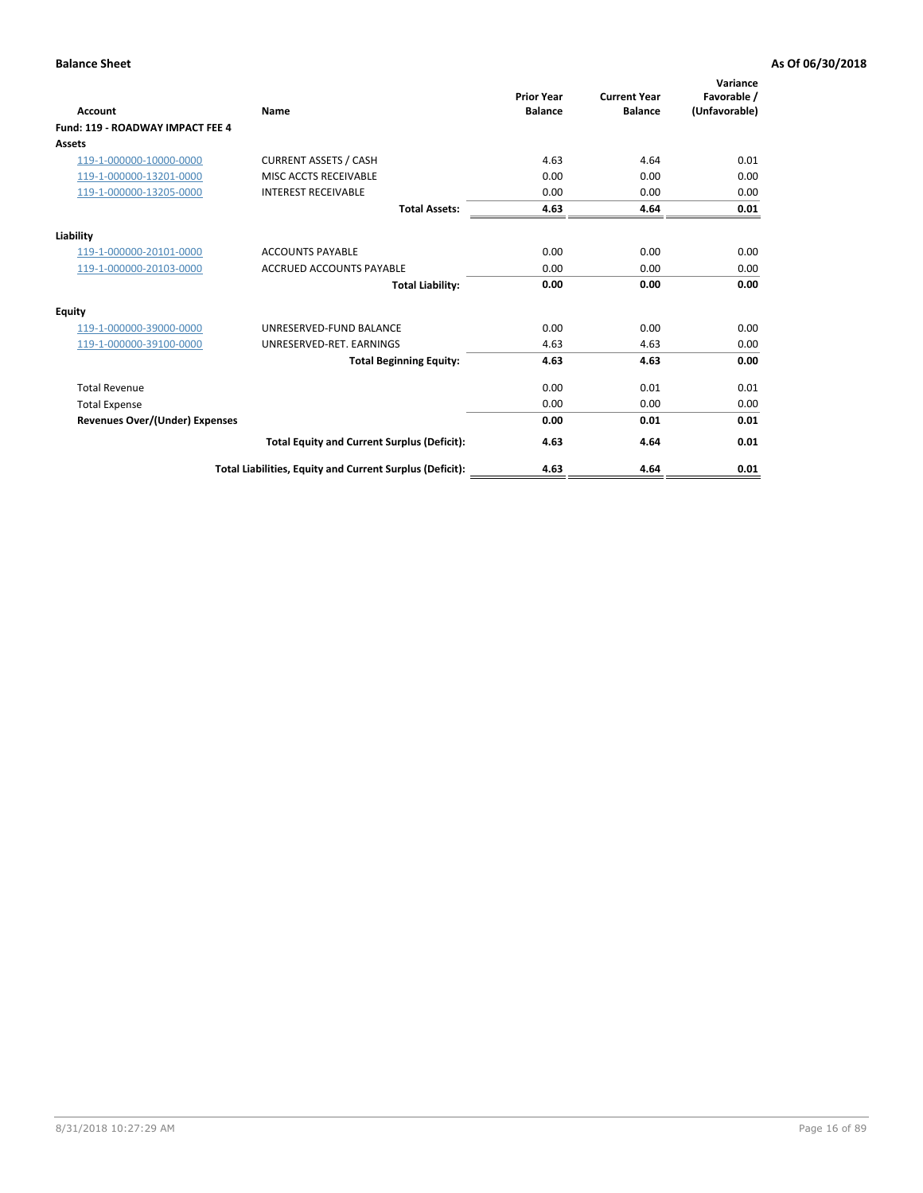| Account                               | Name                                                     | <b>Prior Year</b><br><b>Balance</b> | <b>Current Year</b><br><b>Balance</b> | Variance<br>Favorable /<br>(Unfavorable) |
|---------------------------------------|----------------------------------------------------------|-------------------------------------|---------------------------------------|------------------------------------------|
| Fund: 119 - ROADWAY IMPACT FEE 4      |                                                          |                                     |                                       |                                          |
| Assets                                |                                                          |                                     |                                       |                                          |
| 119-1-000000-10000-0000               | <b>CURRENT ASSETS / CASH</b>                             | 4.63                                | 4.64                                  | 0.01                                     |
| 119-1-000000-13201-0000               | <b>MISC ACCTS RECEIVABLE</b>                             | 0.00                                | 0.00                                  | 0.00                                     |
| 119-1-000000-13205-0000               | <b>INTEREST RECEIVABLE</b>                               | 0.00                                | 0.00                                  | 0.00                                     |
|                                       | <b>Total Assets:</b>                                     | 4.63                                | 4.64                                  | 0.01                                     |
| Liability                             |                                                          |                                     |                                       |                                          |
| 119-1-000000-20101-0000               | <b>ACCOUNTS PAYABLE</b>                                  | 0.00                                | 0.00                                  | 0.00                                     |
| 119-1-000000-20103-0000               | <b>ACCRUED ACCOUNTS PAYABLE</b>                          | 0.00                                | 0.00                                  | 0.00                                     |
|                                       | <b>Total Liability:</b>                                  | 0.00                                | 0.00                                  | 0.00                                     |
| Equity                                |                                                          |                                     |                                       |                                          |
| 119-1-000000-39000-0000               | UNRESERVED-FUND BALANCE                                  | 0.00                                | 0.00                                  | 0.00                                     |
| 119-1-000000-39100-0000               | UNRESERVED-RET. EARNINGS                                 | 4.63                                | 4.63                                  | 0.00                                     |
|                                       | <b>Total Beginning Equity:</b>                           | 4.63                                | 4.63                                  | 0.00                                     |
| <b>Total Revenue</b>                  |                                                          | 0.00                                | 0.01                                  | 0.01                                     |
| <b>Total Expense</b>                  |                                                          | 0.00                                | 0.00                                  | 0.00                                     |
| <b>Revenues Over/(Under) Expenses</b> |                                                          | 0.00                                | 0.01                                  | 0.01                                     |
|                                       | <b>Total Equity and Current Surplus (Deficit):</b>       | 4.63                                | 4.64                                  | 0.01                                     |
|                                       | Total Liabilities, Equity and Current Surplus (Deficit): | 4.63                                | 4.64                                  | 0.01                                     |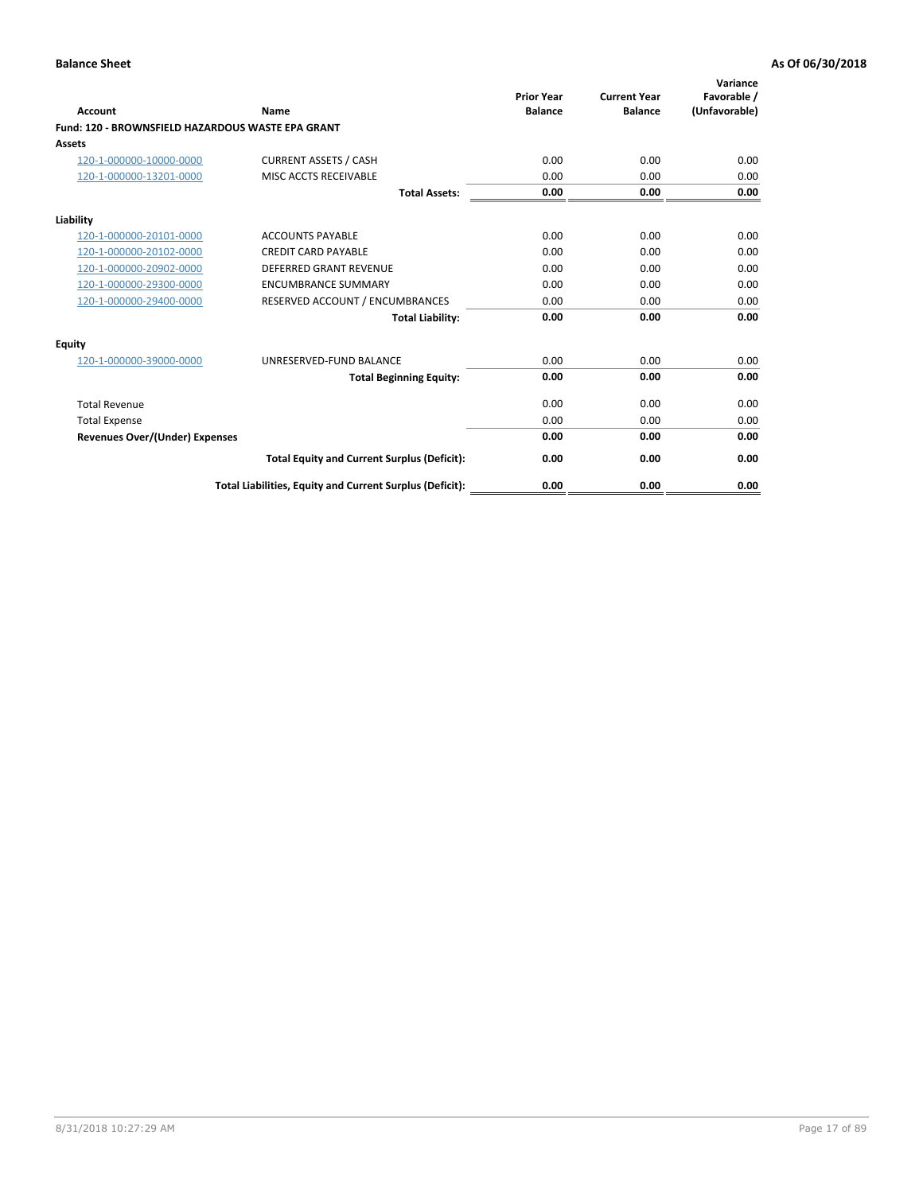|                                                   |                                                          | <b>Prior Year</b> | <b>Current Year</b> | Variance<br>Favorable / |
|---------------------------------------------------|----------------------------------------------------------|-------------------|---------------------|-------------------------|
| <b>Account</b>                                    | Name                                                     | <b>Balance</b>    | <b>Balance</b>      | (Unfavorable)           |
| Fund: 120 - BROWNSFIELD HAZARDOUS WASTE EPA GRANT |                                                          |                   |                     |                         |
| <b>Assets</b>                                     |                                                          |                   |                     |                         |
| 120-1-000000-10000-0000                           | <b>CURRENT ASSETS / CASH</b>                             | 0.00              | 0.00                | 0.00                    |
| 120-1-000000-13201-0000                           | MISC ACCTS RECEIVABLE                                    | 0.00              | 0.00                | 0.00                    |
|                                                   | <b>Total Assets:</b>                                     | 0.00              | 0.00                | 0.00                    |
| Liability                                         |                                                          |                   |                     |                         |
| 120-1-000000-20101-0000                           | <b>ACCOUNTS PAYABLE</b>                                  | 0.00              | 0.00                | 0.00                    |
| 120-1-000000-20102-0000                           | <b>CREDIT CARD PAYABLE</b>                               | 0.00              | 0.00                | 0.00                    |
| 120-1-000000-20902-0000                           | DEFERRED GRANT REVENUE                                   | 0.00              | 0.00                | 0.00                    |
| 120-1-000000-29300-0000                           | <b>ENCUMBRANCE SUMMARY</b>                               | 0.00              | 0.00                | 0.00                    |
| 120-1-000000-29400-0000                           | RESERVED ACCOUNT / ENCUMBRANCES                          | 0.00              | 0.00                | 0.00                    |
|                                                   | <b>Total Liability:</b>                                  | 0.00              | 0.00                | 0.00                    |
| Equity                                            |                                                          |                   |                     |                         |
| 120-1-000000-39000-0000                           | UNRESERVED-FUND BALANCE                                  | 0.00              | 0.00                | 0.00                    |
|                                                   | <b>Total Beginning Equity:</b>                           | 0.00              | 0.00                | 0.00                    |
| <b>Total Revenue</b>                              |                                                          | 0.00              | 0.00                | 0.00                    |
| <b>Total Expense</b>                              |                                                          | 0.00              | 0.00                | 0.00                    |
| Revenues Over/(Under) Expenses                    |                                                          | 0.00              | 0.00                | 0.00                    |
|                                                   | <b>Total Equity and Current Surplus (Deficit):</b>       | 0.00              | 0.00                | 0.00                    |
|                                                   | Total Liabilities, Equity and Current Surplus (Deficit): | 0.00              | 0.00                | 0.00                    |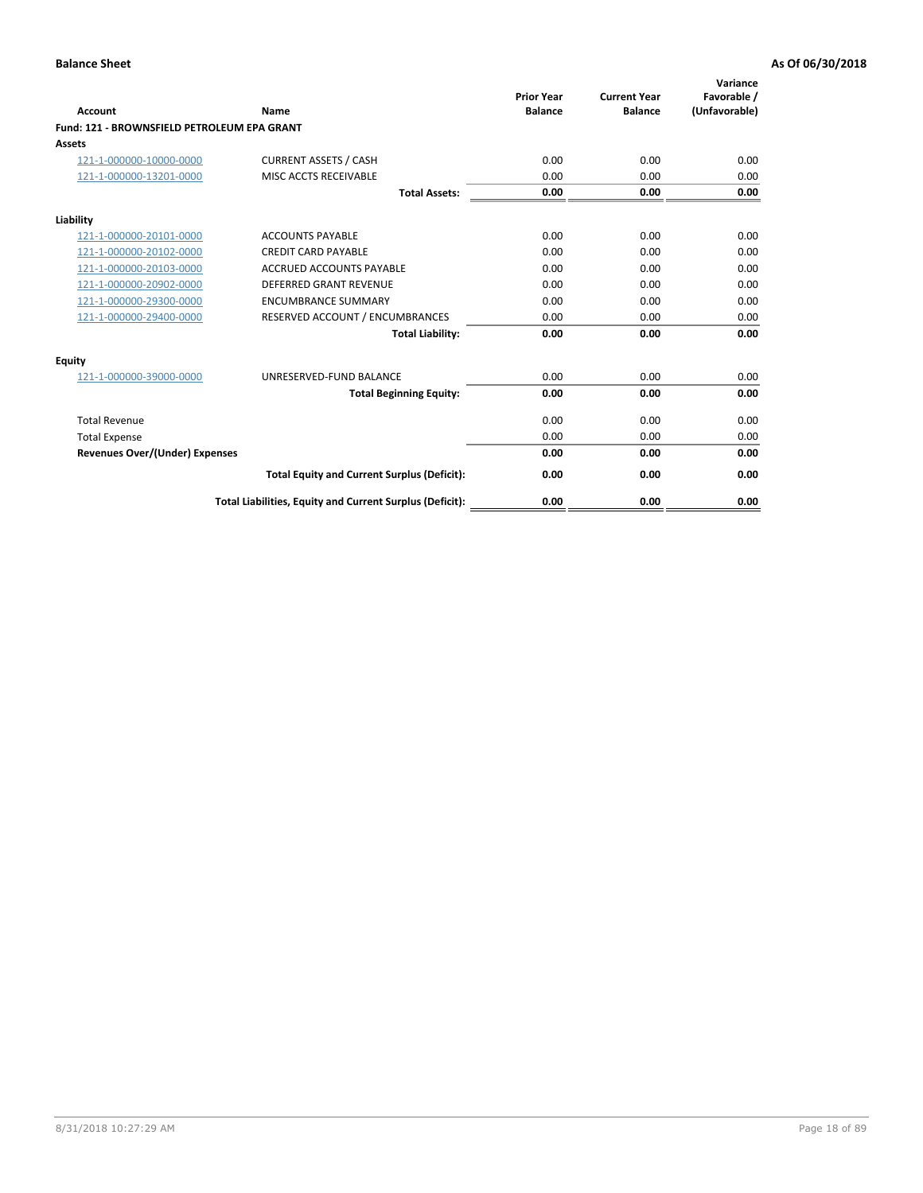| Account                                     | Name                                                     | <b>Prior Year</b><br><b>Balance</b> | <b>Current Year</b><br><b>Balance</b> | Variance<br>Favorable /<br>(Unfavorable) |
|---------------------------------------------|----------------------------------------------------------|-------------------------------------|---------------------------------------|------------------------------------------|
| Fund: 121 - BROWNSFIELD PETROLEUM EPA GRANT |                                                          |                                     |                                       |                                          |
| <b>Assets</b>                               |                                                          |                                     |                                       |                                          |
| 121-1-000000-10000-0000                     | <b>CURRENT ASSETS / CASH</b>                             | 0.00                                | 0.00                                  | 0.00                                     |
| 121-1-000000-13201-0000                     | <b>MISC ACCTS RECEIVABLE</b>                             | 0.00                                | 0.00                                  | 0.00                                     |
|                                             | <b>Total Assets:</b>                                     | 0.00                                | 0.00                                  | 0.00                                     |
| Liability                                   |                                                          |                                     |                                       |                                          |
| 121-1-000000-20101-0000                     | <b>ACCOUNTS PAYABLE</b>                                  | 0.00                                | 0.00                                  | 0.00                                     |
| 121-1-000000-20102-0000                     | <b>CREDIT CARD PAYABLE</b>                               | 0.00                                | 0.00                                  | 0.00                                     |
| 121-1-000000-20103-0000                     | <b>ACCRUED ACCOUNTS PAYABLE</b>                          | 0.00                                | 0.00                                  | 0.00                                     |
| 121-1-000000-20902-0000                     | <b>DEFERRED GRANT REVENUE</b>                            | 0.00                                | 0.00                                  | 0.00                                     |
| 121-1-000000-29300-0000                     | <b>ENCUMBRANCE SUMMARY</b>                               | 0.00                                | 0.00                                  | 0.00                                     |
| 121-1-000000-29400-0000                     | RESERVED ACCOUNT / ENCUMBRANCES                          | 0.00                                | 0.00                                  | 0.00                                     |
|                                             | <b>Total Liability:</b>                                  | 0.00                                | 0.00                                  | 0.00                                     |
| <b>Equity</b>                               |                                                          |                                     |                                       |                                          |
| 121-1-000000-39000-0000                     | UNRESERVED-FUND BALANCE                                  | 0.00                                | 0.00                                  | 0.00                                     |
|                                             | <b>Total Beginning Equity:</b>                           | 0.00                                | 0.00                                  | 0.00                                     |
| <b>Total Revenue</b>                        |                                                          | 0.00                                | 0.00                                  | 0.00                                     |
| <b>Total Expense</b>                        |                                                          | 0.00                                | 0.00                                  | 0.00                                     |
| <b>Revenues Over/(Under) Expenses</b>       |                                                          | 0.00                                | 0.00                                  | 0.00                                     |
|                                             | <b>Total Equity and Current Surplus (Deficit):</b>       | 0.00                                | 0.00                                  | 0.00                                     |
|                                             | Total Liabilities, Equity and Current Surplus (Deficit): | 0.00                                | 0.00                                  | 0.00                                     |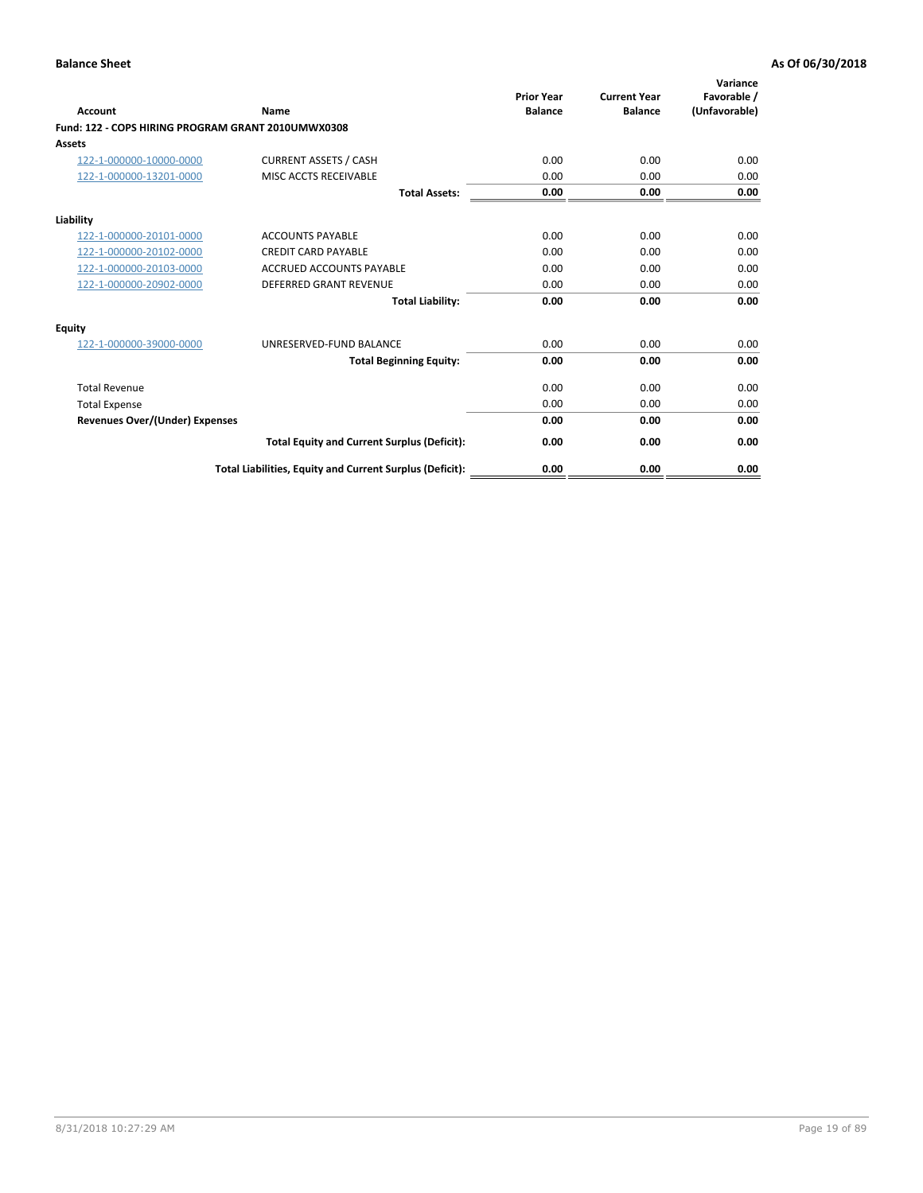| <b>Account</b>                                     | Name                                                     | <b>Prior Year</b><br><b>Balance</b> | <b>Current Year</b><br><b>Balance</b> | Variance<br>Favorable /<br>(Unfavorable) |
|----------------------------------------------------|----------------------------------------------------------|-------------------------------------|---------------------------------------|------------------------------------------|
| Fund: 122 - COPS HIRING PROGRAM GRANT 2010UMWX0308 |                                                          |                                     |                                       |                                          |
| Assets                                             |                                                          |                                     |                                       |                                          |
| 122-1-000000-10000-0000                            | <b>CURRENT ASSETS / CASH</b>                             | 0.00                                | 0.00                                  | 0.00                                     |
| 122-1-000000-13201-0000                            | MISC ACCTS RECEIVABLE                                    | 0.00                                | 0.00                                  | 0.00                                     |
|                                                    | <b>Total Assets:</b>                                     | 0.00                                | 0.00                                  | 0.00                                     |
| Liability                                          |                                                          |                                     |                                       |                                          |
| 122-1-000000-20101-0000                            | <b>ACCOUNTS PAYABLE</b>                                  | 0.00                                | 0.00                                  | 0.00                                     |
| 122-1-000000-20102-0000                            | <b>CREDIT CARD PAYABLE</b>                               | 0.00                                | 0.00                                  | 0.00                                     |
| 122-1-000000-20103-0000                            | <b>ACCRUED ACCOUNTS PAYABLE</b>                          | 0.00                                | 0.00                                  | 0.00                                     |
| 122-1-000000-20902-0000                            | <b>DEFERRED GRANT REVENUE</b>                            | 0.00                                | 0.00                                  | 0.00                                     |
|                                                    | <b>Total Liability:</b>                                  | 0.00                                | 0.00                                  | 0.00                                     |
| Equity                                             |                                                          |                                     |                                       |                                          |
| 122-1-000000-39000-0000                            | UNRESERVED-FUND BALANCE                                  | 0.00                                | 0.00                                  | 0.00                                     |
|                                                    | <b>Total Beginning Equity:</b>                           | 0.00                                | 0.00                                  | 0.00                                     |
| <b>Total Revenue</b>                               |                                                          | 0.00                                | 0.00                                  | 0.00                                     |
| <b>Total Expense</b>                               |                                                          | 0.00                                | 0.00                                  | 0.00                                     |
| <b>Revenues Over/(Under) Expenses</b>              |                                                          | 0.00                                | 0.00                                  | 0.00                                     |
|                                                    | <b>Total Equity and Current Surplus (Deficit):</b>       | 0.00                                | 0.00                                  | 0.00                                     |
|                                                    | Total Liabilities, Equity and Current Surplus (Deficit): | 0.00                                | 0.00                                  | 0.00                                     |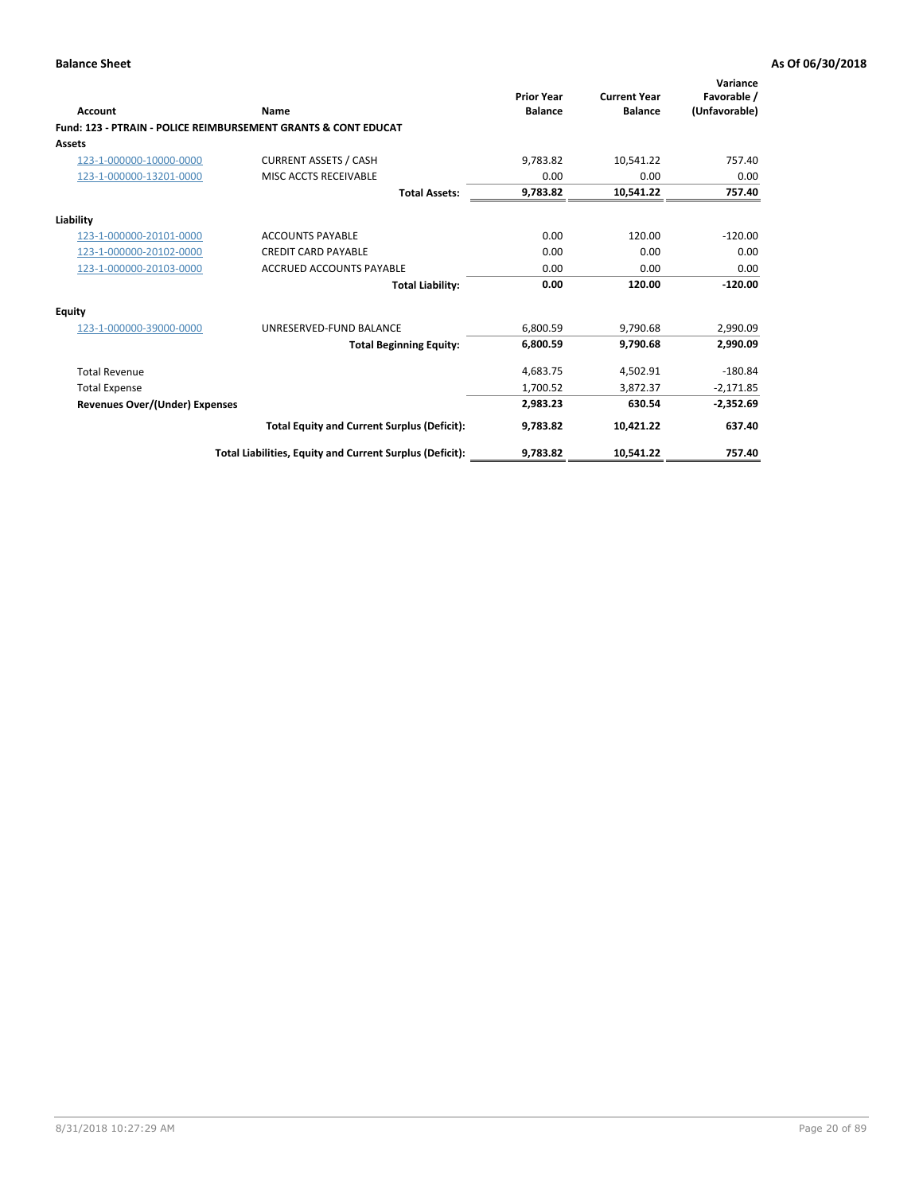| Account                        | <b>Name</b>                                                    | <b>Prior Year</b><br><b>Balance</b> | <b>Current Year</b><br><b>Balance</b> | Variance<br>Favorable /<br>(Unfavorable) |
|--------------------------------|----------------------------------------------------------------|-------------------------------------|---------------------------------------|------------------------------------------|
|                                | Fund: 123 - PTRAIN - POLICE REIMBURSEMENT GRANTS & CONT EDUCAT |                                     |                                       |                                          |
| Assets                         |                                                                |                                     |                                       |                                          |
| 123-1-000000-10000-0000        | <b>CURRENT ASSETS / CASH</b>                                   | 9,783.82                            | 10.541.22                             | 757.40                                   |
| 123-1-000000-13201-0000        | MISC ACCTS RECEIVABLE                                          | 0.00                                | 0.00                                  | 0.00                                     |
|                                | <b>Total Assets:</b>                                           | 9,783.82                            | 10,541.22                             | 757.40                                   |
| Liability                      |                                                                |                                     |                                       |                                          |
| 123-1-000000-20101-0000        | <b>ACCOUNTS PAYABLE</b>                                        | 0.00                                | 120.00                                | $-120.00$                                |
| 123-1-000000-20102-0000        | <b>CREDIT CARD PAYABLE</b>                                     | 0.00                                | 0.00                                  | 0.00                                     |
| 123-1-000000-20103-0000        | <b>ACCRUED ACCOUNTS PAYABLE</b>                                | 0.00                                | 0.00                                  | 0.00                                     |
|                                | <b>Total Liability:</b>                                        | 0.00                                | 120.00                                | $-120.00$                                |
| Equity                         |                                                                |                                     |                                       |                                          |
| 123-1-000000-39000-0000        | UNRESERVED-FUND BALANCE                                        | 6,800.59                            | 9,790.68                              | 2,990.09                                 |
|                                | <b>Total Beginning Equity:</b>                                 | 6,800.59                            | 9,790.68                              | 2,990.09                                 |
| <b>Total Revenue</b>           |                                                                | 4,683.75                            | 4,502.91                              | $-180.84$                                |
| <b>Total Expense</b>           |                                                                | 1,700.52                            | 3,872.37                              | $-2,171.85$                              |
| Revenues Over/(Under) Expenses |                                                                | 2,983.23                            | 630.54                                | $-2,352.69$                              |
|                                | <b>Total Equity and Current Surplus (Deficit):</b>             | 9,783.82                            | 10,421.22                             | 637.40                                   |
|                                | Total Liabilities, Equity and Current Surplus (Deficit):       | 9,783.82                            | 10,541.22                             | 757.40                                   |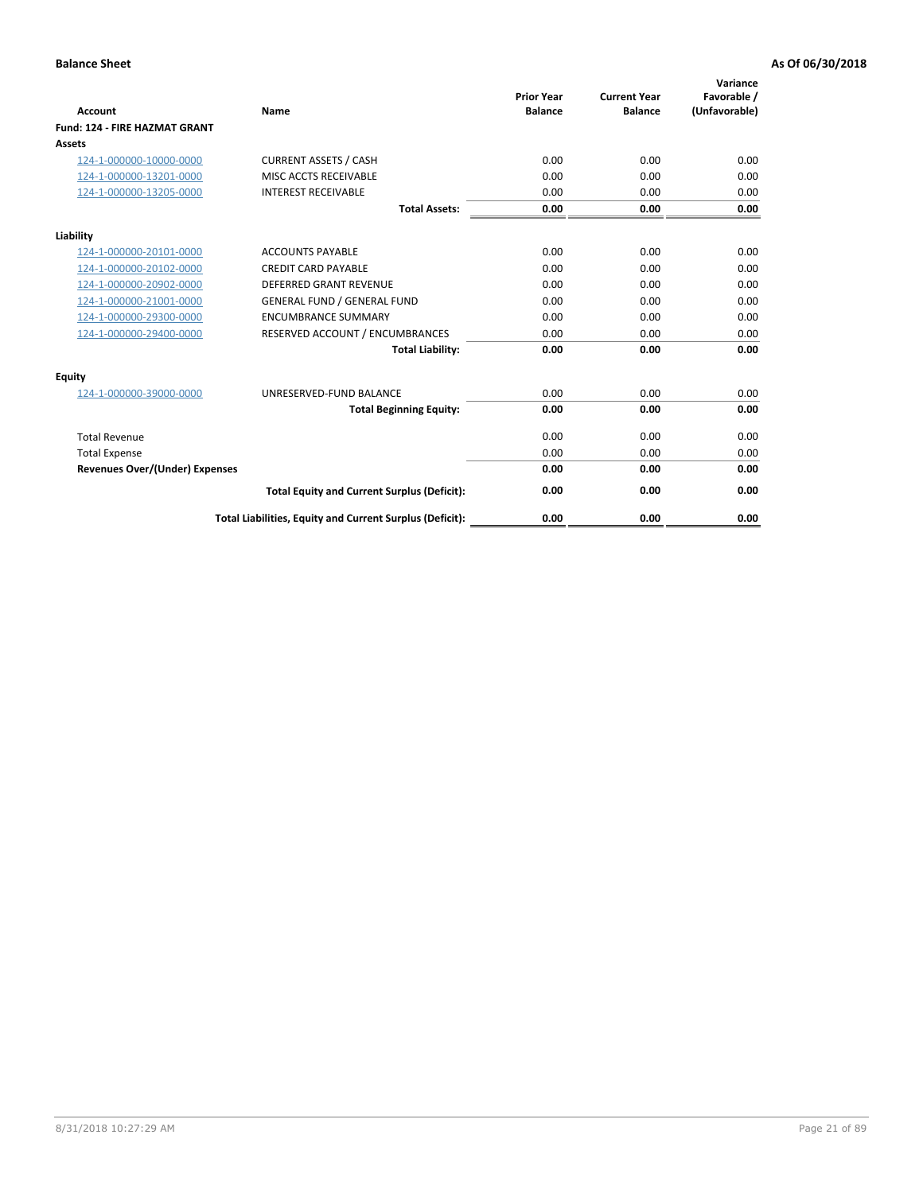| <b>Account</b>                        | Name                                                     | <b>Prior Year</b><br><b>Balance</b> | <b>Current Year</b><br><b>Balance</b> | Variance<br>Favorable /<br>(Unfavorable) |
|---------------------------------------|----------------------------------------------------------|-------------------------------------|---------------------------------------|------------------------------------------|
| <b>Fund: 124 - FIRE HAZMAT GRANT</b>  |                                                          |                                     |                                       |                                          |
| Assets                                |                                                          |                                     |                                       |                                          |
| 124-1-000000-10000-0000               | <b>CURRENT ASSETS / CASH</b>                             | 0.00                                | 0.00                                  | 0.00                                     |
| 124-1-000000-13201-0000               | MISC ACCTS RECEIVABLE                                    | 0.00                                | 0.00                                  | 0.00                                     |
| 124-1-000000-13205-0000               | <b>INTEREST RECEIVABLE</b>                               | 0.00                                | 0.00                                  | 0.00                                     |
|                                       | <b>Total Assets:</b>                                     | 0.00                                | 0.00                                  | 0.00                                     |
| Liability                             |                                                          |                                     |                                       |                                          |
| 124-1-000000-20101-0000               | <b>ACCOUNTS PAYABLE</b>                                  | 0.00                                | 0.00                                  | 0.00                                     |
| 124-1-000000-20102-0000               | <b>CREDIT CARD PAYABLE</b>                               | 0.00                                | 0.00                                  | 0.00                                     |
| 124-1-000000-20902-0000               | <b>DEFERRED GRANT REVENUE</b>                            | 0.00                                | 0.00                                  | 0.00                                     |
| 124-1-000000-21001-0000               | <b>GENERAL FUND / GENERAL FUND</b>                       | 0.00                                | 0.00                                  | 0.00                                     |
| 124-1-000000-29300-0000               | <b>ENCUMBRANCE SUMMARY</b>                               | 0.00                                | 0.00                                  | 0.00                                     |
| 124-1-000000-29400-0000               | RESERVED ACCOUNT / ENCUMBRANCES                          | 0.00                                | 0.00                                  | 0.00                                     |
|                                       | <b>Total Liability:</b>                                  | 0.00                                | 0.00                                  | 0.00                                     |
| <b>Equity</b>                         |                                                          |                                     |                                       |                                          |
| 124-1-000000-39000-0000               | UNRESERVED-FUND BALANCE                                  | 0.00                                | 0.00                                  | 0.00                                     |
|                                       | <b>Total Beginning Equity:</b>                           | 0.00                                | 0.00                                  | 0.00                                     |
| <b>Total Revenue</b>                  |                                                          | 0.00                                | 0.00                                  | 0.00                                     |
| <b>Total Expense</b>                  |                                                          | 0.00                                | 0.00                                  | 0.00                                     |
| <b>Revenues Over/(Under) Expenses</b> |                                                          | 0.00                                | 0.00                                  | 0.00                                     |
|                                       | <b>Total Equity and Current Surplus (Deficit):</b>       | 0.00                                | 0.00                                  | 0.00                                     |
|                                       | Total Liabilities, Equity and Current Surplus (Deficit): | 0.00                                | 0.00                                  | 0.00                                     |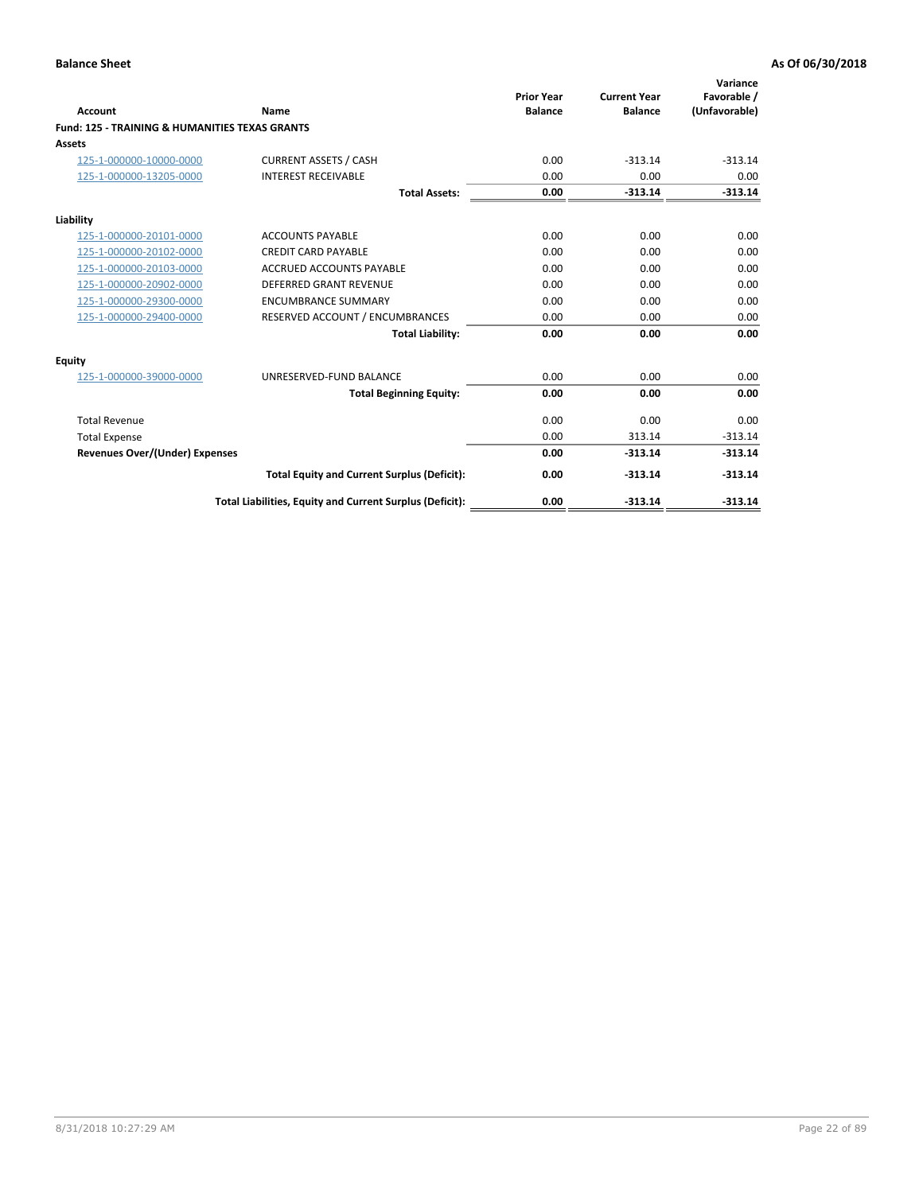| Account                                                   | Name                                                     | <b>Prior Year</b><br><b>Balance</b> | <b>Current Year</b><br><b>Balance</b> | Variance<br>Favorable /<br>(Unfavorable) |
|-----------------------------------------------------------|----------------------------------------------------------|-------------------------------------|---------------------------------------|------------------------------------------|
| <b>Fund: 125 - TRAINING &amp; HUMANITIES TEXAS GRANTS</b> |                                                          |                                     |                                       |                                          |
| <b>Assets</b>                                             |                                                          |                                     |                                       |                                          |
| 125-1-000000-10000-0000                                   | <b>CURRENT ASSETS / CASH</b>                             | 0.00                                | $-313.14$                             | $-313.14$                                |
| 125-1-000000-13205-0000                                   | <b>INTEREST RECEIVABLE</b>                               | 0.00                                | 0.00                                  | 0.00                                     |
|                                                           | <b>Total Assets:</b>                                     | 0.00                                | $-313.14$                             | $-313.14$                                |
| Liability                                                 |                                                          |                                     |                                       |                                          |
| 125-1-000000-20101-0000                                   | <b>ACCOUNTS PAYABLE</b>                                  | 0.00                                | 0.00                                  | 0.00                                     |
| 125-1-000000-20102-0000                                   | <b>CREDIT CARD PAYABLE</b>                               | 0.00                                | 0.00                                  | 0.00                                     |
| 125-1-000000-20103-0000                                   | <b>ACCRUED ACCOUNTS PAYABLE</b>                          | 0.00                                | 0.00                                  | 0.00                                     |
| 125-1-000000-20902-0000                                   | DEFERRED GRANT REVENUE                                   | 0.00                                | 0.00                                  | 0.00                                     |
| 125-1-000000-29300-0000                                   | <b>ENCUMBRANCE SUMMARY</b>                               | 0.00                                | 0.00                                  | 0.00                                     |
| 125-1-000000-29400-0000                                   | RESERVED ACCOUNT / ENCUMBRANCES                          | 0.00                                | 0.00                                  | 0.00                                     |
|                                                           | <b>Total Liability:</b>                                  | 0.00                                | 0.00                                  | 0.00                                     |
| <b>Equity</b>                                             |                                                          |                                     |                                       |                                          |
| 125-1-000000-39000-0000                                   | UNRESERVED-FUND BALANCE                                  | 0.00                                | 0.00                                  | 0.00                                     |
|                                                           | <b>Total Beginning Equity:</b>                           | 0.00                                | 0.00                                  | 0.00                                     |
| <b>Total Revenue</b>                                      |                                                          | 0.00                                | 0.00                                  | 0.00                                     |
| <b>Total Expense</b>                                      |                                                          | 0.00                                | 313.14                                | $-313.14$                                |
| <b>Revenues Over/(Under) Expenses</b>                     |                                                          | 0.00                                | $-313.14$                             | $-313.14$                                |
|                                                           | <b>Total Equity and Current Surplus (Deficit):</b>       | 0.00                                | $-313.14$                             | $-313.14$                                |
|                                                           | Total Liabilities, Equity and Current Surplus (Deficit): | 0.00                                | $-313.14$                             | $-313.14$                                |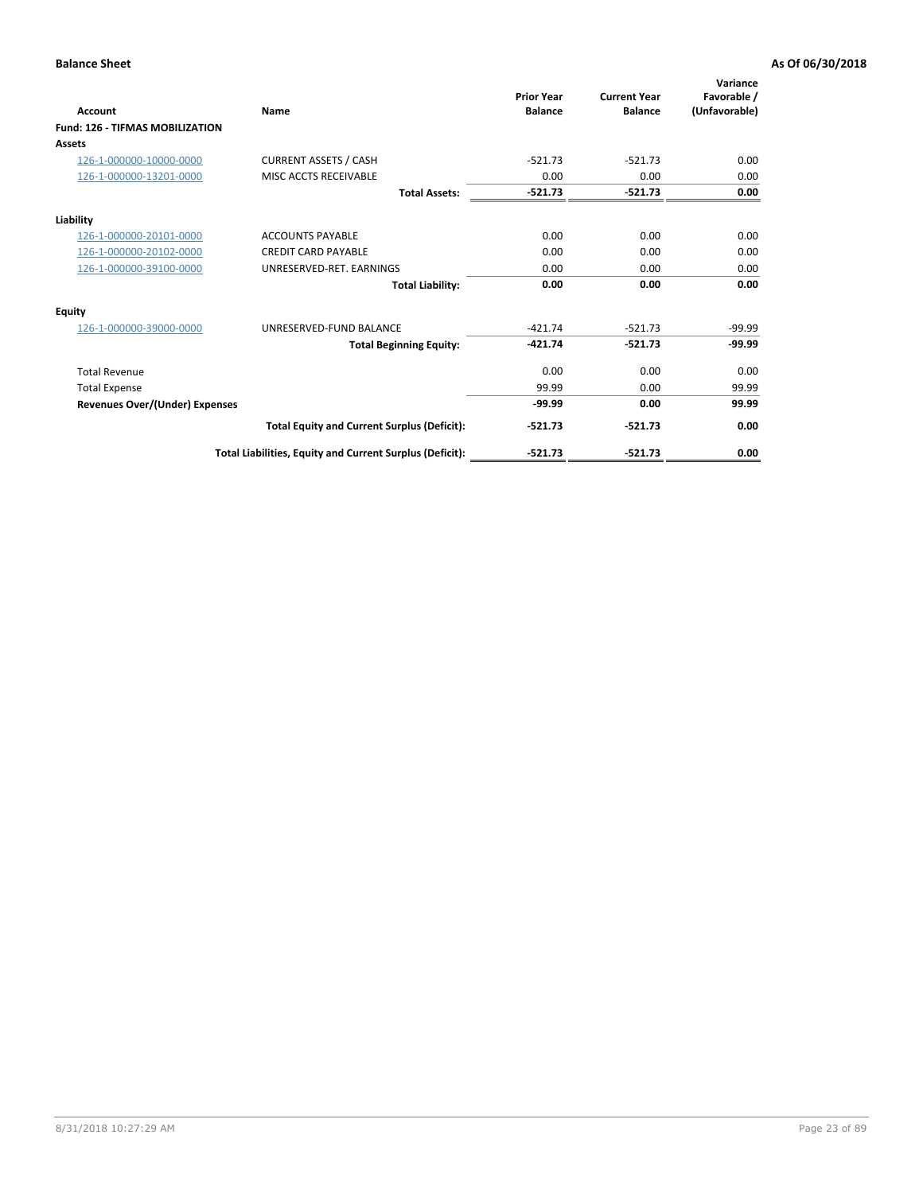| Account                                | Name                                                     | <b>Prior Year</b><br><b>Balance</b> | <b>Current Year</b><br><b>Balance</b> | Variance<br>Favorable /<br>(Unfavorable) |
|----------------------------------------|----------------------------------------------------------|-------------------------------------|---------------------------------------|------------------------------------------|
| <b>Fund: 126 - TIFMAS MOBILIZATION</b> |                                                          |                                     |                                       |                                          |
| Assets                                 |                                                          |                                     |                                       |                                          |
| 126-1-000000-10000-0000                | <b>CURRENT ASSETS / CASH</b>                             | $-521.73$                           | $-521.73$                             | 0.00                                     |
| 126-1-000000-13201-0000                | MISC ACCTS RECEIVABLE                                    | 0.00                                | 0.00                                  | 0.00                                     |
|                                        | <b>Total Assets:</b>                                     | $-521.73$                           | $-521.73$                             | 0.00                                     |
| Liability                              |                                                          |                                     |                                       |                                          |
| 126-1-000000-20101-0000                | <b>ACCOUNTS PAYABLE</b>                                  | 0.00                                | 0.00                                  | 0.00                                     |
| 126-1-000000-20102-0000                | <b>CREDIT CARD PAYABLE</b>                               | 0.00                                | 0.00                                  | 0.00                                     |
| 126-1-000000-39100-0000                | UNRESERVED-RET. EARNINGS                                 | 0.00                                | 0.00                                  | 0.00                                     |
|                                        | <b>Total Liability:</b>                                  | 0.00                                | 0.00                                  | 0.00                                     |
| Equity                                 |                                                          |                                     |                                       |                                          |
| 126-1-000000-39000-0000                | UNRESERVED-FUND BALANCE                                  | $-421.74$                           | $-521.73$                             | $-99.99$                                 |
|                                        | <b>Total Beginning Equity:</b>                           | $-421.74$                           | $-521.73$                             | $-99.99$                                 |
| <b>Total Revenue</b>                   |                                                          | 0.00                                | 0.00                                  | 0.00                                     |
| <b>Total Expense</b>                   |                                                          | 99.99                               | 0.00                                  | 99.99                                    |
| Revenues Over/(Under) Expenses         |                                                          | $-99.99$                            | 0.00                                  | 99.99                                    |
|                                        | <b>Total Equity and Current Surplus (Deficit):</b>       | $-521.73$                           | $-521.73$                             | 0.00                                     |
|                                        | Total Liabilities, Equity and Current Surplus (Deficit): | $-521.73$                           | $-521.73$                             | 0.00                                     |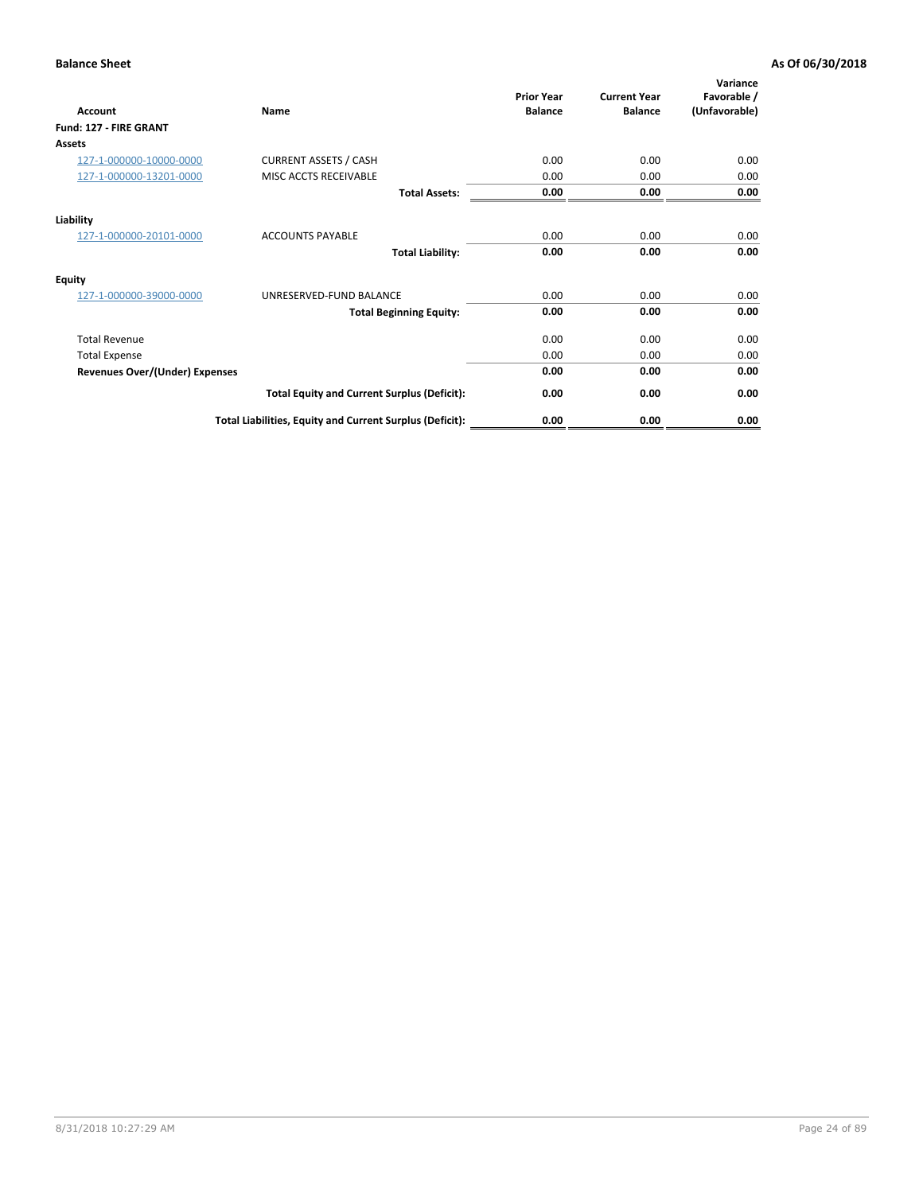| <b>Account</b>                        | Name                                                     | <b>Prior Year</b><br><b>Balance</b> | <b>Current Year</b><br><b>Balance</b> | Variance<br>Favorable /<br>(Unfavorable) |
|---------------------------------------|----------------------------------------------------------|-------------------------------------|---------------------------------------|------------------------------------------|
| Fund: 127 - FIRE GRANT                |                                                          |                                     |                                       |                                          |
| Assets                                |                                                          |                                     |                                       |                                          |
| 127-1-000000-10000-0000               | <b>CURRENT ASSETS / CASH</b>                             | 0.00                                | 0.00                                  | 0.00                                     |
| 127-1-000000-13201-0000               | MISC ACCTS RECEIVABLE                                    | 0.00                                | 0.00                                  | 0.00                                     |
|                                       | <b>Total Assets:</b>                                     | 0.00                                | 0.00                                  | 0.00                                     |
| Liability                             |                                                          |                                     |                                       |                                          |
| 127-1-000000-20101-0000               | <b>ACCOUNTS PAYABLE</b>                                  | 0.00                                | 0.00                                  | 0.00                                     |
|                                       | <b>Total Liability:</b>                                  | 0.00                                | 0.00                                  | 0.00                                     |
| <b>Equity</b>                         |                                                          |                                     |                                       |                                          |
| 127-1-000000-39000-0000               | UNRESERVED-FUND BALANCE                                  | 0.00                                | 0.00                                  | 0.00                                     |
|                                       | <b>Total Beginning Equity:</b>                           | 0.00                                | 0.00                                  | 0.00                                     |
| <b>Total Revenue</b>                  |                                                          | 0.00                                | 0.00                                  | 0.00                                     |
| <b>Total Expense</b>                  |                                                          | 0.00                                | 0.00                                  | 0.00                                     |
| <b>Revenues Over/(Under) Expenses</b> |                                                          | 0.00                                | 0.00                                  | 0.00                                     |
|                                       | <b>Total Equity and Current Surplus (Deficit):</b>       | 0.00                                | 0.00                                  | 0.00                                     |
|                                       | Total Liabilities, Equity and Current Surplus (Deficit): | 0.00                                | 0.00                                  | 0.00                                     |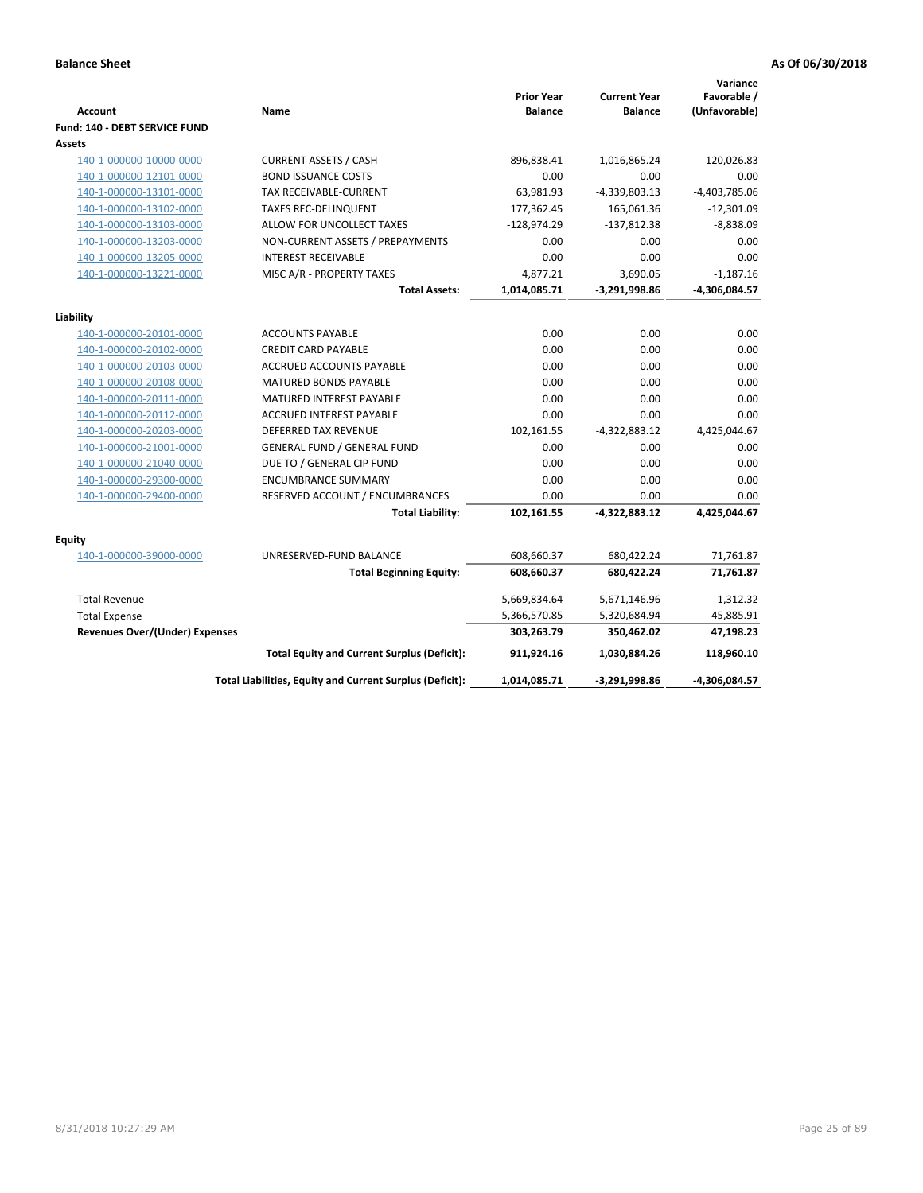|                                                    |                                                          |                                     |                                       | Variance                     |
|----------------------------------------------------|----------------------------------------------------------|-------------------------------------|---------------------------------------|------------------------------|
| <b>Account</b>                                     | Name                                                     | <b>Prior Year</b><br><b>Balance</b> | <b>Current Year</b><br><b>Balance</b> | Favorable /<br>(Unfavorable) |
| <b>Fund: 140 - DEBT SERVICE FUND</b>               |                                                          |                                     |                                       |                              |
| Assets                                             |                                                          |                                     |                                       |                              |
| 140-1-000000-10000-0000                            | <b>CURRENT ASSETS / CASH</b>                             | 896,838.41                          | 1,016,865.24                          | 120,026.83                   |
| 140-1-000000-12101-0000                            | <b>BOND ISSUANCE COSTS</b>                               | 0.00                                | 0.00                                  | 0.00                         |
| 140-1-000000-13101-0000                            | <b>TAX RECEIVABLE-CURRENT</b>                            | 63,981.93                           | -4,339,803.13                         | $-4,403,785.06$              |
| 140-1-000000-13102-0000                            | <b>TAXES REC-DELINQUENT</b>                              | 177,362.45                          | 165,061.36                            | $-12,301.09$                 |
| 140-1-000000-13103-0000                            | ALLOW FOR UNCOLLECT TAXES                                | -128,974.29                         | $-137,812.38$                         | $-8,838.09$                  |
| 140-1-000000-13203-0000                            | NON-CURRENT ASSETS / PREPAYMENTS                         | 0.00                                | 0.00                                  | 0.00                         |
| 140-1-000000-13205-0000                            | <b>INTEREST RECEIVABLE</b>                               | 0.00                                | 0.00                                  | 0.00                         |
| 140-1-000000-13221-0000                            | MISC A/R - PROPERTY TAXES                                | 4,877.21                            | 3,690.05                              | $-1,187.16$                  |
|                                                    | <b>Total Assets:</b>                                     | 1,014,085.71                        | -3,291,998.86                         | -4,306,084.57                |
|                                                    |                                                          |                                     |                                       |                              |
| Liability                                          |                                                          | 0.00                                | 0.00                                  |                              |
| 140-1-000000-20101-0000                            | <b>ACCOUNTS PAYABLE</b><br><b>CREDIT CARD PAYABLE</b>    | 0.00                                | 0.00                                  | 0.00<br>0.00                 |
| 140-1-000000-20102-0000                            | <b>ACCRUED ACCOUNTS PAYABLE</b>                          | 0.00                                | 0.00                                  | 0.00                         |
| 140-1-000000-20103-0000<br>140-1-000000-20108-0000 | <b>MATURED BONDS PAYABLE</b>                             | 0.00                                | 0.00                                  | 0.00                         |
| 140-1-000000-20111-0000                            | <b>MATURED INTEREST PAYABLE</b>                          | 0.00                                | 0.00                                  | 0.00                         |
| 140-1-000000-20112-0000                            | <b>ACCRUED INTEREST PAYABLE</b>                          | 0.00                                | 0.00                                  | 0.00                         |
| 140-1-000000-20203-0000                            | <b>DEFERRED TAX REVENUE</b>                              | 102,161.55                          | $-4,322,883.12$                       | 4,425,044.67                 |
| 140-1-000000-21001-0000                            | <b>GENERAL FUND / GENERAL FUND</b>                       | 0.00                                | 0.00                                  | 0.00                         |
| 140-1-000000-21040-0000                            | DUE TO / GENERAL CIP FUND                                | 0.00                                | 0.00                                  | 0.00                         |
| 140-1-000000-29300-0000                            | <b>ENCUMBRANCE SUMMARY</b>                               | 0.00                                | 0.00                                  | 0.00                         |
| 140-1-000000-29400-0000                            | RESERVED ACCOUNT / ENCUMBRANCES                          | 0.00                                | 0.00                                  | 0.00                         |
|                                                    | <b>Total Liability:</b>                                  | 102,161.55                          | -4,322,883.12                         | 4,425,044.67                 |
|                                                    |                                                          |                                     |                                       |                              |
| <b>Equity</b>                                      |                                                          |                                     |                                       |                              |
| 140-1-000000-39000-0000                            | UNRESERVED-FUND BALANCE                                  | 608,660.37                          | 680,422.24                            | 71,761.87                    |
|                                                    | <b>Total Beginning Equity:</b>                           | 608,660.37                          | 680,422.24                            | 71,761.87                    |
| <b>Total Revenue</b>                               |                                                          | 5,669,834.64                        | 5,671,146.96                          | 1,312.32                     |
| <b>Total Expense</b>                               |                                                          | 5,366,570.85                        | 5,320,684.94                          | 45,885.91                    |
| <b>Revenues Over/(Under) Expenses</b>              |                                                          | 303,263.79                          | 350,462.02                            | 47,198.23                    |
|                                                    | <b>Total Equity and Current Surplus (Deficit):</b>       | 911,924.16                          | 1,030,884.26                          | 118,960.10                   |
|                                                    | Total Liabilities, Equity and Current Surplus (Deficit): | 1,014,085.71                        | $-3,291,998.86$                       | -4,306,084.57                |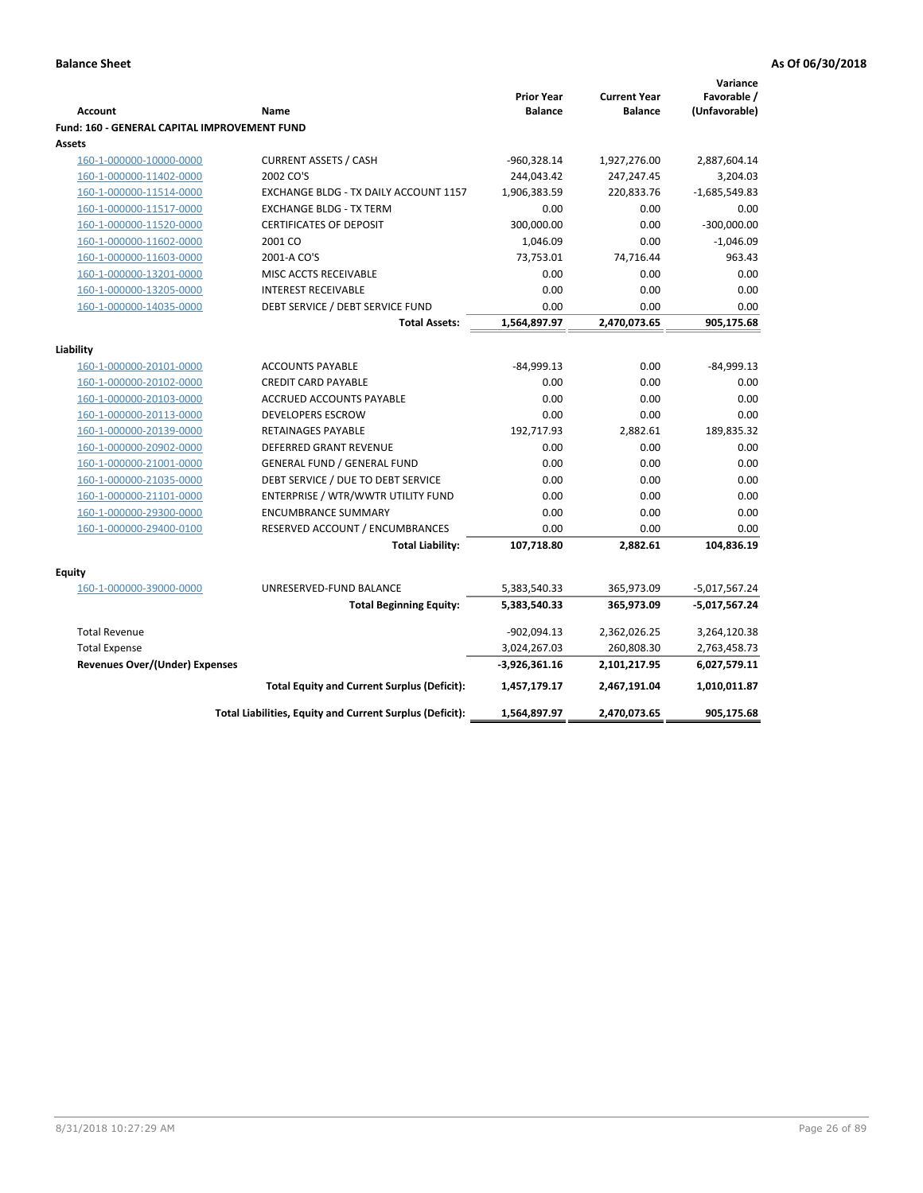|                                                               |                                                                  |                    |                     | Variance              |
|---------------------------------------------------------------|------------------------------------------------------------------|--------------------|---------------------|-----------------------|
|                                                               |                                                                  | <b>Prior Year</b>  | <b>Current Year</b> | Favorable /           |
| <b>Account</b>                                                | Name                                                             | <b>Balance</b>     | <b>Balance</b>      | (Unfavorable)         |
| Fund: 160 - GENERAL CAPITAL IMPROVEMENT FUND<br><b>Assets</b> |                                                                  |                    |                     |                       |
|                                                               |                                                                  |                    |                     |                       |
| 160-1-000000-10000-0000                                       | <b>CURRENT ASSETS / CASH</b><br>2002 CO'S                        | -960,328.14        | 1,927,276.00        | 2,887,604.14          |
| 160-1-000000-11402-0000                                       | EXCHANGE BLDG - TX DAILY ACCOUNT 1157                            | 244,043.42         | 247,247.45          | 3,204.03              |
| 160-1-000000-11514-0000                                       |                                                                  | 1,906,383.59       | 220,833.76          | $-1,685,549.83$       |
| 160-1-000000-11517-0000                                       | <b>EXCHANGE BLDG - TX TERM</b><br><b>CERTIFICATES OF DEPOSIT</b> | 0.00<br>300,000.00 | 0.00<br>0.00        | 0.00<br>$-300,000.00$ |
| 160-1-000000-11520-0000                                       | 2001 CO                                                          |                    | 0.00                | $-1,046.09$           |
| 160-1-000000-11602-0000                                       |                                                                  | 1,046.09           |                     |                       |
| 160-1-000000-11603-0000                                       | 2001-A CO'S                                                      | 73,753.01          | 74,716.44           | 963.43                |
| 160-1-000000-13201-0000                                       | MISC ACCTS RECEIVABLE                                            | 0.00               | 0.00                | 0.00                  |
| 160-1-000000-13205-0000                                       | <b>INTEREST RECEIVABLE</b>                                       | 0.00               | 0.00                | 0.00                  |
| 160-1-000000-14035-0000                                       | DEBT SERVICE / DEBT SERVICE FUND                                 | 0.00               | 0.00                | 0.00                  |
|                                                               | <b>Total Assets:</b>                                             | 1,564,897.97       | 2,470,073.65        | 905,175.68            |
| Liability                                                     |                                                                  |                    |                     |                       |
| 160-1-000000-20101-0000                                       | <b>ACCOUNTS PAYABLE</b>                                          | $-84,999.13$       | 0.00                | $-84,999.13$          |
| 160-1-000000-20102-0000                                       | <b>CREDIT CARD PAYABLE</b>                                       | 0.00               | 0.00                | 0.00                  |
| 160-1-000000-20103-0000                                       | ACCRUED ACCOUNTS PAYABLE                                         | 0.00               | 0.00                | 0.00                  |
| 160-1-000000-20113-0000                                       | <b>DEVELOPERS ESCROW</b>                                         | 0.00               | 0.00                | 0.00                  |
| 160-1-000000-20139-0000                                       | RETAINAGES PAYABLE                                               | 192,717.93         | 2,882.61            | 189,835.32            |
| 160-1-000000-20902-0000                                       | <b>DEFERRED GRANT REVENUE</b>                                    | 0.00               | 0.00                | 0.00                  |
| 160-1-000000-21001-0000                                       | <b>GENERAL FUND / GENERAL FUND</b>                               | 0.00               | 0.00                | 0.00                  |
| 160-1-000000-21035-0000                                       | DEBT SERVICE / DUE TO DEBT SERVICE                               | 0.00               | 0.00                | 0.00                  |
| 160-1-000000-21101-0000                                       | ENTERPRISE / WTR/WWTR UTILITY FUND                               | 0.00               | 0.00                | 0.00                  |
| 160-1-000000-29300-0000                                       | <b>ENCUMBRANCE SUMMARY</b>                                       | 0.00               | 0.00                | 0.00                  |
| 160-1-000000-29400-0100                                       | RESERVED ACCOUNT / ENCUMBRANCES                                  | 0.00               | 0.00                | 0.00                  |
|                                                               | <b>Total Liability:</b>                                          | 107,718.80         | 2,882.61            | 104,836.19            |
|                                                               |                                                                  |                    |                     |                       |
| <b>Equity</b>                                                 |                                                                  |                    |                     |                       |
| 160-1-000000-39000-0000                                       | UNRESERVED-FUND BALANCE                                          | 5,383,540.33       | 365,973.09          | $-5,017,567.24$       |
|                                                               | <b>Total Beginning Equity:</b>                                   | 5,383,540.33       | 365,973.09          | -5,017,567.24         |
| <b>Total Revenue</b>                                          |                                                                  | $-902,094.13$      | 2,362,026.25        | 3,264,120.38          |
| <b>Total Expense</b>                                          |                                                                  | 3,024,267.03       | 260,808.30          | 2,763,458.73          |
| Revenues Over/(Under) Expenses                                |                                                                  | $-3,926,361.16$    | 2,101,217.95        | 6,027,579.11          |
|                                                               | <b>Total Equity and Current Surplus (Deficit):</b>               | 1,457,179.17       | 2,467,191.04        | 1,010,011.87          |
|                                                               | Total Liabilities, Equity and Current Surplus (Deficit):         | 1,564,897.97       | 2,470,073.65        | 905,175.68            |
|                                                               |                                                                  |                    |                     |                       |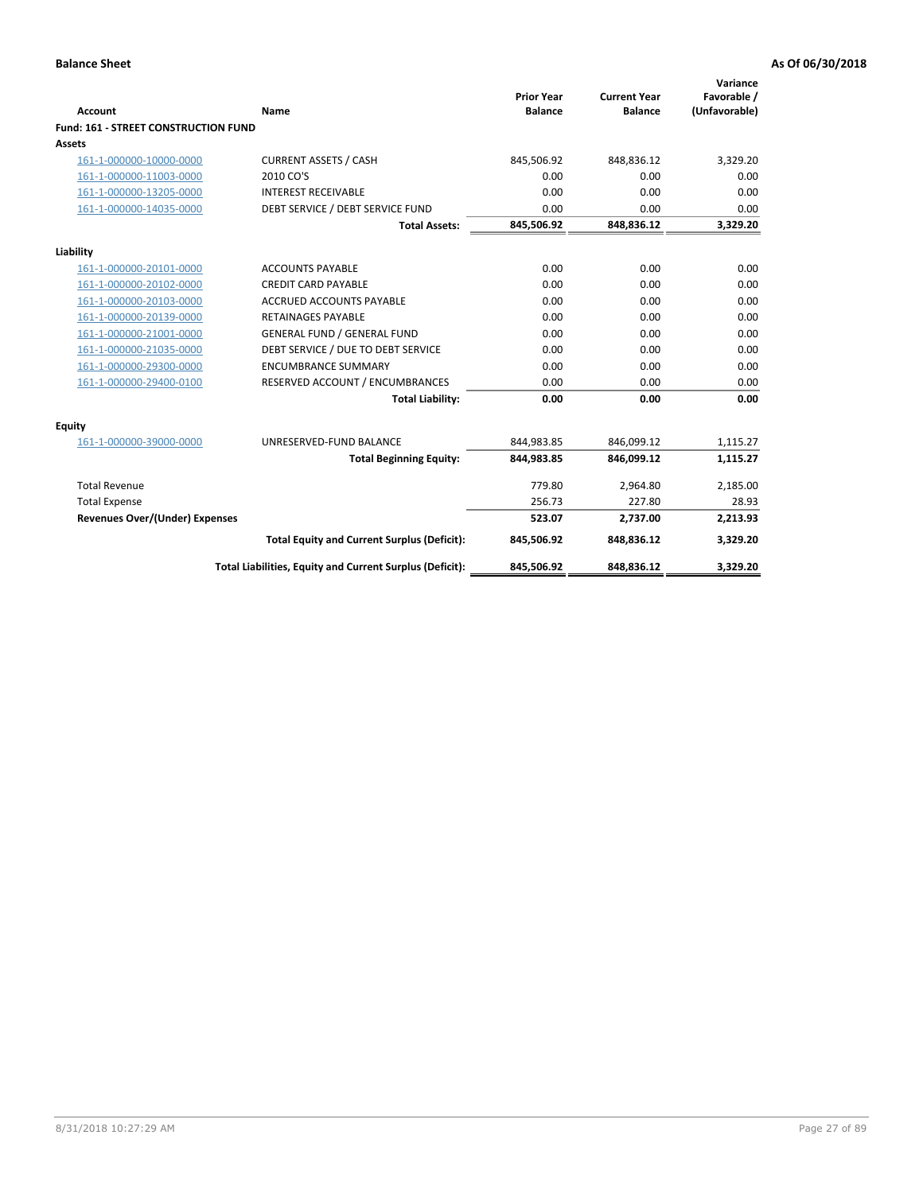| <b>Account</b>                       | Name                                                     | <b>Prior Year</b><br><b>Balance</b> | <b>Current Year</b><br><b>Balance</b> | Variance<br>Favorable /<br>(Unfavorable) |
|--------------------------------------|----------------------------------------------------------|-------------------------------------|---------------------------------------|------------------------------------------|
| Fund: 161 - STREET CONSTRUCTION FUND |                                                          |                                     |                                       |                                          |
| <b>Assets</b>                        |                                                          |                                     |                                       |                                          |
| 161-1-000000-10000-0000              | <b>CURRENT ASSETS / CASH</b>                             | 845,506.92                          | 848,836.12                            | 3,329.20                                 |
| 161-1-000000-11003-0000              | 2010 CO'S                                                | 0.00                                | 0.00                                  | 0.00                                     |
| 161-1-000000-13205-0000              | <b>INTEREST RECEIVABLE</b>                               | 0.00                                | 0.00                                  | 0.00                                     |
| 161-1-000000-14035-0000              | DEBT SERVICE / DEBT SERVICE FUND                         | 0.00                                | 0.00                                  | 0.00                                     |
|                                      | <b>Total Assets:</b>                                     | 845,506.92                          | 848,836.12                            | 3,329.20                                 |
| Liability                            |                                                          |                                     |                                       |                                          |
| 161-1-000000-20101-0000              | <b>ACCOUNTS PAYABLE</b>                                  | 0.00                                | 0.00                                  | 0.00                                     |
| 161-1-000000-20102-0000              | <b>CREDIT CARD PAYABLE</b>                               | 0.00                                | 0.00                                  | 0.00                                     |
| 161-1-000000-20103-0000              | <b>ACCRUED ACCOUNTS PAYABLE</b>                          | 0.00                                | 0.00                                  | 0.00                                     |
| 161-1-000000-20139-0000              | <b>RETAINAGES PAYABLE</b>                                | 0.00                                | 0.00                                  | 0.00                                     |
| 161-1-000000-21001-0000              | <b>GENERAL FUND / GENERAL FUND</b>                       | 0.00                                | 0.00                                  | 0.00                                     |
| 161-1-000000-21035-0000              | DEBT SERVICE / DUE TO DEBT SERVICE                       | 0.00                                | 0.00                                  | 0.00                                     |
| 161-1-000000-29300-0000              | <b>ENCUMBRANCE SUMMARY</b>                               | 0.00                                | 0.00                                  | 0.00                                     |
| 161-1-000000-29400-0100              | RESERVED ACCOUNT / ENCUMBRANCES                          | 0.00                                | 0.00                                  | 0.00                                     |
|                                      | <b>Total Liability:</b>                                  | 0.00                                | 0.00                                  | 0.00                                     |
| <b>Equity</b>                        |                                                          |                                     |                                       |                                          |
| 161-1-000000-39000-0000              | UNRESERVED-FUND BALANCE                                  | 844,983.85                          | 846,099.12                            | 1,115.27                                 |
|                                      | <b>Total Beginning Equity:</b>                           | 844,983.85                          | 846,099.12                            | 1,115.27                                 |
| <b>Total Revenue</b>                 |                                                          | 779.80                              | 2.964.80                              | 2,185.00                                 |
| <b>Total Expense</b>                 |                                                          | 256.73                              | 227.80                                | 28.93                                    |
| Revenues Over/(Under) Expenses       |                                                          | 523.07                              | 2,737.00                              | 2,213.93                                 |
|                                      | <b>Total Equity and Current Surplus (Deficit):</b>       | 845,506.92                          | 848,836.12                            | 3,329.20                                 |
|                                      | Total Liabilities, Equity and Current Surplus (Deficit): | 845,506.92                          | 848,836.12                            | 3.329.20                                 |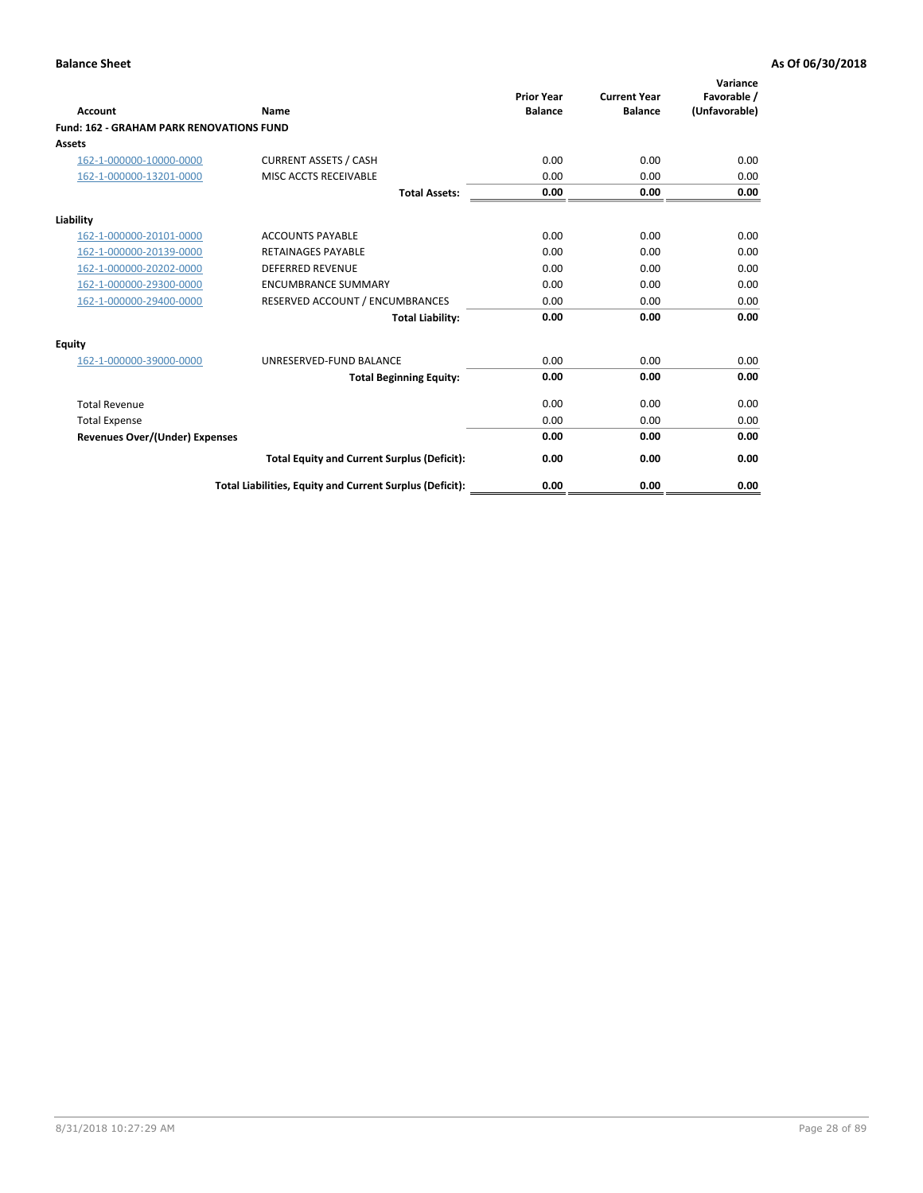| Account                                         | Name                                                     | <b>Prior Year</b><br><b>Balance</b> | <b>Current Year</b><br><b>Balance</b> | Variance<br>Favorable /<br>(Unfavorable) |
|-------------------------------------------------|----------------------------------------------------------|-------------------------------------|---------------------------------------|------------------------------------------|
| <b>Fund: 162 - GRAHAM PARK RENOVATIONS FUND</b> |                                                          |                                     |                                       |                                          |
| <b>Assets</b>                                   |                                                          |                                     |                                       |                                          |
| 162-1-000000-10000-0000                         | <b>CURRENT ASSETS / CASH</b>                             | 0.00                                | 0.00                                  | 0.00                                     |
| 162-1-000000-13201-0000                         | MISC ACCTS RECEIVABLE                                    | 0.00                                | 0.00                                  | 0.00                                     |
|                                                 | <b>Total Assets:</b>                                     | 0.00                                | 0.00                                  | 0.00                                     |
| Liability                                       |                                                          |                                     |                                       |                                          |
| 162-1-000000-20101-0000                         | <b>ACCOUNTS PAYABLE</b>                                  | 0.00                                | 0.00                                  | 0.00                                     |
| 162-1-000000-20139-0000                         | <b>RETAINAGES PAYABLE</b>                                | 0.00                                | 0.00                                  | 0.00                                     |
| 162-1-000000-20202-0000                         | <b>DEFERRED REVENUE</b>                                  | 0.00                                | 0.00                                  | 0.00                                     |
| 162-1-000000-29300-0000                         | <b>ENCUMBRANCE SUMMARY</b>                               | 0.00                                | 0.00                                  | 0.00                                     |
| 162-1-000000-29400-0000                         | RESERVED ACCOUNT / ENCUMBRANCES                          | 0.00                                | 0.00                                  | 0.00                                     |
|                                                 | <b>Total Liability:</b>                                  | 0.00                                | 0.00                                  | 0.00                                     |
| Equity                                          |                                                          |                                     |                                       |                                          |
| 162-1-000000-39000-0000                         | UNRESERVED-FUND BALANCE                                  | 0.00                                | 0.00                                  | 0.00                                     |
|                                                 | <b>Total Beginning Equity:</b>                           | 0.00                                | 0.00                                  | 0.00                                     |
| <b>Total Revenue</b>                            |                                                          | 0.00                                | 0.00                                  | 0.00                                     |
| <b>Total Expense</b>                            |                                                          | 0.00                                | 0.00                                  | 0.00                                     |
| <b>Revenues Over/(Under) Expenses</b>           |                                                          | 0.00                                | 0.00                                  | 0.00                                     |
|                                                 | <b>Total Equity and Current Surplus (Deficit):</b>       | 0.00                                | 0.00                                  | 0.00                                     |
|                                                 | Total Liabilities, Equity and Current Surplus (Deficit): | 0.00                                | 0.00                                  | 0.00                                     |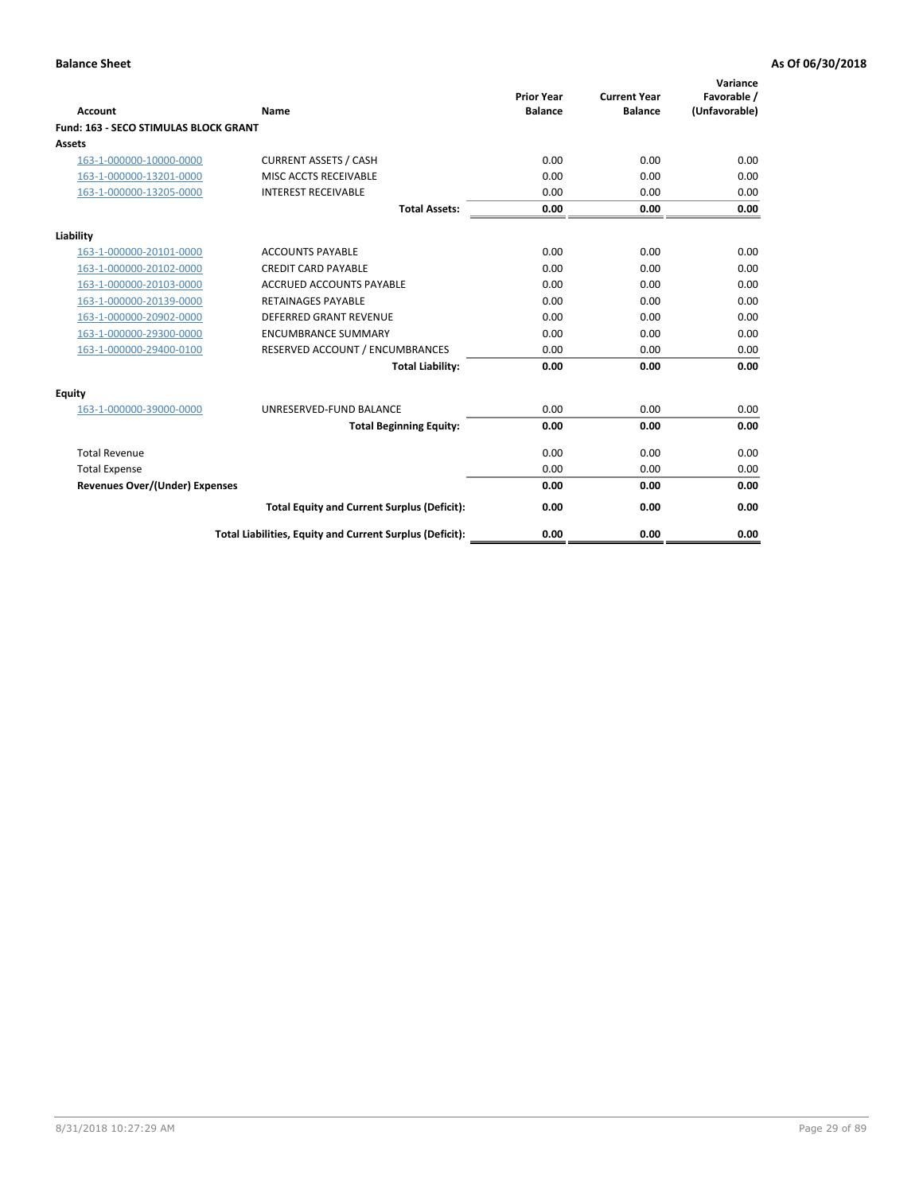| Account                               | Name                                                     | <b>Prior Year</b><br><b>Balance</b> | <b>Current Year</b><br><b>Balance</b> | Variance<br>Favorable /<br>(Unfavorable) |
|---------------------------------------|----------------------------------------------------------|-------------------------------------|---------------------------------------|------------------------------------------|
| Fund: 163 - SECO STIMULAS BLOCK GRANT |                                                          |                                     |                                       |                                          |
| <b>Assets</b>                         |                                                          |                                     |                                       |                                          |
| 163-1-000000-10000-0000               | <b>CURRENT ASSETS / CASH</b>                             | 0.00                                | 0.00                                  | 0.00                                     |
| 163-1-000000-13201-0000               | MISC ACCTS RECEIVABLE                                    | 0.00                                | 0.00                                  | 0.00                                     |
| 163-1-000000-13205-0000               | <b>INTEREST RECEIVABLE</b>                               | 0.00                                | 0.00                                  | 0.00                                     |
|                                       | <b>Total Assets:</b>                                     | 0.00                                | 0.00                                  | 0.00                                     |
| Liability                             |                                                          |                                     |                                       |                                          |
| 163-1-000000-20101-0000               | <b>ACCOUNTS PAYABLE</b>                                  | 0.00                                | 0.00                                  | 0.00                                     |
| 163-1-000000-20102-0000               | <b>CREDIT CARD PAYABLE</b>                               | 0.00                                | 0.00                                  | 0.00                                     |
| 163-1-000000-20103-0000               | <b>ACCRUED ACCOUNTS PAYABLE</b>                          | 0.00                                | 0.00                                  | 0.00                                     |
| 163-1-000000-20139-0000               | <b>RETAINAGES PAYABLE</b>                                | 0.00                                | 0.00                                  | 0.00                                     |
| 163-1-000000-20902-0000               | DEFERRED GRANT REVENUE                                   | 0.00                                | 0.00                                  | 0.00                                     |
| 163-1-000000-29300-0000               | <b>ENCUMBRANCE SUMMARY</b>                               | 0.00                                | 0.00                                  | 0.00                                     |
| 163-1-000000-29400-0100               | RESERVED ACCOUNT / ENCUMBRANCES                          | 0.00                                | 0.00                                  | 0.00                                     |
|                                       | <b>Total Liability:</b>                                  | 0.00                                | 0.00                                  | 0.00                                     |
| <b>Equity</b>                         |                                                          |                                     |                                       |                                          |
| 163-1-000000-39000-0000               | UNRESERVED-FUND BALANCE                                  | 0.00                                | 0.00                                  | 0.00                                     |
|                                       | <b>Total Beginning Equity:</b>                           | 0.00                                | 0.00                                  | 0.00                                     |
| <b>Total Revenue</b>                  |                                                          | 0.00                                | 0.00                                  | 0.00                                     |
| <b>Total Expense</b>                  |                                                          | 0.00                                | 0.00                                  | 0.00                                     |
| <b>Revenues Over/(Under) Expenses</b> |                                                          | 0.00                                | 0.00                                  | 0.00                                     |
|                                       | <b>Total Equity and Current Surplus (Deficit):</b>       | 0.00                                | 0.00                                  | 0.00                                     |
|                                       | Total Liabilities, Equity and Current Surplus (Deficit): | 0.00                                | 0.00                                  | 0.00                                     |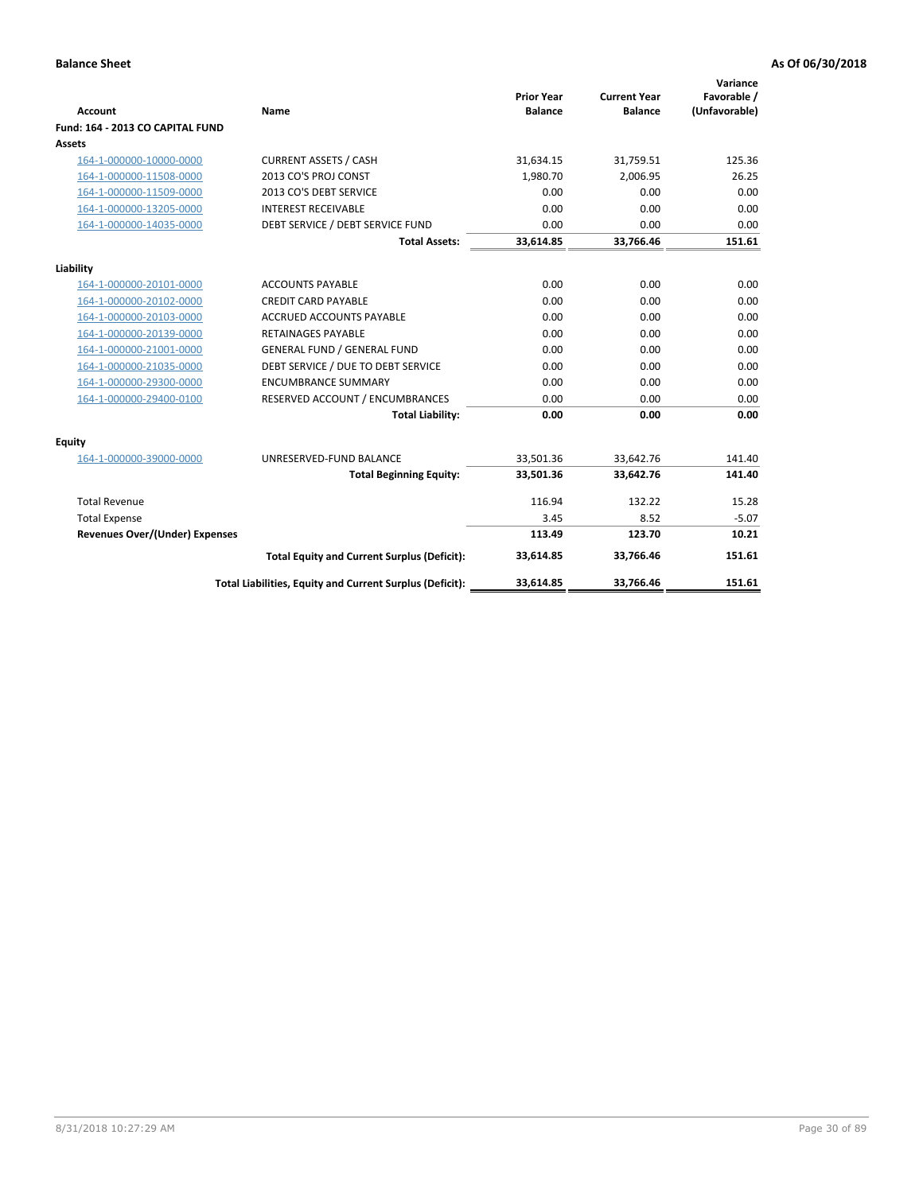| <b>Account</b>                        | <b>Name</b>                                              | <b>Prior Year</b><br><b>Balance</b> | <b>Current Year</b><br><b>Balance</b> | Variance<br>Favorable /<br>(Unfavorable) |
|---------------------------------------|----------------------------------------------------------|-------------------------------------|---------------------------------------|------------------------------------------|
| Fund: 164 - 2013 CO CAPITAL FUND      |                                                          |                                     |                                       |                                          |
| Assets                                |                                                          |                                     |                                       |                                          |
| 164-1-000000-10000-0000               | <b>CURRENT ASSETS / CASH</b>                             | 31,634.15                           | 31,759.51                             | 125.36                                   |
| 164-1-000000-11508-0000               | 2013 CO'S PROJ CONST                                     | 1,980.70                            | 2,006.95                              | 26.25                                    |
| 164-1-000000-11509-0000               | 2013 CO'S DEBT SERVICE                                   | 0.00                                | 0.00                                  | 0.00                                     |
| 164-1-000000-13205-0000               | <b>INTEREST RECEIVABLE</b>                               | 0.00                                | 0.00                                  | 0.00                                     |
| 164-1-000000-14035-0000               | DEBT SERVICE / DEBT SERVICE FUND                         | 0.00                                | 0.00                                  | 0.00                                     |
|                                       | <b>Total Assets:</b>                                     | 33,614.85                           | 33,766.46                             | 151.61                                   |
| Liability                             |                                                          |                                     |                                       |                                          |
| 164-1-000000-20101-0000               | <b>ACCOUNTS PAYABLE</b>                                  | 0.00                                | 0.00                                  | 0.00                                     |
| 164-1-000000-20102-0000               | <b>CREDIT CARD PAYABLE</b>                               | 0.00                                | 0.00                                  | 0.00                                     |
| 164-1-000000-20103-0000               | <b>ACCRUED ACCOUNTS PAYABLE</b>                          | 0.00                                | 0.00                                  | 0.00                                     |
| 164-1-000000-20139-0000               | <b>RETAINAGES PAYABLE</b>                                | 0.00                                | 0.00                                  | 0.00                                     |
| 164-1-000000-21001-0000               | <b>GENERAL FUND / GENERAL FUND</b>                       | 0.00                                | 0.00                                  | 0.00                                     |
| 164-1-000000-21035-0000               | DEBT SERVICE / DUE TO DEBT SERVICE                       | 0.00                                | 0.00                                  | 0.00                                     |
| 164-1-000000-29300-0000               | <b>ENCUMBRANCE SUMMARY</b>                               | 0.00                                | 0.00                                  | 0.00                                     |
| 164-1-000000-29400-0100               | RESERVED ACCOUNT / ENCUMBRANCES                          | 0.00                                | 0.00                                  | 0.00                                     |
|                                       | <b>Total Liability:</b>                                  | 0.00                                | 0.00                                  | 0.00                                     |
| Equity                                |                                                          |                                     |                                       |                                          |
| 164-1-000000-39000-0000               | UNRESERVED-FUND BALANCE                                  | 33,501.36                           | 33,642.76                             | 141.40                                   |
|                                       | <b>Total Beginning Equity:</b>                           | 33,501.36                           | 33,642.76                             | 141.40                                   |
| <b>Total Revenue</b>                  |                                                          | 116.94                              | 132.22                                | 15.28                                    |
| <b>Total Expense</b>                  |                                                          | 3.45                                | 8.52                                  | $-5.07$                                  |
| <b>Revenues Over/(Under) Expenses</b> |                                                          | 113.49                              | 123.70                                | 10.21                                    |
|                                       | <b>Total Equity and Current Surplus (Deficit):</b>       | 33,614.85                           | 33,766.46                             | 151.61                                   |
|                                       | Total Liabilities, Equity and Current Surplus (Deficit): | 33,614.85                           | 33,766.46                             | 151.61                                   |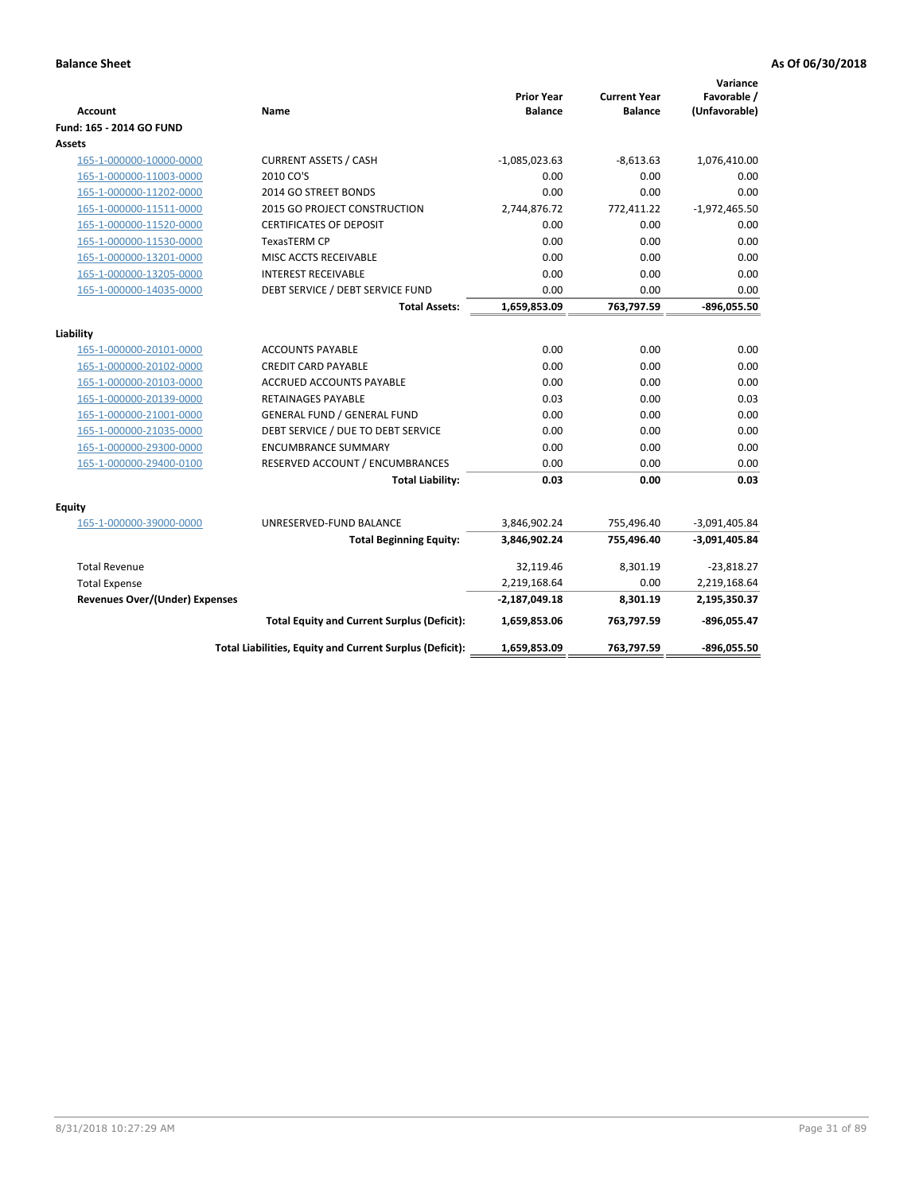| <b>Account</b>                        | Name                                                     | <b>Prior Year</b><br><b>Balance</b> | <b>Current Year</b><br><b>Balance</b> | Variance<br>Favorable /<br>(Unfavorable) |
|---------------------------------------|----------------------------------------------------------|-------------------------------------|---------------------------------------|------------------------------------------|
| Fund: 165 - 2014 GO FUND              |                                                          |                                     |                                       |                                          |
| Assets                                |                                                          |                                     |                                       |                                          |
| 165-1-000000-10000-0000               | <b>CURRENT ASSETS / CASH</b>                             | $-1,085,023.63$                     | $-8,613.63$                           | 1,076,410.00                             |
| 165-1-000000-11003-0000               | 2010 CO'S                                                | 0.00                                | 0.00                                  | 0.00                                     |
| 165-1-000000-11202-0000               | 2014 GO STREET BONDS                                     | 0.00                                | 0.00                                  | 0.00                                     |
| 165-1-000000-11511-0000               | 2015 GO PROJECT CONSTRUCTION                             | 2,744,876.72                        | 772,411.22                            | $-1,972,465.50$                          |
| 165-1-000000-11520-0000               | <b>CERTIFICATES OF DEPOSIT</b>                           | 0.00                                | 0.00                                  | 0.00                                     |
| 165-1-000000-11530-0000               | <b>TexasTERM CP</b>                                      | 0.00                                | 0.00                                  | 0.00                                     |
| 165-1-000000-13201-0000               | MISC ACCTS RECEIVABLE                                    | 0.00                                | 0.00                                  | 0.00                                     |
| 165-1-000000-13205-0000               | <b>INTEREST RECEIVABLE</b>                               | 0.00                                | 0.00                                  | 0.00                                     |
| 165-1-000000-14035-0000               | DEBT SERVICE / DEBT SERVICE FUND                         | 0.00                                | 0.00                                  | 0.00                                     |
|                                       | <b>Total Assets:</b>                                     | 1,659,853.09                        | 763,797.59                            | $-896,055.50$                            |
| Liability                             |                                                          |                                     |                                       |                                          |
| 165-1-000000-20101-0000               | <b>ACCOUNTS PAYABLE</b>                                  | 0.00                                | 0.00                                  | 0.00                                     |
| 165-1-000000-20102-0000               | <b>CREDIT CARD PAYABLE</b>                               | 0.00                                | 0.00                                  | 0.00                                     |
| 165-1-000000-20103-0000               | ACCRUED ACCOUNTS PAYABLE                                 | 0.00                                | 0.00                                  | 0.00                                     |
| 165-1-000000-20139-0000               | <b>RETAINAGES PAYABLE</b>                                | 0.03                                | 0.00                                  | 0.03                                     |
| 165-1-000000-21001-0000               | <b>GENERAL FUND / GENERAL FUND</b>                       | 0.00                                | 0.00                                  | 0.00                                     |
| 165-1-000000-21035-0000               | DEBT SERVICE / DUE TO DEBT SERVICE                       | 0.00                                | 0.00                                  | 0.00                                     |
| 165-1-000000-29300-0000               | <b>ENCUMBRANCE SUMMARY</b>                               | 0.00                                | 0.00                                  | 0.00                                     |
| 165-1-000000-29400-0100               | RESERVED ACCOUNT / ENCUMBRANCES                          | 0.00                                | 0.00                                  | 0.00                                     |
|                                       | <b>Total Liability:</b>                                  | 0.03                                | 0.00                                  | 0.03                                     |
| <b>Equity</b>                         |                                                          |                                     |                                       |                                          |
| 165-1-000000-39000-0000               | UNRESERVED-FUND BALANCE                                  | 3,846,902.24                        | 755,496.40                            | $-3,091,405.84$                          |
|                                       | <b>Total Beginning Equity:</b>                           | 3,846,902.24                        | 755,496.40                            | $-3,091,405.84$                          |
| <b>Total Revenue</b>                  |                                                          | 32,119.46                           | 8,301.19                              | $-23,818.27$                             |
| <b>Total Expense</b>                  |                                                          | 2,219,168.64                        | 0.00                                  | 2,219,168.64                             |
| <b>Revenues Over/(Under) Expenses</b> |                                                          | $-2,187,049.18$                     | 8,301.19                              | 2,195,350.37                             |
|                                       | <b>Total Equity and Current Surplus (Deficit):</b>       | 1,659,853.06                        | 763,797.59                            | $-896,055.47$                            |
|                                       | Total Liabilities, Equity and Current Surplus (Deficit): | 1,659,853.09                        | 763,797.59                            | $-896.055.50$                            |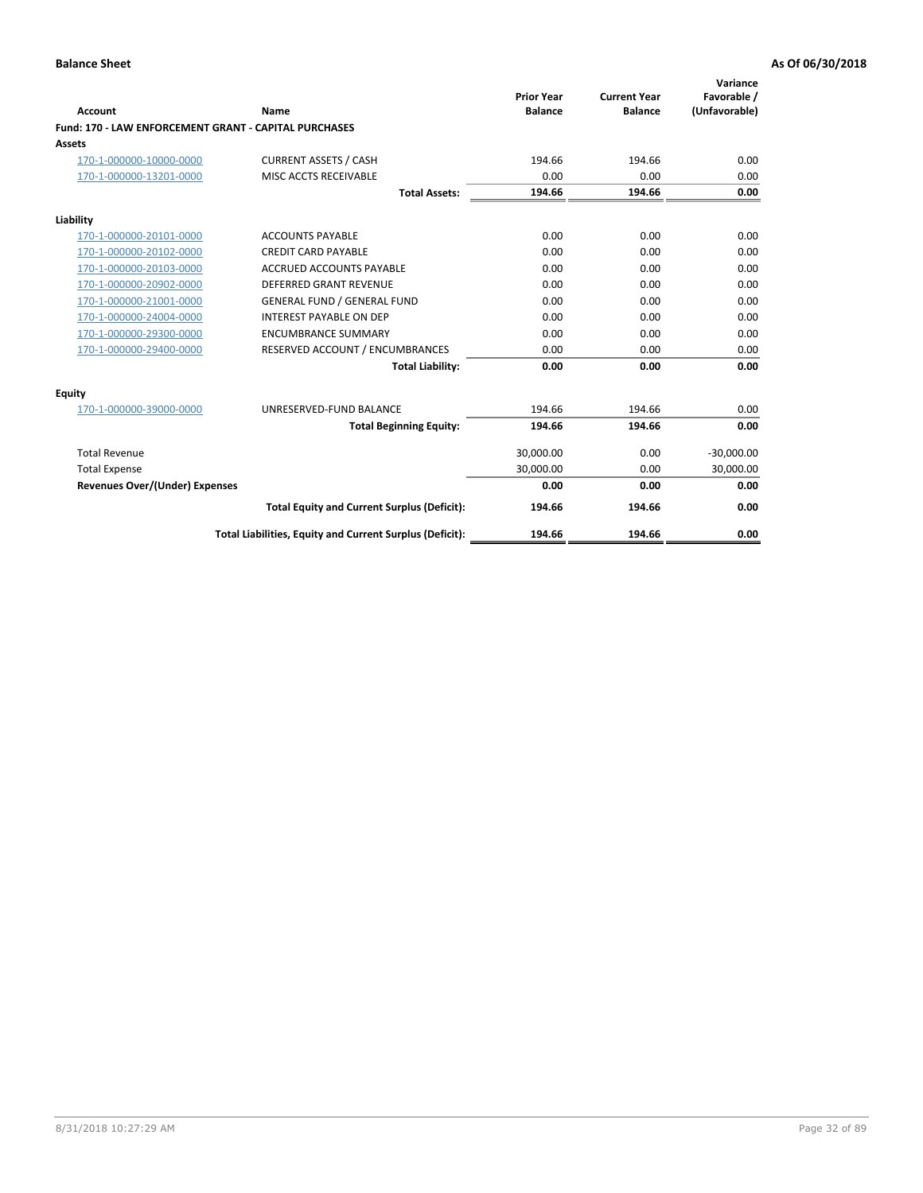|                                                       |                                                          |                                     |                                       | Variance                     |
|-------------------------------------------------------|----------------------------------------------------------|-------------------------------------|---------------------------------------|------------------------------|
| Account                                               | Name                                                     | <b>Prior Year</b><br><b>Balance</b> | <b>Current Year</b><br><b>Balance</b> | Favorable /<br>(Unfavorable) |
| Fund: 170 - LAW ENFORCEMENT GRANT - CAPITAL PURCHASES |                                                          |                                     |                                       |                              |
| Assets                                                |                                                          |                                     |                                       |                              |
| 170-1-000000-10000-0000                               | <b>CURRENT ASSETS / CASH</b>                             | 194.66                              | 194.66                                | 0.00                         |
| 170-1-000000-13201-0000                               | MISC ACCTS RECEIVABLE                                    | 0.00                                | 0.00                                  | 0.00                         |
|                                                       | <b>Total Assets:</b>                                     | 194.66                              | 194.66                                | 0.00                         |
| Liability                                             |                                                          |                                     |                                       |                              |
| 170-1-000000-20101-0000                               | <b>ACCOUNTS PAYABLE</b>                                  | 0.00                                | 0.00                                  | 0.00                         |
| 170-1-000000-20102-0000                               | <b>CREDIT CARD PAYABLE</b>                               | 0.00                                | 0.00                                  | 0.00                         |
| 170-1-000000-20103-0000                               | <b>ACCRUED ACCOUNTS PAYABLE</b>                          | 0.00                                | 0.00                                  | 0.00                         |
| 170-1-000000-20902-0000                               | DEFERRED GRANT REVENUE                                   | 0.00                                | 0.00                                  | 0.00                         |
| 170-1-000000-21001-0000                               | <b>GENERAL FUND / GENERAL FUND</b>                       | 0.00                                | 0.00                                  | 0.00                         |
| 170-1-000000-24004-0000                               | <b>INTEREST PAYABLE ON DEP</b>                           | 0.00                                | 0.00                                  | 0.00                         |
| 170-1-000000-29300-0000                               | <b>ENCUMBRANCE SUMMARY</b>                               | 0.00                                | 0.00                                  | 0.00                         |
| 170-1-000000-29400-0000                               | RESERVED ACCOUNT / ENCUMBRANCES                          | 0.00                                | 0.00                                  | 0.00                         |
|                                                       | <b>Total Liability:</b>                                  | 0.00                                | 0.00                                  | 0.00                         |
| <b>Equity</b>                                         |                                                          |                                     |                                       |                              |
| 170-1-000000-39000-0000                               | UNRESERVED-FUND BALANCE                                  | 194.66                              | 194.66                                | 0.00                         |
|                                                       | <b>Total Beginning Equity:</b>                           | 194.66                              | 194.66                                | 0.00                         |
| <b>Total Revenue</b>                                  |                                                          | 30,000.00                           | 0.00                                  | $-30,000.00$                 |
| <b>Total Expense</b>                                  |                                                          | 30,000.00                           | 0.00                                  | 30,000.00                    |
| <b>Revenues Over/(Under) Expenses</b>                 |                                                          | 0.00                                | 0.00                                  | 0.00                         |
|                                                       | <b>Total Equity and Current Surplus (Deficit):</b>       | 194.66                              | 194.66                                | 0.00                         |
|                                                       | Total Liabilities, Equity and Current Surplus (Deficit): | 194.66                              | 194.66                                | 0.00                         |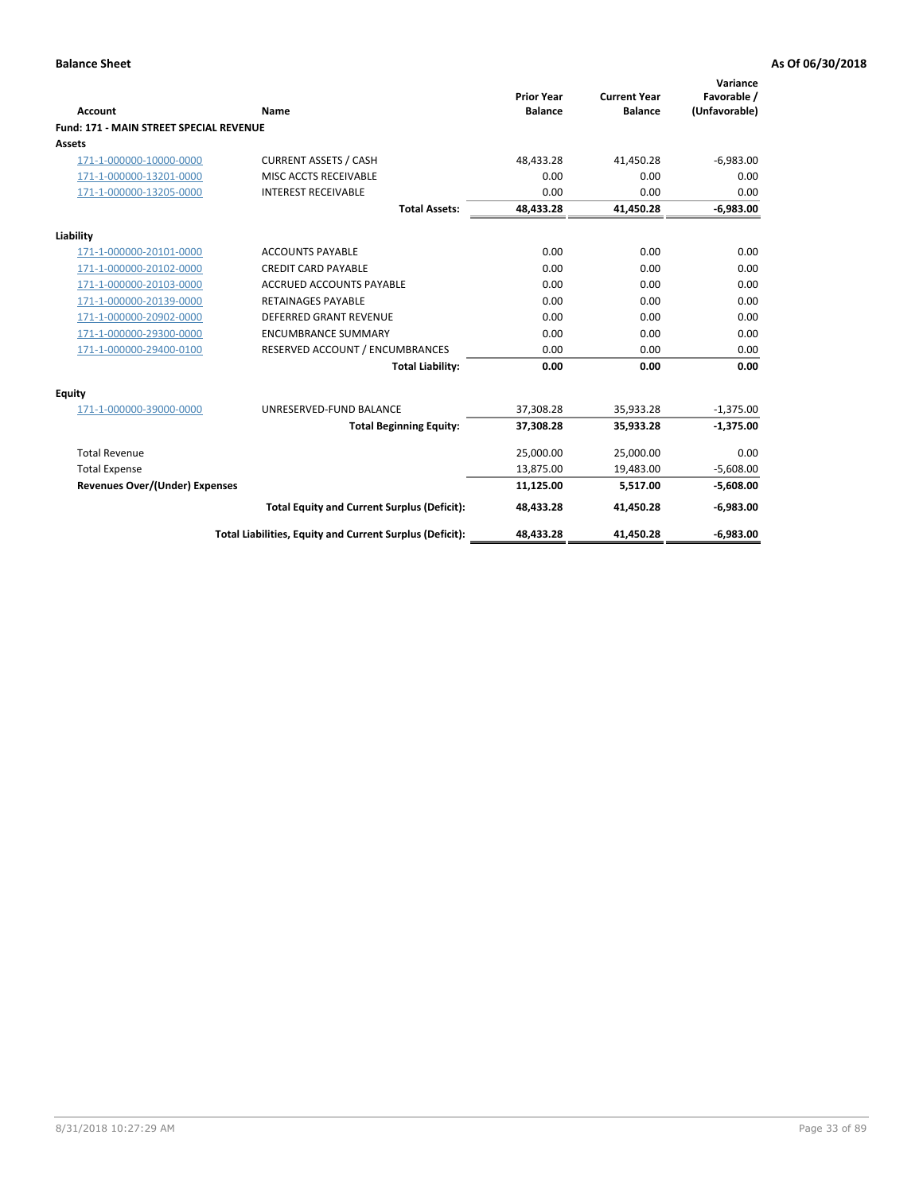|                                                |                                                          | <b>Prior Year</b> | <b>Current Year</b> | Variance<br>Favorable / |
|------------------------------------------------|----------------------------------------------------------|-------------------|---------------------|-------------------------|
| Account                                        | Name                                                     | <b>Balance</b>    | <b>Balance</b>      | (Unfavorable)           |
| <b>Fund: 171 - MAIN STREET SPECIAL REVENUE</b> |                                                          |                   |                     |                         |
| Assets                                         |                                                          |                   |                     |                         |
| 171-1-000000-10000-0000                        | <b>CURRENT ASSETS / CASH</b>                             | 48.433.28         | 41,450.28           | $-6,983.00$             |
| 171-1-000000-13201-0000                        | MISC ACCTS RECEIVABLE                                    | 0.00              | 0.00                | 0.00                    |
| 171-1-000000-13205-0000                        | <b>INTEREST RECEIVABLE</b>                               | 0.00              | 0.00                | 0.00                    |
|                                                | <b>Total Assets:</b>                                     | 48,433.28         | 41,450.28           | $-6,983.00$             |
| Liability                                      |                                                          |                   |                     |                         |
| 171-1-000000-20101-0000                        | <b>ACCOUNTS PAYABLE</b>                                  | 0.00              | 0.00                | 0.00                    |
| 171-1-000000-20102-0000                        | <b>CREDIT CARD PAYABLE</b>                               | 0.00              | 0.00                | 0.00                    |
| 171-1-000000-20103-0000                        | <b>ACCRUED ACCOUNTS PAYABLE</b>                          | 0.00              | 0.00                | 0.00                    |
| 171-1-000000-20139-0000                        | <b>RETAINAGES PAYABLE</b>                                | 0.00              | 0.00                | 0.00                    |
| 171-1-000000-20902-0000                        | <b>DEFERRED GRANT REVENUE</b>                            | 0.00              | 0.00                | 0.00                    |
| 171-1-000000-29300-0000                        | <b>ENCUMBRANCE SUMMARY</b>                               | 0.00              | 0.00                | 0.00                    |
| 171-1-000000-29400-0100                        | RESERVED ACCOUNT / ENCUMBRANCES                          | 0.00              | 0.00                | 0.00                    |
|                                                | <b>Total Liability:</b>                                  | 0.00              | 0.00                | 0.00                    |
| <b>Equity</b>                                  |                                                          |                   |                     |                         |
| 171-1-000000-39000-0000                        | UNRESERVED-FUND BALANCE                                  | 37,308.28         | 35,933.28           | $-1,375.00$             |
|                                                | <b>Total Beginning Equity:</b>                           | 37,308.28         | 35,933.28           | $-1,375.00$             |
| <b>Total Revenue</b>                           |                                                          | 25,000.00         | 25,000.00           | 0.00                    |
| <b>Total Expense</b>                           |                                                          | 13,875.00         | 19,483.00           | $-5,608.00$             |
| <b>Revenues Over/(Under) Expenses</b>          |                                                          | 11,125.00         | 5,517.00            | $-5,608.00$             |
|                                                | <b>Total Equity and Current Surplus (Deficit):</b>       | 48,433.28         | 41,450.28           | $-6,983.00$             |
|                                                | Total Liabilities, Equity and Current Surplus (Deficit): | 48,433.28         | 41,450.28           | $-6,983.00$             |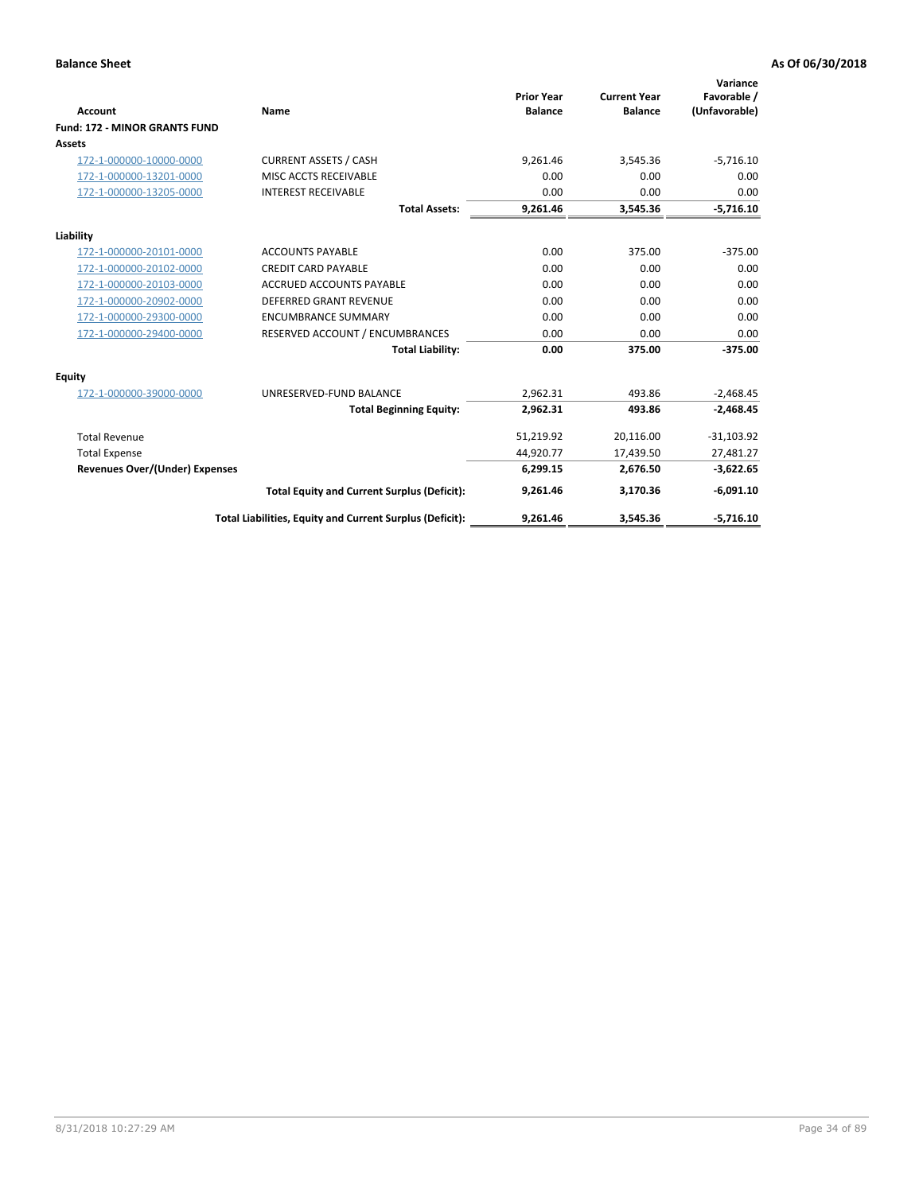|                                      |                                                          | <b>Prior Year</b> | <b>Current Year</b> | Variance<br>Favorable / |
|--------------------------------------|----------------------------------------------------------|-------------------|---------------------|-------------------------|
| <b>Account</b>                       | Name                                                     | <b>Balance</b>    | <b>Balance</b>      | (Unfavorable)           |
| <b>Fund: 172 - MINOR GRANTS FUND</b> |                                                          |                   |                     |                         |
| <b>Assets</b>                        |                                                          |                   |                     |                         |
| 172-1-000000-10000-0000              | <b>CURRENT ASSETS / CASH</b>                             | 9,261.46          | 3,545.36            | $-5,716.10$             |
| 172-1-000000-13201-0000              | MISC ACCTS RECEIVABLE                                    | 0.00              | 0.00                | 0.00                    |
| 172-1-000000-13205-0000              | <b>INTEREST RECEIVABLE</b>                               | 0.00              | 0.00                | 0.00                    |
|                                      | <b>Total Assets:</b>                                     | 9,261.46          | 3,545.36            | $-5,716.10$             |
| Liability                            |                                                          |                   |                     |                         |
| 172-1-000000-20101-0000              | <b>ACCOUNTS PAYABLE</b>                                  | 0.00              | 375.00              | $-375.00$               |
| 172-1-000000-20102-0000              | <b>CREDIT CARD PAYABLE</b>                               | 0.00              | 0.00                | 0.00                    |
| 172-1-000000-20103-0000              | <b>ACCRUED ACCOUNTS PAYABLE</b>                          | 0.00              | 0.00                | 0.00                    |
| 172-1-000000-20902-0000              | DEFERRED GRANT REVENUE                                   | 0.00              | 0.00                | 0.00                    |
| 172-1-000000-29300-0000              | <b>ENCUMBRANCE SUMMARY</b>                               | 0.00              | 0.00                | 0.00                    |
| 172-1-000000-29400-0000              | RESERVED ACCOUNT / ENCUMBRANCES                          | 0.00              | 0.00                | 0.00                    |
|                                      | <b>Total Liability:</b>                                  | 0.00              | 375.00              | $-375.00$               |
| Equity                               |                                                          |                   |                     |                         |
| 172-1-000000-39000-0000              | UNRESERVED-FUND BALANCE                                  | 2,962.31          | 493.86              | $-2,468.45$             |
|                                      | <b>Total Beginning Equity:</b>                           | 2,962.31          | 493.86              | $-2,468.45$             |
| <b>Total Revenue</b>                 |                                                          | 51,219.92         | 20,116.00           | $-31,103.92$            |
| <b>Total Expense</b>                 |                                                          | 44,920.77         | 17,439.50           | 27,481.27               |
| Revenues Over/(Under) Expenses       |                                                          | 6,299.15          | 2,676.50            | $-3,622.65$             |
|                                      | <b>Total Equity and Current Surplus (Deficit):</b>       | 9,261.46          | 3,170.36            | $-6,091.10$             |
|                                      | Total Liabilities, Equity and Current Surplus (Deficit): | 9,261.46          | 3,545.36            | $-5,716.10$             |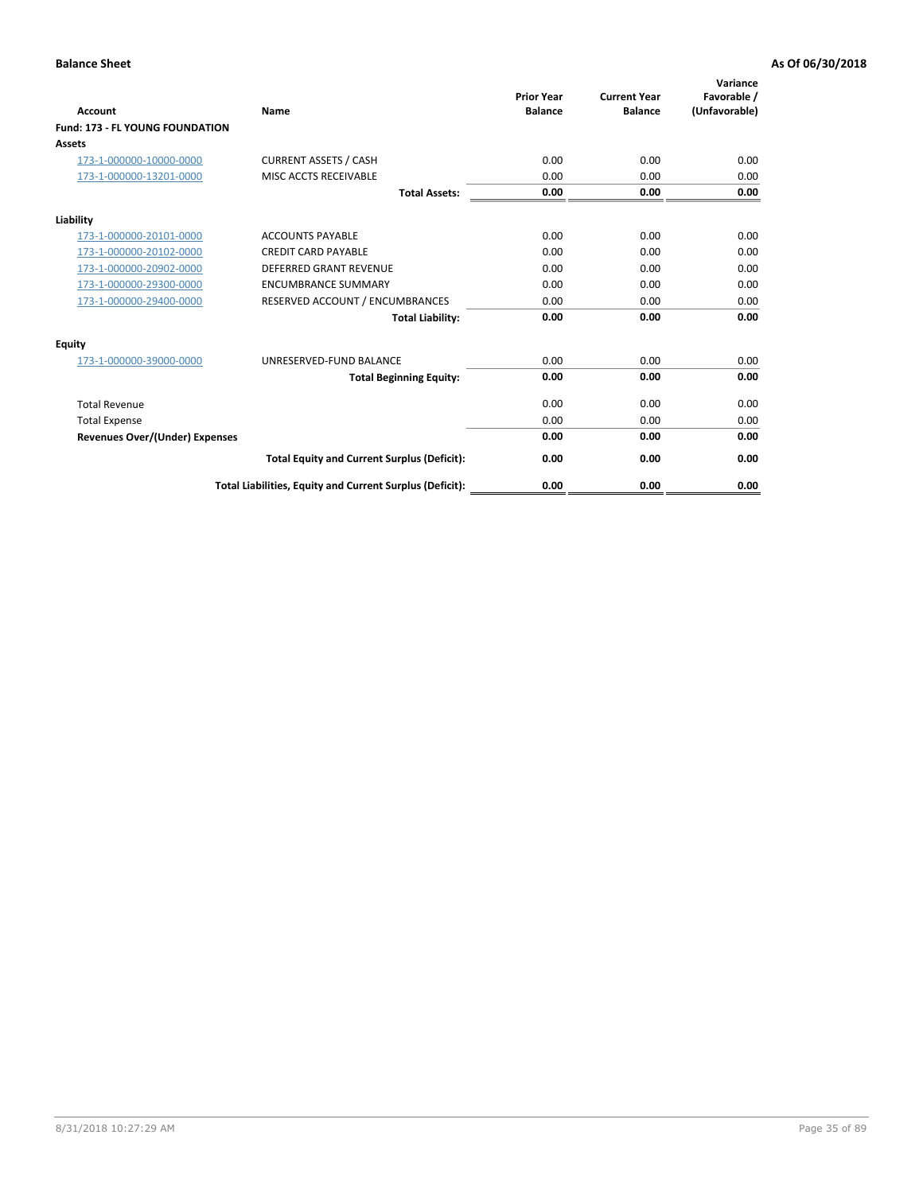| <b>Account</b>                         | <b>Name</b>                                              | <b>Prior Year</b><br><b>Balance</b> | <b>Current Year</b><br><b>Balance</b> | Variance<br>Favorable /<br>(Unfavorable) |
|----------------------------------------|----------------------------------------------------------|-------------------------------------|---------------------------------------|------------------------------------------|
| <b>Fund: 173 - FL YOUNG FOUNDATION</b> |                                                          |                                     |                                       |                                          |
| Assets                                 |                                                          |                                     |                                       |                                          |
| 173-1-000000-10000-0000                | <b>CURRENT ASSETS / CASH</b>                             | 0.00                                | 0.00                                  | 0.00                                     |
| 173-1-000000-13201-0000                | MISC ACCTS RECEIVABLE                                    | 0.00                                | 0.00                                  | 0.00                                     |
|                                        | <b>Total Assets:</b>                                     | 0.00                                | 0.00                                  | 0.00                                     |
| Liability                              |                                                          |                                     |                                       |                                          |
| 173-1-000000-20101-0000                | <b>ACCOUNTS PAYABLE</b>                                  | 0.00                                | 0.00                                  | 0.00                                     |
| 173-1-000000-20102-0000                | <b>CREDIT CARD PAYABLE</b>                               | 0.00                                | 0.00                                  | 0.00                                     |
| 173-1-000000-20902-0000                | <b>DEFERRED GRANT REVENUE</b>                            | 0.00                                | 0.00                                  | 0.00                                     |
| 173-1-000000-29300-0000                | <b>ENCUMBRANCE SUMMARY</b>                               | 0.00                                | 0.00                                  | 0.00                                     |
| 173-1-000000-29400-0000                | RESERVED ACCOUNT / ENCUMBRANCES                          | 0.00                                | 0.00                                  | 0.00                                     |
|                                        | <b>Total Liability:</b>                                  | 0.00                                | 0.00                                  | 0.00                                     |
| Equity                                 |                                                          |                                     |                                       |                                          |
| 173-1-000000-39000-0000                | UNRESERVED-FUND BALANCE                                  | 0.00                                | 0.00                                  | 0.00                                     |
|                                        | <b>Total Beginning Equity:</b>                           | 0.00                                | 0.00                                  | 0.00                                     |
| <b>Total Revenue</b>                   |                                                          | 0.00                                | 0.00                                  | 0.00                                     |
| <b>Total Expense</b>                   |                                                          | 0.00                                | 0.00                                  | 0.00                                     |
| <b>Revenues Over/(Under) Expenses</b>  |                                                          | 0.00                                | 0.00                                  | 0.00                                     |
|                                        | <b>Total Equity and Current Surplus (Deficit):</b>       | 0.00                                | 0.00                                  | 0.00                                     |
|                                        | Total Liabilities, Equity and Current Surplus (Deficit): | 0.00                                | 0.00                                  | 0.00                                     |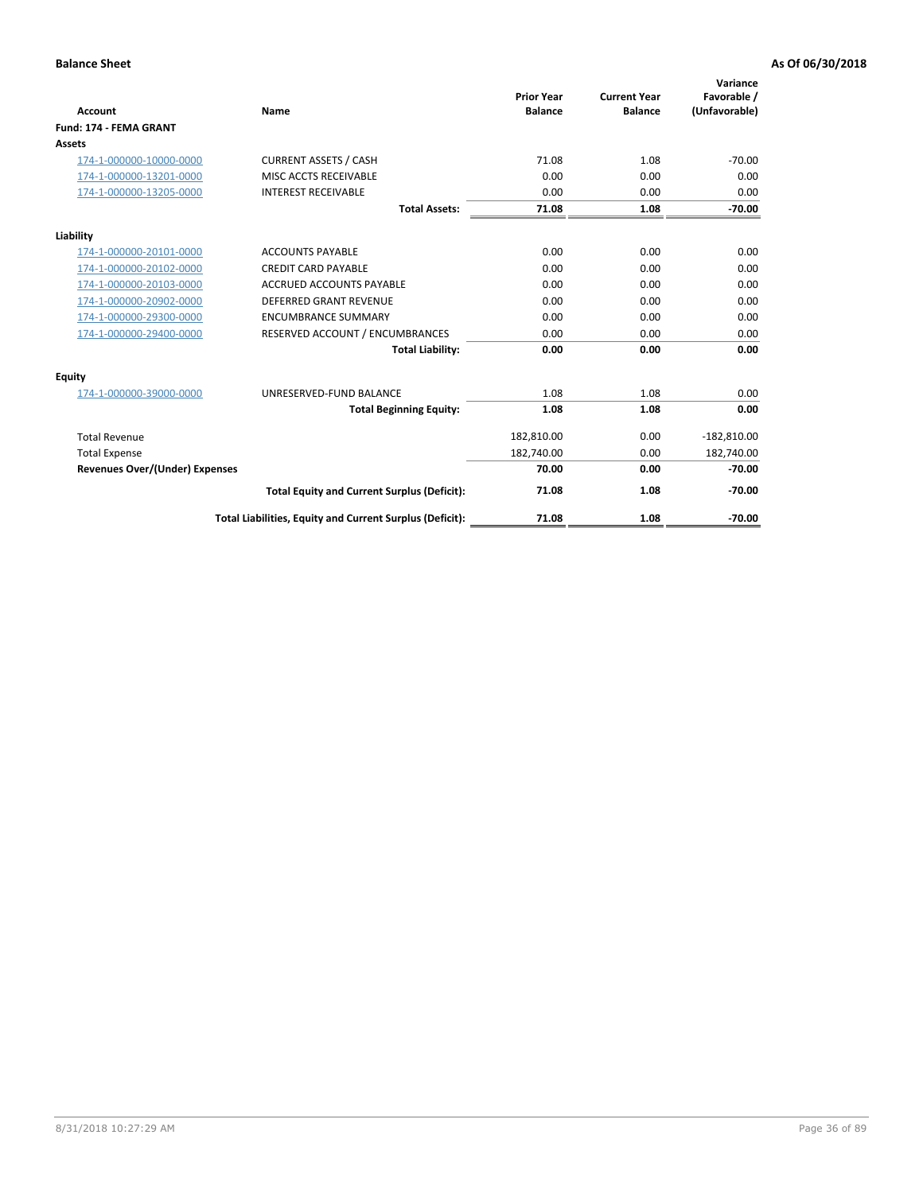|                                       |                                                          | <b>Prior Year</b> | <b>Current Year</b> | Variance<br>Favorable / |
|---------------------------------------|----------------------------------------------------------|-------------------|---------------------|-------------------------|
| <b>Account</b>                        | Name                                                     | <b>Balance</b>    | <b>Balance</b>      | (Unfavorable)           |
| Fund: 174 - FEMA GRANT                |                                                          |                   |                     |                         |
| <b>Assets</b>                         |                                                          |                   |                     |                         |
| 174-1-000000-10000-0000               | <b>CURRENT ASSETS / CASH</b>                             | 71.08             | 1.08                | $-70.00$                |
| 174-1-000000-13201-0000               | MISC ACCTS RECEIVABLE                                    | 0.00              | 0.00                | 0.00                    |
| 174-1-000000-13205-0000               | <b>INTEREST RECEIVABLE</b>                               | 0.00              | 0.00                | 0.00                    |
|                                       | <b>Total Assets:</b>                                     | 71.08             | 1.08                | $-70.00$                |
| Liability                             |                                                          |                   |                     |                         |
| 174-1-000000-20101-0000               | <b>ACCOUNTS PAYABLE</b>                                  | 0.00              | 0.00                | 0.00                    |
| 174-1-000000-20102-0000               | <b>CREDIT CARD PAYABLE</b>                               | 0.00              | 0.00                | 0.00                    |
| 174-1-000000-20103-0000               | <b>ACCRUED ACCOUNTS PAYABLE</b>                          | 0.00              | 0.00                | 0.00                    |
| 174-1-000000-20902-0000               | DEFERRED GRANT REVENUE                                   | 0.00              | 0.00                | 0.00                    |
| 174-1-000000-29300-0000               | <b>ENCUMBRANCE SUMMARY</b>                               | 0.00              | 0.00                | 0.00                    |
| 174-1-000000-29400-0000               | RESERVED ACCOUNT / ENCUMBRANCES                          | 0.00              | 0.00                | 0.00                    |
|                                       | <b>Total Liability:</b>                                  | 0.00              | 0.00                | 0.00                    |
| Equity                                |                                                          |                   |                     |                         |
| 174-1-000000-39000-0000               | UNRESERVED-FUND BALANCE                                  | 1.08              | 1.08                | 0.00                    |
|                                       | <b>Total Beginning Equity:</b>                           | 1.08              | 1.08                | 0.00                    |
| <b>Total Revenue</b>                  |                                                          | 182,810.00        | 0.00                | $-182,810.00$           |
| <b>Total Expense</b>                  |                                                          | 182,740.00        | 0.00                | 182,740.00              |
| <b>Revenues Over/(Under) Expenses</b> |                                                          | 70.00             | 0.00                | $-70.00$                |
|                                       | <b>Total Equity and Current Surplus (Deficit):</b>       | 71.08             | 1.08                | $-70.00$                |
|                                       | Total Liabilities, Equity and Current Surplus (Deficit): | 71.08             | 1.08                | $-70.00$                |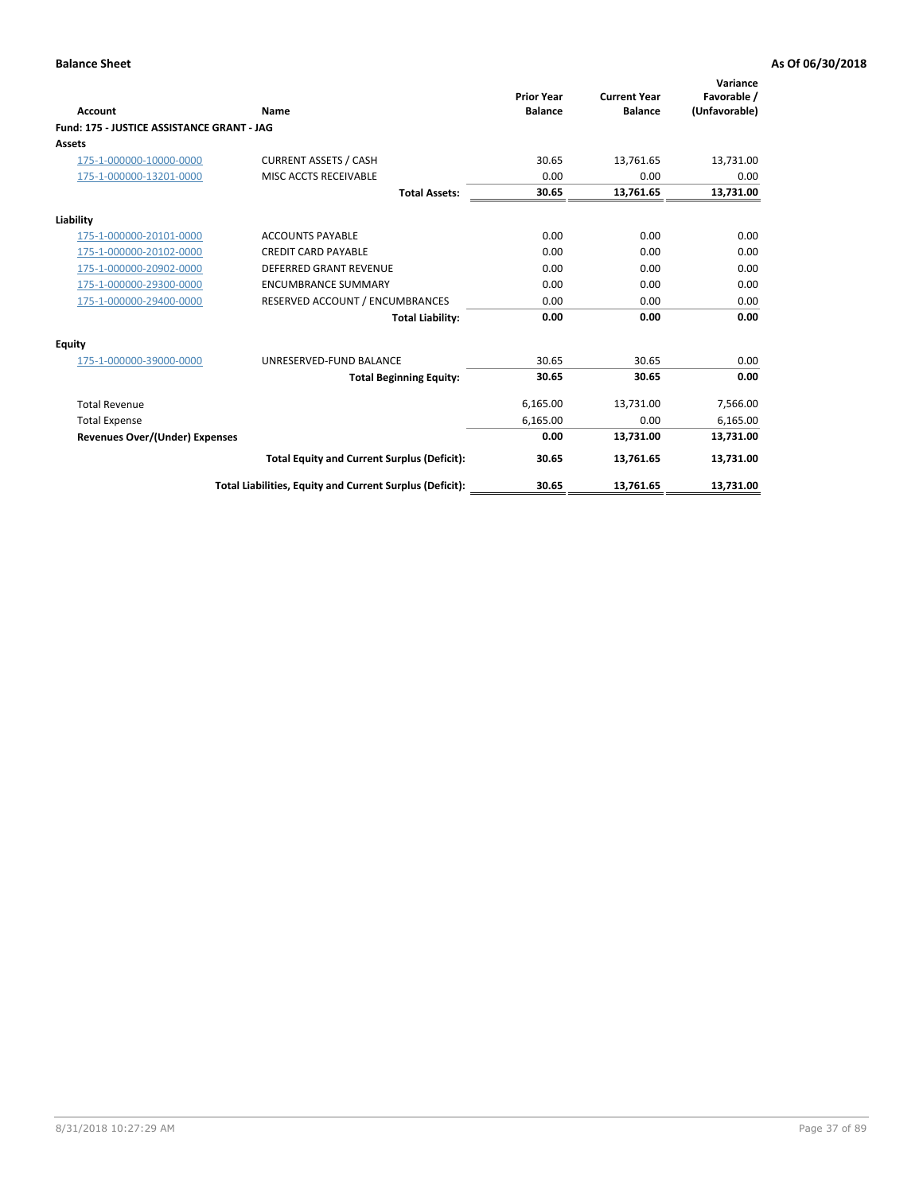| <b>Account</b>                             | Name                                                     | <b>Prior Year</b><br><b>Balance</b> | <b>Current Year</b><br><b>Balance</b> | Variance<br>Favorable /<br>(Unfavorable) |
|--------------------------------------------|----------------------------------------------------------|-------------------------------------|---------------------------------------|------------------------------------------|
| Fund: 175 - JUSTICE ASSISTANCE GRANT - JAG |                                                          |                                     |                                       |                                          |
| <b>Assets</b>                              |                                                          |                                     |                                       |                                          |
| 175-1-000000-10000-0000                    | <b>CURRENT ASSETS / CASH</b>                             | 30.65                               | 13,761.65                             | 13,731.00                                |
| 175-1-000000-13201-0000                    | MISC ACCTS RECEIVABLE                                    | 0.00                                | 0.00                                  | 0.00                                     |
|                                            | <b>Total Assets:</b>                                     | 30.65                               | 13,761.65                             | 13,731.00                                |
| Liability                                  |                                                          |                                     |                                       |                                          |
| 175-1-000000-20101-0000                    | <b>ACCOUNTS PAYABLE</b>                                  | 0.00                                | 0.00                                  | 0.00                                     |
| 175-1-000000-20102-0000                    | <b>CREDIT CARD PAYABLE</b>                               | 0.00                                | 0.00                                  | 0.00                                     |
| 175-1-000000-20902-0000                    | <b>DEFERRED GRANT REVENUE</b>                            | 0.00                                | 0.00                                  | 0.00                                     |
| 175-1-000000-29300-0000                    | <b>ENCUMBRANCE SUMMARY</b>                               | 0.00                                | 0.00                                  | 0.00                                     |
| 175-1-000000-29400-0000                    | RESERVED ACCOUNT / ENCUMBRANCES                          | 0.00                                | 0.00                                  | 0.00                                     |
|                                            | <b>Total Liability:</b>                                  | 0.00                                | 0.00                                  | 0.00                                     |
| Equity                                     |                                                          |                                     |                                       |                                          |
| 175-1-000000-39000-0000                    | UNRESERVED-FUND BALANCE                                  | 30.65                               | 30.65                                 | 0.00                                     |
|                                            | <b>Total Beginning Equity:</b>                           | 30.65                               | 30.65                                 | 0.00                                     |
| <b>Total Revenue</b>                       |                                                          | 6,165.00                            | 13,731.00                             | 7,566.00                                 |
| <b>Total Expense</b>                       |                                                          | 6,165.00                            | 0.00                                  | 6,165.00                                 |
| Revenues Over/(Under) Expenses             |                                                          | 0.00                                | 13,731.00                             | 13,731.00                                |
|                                            | <b>Total Equity and Current Surplus (Deficit):</b>       | 30.65                               | 13,761.65                             | 13,731.00                                |
|                                            | Total Liabilities, Equity and Current Surplus (Deficit): | 30.65                               | 13,761.65                             | 13,731.00                                |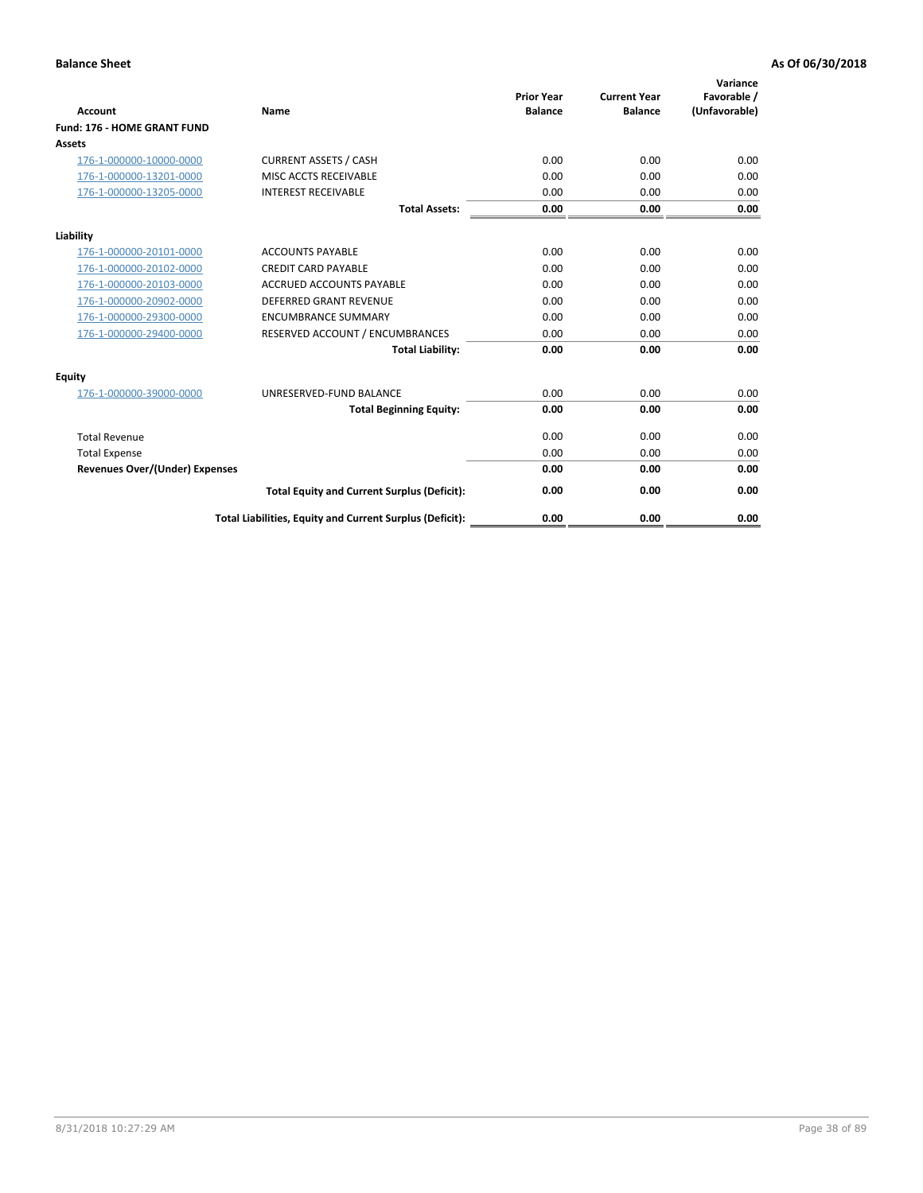| <b>Account</b>                        | Name                                                     | <b>Prior Year</b><br><b>Balance</b> | <b>Current Year</b><br><b>Balance</b> | Variance<br>Favorable /<br>(Unfavorable) |
|---------------------------------------|----------------------------------------------------------|-------------------------------------|---------------------------------------|------------------------------------------|
| Fund: 176 - HOME GRANT FUND           |                                                          |                                     |                                       |                                          |
| Assets                                |                                                          |                                     |                                       |                                          |
| 176-1-000000-10000-0000               | <b>CURRENT ASSETS / CASH</b>                             | 0.00                                | 0.00                                  | 0.00                                     |
| 176-1-000000-13201-0000               | MISC ACCTS RECEIVABLE                                    | 0.00                                | 0.00                                  | 0.00                                     |
| 176-1-000000-13205-0000               | <b>INTEREST RECEIVABLE</b>                               | 0.00                                | 0.00                                  | 0.00                                     |
|                                       | <b>Total Assets:</b>                                     | 0.00                                | 0.00                                  | 0.00                                     |
| Liability                             |                                                          |                                     |                                       |                                          |
| 176-1-000000-20101-0000               | <b>ACCOUNTS PAYABLE</b>                                  | 0.00                                | 0.00                                  | 0.00                                     |
| 176-1-000000-20102-0000               | <b>CREDIT CARD PAYABLE</b>                               | 0.00                                | 0.00                                  | 0.00                                     |
| 176-1-000000-20103-0000               | <b>ACCRUED ACCOUNTS PAYABLE</b>                          | 0.00                                | 0.00                                  | 0.00                                     |
| 176-1-000000-20902-0000               | <b>DEFERRED GRANT REVENUE</b>                            | 0.00                                | 0.00                                  | 0.00                                     |
| 176-1-000000-29300-0000               | <b>ENCUMBRANCE SUMMARY</b>                               | 0.00                                | 0.00                                  | 0.00                                     |
| 176-1-000000-29400-0000               | RESERVED ACCOUNT / ENCUMBRANCES                          | 0.00                                | 0.00                                  | 0.00                                     |
|                                       | <b>Total Liability:</b>                                  | 0.00                                | 0.00                                  | 0.00                                     |
| <b>Equity</b>                         |                                                          |                                     |                                       |                                          |
| 176-1-000000-39000-0000               | UNRESERVED-FUND BALANCE                                  | 0.00                                | 0.00                                  | 0.00                                     |
|                                       | <b>Total Beginning Equity:</b>                           | 0.00                                | 0.00                                  | 0.00                                     |
| <b>Total Revenue</b>                  |                                                          | 0.00                                | 0.00                                  | 0.00                                     |
| <b>Total Expense</b>                  |                                                          | 0.00                                | 0.00                                  | 0.00                                     |
| <b>Revenues Over/(Under) Expenses</b> |                                                          | 0.00                                | 0.00                                  | 0.00                                     |
|                                       | <b>Total Equity and Current Surplus (Deficit):</b>       | 0.00                                | 0.00                                  | 0.00                                     |
|                                       | Total Liabilities, Equity and Current Surplus (Deficit): | 0.00                                | 0.00                                  | 0.00                                     |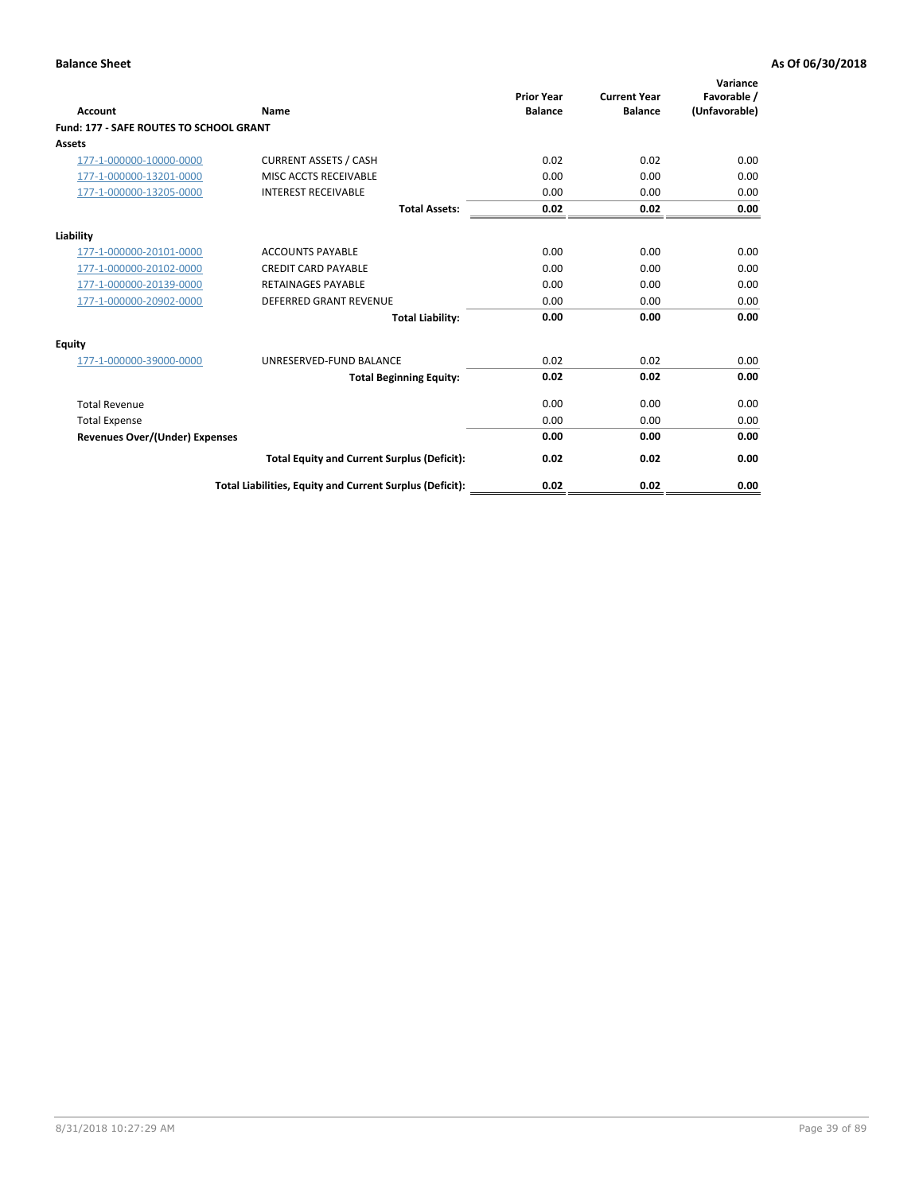| Account                                        | Name                                                     | <b>Prior Year</b><br><b>Balance</b> | <b>Current Year</b><br><b>Balance</b> | Variance<br>Favorable /<br>(Unfavorable) |
|------------------------------------------------|----------------------------------------------------------|-------------------------------------|---------------------------------------|------------------------------------------|
| <b>Fund: 177 - SAFE ROUTES TO SCHOOL GRANT</b> |                                                          |                                     |                                       |                                          |
| <b>Assets</b>                                  |                                                          |                                     |                                       |                                          |
| 177-1-000000-10000-0000                        | <b>CURRENT ASSETS / CASH</b>                             | 0.02                                | 0.02                                  | 0.00                                     |
| 177-1-000000-13201-0000                        | MISC ACCTS RECEIVABLE                                    | 0.00                                | 0.00                                  | 0.00                                     |
| 177-1-000000-13205-0000                        | <b>INTEREST RECEIVABLE</b>                               | 0.00                                | 0.00                                  | 0.00                                     |
|                                                | <b>Total Assets:</b>                                     | 0.02                                | 0.02                                  | 0.00                                     |
| Liability                                      |                                                          |                                     |                                       |                                          |
| 177-1-000000-20101-0000                        | <b>ACCOUNTS PAYABLE</b>                                  | 0.00                                | 0.00                                  | 0.00                                     |
| 177-1-000000-20102-0000                        | <b>CREDIT CARD PAYABLE</b>                               | 0.00                                | 0.00                                  | 0.00                                     |
| 177-1-000000-20139-0000                        | <b>RETAINAGES PAYABLE</b>                                | 0.00                                | 0.00                                  | 0.00                                     |
| 177-1-000000-20902-0000                        | <b>DEFERRED GRANT REVENUE</b>                            | 0.00                                | 0.00                                  | 0.00                                     |
|                                                | <b>Total Liability:</b>                                  | 0.00                                | 0.00                                  | 0.00                                     |
| Equity                                         |                                                          |                                     |                                       |                                          |
| 177-1-000000-39000-0000                        | UNRESERVED-FUND BALANCE                                  | 0.02                                | 0.02                                  | 0.00                                     |
|                                                | <b>Total Beginning Equity:</b>                           | 0.02                                | 0.02                                  | 0.00                                     |
| <b>Total Revenue</b>                           |                                                          | 0.00                                | 0.00                                  | 0.00                                     |
| <b>Total Expense</b>                           |                                                          | 0.00                                | 0.00                                  | 0.00                                     |
| <b>Revenues Over/(Under) Expenses</b>          |                                                          | 0.00                                | 0.00                                  | 0.00                                     |
|                                                | <b>Total Equity and Current Surplus (Deficit):</b>       | 0.02                                | 0.02                                  | 0.00                                     |
|                                                | Total Liabilities, Equity and Current Surplus (Deficit): | 0.02                                | 0.02                                  | 0.00                                     |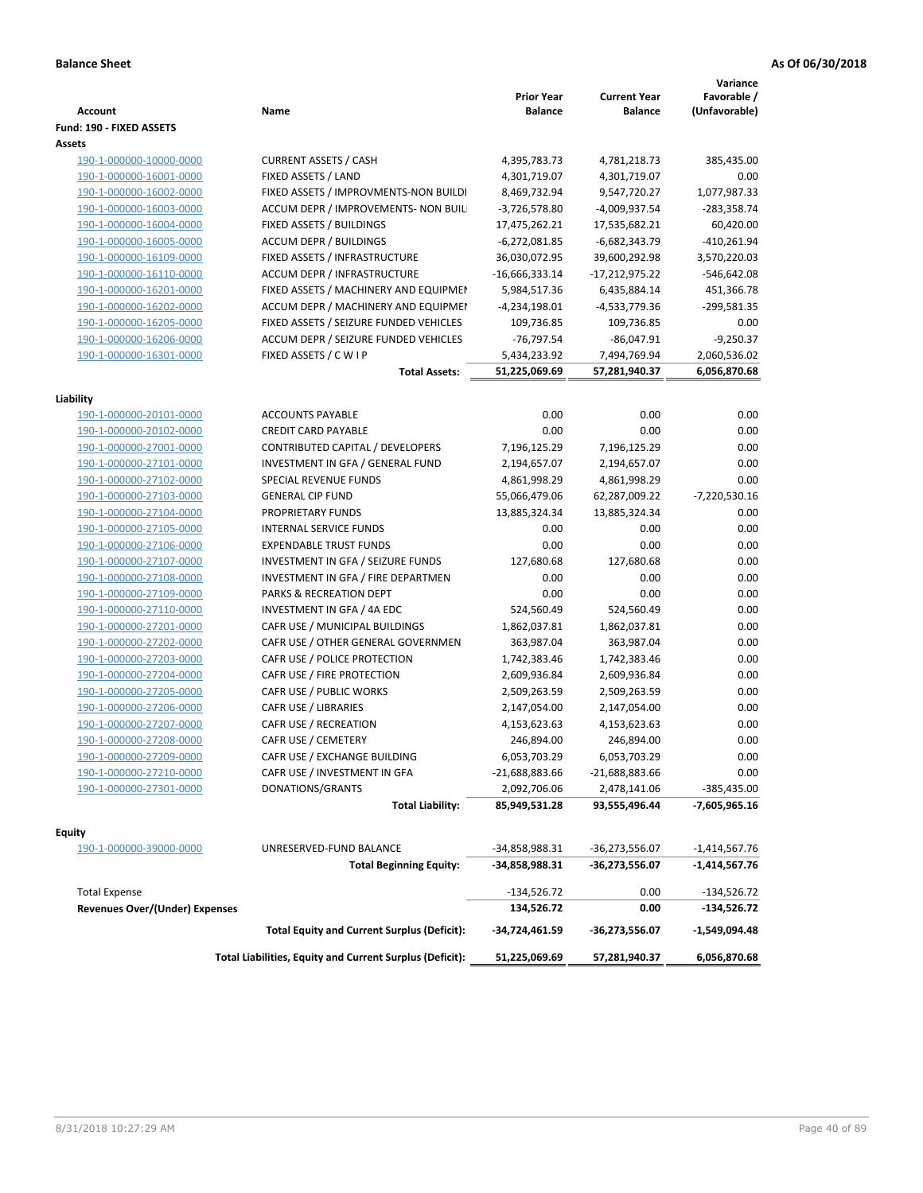| <b>Account</b>                        | Name                                                     | <b>Prior Year</b><br><b>Balance</b> | <b>Current Year</b><br><b>Balance</b> | Variance<br>Favorable /<br>(Unfavorable) |
|---------------------------------------|----------------------------------------------------------|-------------------------------------|---------------------------------------|------------------------------------------|
| Fund: 190 - FIXED ASSETS              |                                                          |                                     |                                       |                                          |
| Assets                                |                                                          |                                     |                                       |                                          |
| 190-1-000000-10000-0000               | <b>CURRENT ASSETS / CASH</b>                             | 4,395,783.73                        | 4,781,218.73                          | 385,435.00                               |
| 190-1-000000-16001-0000               | FIXED ASSETS / LAND                                      | 4,301,719.07                        | 4,301,719.07                          | 0.00                                     |
| 190-1-000000-16002-0000               | FIXED ASSETS / IMPROVMENTS-NON BUILDI                    | 8,469,732.94                        | 9,547,720.27                          | 1,077,987.33                             |
| 190-1-000000-16003-0000               | ACCUM DEPR / IMPROVEMENTS- NON BUIL                      | $-3,726,578.80$                     | -4,009,937.54                         | $-283,358.74$                            |
| 190-1-000000-16004-0000               | FIXED ASSETS / BUILDINGS                                 | 17,475,262.21                       | 17,535,682.21                         | 60,420.00                                |
| 190-1-000000-16005-0000               | <b>ACCUM DEPR / BUILDINGS</b>                            | $-6,272,081.85$                     | $-6,682,343.79$                       | $-410,261.94$                            |
| 190-1-000000-16109-0000               | FIXED ASSETS / INFRASTRUCTURE                            | 36,030,072.95                       | 39,600,292.98                         | 3,570,220.03                             |
| 190-1-000000-16110-0000               | ACCUM DEPR / INFRASTRUCTURE                              | $-16,666,333.14$                    | $-17,212,975.22$                      | $-546,642.08$                            |
| 190-1-000000-16201-0000               | FIXED ASSETS / MACHINERY AND EQUIPMEN                    | 5,984,517.36                        | 6,435,884.14                          | 451,366.78                               |
| 190-1-000000-16202-0000               | ACCUM DEPR / MACHINERY AND EQUIPMEI                      | -4,234,198.01                       | -4,533,779.36                         | -299,581.35                              |
| 190-1-000000-16205-0000               | FIXED ASSETS / SEIZURE FUNDED VEHICLES                   | 109,736.85                          | 109,736.85                            | 0.00                                     |
| 190-1-000000-16206-0000               | ACCUM DEPR / SEIZURE FUNDED VEHICLES                     | $-76,797.54$                        | $-86,047.91$                          | $-9,250.37$                              |
| 190-1-000000-16301-0000               | FIXED ASSETS / C W I P                                   | 5,434,233.92                        | 7,494,769.94                          | 2,060,536.02                             |
|                                       | <b>Total Assets:</b>                                     | 51,225,069.69                       | 57,281,940.37                         | 6,056,870.68                             |
|                                       |                                                          |                                     |                                       |                                          |
| Liability                             |                                                          |                                     |                                       |                                          |
| 190-1-000000-20101-0000               | <b>ACCOUNTS PAYABLE</b>                                  | 0.00                                | 0.00                                  | 0.00                                     |
| 190-1-000000-20102-0000               | <b>CREDIT CARD PAYABLE</b>                               | 0.00                                | 0.00                                  | 0.00                                     |
| 190-1-000000-27001-0000               | CONTRIBUTED CAPITAL / DEVELOPERS                         | 7,196,125.29                        | 7,196,125.29                          | 0.00                                     |
| 190-1-000000-27101-0000               | INVESTMENT IN GFA / GENERAL FUND                         | 2,194,657.07                        | 2,194,657.07                          | 0.00                                     |
| 190-1-000000-27102-0000               | <b>SPECIAL REVENUE FUNDS</b>                             | 4,861,998.29                        | 4,861,998.29                          | 0.00                                     |
| 190-1-000000-27103-0000               | <b>GENERAL CIP FUND</b>                                  | 55,066,479.06                       | 62,287,009.22                         | $-7,220,530.16$                          |
| 190-1-000000-27104-0000               | PROPRIETARY FUNDS                                        | 13,885,324.34                       | 13,885,324.34                         | 0.00                                     |
| 190-1-000000-27105-0000               | <b>INTERNAL SERVICE FUNDS</b>                            | 0.00                                | 0.00                                  | 0.00                                     |
| 190-1-000000-27106-0000               | <b>EXPENDABLE TRUST FUNDS</b>                            | 0.00                                | 0.00                                  | 0.00                                     |
| 190-1-000000-27107-0000               | INVESTMENT IN GFA / SEIZURE FUNDS                        | 127,680.68                          | 127,680.68                            | 0.00                                     |
| 190-1-000000-27108-0000               | INVESTMENT IN GFA / FIRE DEPARTMEN                       | 0.00                                | 0.00                                  | 0.00                                     |
| 190-1-000000-27109-0000               | PARKS & RECREATION DEPT                                  | 0.00                                | 0.00                                  | 0.00                                     |
| 190-1-000000-27110-0000               | INVESTMENT IN GFA / 4A EDC                               | 524,560.49                          | 524,560.49                            | 0.00                                     |
| 190-1-000000-27201-0000               | CAFR USE / MUNICIPAL BUILDINGS                           | 1,862,037.81                        | 1,862,037.81                          | 0.00                                     |
| 190-1-000000-27202-0000               | CAFR USE / OTHER GENERAL GOVERNMEN                       | 363,987.04                          | 363,987.04                            | 0.00                                     |
| 190-1-000000-27203-0000               | CAFR USE / POLICE PROTECTION                             | 1,742,383.46                        | 1,742,383.46                          | 0.00                                     |
| 190-1-000000-27204-0000               | CAFR USE / FIRE PROTECTION                               | 2,609,936.84                        | 2,609,936.84                          | 0.00                                     |
| 190-1-000000-27205-0000               | CAFR USE / PUBLIC WORKS                                  | 2,509,263.59                        | 2,509,263.59                          | 0.00                                     |
| 190-1-000000-27206-0000               | <b>CAFR USE / LIBRARIES</b>                              | 2,147,054.00                        | 2,147,054.00                          | 0.00                                     |
| 190-1-000000-27207-0000               | CAFR USE / RECREATION                                    | 4,153,623.63                        | 4,153,623.63                          | 0.00                                     |
| 190-1-000000-27208-0000               | CAFR USE / CEMETERY                                      | 246,894.00                          | 246,894.00                            | 0.00                                     |
| 190-1-000000-27209-0000               | CAFR USE / EXCHANGE BUILDING                             | 6,053,703.29                        | 6,053,703.29                          | 0.00                                     |
| 190-1-000000-27210-0000               | CAFR USE / INVESTMENT IN GFA                             | -21,688,883.66                      | -21,688,883.66                        | 0.00                                     |
| 190-1-000000-27301-0000               | DONATIONS/GRANTS                                         | 2,092,706.06                        | 2,478,141.06                          | -385,435.00                              |
|                                       | <b>Total Liability:</b>                                  | 85,949,531.28                       | 93,555,496.44                         | -7,605,965.16                            |
| <b>Equity</b>                         |                                                          |                                     |                                       |                                          |
| 190-1-000000-39000-0000               | UNRESERVED-FUND BALANCE                                  | -34,858,988.31                      | -36,273,556.07                        | $-1,414,567.76$                          |
|                                       | <b>Total Beginning Equity:</b>                           | -34,858,988.31                      | -36,273,556.07                        | $-1,414,567.76$                          |
| <b>Total Expense</b>                  |                                                          |                                     | 0.00                                  |                                          |
| <b>Revenues Over/(Under) Expenses</b> |                                                          | $-134,526.72$<br>134,526.72         | 0.00                                  | -134,526.72<br>-134,526.72               |
|                                       | <b>Total Equity and Current Surplus (Deficit):</b>       | -34,724,461.59                      | -36,273,556.07                        | $-1,549,094.48$                          |
|                                       | Total Liabilities, Equity and Current Surplus (Deficit): | 51,225,069.69                       | 57,281,940.37                         | 6,056,870.68                             |
|                                       |                                                          |                                     |                                       |                                          |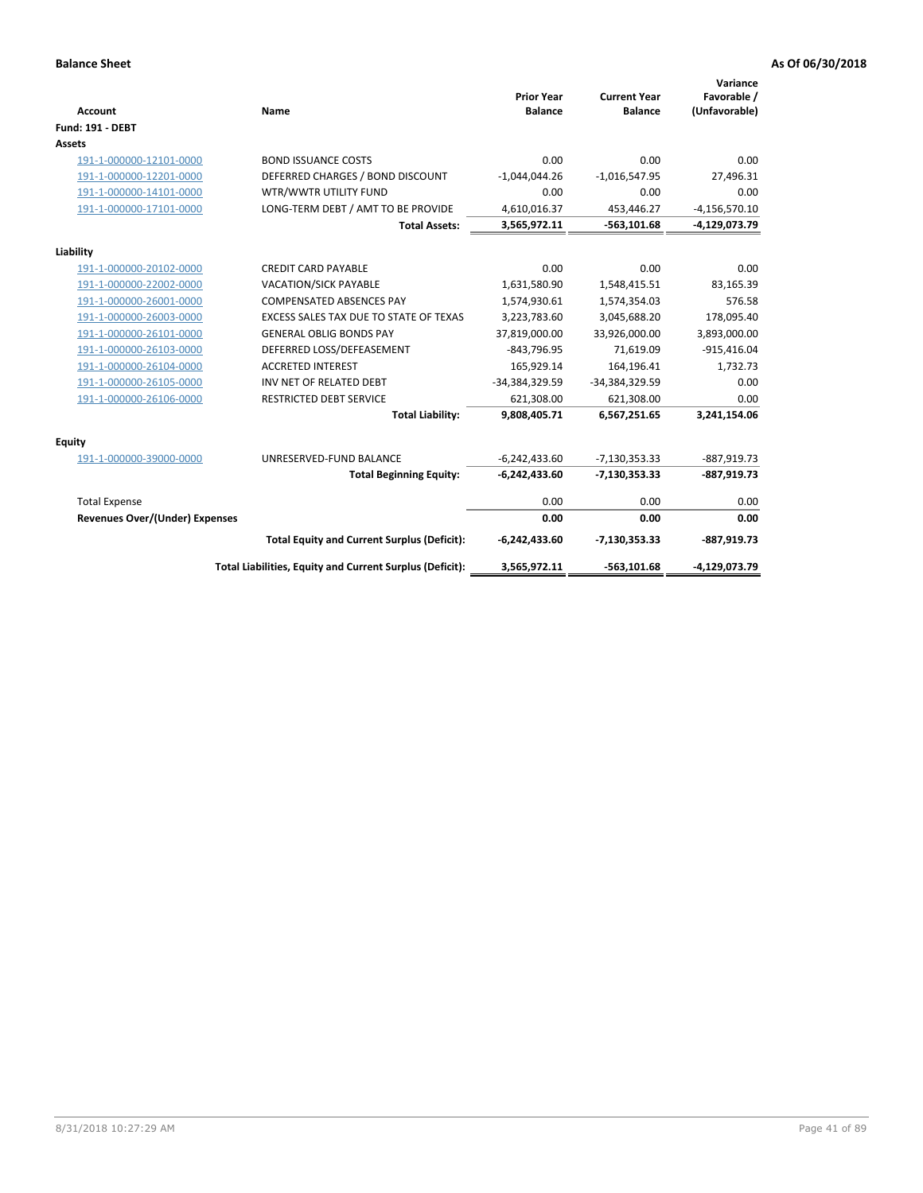| <b>Account</b>                 | Name                                                     | <b>Prior Year</b><br><b>Balance</b> | <b>Current Year</b><br><b>Balance</b> | Variance<br>Favorable /<br>(Unfavorable) |
|--------------------------------|----------------------------------------------------------|-------------------------------------|---------------------------------------|------------------------------------------|
| <b>Fund: 191 - DEBT</b>        |                                                          |                                     |                                       |                                          |
| <b>Assets</b>                  |                                                          |                                     |                                       |                                          |
| 191-1-000000-12101-0000        | <b>BOND ISSUANCE COSTS</b>                               | 0.00                                | 0.00                                  | 0.00                                     |
| 191-1-000000-12201-0000        | DEFERRED CHARGES / BOND DISCOUNT                         | $-1,044,044.26$                     | $-1,016,547.95$                       | 27,496.31                                |
| 191-1-000000-14101-0000        | WTR/WWTR UTILITY FUND                                    | 0.00                                | 0.00                                  | 0.00                                     |
| 191-1-000000-17101-0000        | LONG-TERM DEBT / AMT TO BE PROVIDE                       | 4,610,016.37                        | 453,446.27                            | $-4,156,570.10$                          |
|                                | <b>Total Assets:</b>                                     | 3,565,972.11                        | $-563,101.68$                         | -4,129,073.79                            |
| Liability                      |                                                          |                                     |                                       |                                          |
| 191-1-000000-20102-0000        | <b>CREDIT CARD PAYABLE</b>                               | 0.00                                | 0.00                                  | 0.00                                     |
| 191-1-000000-22002-0000        | <b>VACATION/SICK PAYABLE</b>                             | 1,631,580.90                        | 1,548,415.51                          | 83,165.39                                |
| 191-1-000000-26001-0000        | <b>COMPENSATED ABSENCES PAY</b>                          | 1,574,930.61                        | 1,574,354.03                          | 576.58                                   |
| 191-1-000000-26003-0000        | EXCESS SALES TAX DUE TO STATE OF TEXAS                   | 3,223,783.60                        | 3,045,688.20                          | 178,095.40                               |
| 191-1-000000-26101-0000        | <b>GENERAL OBLIG BONDS PAY</b>                           | 37,819,000.00                       | 33,926,000.00                         | 3,893,000.00                             |
| 191-1-000000-26103-0000        | DEFERRED LOSS/DEFEASEMENT                                | $-843,796.95$                       | 71,619.09                             | $-915,416.04$                            |
| 191-1-000000-26104-0000        | <b>ACCRETED INTEREST</b>                                 | 165,929.14                          | 164,196.41                            | 1,732.73                                 |
| 191-1-000000-26105-0000        | INV NET OF RELATED DEBT                                  | -34,384,329.59                      | -34,384,329.59                        | 0.00                                     |
| 191-1-000000-26106-0000        | <b>RESTRICTED DEBT SERVICE</b>                           | 621,308.00                          | 621,308.00                            | 0.00                                     |
|                                | <b>Total Liability:</b>                                  | 9,808,405.71                        | 6,567,251.65                          | 3,241,154.06                             |
| Equity                         |                                                          |                                     |                                       |                                          |
| 191-1-000000-39000-0000        | UNRESERVED-FUND BALANCE                                  | $-6,242,433.60$                     | $-7,130,353.33$                       | $-887,919.73$                            |
|                                | <b>Total Beginning Equity:</b>                           | $-6,242,433.60$                     | $-7,130,353.33$                       | $-887,919.73$                            |
| <b>Total Expense</b>           |                                                          | 0.00                                | 0.00                                  | 0.00                                     |
| Revenues Over/(Under) Expenses |                                                          | 0.00                                | 0.00                                  | 0.00                                     |
|                                | <b>Total Equity and Current Surplus (Deficit):</b>       | $-6,242,433.60$                     | $-7,130,353.33$                       | $-887,919.73$                            |
|                                | Total Liabilities, Equity and Current Surplus (Deficit): | 3,565,972.11                        | $-563,101.68$                         | -4,129,073.79                            |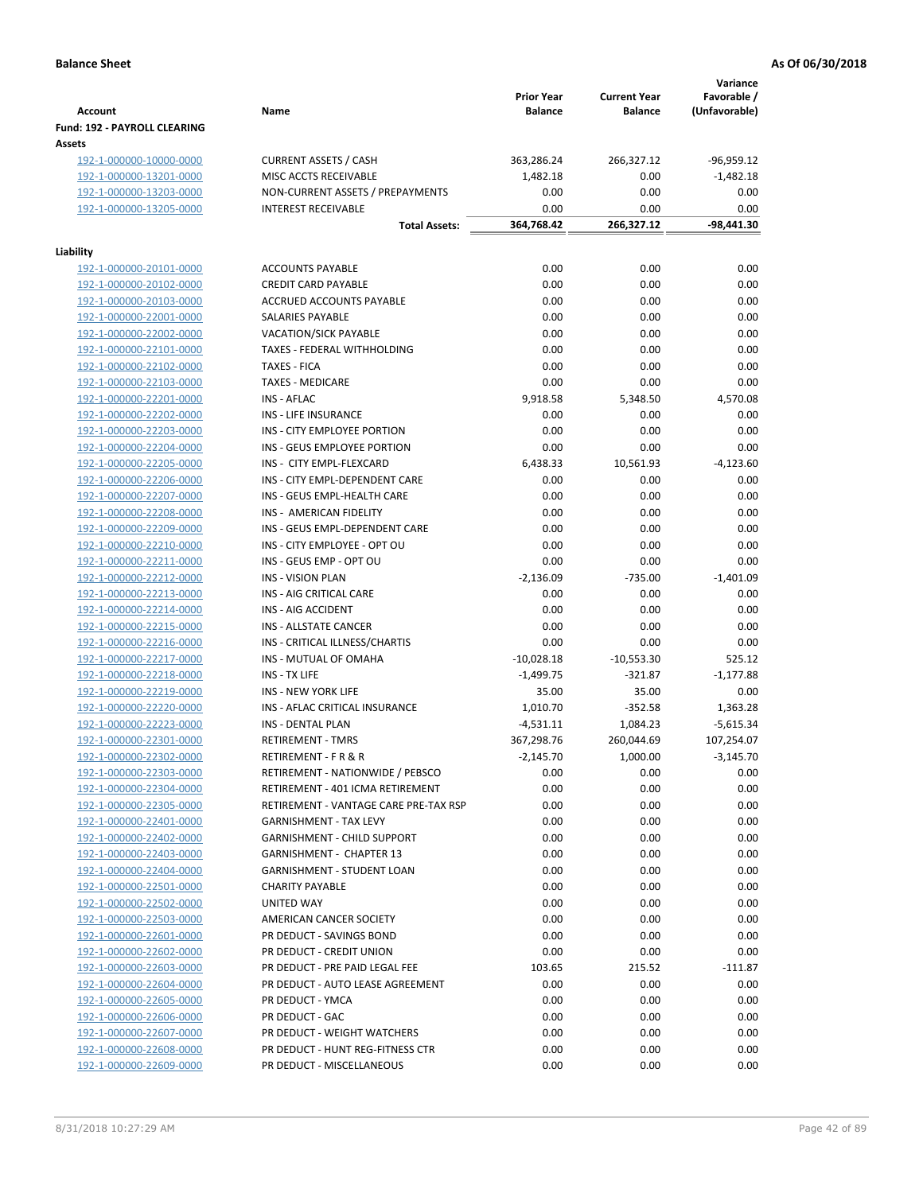| <b>Account</b>                                     | Name                                           | <b>Prior Year</b><br><b>Balance</b> | <b>Current Year</b><br><b>Balance</b> | Variance<br>Favorable /<br>(Unfavorable) |
|----------------------------------------------------|------------------------------------------------|-------------------------------------|---------------------------------------|------------------------------------------|
| <b>Fund: 192 - PAYROLL CLEARING</b><br>Assets      |                                                |                                     |                                       |                                          |
| 192-1-000000-10000-0000                            | <b>CURRENT ASSETS / CASH</b>                   | 363,286.24                          | 266,327.12                            | $-96,959.12$                             |
| 192-1-000000-13201-0000                            | MISC ACCTS RECEIVABLE                          | 1,482.18                            | 0.00                                  | $-1,482.18$                              |
| 192-1-000000-13203-0000                            | NON-CURRENT ASSETS / PREPAYMENTS               | 0.00                                | 0.00                                  | 0.00                                     |
| 192-1-000000-13205-0000                            | <b>INTEREST RECEIVABLE</b>                     | 0.00                                | 0.00                                  | 0.00                                     |
|                                                    | <b>Total Assets:</b>                           | 364,768.42                          | 266,327.12                            | -98,441.30                               |
| Liability                                          |                                                |                                     |                                       |                                          |
| 192-1-000000-20101-0000                            | <b>ACCOUNTS PAYABLE</b>                        | 0.00                                | 0.00                                  | 0.00                                     |
| 192-1-000000-20102-0000                            | <b>CREDIT CARD PAYABLE</b>                     | 0.00                                | 0.00                                  | 0.00                                     |
| 192-1-000000-20103-0000                            | ACCRUED ACCOUNTS PAYABLE                       | 0.00                                | 0.00                                  | 0.00                                     |
| 192-1-000000-22001-0000                            | SALARIES PAYABLE                               | 0.00                                | 0.00                                  | 0.00                                     |
| 192-1-000000-22002-0000                            | <b>VACATION/SICK PAYABLE</b>                   | 0.00                                | 0.00                                  | 0.00                                     |
| 192-1-000000-22101-0000                            | TAXES - FEDERAL WITHHOLDING                    | 0.00                                | 0.00                                  | 0.00                                     |
| 192-1-000000-22102-0000                            | <b>TAXES - FICA</b>                            | 0.00                                | 0.00                                  | 0.00                                     |
| 192-1-000000-22103-0000                            | <b>TAXES - MEDICARE</b>                        | 0.00                                | 0.00                                  | 0.00                                     |
| 192-1-000000-22201-0000                            | <b>INS - AFLAC</b>                             | 9,918.58                            | 5,348.50                              | 4,570.08                                 |
| 192-1-000000-22202-0000                            | INS - LIFE INSURANCE                           | 0.00                                | 0.00                                  | 0.00                                     |
| 192-1-000000-22203-0000                            | INS - CITY EMPLOYEE PORTION                    | 0.00                                | 0.00                                  | 0.00                                     |
| 192-1-000000-22204-0000                            | INS - GEUS EMPLOYEE PORTION                    | 0.00                                | 0.00                                  | 0.00                                     |
| 192-1-000000-22205-0000                            | INS - CITY EMPL-FLEXCARD                       | 6,438.33                            | 10,561.93                             | $-4,123.60$                              |
| 192-1-000000-22206-0000                            | INS - CITY EMPL-DEPENDENT CARE                 | 0.00                                | 0.00                                  | 0.00                                     |
| 192-1-000000-22207-0000                            | INS - GEUS EMPL-HEALTH CARE                    | 0.00                                | 0.00                                  | 0.00                                     |
| 192-1-000000-22208-0000                            | INS - AMERICAN FIDELITY                        | 0.00                                | 0.00                                  | 0.00                                     |
| 192-1-000000-22209-0000                            | INS - GEUS EMPL-DEPENDENT CARE                 | 0.00                                | 0.00                                  | 0.00                                     |
| 192-1-000000-22210-0000                            | INS - CITY EMPLOYEE - OPT OU                   | 0.00                                | 0.00                                  | 0.00                                     |
| 192-1-000000-22211-0000                            | INS - GEUS EMP - OPT OU                        | 0.00                                | 0.00                                  | 0.00                                     |
| 192-1-000000-22212-0000                            | INS - VISION PLAN                              | $-2,136.09$                         | $-735.00$                             | $-1,401.09$                              |
| 192-1-000000-22213-0000                            | INS - AIG CRITICAL CARE                        | 0.00                                | 0.00                                  | 0.00                                     |
| 192-1-000000-22214-0000                            | INS - AIG ACCIDENT                             | 0.00                                | 0.00                                  | 0.00                                     |
| 192-1-000000-22215-0000                            | INS - ALLSTATE CANCER                          | 0.00                                | 0.00                                  | 0.00                                     |
| 192-1-000000-22216-0000                            | INS - CRITICAL ILLNESS/CHARTIS                 | 0.00                                | 0.00                                  | 0.00                                     |
| 192-1-000000-22217-0000                            | INS - MUTUAL OF OMAHA                          | $-10,028.18$                        | $-10,553.30$                          | 525.12                                   |
| 192-1-000000-22218-0000                            | INS - TX LIFE                                  | $-1,499.75$                         | $-321.87$                             | $-1,177.88$                              |
| 192-1-000000-22219-0000                            | <b>INS - NEW YORK LIFE</b>                     | 35.00                               | 35.00                                 | 0.00                                     |
| 192-1-000000-22220-0000                            | INS - AFLAC CRITICAL INSURANCE                 | 1,010.70                            | $-352.58$                             | 1,363.28                                 |
| 192-1-000000-22223-0000                            | INS - DENTAL PLAN                              | $-4,531.11$                         | 1,084.23                              | $-5,615.34$                              |
| 192-1-000000-22301-0000                            | <b>RETIREMENT - TMRS</b>                       | 367,298.76                          | 260,044.69                            | 107,254.07                               |
| 192-1-000000-22302-0000                            | RETIREMENT - F R & R                           | $-2,145.70$                         | 1,000.00                              | $-3,145.70$                              |
| 192-1-000000-22303-0000                            | RETIREMENT - NATIONWIDE / PEBSCO               | 0.00                                | 0.00                                  | 0.00                                     |
| 192-1-000000-22304-0000                            | RETIREMENT - 401 ICMA RETIREMENT               | 0.00                                | 0.00                                  | 0.00                                     |
| 192-1-000000-22305-0000                            | RETIREMENT - VANTAGE CARE PRE-TAX RSP          | 0.00                                | 0.00                                  | 0.00                                     |
| 192-1-000000-22401-0000                            | <b>GARNISHMENT - TAX LEVY</b>                  | 0.00                                | 0.00                                  | 0.00                                     |
| 192-1-000000-22402-0000                            | GARNISHMENT - CHILD SUPPORT                    | 0.00                                | 0.00                                  | 0.00                                     |
| 192-1-000000-22403-0000                            | <b>GARNISHMENT - CHAPTER 13</b>                | 0.00                                | 0.00                                  | 0.00                                     |
| 192-1-000000-22404-0000                            | <b>GARNISHMENT - STUDENT LOAN</b>              | 0.00                                | 0.00                                  | 0.00                                     |
| 192-1-000000-22501-0000                            | <b>CHARITY PAYABLE</b>                         | 0.00                                | 0.00                                  | 0.00                                     |
| 192-1-000000-22502-0000                            | UNITED WAY                                     | 0.00                                | 0.00                                  | 0.00                                     |
| 192-1-000000-22503-0000                            | AMERICAN CANCER SOCIETY                        | 0.00                                | 0.00                                  | 0.00                                     |
| 192-1-000000-22601-0000                            | PR DEDUCT - SAVINGS BOND                       | 0.00                                | 0.00                                  | 0.00                                     |
| 192-1-000000-22602-0000                            | PR DEDUCT - CREDIT UNION                       | 0.00                                | 0.00                                  | 0.00                                     |
| 192-1-000000-22603-0000                            | PR DEDUCT - PRE PAID LEGAL FEE                 | 103.65                              | 215.52                                | $-111.87$                                |
| 192-1-000000-22604-0000                            | PR DEDUCT - AUTO LEASE AGREEMENT               | 0.00                                | 0.00                                  | 0.00                                     |
| 192-1-000000-22605-0000                            | PR DEDUCT - YMCA                               | 0.00                                | 0.00                                  | 0.00                                     |
| 192-1-000000-22606-0000                            | PR DEDUCT - GAC<br>PR DEDUCT - WEIGHT WATCHERS | 0.00<br>0.00                        | 0.00                                  | 0.00                                     |
| 192-1-000000-22607-0000                            | PR DEDUCT - HUNT REG-FITNESS CTR               |                                     | 0.00                                  | 0.00                                     |
| 192-1-000000-22608-0000<br>192-1-000000-22609-0000 | PR DEDUCT - MISCELLANEOUS                      | 0.00<br>0.00                        | 0.00<br>0.00                          | 0.00<br>0.00                             |
|                                                    |                                                |                                     |                                       |                                          |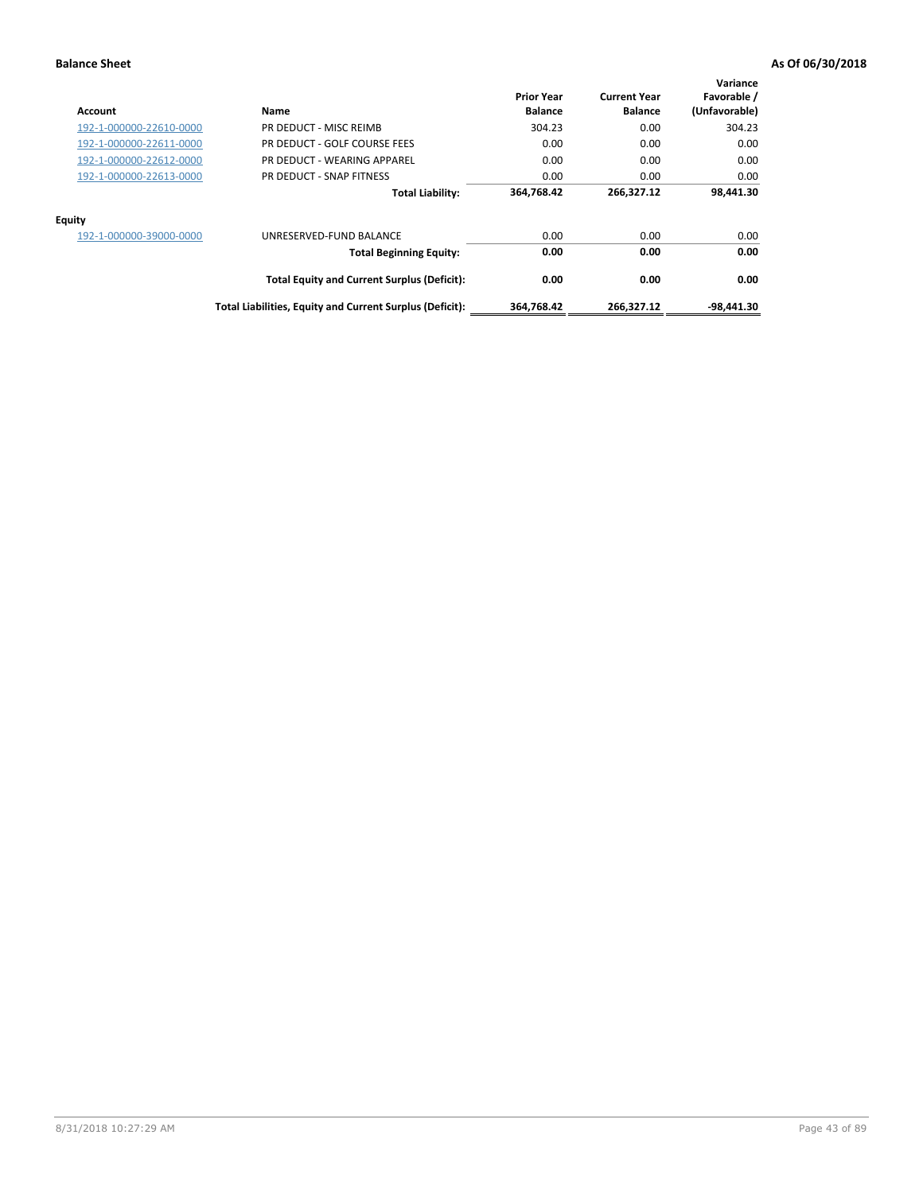| Account                 | Name                                                     | <b>Prior Year</b><br><b>Balance</b> | <b>Current Year</b><br><b>Balance</b> | Variance<br>Favorable /<br>(Unfavorable) |
|-------------------------|----------------------------------------------------------|-------------------------------------|---------------------------------------|------------------------------------------|
| 192-1-000000-22610-0000 | PR DEDUCT - MISC REIMB                                   | 304.23                              | 0.00                                  | 304.23                                   |
| 192-1-000000-22611-0000 | PR DEDUCT - GOLF COURSE FEES                             | 0.00                                | 0.00                                  | 0.00                                     |
| 192-1-000000-22612-0000 | PR DEDUCT - WEARING APPAREL                              | 0.00                                | 0.00                                  | 0.00                                     |
| 192-1-000000-22613-0000 | PR DEDUCT - SNAP FITNESS                                 | 0.00                                | 0.00                                  | 0.00                                     |
|                         | <b>Total Liability:</b>                                  | 364,768.42                          | 266,327.12                            | 98.441.30                                |
| Equity                  |                                                          |                                     |                                       |                                          |
| 192-1-000000-39000-0000 | UNRESERVED-FUND BALANCE                                  | 0.00                                | 0.00                                  | 0.00                                     |
|                         | <b>Total Beginning Equity:</b>                           | 0.00                                | 0.00                                  | 0.00                                     |
|                         | <b>Total Equity and Current Surplus (Deficit):</b>       | 0.00                                | 0.00                                  | 0.00                                     |
|                         | Total Liabilities, Equity and Current Surplus (Deficit): | 364,768.42                          | 266,327.12                            | $-98,441.30$                             |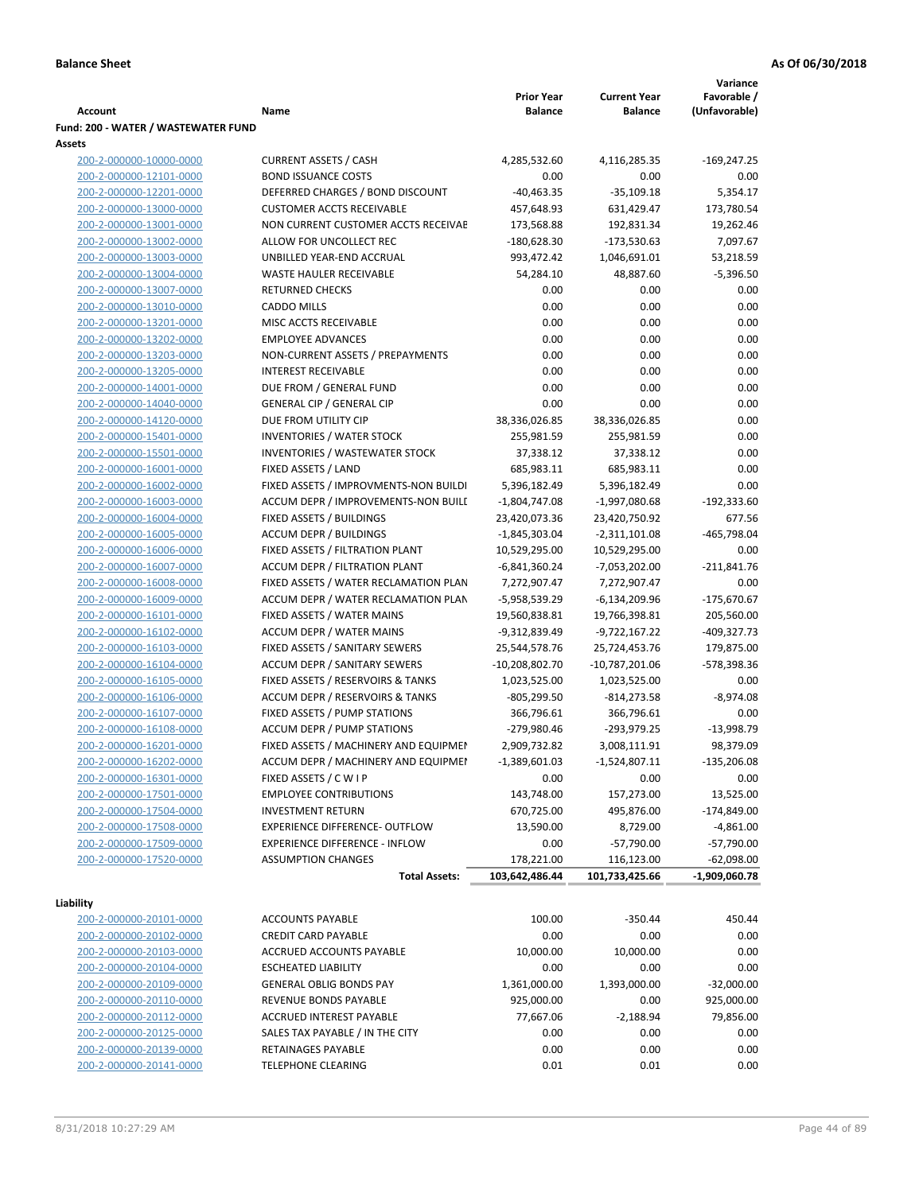|                                     |                                            |                   |                     | Variance        |
|-------------------------------------|--------------------------------------------|-------------------|---------------------|-----------------|
|                                     |                                            | <b>Prior Year</b> | <b>Current Year</b> | Favorable /     |
| Account                             | Name                                       | <b>Balance</b>    | <b>Balance</b>      | (Unfavorable)   |
| Fund: 200 - WATER / WASTEWATER FUND |                                            |                   |                     |                 |
| Assets                              |                                            |                   |                     |                 |
| 200-2-000000-10000-0000             | <b>CURRENT ASSETS / CASH</b>               | 4,285,532.60      | 4,116,285.35        | $-169,247.25$   |
| 200-2-000000-12101-0000             | <b>BOND ISSUANCE COSTS</b>                 | 0.00              | 0.00                | 0.00            |
| 200-2-000000-12201-0000             | DEFERRED CHARGES / BOND DISCOUNT           | $-40,463.35$      | $-35,109.18$        | 5,354.17        |
| 200-2-000000-13000-0000             | <b>CUSTOMER ACCTS RECEIVABLE</b>           | 457,648.93        | 631,429.47          | 173,780.54      |
| 200-2-000000-13001-0000             | NON CURRENT CUSTOMER ACCTS RECEIVAE        | 173,568.88        | 192,831.34          | 19,262.46       |
| 200-2-000000-13002-0000             | ALLOW FOR UNCOLLECT REC                    | $-180,628.30$     | $-173,530.63$       | 7,097.67        |
| 200-2-000000-13003-0000             | UNBILLED YEAR-END ACCRUAL                  | 993,472.42        | 1,046,691.01        | 53,218.59       |
| 200-2-000000-13004-0000             | <b>WASTE HAULER RECEIVABLE</b>             | 54,284.10         | 48,887.60           | $-5,396.50$     |
| 200-2-000000-13007-0000             | <b>RETURNED CHECKS</b>                     | 0.00              | 0.00                | 0.00            |
| 200-2-000000-13010-0000             | <b>CADDO MILLS</b>                         | 0.00              | 0.00                | 0.00            |
|                                     | MISC ACCTS RECEIVABLE                      | 0.00              | 0.00                | 0.00            |
| 200-2-000000-13201-0000             |                                            |                   |                     |                 |
| 200-2-000000-13202-0000             | <b>EMPLOYEE ADVANCES</b>                   | 0.00              | 0.00                | 0.00            |
| 200-2-000000-13203-0000             | NON-CURRENT ASSETS / PREPAYMENTS           | 0.00              | 0.00                | 0.00            |
| 200-2-000000-13205-0000             | <b>INTEREST RECEIVABLE</b>                 | 0.00              | 0.00                | 0.00            |
| 200-2-000000-14001-0000             | DUE FROM / GENERAL FUND                    | 0.00              | 0.00                | 0.00            |
| 200-2-000000-14040-0000             | <b>GENERAL CIP / GENERAL CIP</b>           | 0.00              | 0.00                | 0.00            |
| 200-2-000000-14120-0000             | DUE FROM UTILITY CIP                       | 38,336,026.85     | 38,336,026.85       | 0.00            |
| 200-2-000000-15401-0000             | <b>INVENTORIES / WATER STOCK</b>           | 255,981.59        | 255,981.59          | 0.00            |
| 200-2-000000-15501-0000             | <b>INVENTORIES / WASTEWATER STOCK</b>      | 37,338.12         | 37,338.12           | 0.00            |
| 200-2-000000-16001-0000             | FIXED ASSETS / LAND                        | 685,983.11        | 685,983.11          | 0.00            |
| 200-2-000000-16002-0000             | FIXED ASSETS / IMPROVMENTS-NON BUILDI      | 5,396,182.49      | 5,396,182.49        | 0.00            |
| 200-2-000000-16003-0000             | ACCUM DEPR / IMPROVEMENTS-NON BUILI        | $-1,804,747.08$   | $-1,997,080.68$     | -192,333.60     |
| 200-2-000000-16004-0000             | FIXED ASSETS / BUILDINGS                   | 23,420,073.36     | 23,420,750.92       | 677.56          |
| 200-2-000000-16005-0000             | <b>ACCUM DEPR / BUILDINGS</b>              | $-1,845,303.04$   | $-2,311,101.08$     | $-465,798.04$   |
| 200-2-000000-16006-0000             | FIXED ASSETS / FILTRATION PLANT            | 10,529,295.00     | 10,529,295.00       | 0.00            |
| 200-2-000000-16007-0000             | ACCUM DEPR / FILTRATION PLANT              | $-6,841,360.24$   | $-7,053,202.00$     | $-211,841.76$   |
| 200-2-000000-16008-0000             | FIXED ASSETS / WATER RECLAMATION PLAN      | 7,272,907.47      | 7,272,907.47        | 0.00            |
| 200-2-000000-16009-0000             | ACCUM DEPR / WATER RECLAMATION PLAN        | -5,958,539.29     | $-6,134,209.96$     | $-175,670.67$   |
| 200-2-000000-16101-0000             | FIXED ASSETS / WATER MAINS                 | 19,560,838.81     | 19,766,398.81       | 205,560.00      |
| 200-2-000000-16102-0000             | <b>ACCUM DEPR / WATER MAINS</b>            | -9,312,839.49     | -9,722,167.22       | $-409,327.73$   |
| 200-2-000000-16103-0000             | FIXED ASSETS / SANITARY SEWERS             | 25,544,578.76     | 25,724,453.76       | 179,875.00      |
| 200-2-000000-16104-0000             | <b>ACCUM DEPR / SANITARY SEWERS</b>        | -10,208,802.70    | $-10,787,201.06$    | -578,398.36     |
| 200-2-000000-16105-0000             | FIXED ASSETS / RESERVOIRS & TANKS          | 1,023,525.00      | 1,023,525.00        | 0.00            |
| 200-2-000000-16106-0000             | <b>ACCUM DEPR / RESERVOIRS &amp; TANKS</b> | $-805,299.50$     | $-814,273.58$       | $-8,974.08$     |
| 200-2-000000-16107-0000             | FIXED ASSETS / PUMP STATIONS               | 366,796.61        | 366,796.61          | 0.00            |
| 200-2-000000-16108-0000             | <b>ACCUM DEPR / PUMP STATIONS</b>          | -279,980.46       | -293,979.25         | $-13,998.79$    |
| 200-2-000000-16201-0000             | FIXED ASSETS / MACHINERY AND EQUIPMEN      | 2,909,732.82      | 3,008,111.91        | 98,379.09       |
| 200-2-000000-16202-0000             | ACCUM DEPR / MACHINERY AND EQUIPMEI        | $-1,389,601.03$   | $-1,524,807.11$     | $-135,206.08$   |
| 200-2-000000-16301-0000             | FIXED ASSETS / C W I P                     | 0.00              | 0.00                | 0.00            |
| 200-2-000000-17501-0000             | <b>EMPLOYEE CONTRIBUTIONS</b>              | 143,748.00        | 157,273.00          | 13,525.00       |
| 200-2-000000-17504-0000             | <b>INVESTMENT RETURN</b>                   | 670,725.00        | 495,876.00          |                 |
|                                     |                                            |                   |                     | $-174,849.00$   |
| 200-2-000000-17508-0000             | EXPERIENCE DIFFERENCE- OUTFLOW             | 13,590.00         | 8,729.00            | $-4,861.00$     |
| 200-2-000000-17509-0000             | <b>EXPERIENCE DIFFERENCE - INFLOW</b>      | 0.00              | $-57,790.00$        | $-57,790.00$    |
| 200-2-000000-17520-0000             | <b>ASSUMPTION CHANGES</b>                  | 178,221.00        | 116,123.00          | $-62,098.00$    |
|                                     | <b>Total Assets:</b>                       | 103,642,486.44    | 101,733,425.66      | $-1,909,060.78$ |
| Liability                           |                                            |                   |                     |                 |
| 200-2-000000-20101-0000             | <b>ACCOUNTS PAYABLE</b>                    | 100.00            | $-350.44$           | 450.44          |
| 200-2-000000-20102-0000             | <b>CREDIT CARD PAYABLE</b>                 | 0.00              | 0.00                | 0.00            |
| 200-2-000000-20103-0000             | ACCRUED ACCOUNTS PAYABLE                   | 10,000.00         | 10,000.00           | 0.00            |
| 200-2-000000-20104-0000             | <b>ESCHEATED LIABILITY</b>                 | 0.00              | 0.00                | 0.00            |
|                                     |                                            |                   |                     | $-32,000.00$    |
| 200-2-000000-20109-0000             | <b>GENERAL OBLIG BONDS PAY</b>             | 1,361,000.00      | 1,393,000.00        |                 |
| 200-2-000000-20110-0000             | REVENUE BONDS PAYABLE                      | 925,000.00        | 0.00                | 925,000.00      |
| 200-2-000000-20112-0000             | ACCRUED INTEREST PAYABLE                   | 77,667.06         | $-2,188.94$         | 79,856.00       |
| 200-2-000000-20125-0000             | SALES TAX PAYABLE / IN THE CITY            | 0.00              | 0.00                | 0.00            |
| 200-2-000000-20139-0000             | RETAINAGES PAYABLE                         | 0.00              | 0.00                | 0.00            |
| 200-2-000000-20141-0000             | <b>TELEPHONE CLEARING</b>                  | 0.01              | 0.01                | 0.00            |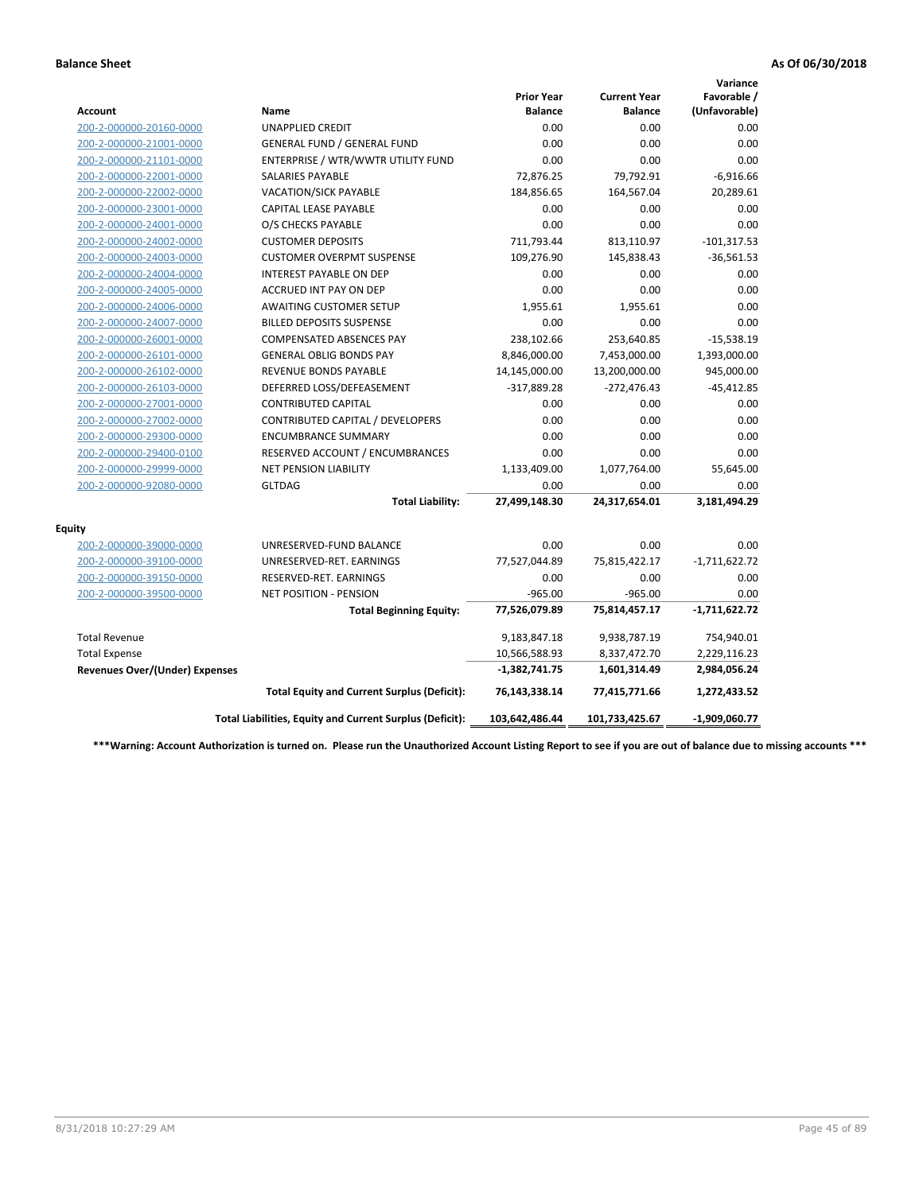|                                       |                                                          |                                     |                                       | Variance                     |
|---------------------------------------|----------------------------------------------------------|-------------------------------------|---------------------------------------|------------------------------|
| <b>Account</b>                        | Name                                                     | <b>Prior Year</b><br><b>Balance</b> | <b>Current Year</b><br><b>Balance</b> | Favorable /<br>(Unfavorable) |
| 200-2-000000-20160-0000               | <b>UNAPPLIED CREDIT</b>                                  | 0.00                                | 0.00                                  | 0.00                         |
| 200-2-000000-21001-0000               | GENERAL FUND / GENERAL FUND                              | 0.00                                | 0.00                                  | 0.00                         |
| 200-2-000000-21101-0000               | ENTERPRISE / WTR/WWTR UTILITY FUND                       | 0.00                                | 0.00                                  | 0.00                         |
| 200-2-000000-22001-0000               | <b>SALARIES PAYABLE</b>                                  | 72,876.25                           | 79,792.91                             | $-6,916.66$                  |
| 200-2-000000-22002-0000               | VACATION/SICK PAYABLE                                    | 184,856.65                          | 164,567.04                            | 20,289.61                    |
| 200-2-000000-23001-0000               | <b>CAPITAL LEASE PAYABLE</b>                             | 0.00                                | 0.00                                  | 0.00                         |
| 200-2-000000-24001-0000               | O/S CHECKS PAYABLE                                       | 0.00                                | 0.00                                  | 0.00                         |
| 200-2-000000-24002-0000               | <b>CUSTOMER DEPOSITS</b>                                 | 711,793.44                          | 813,110.97                            | $-101,317.53$                |
| 200-2-000000-24003-0000               | <b>CUSTOMER OVERPMT SUSPENSE</b>                         | 109,276.90                          | 145,838.43                            | $-36,561.53$                 |
| 200-2-000000-24004-0000               | <b>INTEREST PAYABLE ON DEP</b>                           | 0.00                                | 0.00                                  | 0.00                         |
| 200-2-000000-24005-0000               | <b>ACCRUED INT PAY ON DEP</b>                            | 0.00                                | 0.00                                  | 0.00                         |
| 200-2-000000-24006-0000               | <b>AWAITING CUSTOMER SETUP</b>                           | 1,955.61                            | 1,955.61                              | 0.00                         |
| 200-2-000000-24007-0000               | <b>BILLED DEPOSITS SUSPENSE</b>                          | 0.00                                | 0.00                                  | 0.00                         |
| 200-2-000000-26001-0000               | <b>COMPENSATED ABSENCES PAY</b>                          | 238,102.66                          | 253,640.85                            | $-15,538.19$                 |
| 200-2-000000-26101-0000               | <b>GENERAL OBLIG BONDS PAY</b>                           | 8,846,000.00                        | 7,453,000.00                          | 1,393,000.00                 |
| 200-2-000000-26102-0000               | REVENUE BONDS PAYABLE                                    | 14,145,000.00                       | 13,200,000.00                         | 945,000.00                   |
| 200-2-000000-26103-0000               | DEFERRED LOSS/DEFEASEMENT                                | $-317,889.28$                       | $-272,476.43$                         | $-45,412.85$                 |
| 200-2-000000-27001-0000               | <b>CONTRIBUTED CAPITAL</b>                               | 0.00                                | 0.00                                  | 0.00                         |
| 200-2-000000-27002-0000               | CONTRIBUTED CAPITAL / DEVELOPERS                         | 0.00                                | 0.00                                  | 0.00                         |
| 200-2-000000-29300-0000               | <b>ENCUMBRANCE SUMMARY</b>                               | 0.00                                | 0.00                                  | 0.00                         |
| 200-2-000000-29400-0100               | RESERVED ACCOUNT / ENCUMBRANCES                          | 0.00                                | 0.00                                  | 0.00                         |
| 200-2-000000-29999-0000               | NET PENSION LIABILITY                                    | 1,133,409.00                        | 1,077,764.00                          | 55,645.00                    |
| 200-2-000000-92080-0000               | <b>GLTDAG</b>                                            | 0.00                                | 0.00                                  | 0.00                         |
|                                       | <b>Total Liability:</b>                                  | 27,499,148.30                       | 24,317,654.01                         | 3,181,494.29                 |
| <b>Equity</b>                         |                                                          |                                     |                                       |                              |
| 200-2-000000-39000-0000               | UNRESERVED-FUND BALANCE                                  | 0.00                                | 0.00                                  | 0.00                         |
| 200-2-000000-39100-0000               | UNRESERVED-RET. EARNINGS                                 | 77,527,044.89                       | 75,815,422.17                         | $-1,711,622.72$              |
| 200-2-000000-39150-0000               | RESERVED-RET. EARNINGS                                   | 0.00                                | 0.00                                  | 0.00                         |
| 200-2-000000-39500-0000               | <b>NET POSITION - PENSION</b>                            | $-965.00$                           | $-965.00$                             | 0.00                         |
|                                       | <b>Total Beginning Equity:</b>                           | 77,526,079.89                       | 75,814,457.17                         | $-1,711,622.72$              |
| <b>Total Revenue</b>                  |                                                          | 9,183,847.18                        | 9,938,787.19                          | 754,940.01                   |
| <b>Total Expense</b>                  |                                                          | 10,566,588.93                       | 8,337,472.70                          | 2,229,116.23                 |
| <b>Revenues Over/(Under) Expenses</b> |                                                          | $-1,382,741.75$                     | 1,601,314.49                          | 2,984,056.24                 |
|                                       | <b>Total Equity and Current Surplus (Deficit):</b>       | 76,143,338.14                       | 77,415,771.66                         | 1,272,433.52                 |
|                                       | Total Liabilities, Equity and Current Surplus (Deficit): | 103,642,486.44                      | 101,733,425.67                        | $-1,909,060.77$              |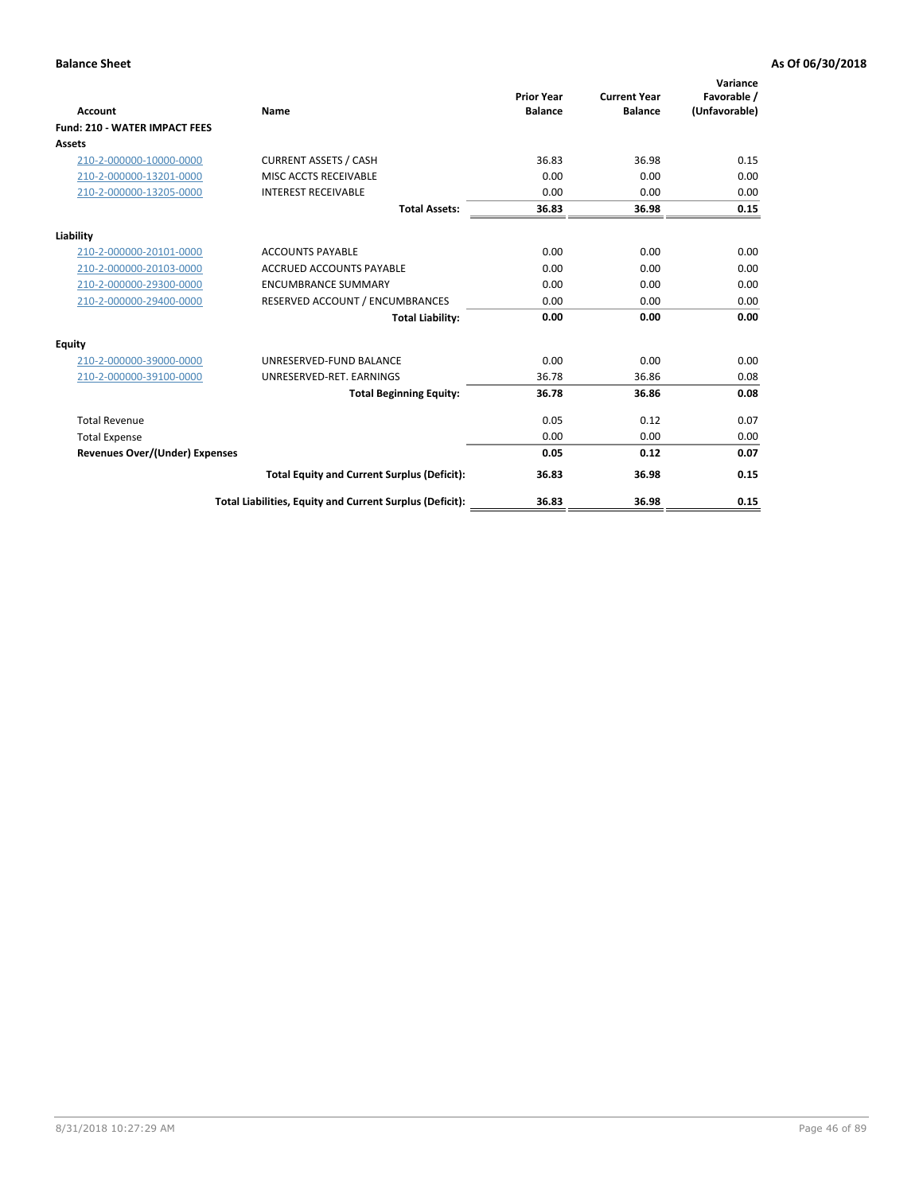| <b>Account</b>                        | Name                                                     | <b>Prior Year</b><br><b>Balance</b> | <b>Current Year</b><br><b>Balance</b> | Variance<br>Favorable /<br>(Unfavorable) |
|---------------------------------------|----------------------------------------------------------|-------------------------------------|---------------------------------------|------------------------------------------|
| <b>Fund: 210 - WATER IMPACT FEES</b>  |                                                          |                                     |                                       |                                          |
| <b>Assets</b>                         |                                                          |                                     |                                       |                                          |
| 210-2-000000-10000-0000               | <b>CURRENT ASSETS / CASH</b>                             | 36.83                               | 36.98                                 | 0.15                                     |
| 210-2-000000-13201-0000               | MISC ACCTS RECEIVABLE                                    | 0.00                                | 0.00                                  | 0.00                                     |
| 210-2-000000-13205-0000               | <b>INTEREST RECEIVABLE</b>                               | 0.00                                | 0.00                                  | 0.00                                     |
|                                       | <b>Total Assets:</b>                                     | 36.83                               | 36.98                                 | 0.15                                     |
| Liability                             |                                                          |                                     |                                       |                                          |
| 210-2-000000-20101-0000               | <b>ACCOUNTS PAYABLE</b>                                  | 0.00                                | 0.00                                  | 0.00                                     |
| 210-2-000000-20103-0000               | <b>ACCRUED ACCOUNTS PAYABLE</b>                          | 0.00                                | 0.00                                  | 0.00                                     |
| 210-2-000000-29300-0000               | <b>ENCUMBRANCE SUMMARY</b>                               | 0.00                                | 0.00                                  | 0.00                                     |
| 210-2-000000-29400-0000               | RESERVED ACCOUNT / ENCUMBRANCES                          | 0.00                                | 0.00                                  | 0.00                                     |
|                                       | <b>Total Liability:</b>                                  | 0.00                                | 0.00                                  | 0.00                                     |
| Equity                                |                                                          |                                     |                                       |                                          |
| 210-2-000000-39000-0000               | UNRESERVED-FUND BALANCE                                  | 0.00                                | 0.00                                  | 0.00                                     |
| 210-2-000000-39100-0000               | UNRESERVED-RET. EARNINGS                                 | 36.78                               | 36.86                                 | 0.08                                     |
|                                       | <b>Total Beginning Equity:</b>                           | 36.78                               | 36.86                                 | 0.08                                     |
| <b>Total Revenue</b>                  |                                                          | 0.05                                | 0.12                                  | 0.07                                     |
| <b>Total Expense</b>                  |                                                          | 0.00                                | 0.00                                  | 0.00                                     |
| <b>Revenues Over/(Under) Expenses</b> |                                                          | 0.05                                | 0.12                                  | 0.07                                     |
|                                       | <b>Total Equity and Current Surplus (Deficit):</b>       | 36.83                               | 36.98                                 | 0.15                                     |
|                                       | Total Liabilities, Equity and Current Surplus (Deficit): | 36.83                               | 36.98                                 | 0.15                                     |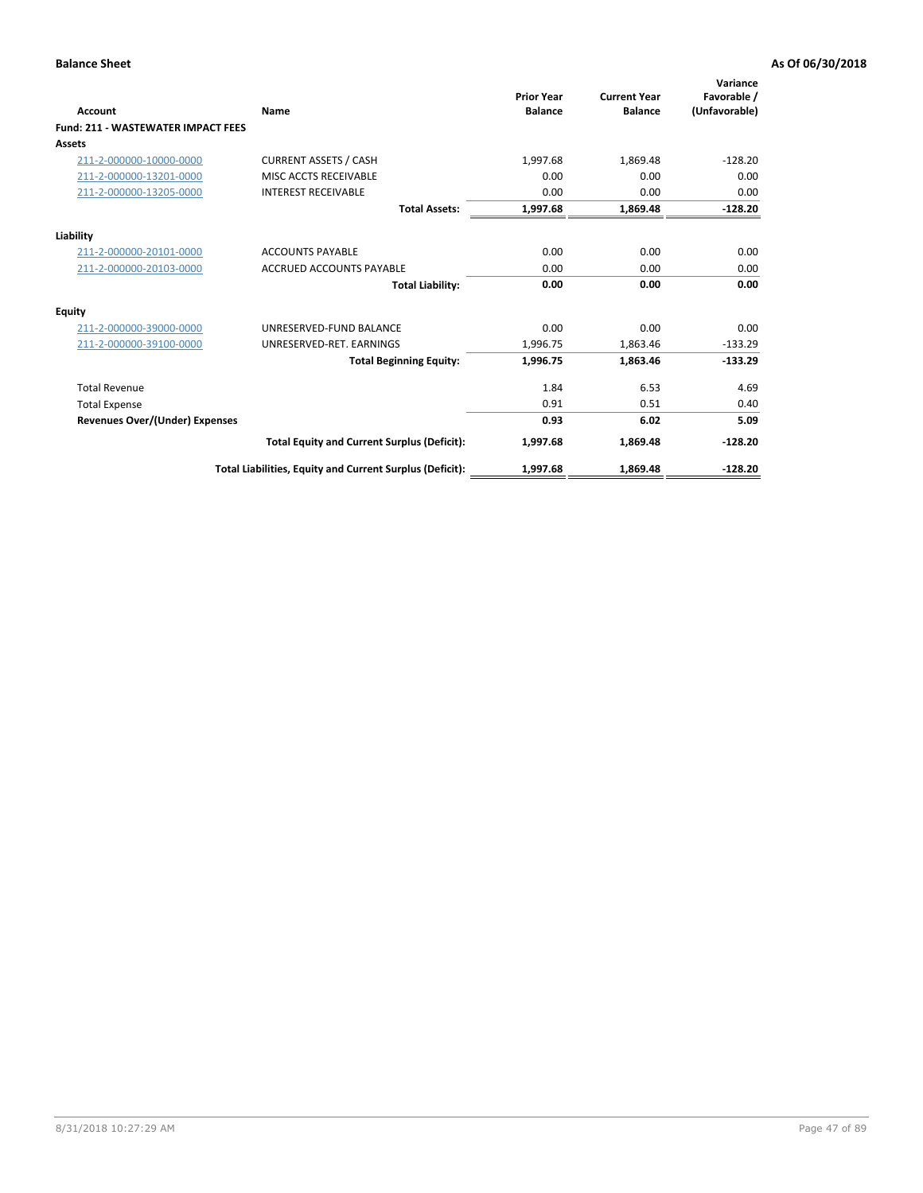| <b>Account</b>                            | Name                                                     | <b>Prior Year</b><br><b>Balance</b> | <b>Current Year</b><br><b>Balance</b> | Variance<br>Favorable /<br>(Unfavorable) |
|-------------------------------------------|----------------------------------------------------------|-------------------------------------|---------------------------------------|------------------------------------------|
| <b>Fund: 211 - WASTEWATER IMPACT FEES</b> |                                                          |                                     |                                       |                                          |
| <b>Assets</b>                             |                                                          |                                     |                                       |                                          |
| 211-2-000000-10000-0000                   | <b>CURRENT ASSETS / CASH</b>                             | 1,997.68                            | 1,869.48                              | $-128.20$                                |
| 211-2-000000-13201-0000                   | MISC ACCTS RECEIVABLE                                    | 0.00                                | 0.00                                  | 0.00                                     |
| 211-2-000000-13205-0000                   | <b>INTEREST RECEIVABLE</b>                               | 0.00                                | 0.00                                  | 0.00                                     |
|                                           | <b>Total Assets:</b>                                     | 1,997.68                            | 1,869.48                              | $-128.20$                                |
| Liability                                 |                                                          |                                     |                                       |                                          |
| 211-2-000000-20101-0000                   | <b>ACCOUNTS PAYABLE</b>                                  | 0.00                                | 0.00                                  | 0.00                                     |
| 211-2-000000-20103-0000                   | <b>ACCRUED ACCOUNTS PAYABLE</b>                          | 0.00                                | 0.00                                  | 0.00                                     |
|                                           | <b>Total Liability:</b>                                  | 0.00                                | 0.00                                  | 0.00                                     |
| Equity                                    |                                                          |                                     |                                       |                                          |
| 211-2-000000-39000-0000                   | UNRESERVED-FUND BALANCE                                  | 0.00                                | 0.00                                  | 0.00                                     |
| 211-2-000000-39100-0000                   | UNRESERVED-RET. EARNINGS                                 | 1,996.75                            | 1,863.46                              | $-133.29$                                |
|                                           | <b>Total Beginning Equity:</b>                           | 1,996.75                            | 1,863.46                              | $-133.29$                                |
| <b>Total Revenue</b>                      |                                                          | 1.84                                | 6.53                                  | 4.69                                     |
| <b>Total Expense</b>                      |                                                          | 0.91                                | 0.51                                  | 0.40                                     |
| <b>Revenues Over/(Under) Expenses</b>     |                                                          | 0.93                                | 6.02                                  | 5.09                                     |
|                                           | <b>Total Equity and Current Surplus (Deficit):</b>       | 1,997.68                            | 1,869.48                              | $-128.20$                                |
|                                           | Total Liabilities, Equity and Current Surplus (Deficit): | 1,997.68                            | 1,869.48                              | $-128.20$                                |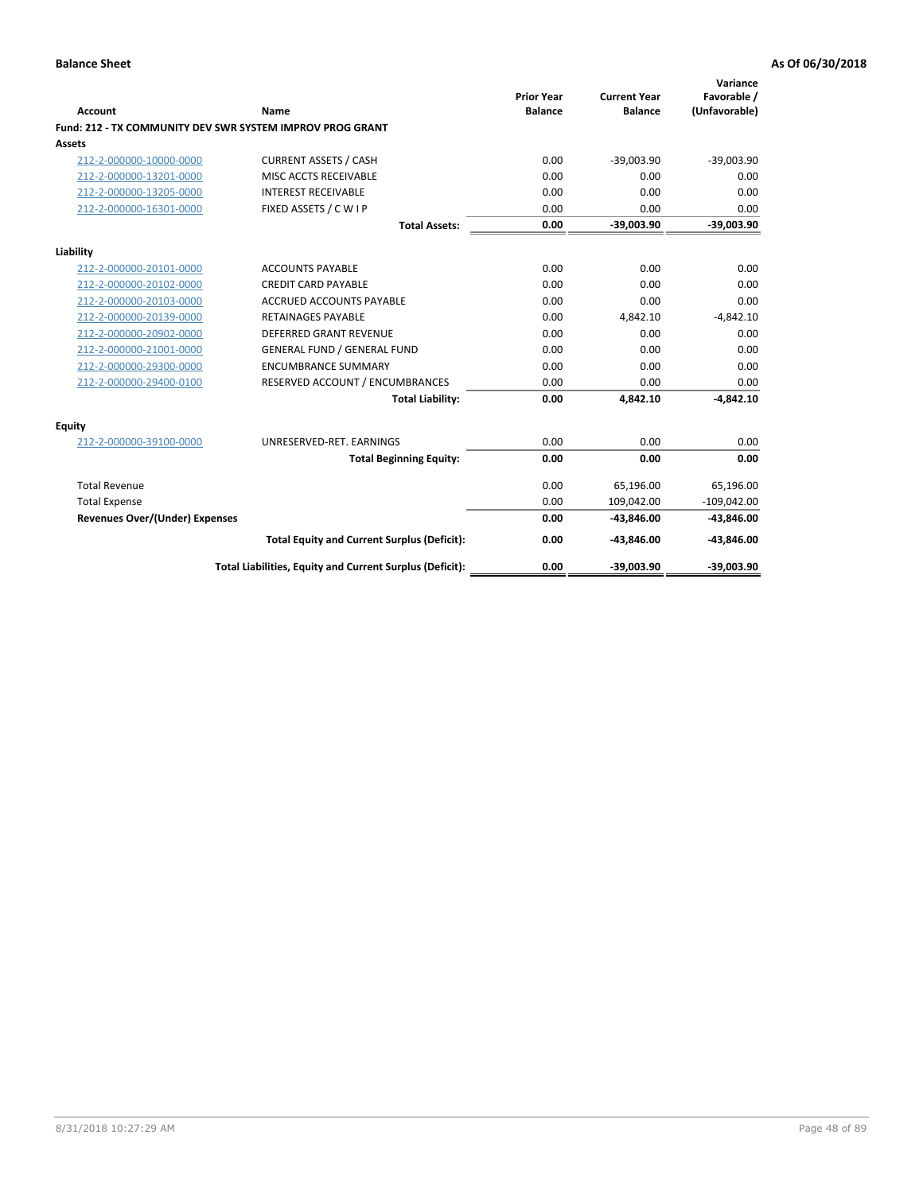| <b>Account</b>                        | <b>Name</b>                                                      | <b>Prior Year</b><br><b>Balance</b> | <b>Current Year</b><br><b>Balance</b> | Variance<br>Favorable /<br>(Unfavorable) |
|---------------------------------------|------------------------------------------------------------------|-------------------------------------|---------------------------------------|------------------------------------------|
|                                       | <b>Fund: 212 - TX COMMUNITY DEV SWR SYSTEM IMPROV PROG GRANT</b> |                                     |                                       |                                          |
| Assets                                |                                                                  |                                     |                                       |                                          |
| 212-2-000000-10000-0000               | <b>CURRENT ASSETS / CASH</b>                                     | 0.00                                | $-39,003.90$                          | $-39,003.90$                             |
| 212-2-000000-13201-0000               | MISC ACCTS RECEIVABLE                                            | 0.00                                | 0.00                                  | 0.00                                     |
| 212-2-000000-13205-0000               | <b>INTEREST RECEIVABLE</b>                                       | 0.00                                | 0.00                                  | 0.00                                     |
| 212-2-000000-16301-0000               | FIXED ASSETS / C W I P                                           | 0.00                                | 0.00                                  | 0.00                                     |
|                                       | <b>Total Assets:</b>                                             | 0.00                                | $-39,003.90$                          | $-39,003.90$                             |
| Liability                             |                                                                  |                                     |                                       |                                          |
| 212-2-000000-20101-0000               | <b>ACCOUNTS PAYABLE</b>                                          | 0.00                                | 0.00                                  | 0.00                                     |
| 212-2-000000-20102-0000               | <b>CREDIT CARD PAYABLE</b>                                       | 0.00                                | 0.00                                  | 0.00                                     |
| 212-2-000000-20103-0000               | <b>ACCRUED ACCOUNTS PAYABLE</b>                                  | 0.00                                | 0.00                                  | 0.00                                     |
| 212-2-000000-20139-0000               | RETAINAGES PAYABLE                                               | 0.00                                | 4,842.10                              | $-4,842.10$                              |
| 212-2-000000-20902-0000               | DEFERRED GRANT REVENUE                                           | 0.00                                | 0.00                                  | 0.00                                     |
| 212-2-000000-21001-0000               | <b>GENERAL FUND / GENERAL FUND</b>                               | 0.00                                | 0.00                                  | 0.00                                     |
| 212-2-000000-29300-0000               | <b>ENCUMBRANCE SUMMARY</b>                                       | 0.00                                | 0.00                                  | 0.00                                     |
| 212-2-000000-29400-0100               | RESERVED ACCOUNT / ENCUMBRANCES                                  | 0.00                                | 0.00                                  | 0.00                                     |
|                                       | <b>Total Liability:</b>                                          | 0.00                                | 4,842.10                              | $-4,842.10$                              |
| <b>Equity</b>                         |                                                                  |                                     |                                       |                                          |
| 212-2-000000-39100-0000               | UNRESERVED-RET. EARNINGS                                         | 0.00                                | 0.00                                  | 0.00                                     |
|                                       | <b>Total Beginning Equity:</b>                                   | 0.00                                | 0.00                                  | 0.00                                     |
| <b>Total Revenue</b>                  |                                                                  | 0.00                                | 65,196.00                             | 65,196.00                                |
| <b>Total Expense</b>                  |                                                                  | 0.00                                | 109,042.00                            | $-109,042.00$                            |
| <b>Revenues Over/(Under) Expenses</b> |                                                                  | 0.00                                | $-43,846.00$                          | $-43,846.00$                             |
|                                       | <b>Total Equity and Current Surplus (Deficit):</b>               | 0.00                                | $-43,846.00$                          | $-43,846.00$                             |
|                                       | Total Liabilities, Equity and Current Surplus (Deficit):         | 0.00                                | $-39,003.90$                          | $-39,003.90$                             |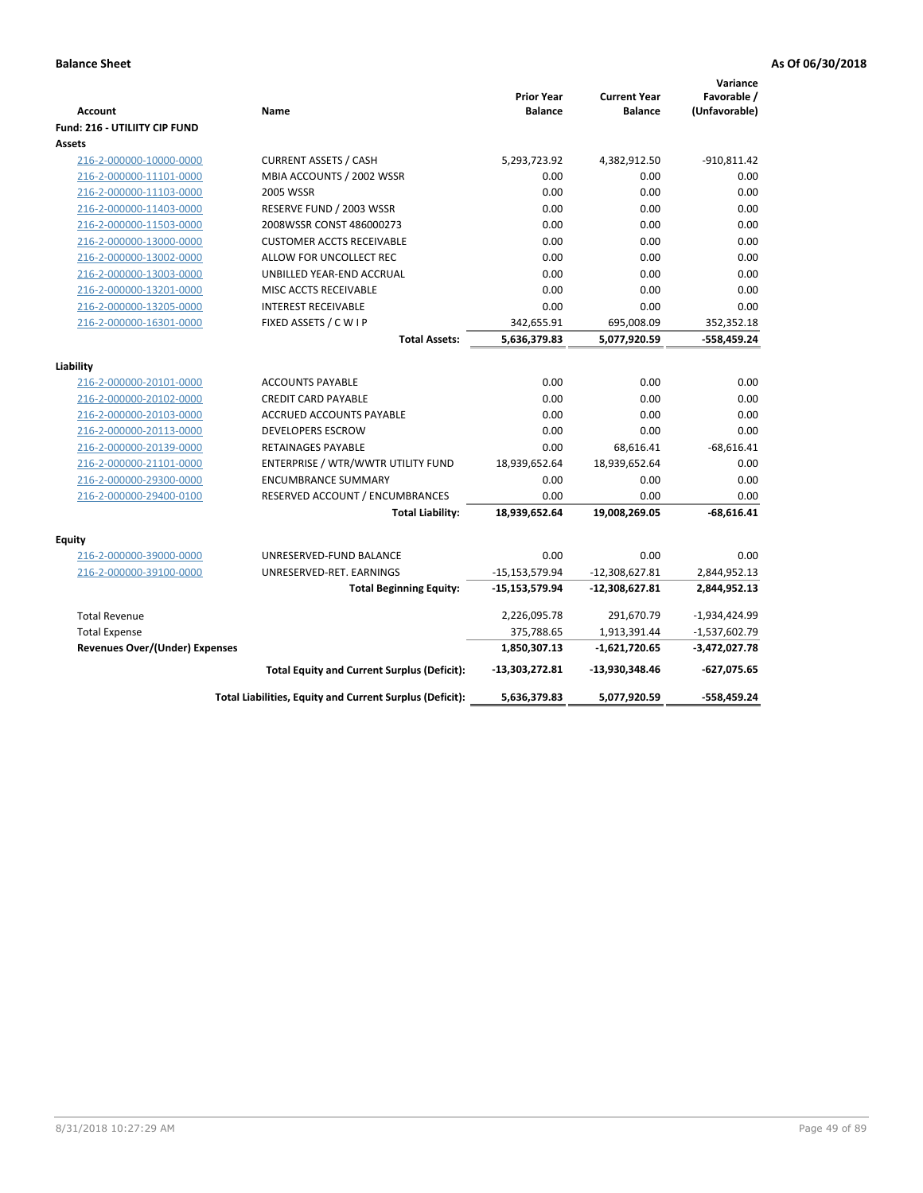| Account                               | Name                                                     | <b>Prior Year</b><br><b>Balance</b> | <b>Current Year</b><br><b>Balance</b> | Variance<br>Favorable /<br>(Unfavorable) |
|---------------------------------------|----------------------------------------------------------|-------------------------------------|---------------------------------------|------------------------------------------|
| Fund: 216 - UTILIITY CIP FUND         |                                                          |                                     |                                       |                                          |
| <b>Assets</b>                         |                                                          |                                     |                                       |                                          |
| 216-2-000000-10000-0000               | <b>CURRENT ASSETS / CASH</b>                             | 5,293,723.92                        | 4,382,912.50                          | $-910,811.42$                            |
| 216-2-000000-11101-0000               | MBIA ACCOUNTS / 2002 WSSR                                | 0.00                                | 0.00                                  | 0.00                                     |
| 216-2-000000-11103-0000               | <b>2005 WSSR</b>                                         | 0.00                                | 0.00                                  | 0.00                                     |
| 216-2-000000-11403-0000               | RESERVE FUND / 2003 WSSR                                 | 0.00                                | 0.00                                  | 0.00                                     |
| 216-2-000000-11503-0000               | 2008WSSR CONST 486000273                                 | 0.00                                | 0.00                                  | 0.00                                     |
| 216-2-000000-13000-0000               | <b>CUSTOMER ACCTS RECEIVABLE</b>                         | 0.00                                | 0.00                                  | 0.00                                     |
| 216-2-000000-13002-0000               | ALLOW FOR UNCOLLECT REC                                  | 0.00                                | 0.00                                  | 0.00                                     |
| 216-2-000000-13003-0000               | UNBILLED YEAR-END ACCRUAL                                | 0.00                                | 0.00                                  | 0.00                                     |
| 216-2-000000-13201-0000               | MISC ACCTS RECEIVABLE                                    | 0.00                                | 0.00                                  | 0.00                                     |
| 216-2-000000-13205-0000               | <b>INTEREST RECEIVABLE</b>                               | 0.00                                | 0.00                                  | 0.00                                     |
| 216-2-000000-16301-0000               | FIXED ASSETS / C W I P                                   | 342,655.91                          | 695,008.09                            | 352,352.18                               |
|                                       | <b>Total Assets:</b>                                     | 5,636,379.83                        | 5,077,920.59                          | -558,459.24                              |
| Liability                             |                                                          |                                     |                                       |                                          |
| 216-2-000000-20101-0000               | <b>ACCOUNTS PAYABLE</b>                                  | 0.00                                | 0.00                                  | 0.00                                     |
| 216-2-000000-20102-0000               | <b>CREDIT CARD PAYABLE</b>                               | 0.00                                | 0.00                                  | 0.00                                     |
| 216-2-000000-20103-0000               | <b>ACCRUED ACCOUNTS PAYABLE</b>                          | 0.00                                | 0.00                                  | 0.00                                     |
| 216-2-000000-20113-0000               | <b>DEVELOPERS ESCROW</b>                                 | 0.00                                | 0.00                                  | 0.00                                     |
| 216-2-000000-20139-0000               | <b>RETAINAGES PAYABLE</b>                                | 0.00                                | 68,616.41                             | $-68,616.41$                             |
| 216-2-000000-21101-0000               | ENTERPRISE / WTR/WWTR UTILITY FUND                       | 18,939,652.64                       | 18,939,652.64                         | 0.00                                     |
| 216-2-000000-29300-0000               | <b>ENCUMBRANCE SUMMARY</b>                               | 0.00                                | 0.00                                  | 0.00                                     |
| 216-2-000000-29400-0100               | RESERVED ACCOUNT / ENCUMBRANCES                          | 0.00                                | 0.00                                  | 0.00                                     |
|                                       | <b>Total Liability:</b>                                  | 18,939,652.64                       | 19,008,269.05                         | $-68,616.41$                             |
|                                       |                                                          |                                     |                                       |                                          |
| Equity                                |                                                          |                                     |                                       |                                          |
| 216-2-000000-39000-0000               | UNRESERVED-FUND BALANCE                                  | 0.00                                | 0.00                                  | 0.00                                     |
| 216-2-000000-39100-0000               | UNRESERVED-RET. EARNINGS                                 | $-15, 153, 579.94$                  | $-12,308,627.81$                      | 2,844,952.13                             |
|                                       | <b>Total Beginning Equity:</b>                           | $-15,153,579.94$                    | $-12,308,627.81$                      | 2,844,952.13                             |
| <b>Total Revenue</b>                  |                                                          | 2,226,095.78                        | 291,670.79                            | $-1,934,424.99$                          |
| <b>Total Expense</b>                  |                                                          | 375,788.65                          | 1,913,391.44                          | $-1,537,602.79$                          |
| <b>Revenues Over/(Under) Expenses</b> |                                                          | 1,850,307.13                        | $-1,621,720.65$                       | $-3,472,027.78$                          |
|                                       | <b>Total Equity and Current Surplus (Deficit):</b>       | $-13,303,272.81$                    | -13,930,348.46                        | -627,075.65                              |
|                                       | Total Liabilities, Equity and Current Surplus (Deficit): | 5,636,379.83                        | 5,077,920.59                          | -558,459.24                              |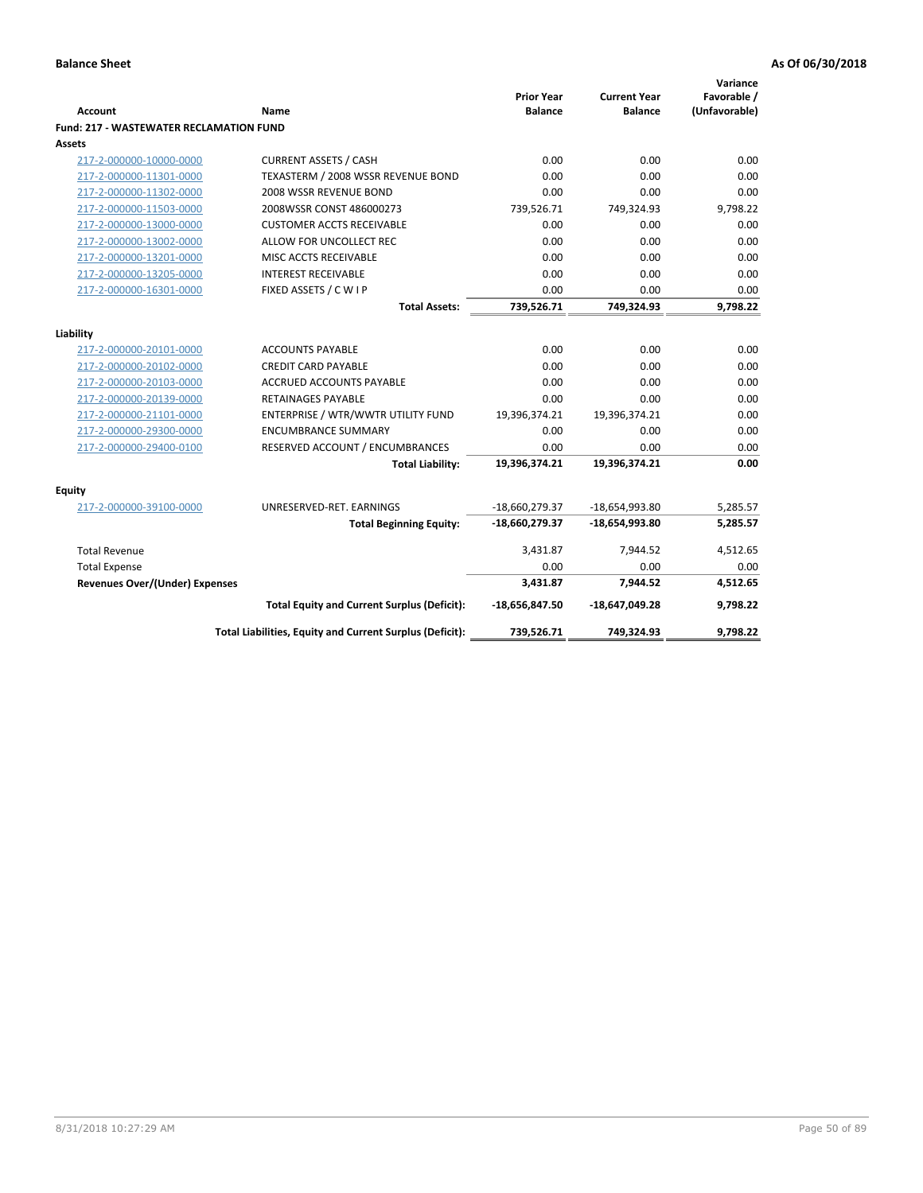| <b>Account</b>                                 | <b>Name</b>                                              | <b>Prior Year</b><br><b>Balance</b> | <b>Current Year</b><br><b>Balance</b> | Variance<br>Favorable /<br>(Unfavorable) |
|------------------------------------------------|----------------------------------------------------------|-------------------------------------|---------------------------------------|------------------------------------------|
| <b>Fund: 217 - WASTEWATER RECLAMATION FUND</b> |                                                          |                                     |                                       |                                          |
| Assets                                         |                                                          |                                     |                                       |                                          |
| 217-2-000000-10000-0000                        | <b>CURRENT ASSETS / CASH</b>                             | 0.00                                | 0.00                                  | 0.00                                     |
| 217-2-000000-11301-0000                        | TEXASTERM / 2008 WSSR REVENUE BOND                       | 0.00                                | 0.00                                  | 0.00                                     |
| 217-2-000000-11302-0000                        | 2008 WSSR REVENUE BOND                                   | 0.00                                | 0.00                                  | 0.00                                     |
| 217-2-000000-11503-0000                        | 2008WSSR CONST 486000273                                 | 739,526.71                          | 749,324.93                            | 9,798.22                                 |
| 217-2-000000-13000-0000                        | <b>CUSTOMER ACCTS RECEIVABLE</b>                         | 0.00                                | 0.00                                  | 0.00                                     |
| 217-2-000000-13002-0000                        | ALLOW FOR UNCOLLECT REC                                  | 0.00                                | 0.00                                  | 0.00                                     |
| 217-2-000000-13201-0000                        | MISC ACCTS RECEIVABLE                                    | 0.00                                | 0.00                                  | 0.00                                     |
| 217-2-000000-13205-0000                        | <b>INTEREST RECEIVABLE</b>                               | 0.00                                | 0.00                                  | 0.00                                     |
| 217-2-000000-16301-0000                        | FIXED ASSETS / C W I P                                   | 0.00                                | 0.00                                  | 0.00                                     |
|                                                | <b>Total Assets:</b>                                     | 739,526.71                          | 749,324.93                            | 9,798.22                                 |
|                                                |                                                          |                                     |                                       |                                          |
| Liability                                      |                                                          |                                     |                                       |                                          |
| 217-2-000000-20101-0000                        | <b>ACCOUNTS PAYABLE</b>                                  | 0.00                                | 0.00                                  | 0.00                                     |
| 217-2-000000-20102-0000                        | <b>CREDIT CARD PAYABLE</b>                               | 0.00                                | 0.00                                  | 0.00                                     |
| 217-2-000000-20103-0000                        | <b>ACCRUED ACCOUNTS PAYABLE</b>                          | 0.00                                | 0.00                                  | 0.00                                     |
| 217-2-000000-20139-0000                        | <b>RETAINAGES PAYABLE</b>                                | 0.00                                | 0.00                                  | 0.00                                     |
| 217-2-000000-21101-0000                        | ENTERPRISE / WTR/WWTR UTILITY FUND                       | 19,396,374.21                       | 19,396,374.21                         | 0.00                                     |
| 217-2-000000-29300-0000                        | <b>ENCUMBRANCE SUMMARY</b>                               | 0.00                                | 0.00                                  | 0.00                                     |
| 217-2-000000-29400-0100                        | RESERVED ACCOUNT / ENCUMBRANCES                          | 0.00                                | 0.00                                  | 0.00                                     |
|                                                | <b>Total Liability:</b>                                  | 19,396,374.21                       | 19,396,374.21                         | 0.00                                     |
| <b>Equity</b>                                  |                                                          |                                     |                                       |                                          |
| 217-2-000000-39100-0000                        | UNRESERVED-RET. EARNINGS                                 | $-18,660,279.37$                    | -18,654,993.80                        | 5,285.57                                 |
|                                                | <b>Total Beginning Equity:</b>                           | -18,660,279.37                      | $-18,654,993.80$                      | 5,285.57                                 |
| <b>Total Revenue</b>                           |                                                          | 3,431.87                            | 7,944.52                              | 4,512.65                                 |
| <b>Total Expense</b>                           |                                                          | 0.00                                | 0.00                                  | 0.00                                     |
| <b>Revenues Over/(Under) Expenses</b>          |                                                          | 3,431.87                            | 7,944.52                              | 4,512.65                                 |
|                                                | <b>Total Equity and Current Surplus (Deficit):</b>       | $-18,656,847.50$                    | $-18,647,049.28$                      | 9,798.22                                 |
|                                                | Total Liabilities, Equity and Current Surplus (Deficit): | 739,526.71                          | 749,324.93                            | 9.798.22                                 |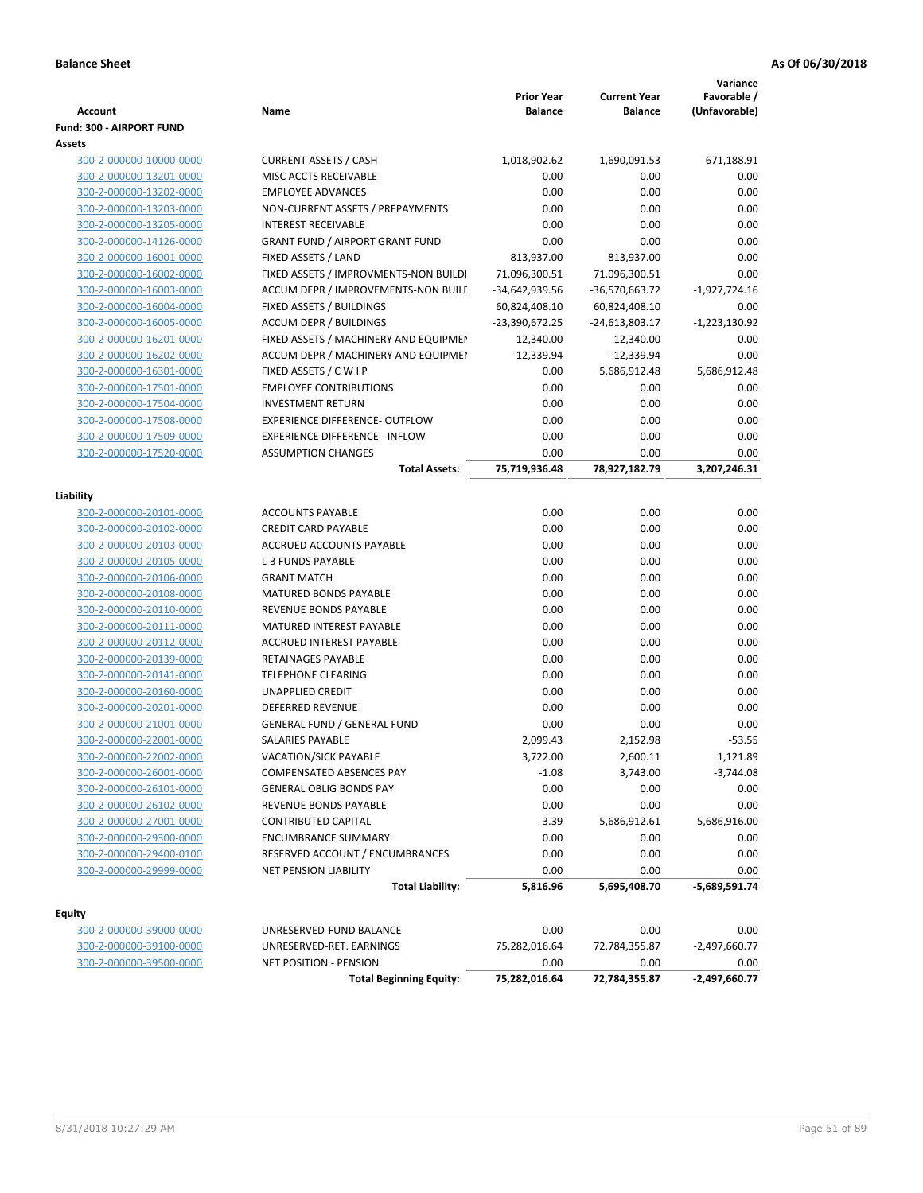|                                                    |                                                                | <b>Prior Year</b> | <b>Current Year</b> | Variance<br>Favorable / |
|----------------------------------------------------|----------------------------------------------------------------|-------------------|---------------------|-------------------------|
| <b>Account</b>                                     | Name                                                           | <b>Balance</b>    | <b>Balance</b>      | (Unfavorable)           |
| Fund: 300 - AIRPORT FUND                           |                                                                |                   |                     |                         |
| Assets                                             |                                                                |                   |                     |                         |
| 300-2-000000-10000-0000                            | <b>CURRENT ASSETS / CASH</b><br>MISC ACCTS RECEIVABLE          | 1,018,902.62      | 1,690,091.53        | 671,188.91              |
| 300-2-000000-13201-0000                            | <b>EMPLOYEE ADVANCES</b>                                       | 0.00<br>0.00      | 0.00                | 0.00<br>0.00            |
| 300-2-000000-13202-0000                            |                                                                | 0.00              | 0.00<br>0.00        | 0.00                    |
| 300-2-000000-13203-0000<br>300-2-000000-13205-0000 | NON-CURRENT ASSETS / PREPAYMENTS<br><b>INTEREST RECEIVABLE</b> | 0.00              | 0.00                | 0.00                    |
| 300-2-000000-14126-0000                            | <b>GRANT FUND / AIRPORT GRANT FUND</b>                         | 0.00              | 0.00                | 0.00                    |
| 300-2-000000-16001-0000                            | FIXED ASSETS / LAND                                            | 813,937.00        | 813,937.00          | 0.00                    |
| 300-2-000000-16002-0000                            | FIXED ASSETS / IMPROVMENTS-NON BUILDI                          | 71,096,300.51     | 71,096,300.51       | 0.00                    |
| 300-2-000000-16003-0000                            | ACCUM DEPR / IMPROVEMENTS-NON BUILL                            | -34,642,939.56    | -36,570,663.72      | $-1,927,724.16$         |
| 300-2-000000-16004-0000                            | FIXED ASSETS / BUILDINGS                                       | 60,824,408.10     | 60,824,408.10       | 0.00                    |
| 300-2-000000-16005-0000                            | <b>ACCUM DEPR / BUILDINGS</b>                                  | -23,390,672.25    | -24,613,803.17      | $-1,223,130.92$         |
| 300-2-000000-16201-0000                            | FIXED ASSETS / MACHINERY AND EQUIPMEN                          | 12,340.00         | 12,340.00           | 0.00                    |
| 300-2-000000-16202-0000                            | ACCUM DEPR / MACHINERY AND EQUIPMEI                            | $-12,339.94$      | $-12,339.94$        | 0.00                    |
| 300-2-000000-16301-0000                            | FIXED ASSETS / C W I P                                         | 0.00              | 5,686,912.48        | 5,686,912.48            |
| 300-2-000000-17501-0000                            | <b>EMPLOYEE CONTRIBUTIONS</b>                                  | 0.00              | 0.00                | 0.00                    |
| 300-2-000000-17504-0000                            | <b>INVESTMENT RETURN</b>                                       | 0.00              | 0.00                | 0.00                    |
| 300-2-000000-17508-0000                            | EXPERIENCE DIFFERENCE- OUTFLOW                                 | 0.00              | 0.00                | 0.00                    |
| 300-2-000000-17509-0000                            | <b>EXPERIENCE DIFFERENCE - INFLOW</b>                          | 0.00              | 0.00                | 0.00                    |
| 300-2-000000-17520-0000                            | <b>ASSUMPTION CHANGES</b>                                      | 0.00              | 0.00                | 0.00                    |
|                                                    | <b>Total Assets:</b>                                           | 75,719,936.48     | 78,927,182.79       | 3,207,246.31            |
|                                                    |                                                                |                   |                     |                         |
| Liability                                          |                                                                |                   |                     |                         |
| 300-2-000000-20101-0000                            | <b>ACCOUNTS PAYABLE</b>                                        | 0.00              | 0.00                | 0.00                    |
| 300-2-000000-20102-0000                            | <b>CREDIT CARD PAYABLE</b>                                     | 0.00              | 0.00                | 0.00                    |
| 300-2-000000-20103-0000                            | ACCRUED ACCOUNTS PAYABLE                                       | 0.00              | 0.00                | 0.00                    |
| 300-2-000000-20105-0000                            | <b>L-3 FUNDS PAYABLE</b>                                       | 0.00              | 0.00                | 0.00                    |
| 300-2-000000-20106-0000                            | <b>GRANT MATCH</b>                                             | 0.00              | 0.00                | 0.00                    |
| 300-2-000000-20108-0000                            | MATURED BONDS PAYABLE                                          | 0.00              | 0.00                | 0.00                    |
| 300-2-000000-20110-0000                            | REVENUE BONDS PAYABLE                                          | 0.00              | 0.00                | 0.00                    |
| 300-2-000000-20111-0000                            | MATURED INTEREST PAYABLE                                       | 0.00              | 0.00                | 0.00                    |
| 300-2-000000-20112-0000                            | <b>ACCRUED INTEREST PAYABLE</b>                                | 0.00              | 0.00                | 0.00                    |
| 300-2-000000-20139-0000                            | <b>RETAINAGES PAYABLE</b>                                      | 0.00              | 0.00                | 0.00                    |
| 300-2-000000-20141-0000                            | <b>TELEPHONE CLEARING</b>                                      | 0.00              | 0.00                | 0.00                    |
| 300-2-000000-20160-0000                            | <b>UNAPPLIED CREDIT</b>                                        | 0.00              | 0.00                | 0.00                    |
| 300-2-000000-20201-0000                            | <b>DEFERRED REVENUE</b>                                        | 0.00              | 0.00                | 0.00                    |
| 300-2-000000-21001-0000                            | <b>GENERAL FUND / GENERAL FUND</b>                             | 0.00              | 0.00                | 0.00                    |
| 300-2-000000-22001-0000                            | SALARIES PAYABLE                                               | 2,099.43          | 2,152.98            | $-53.55$                |
| 300-2-000000-22002-0000                            | VACATION/SICK PAYABLE                                          | 3,722.00          | 2,600.11            | 1,121.89                |
| 300-2-000000-26001-0000                            | <b>COMPENSATED ABSENCES PAY</b>                                | $-1.08$           | 3,743.00            | $-3,744.08$             |
| 300-2-000000-26101-0000                            | <b>GENERAL OBLIG BONDS PAY</b>                                 | 0.00              | 0.00                | 0.00                    |
| 300-2-000000-26102-0000                            | REVENUE BONDS PAYABLE                                          | 0.00              | 0.00                | 0.00                    |
| 300-2-000000-27001-0000                            | <b>CONTRIBUTED CAPITAL</b>                                     | $-3.39$           | 5,686,912.61        | $-5,686,916.00$         |
| 300-2-000000-29300-0000                            | <b>ENCUMBRANCE SUMMARY</b>                                     | 0.00              | 0.00                | 0.00                    |
| 300-2-000000-29400-0100                            | RESERVED ACCOUNT / ENCUMBRANCES                                | 0.00              | 0.00                | 0.00                    |
| 300-2-000000-29999-0000                            | NET PENSION LIABILITY                                          | 0.00              | 0.00                | 0.00                    |
|                                                    | <b>Total Liability:</b>                                        | 5,816.96          | 5,695,408.70        | -5,689,591.74           |
| Equity                                             |                                                                |                   |                     |                         |
| 300-2-000000-39000-0000                            | UNRESERVED-FUND BALANCE                                        | 0.00              | 0.00                | 0.00                    |
| 300-2-000000-39100-0000                            | UNRESERVED-RET. EARNINGS                                       | 75,282,016.64     | 72,784,355.87       | $-2,497,660.77$         |
| 300-2-000000-39500-0000                            | NET POSITION - PENSION                                         | 0.00              | 0.00                | 0.00                    |
|                                                    | <b>Total Beginning Equity:</b>                                 | 75,282,016.64     | 72,784,355.87       | $-2,497,660.77$         |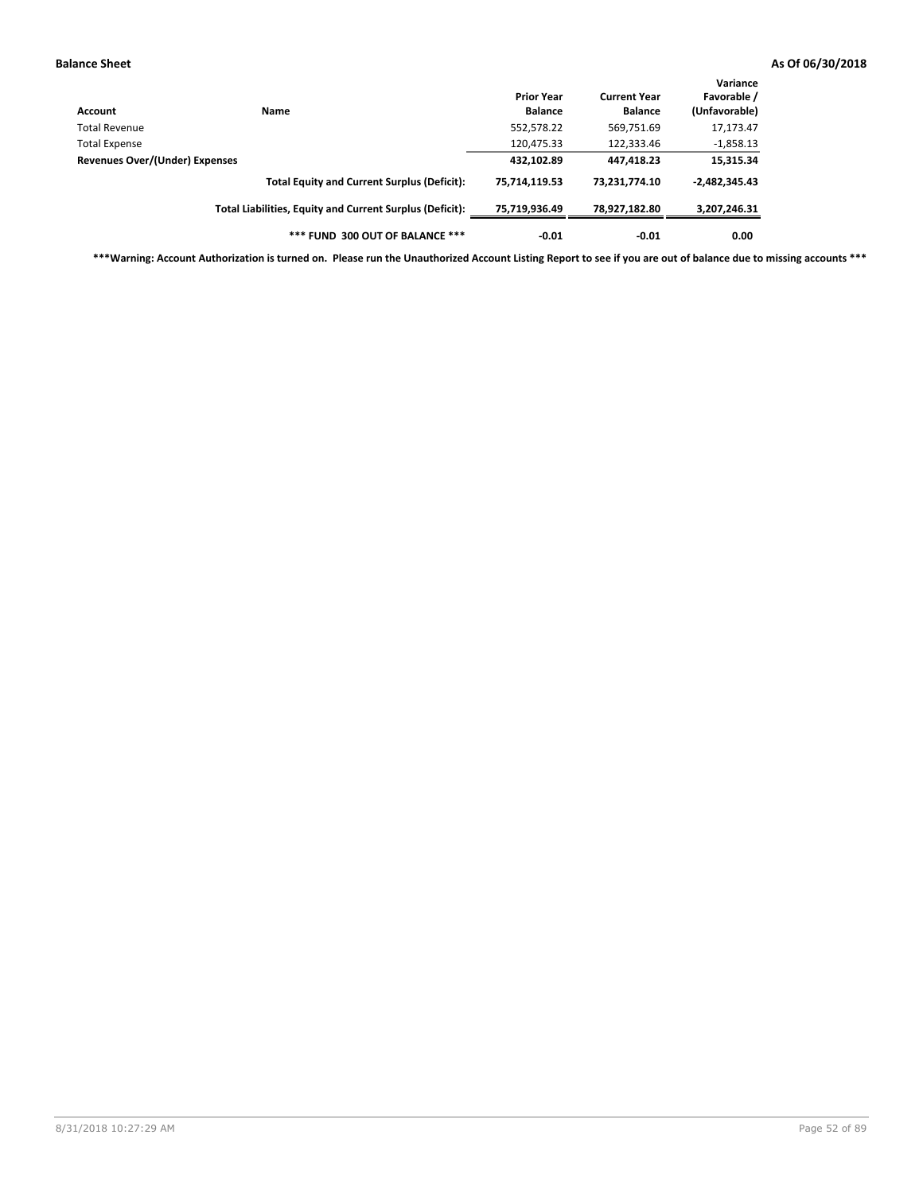| Account                        | <b>Name</b>                                              | <b>Prior Year</b><br><b>Balance</b> | <b>Current Year</b><br><b>Balance</b> | Variance<br>Favorable /<br>(Unfavorable) |
|--------------------------------|----------------------------------------------------------|-------------------------------------|---------------------------------------|------------------------------------------|
| Total Revenue                  |                                                          | 552,578.22                          | 569,751.69                            | 17,173.47                                |
| Total Expense                  |                                                          | 120,475.33                          | 122,333.46                            | $-1,858.13$                              |
| Revenues Over/(Under) Expenses |                                                          | 432,102.89                          | 447,418.23                            | 15,315.34                                |
|                                | <b>Total Equity and Current Surplus (Deficit):</b>       | 75.714.119.53                       | 73.231.774.10                         | $-2,482,345.43$                          |
|                                | Total Liabilities, Equity and Current Surplus (Deficit): | 75,719,936.49                       | 78,927,182.80                         | 3,207,246.31                             |
|                                | *** FUND 300 OUT OF BALANCE ***                          | $-0.01$                             | $-0.01$                               | 0.00                                     |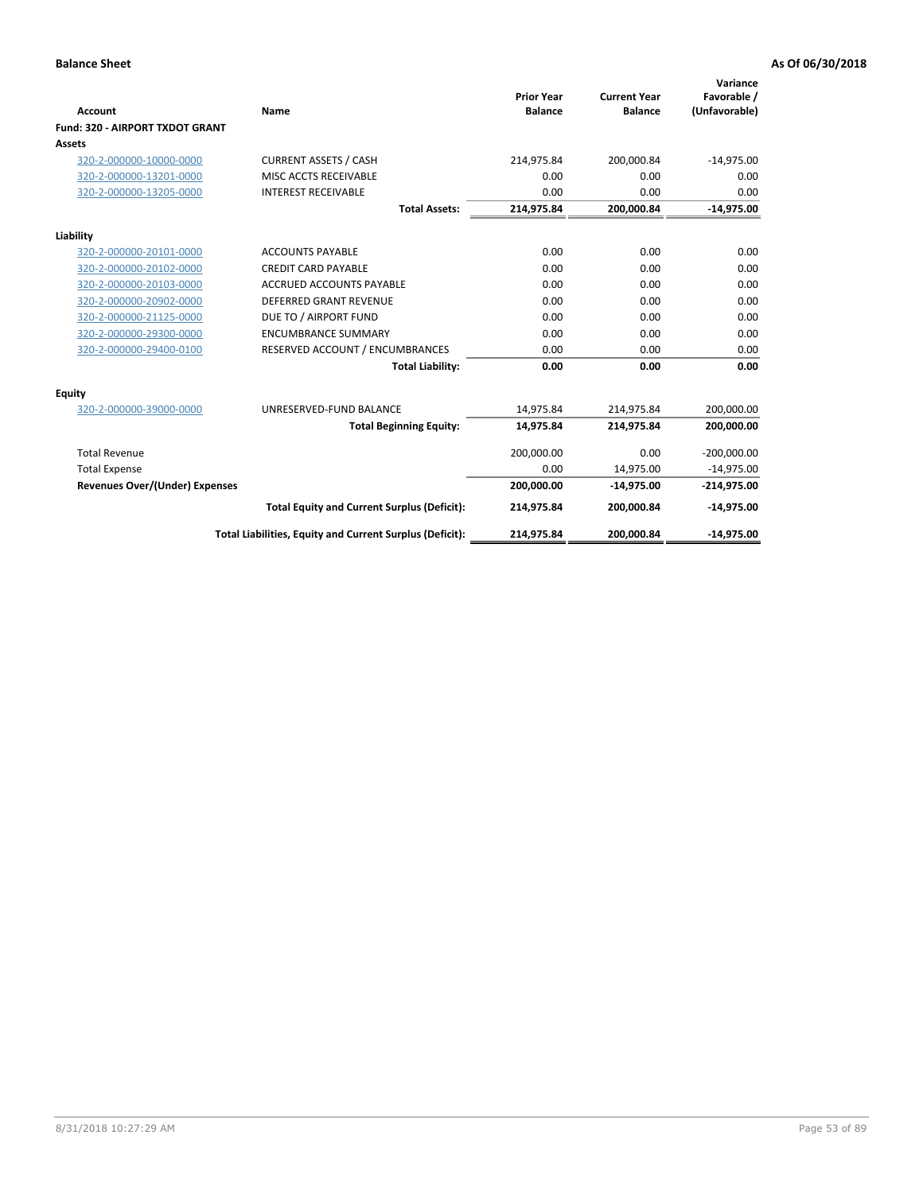|                                       |                                                          |                                     |                                       | Variance                     |
|---------------------------------------|----------------------------------------------------------|-------------------------------------|---------------------------------------|------------------------------|
| Account                               | Name                                                     | <b>Prior Year</b><br><b>Balance</b> | <b>Current Year</b><br><b>Balance</b> | Favorable /<br>(Unfavorable) |
| Fund: 320 - AIRPORT TXDOT GRANT       |                                                          |                                     |                                       |                              |
| Assets                                |                                                          |                                     |                                       |                              |
| 320-2-000000-10000-0000               | <b>CURRENT ASSETS / CASH</b>                             | 214,975.84                          | 200,000.84                            | $-14,975.00$                 |
| 320-2-000000-13201-0000               | MISC ACCTS RECEIVABLE                                    | 0.00                                | 0.00                                  | 0.00                         |
| 320-2-000000-13205-0000               | <b>INTEREST RECEIVABLE</b>                               | 0.00                                | 0.00                                  | 0.00                         |
|                                       | <b>Total Assets:</b>                                     | 214,975.84                          | 200,000.84                            | $-14,975.00$                 |
| Liability                             |                                                          |                                     |                                       |                              |
| 320-2-000000-20101-0000               | <b>ACCOUNTS PAYABLE</b>                                  | 0.00                                | 0.00                                  | 0.00                         |
| 320-2-000000-20102-0000               | <b>CREDIT CARD PAYABLE</b>                               | 0.00                                | 0.00                                  | 0.00                         |
| 320-2-000000-20103-0000               | <b>ACCRUED ACCOUNTS PAYABLE</b>                          | 0.00                                | 0.00                                  | 0.00                         |
| 320-2-000000-20902-0000               | <b>DEFERRED GRANT REVENUE</b>                            | 0.00                                | 0.00                                  | 0.00                         |
| 320-2-000000-21125-0000               | DUE TO / AIRPORT FUND                                    | 0.00                                | 0.00                                  | 0.00                         |
| 320-2-000000-29300-0000               | <b>ENCUMBRANCE SUMMARY</b>                               | 0.00                                | 0.00                                  | 0.00                         |
| 320-2-000000-29400-0100               | RESERVED ACCOUNT / ENCUMBRANCES                          | 0.00                                | 0.00                                  | 0.00                         |
|                                       | <b>Total Liability:</b>                                  | 0.00                                | 0.00                                  | 0.00                         |
| <b>Equity</b>                         |                                                          |                                     |                                       |                              |
| 320-2-000000-39000-0000               | UNRESERVED-FUND BALANCE                                  | 14,975.84                           | 214,975.84                            | 200,000.00                   |
|                                       | <b>Total Beginning Equity:</b>                           | 14,975.84                           | 214,975.84                            | 200,000.00                   |
| <b>Total Revenue</b>                  |                                                          | 200,000.00                          | 0.00                                  | $-200,000.00$                |
| <b>Total Expense</b>                  |                                                          | 0.00                                | 14,975.00                             | $-14,975.00$                 |
| <b>Revenues Over/(Under) Expenses</b> |                                                          | 200,000.00                          | $-14,975.00$                          | $-214,975.00$                |
|                                       | <b>Total Equity and Current Surplus (Deficit):</b>       | 214,975.84                          | 200,000.84                            | $-14,975.00$                 |
|                                       | Total Liabilities, Equity and Current Surplus (Deficit): | 214,975.84                          | 200,000.84                            | $-14,975.00$                 |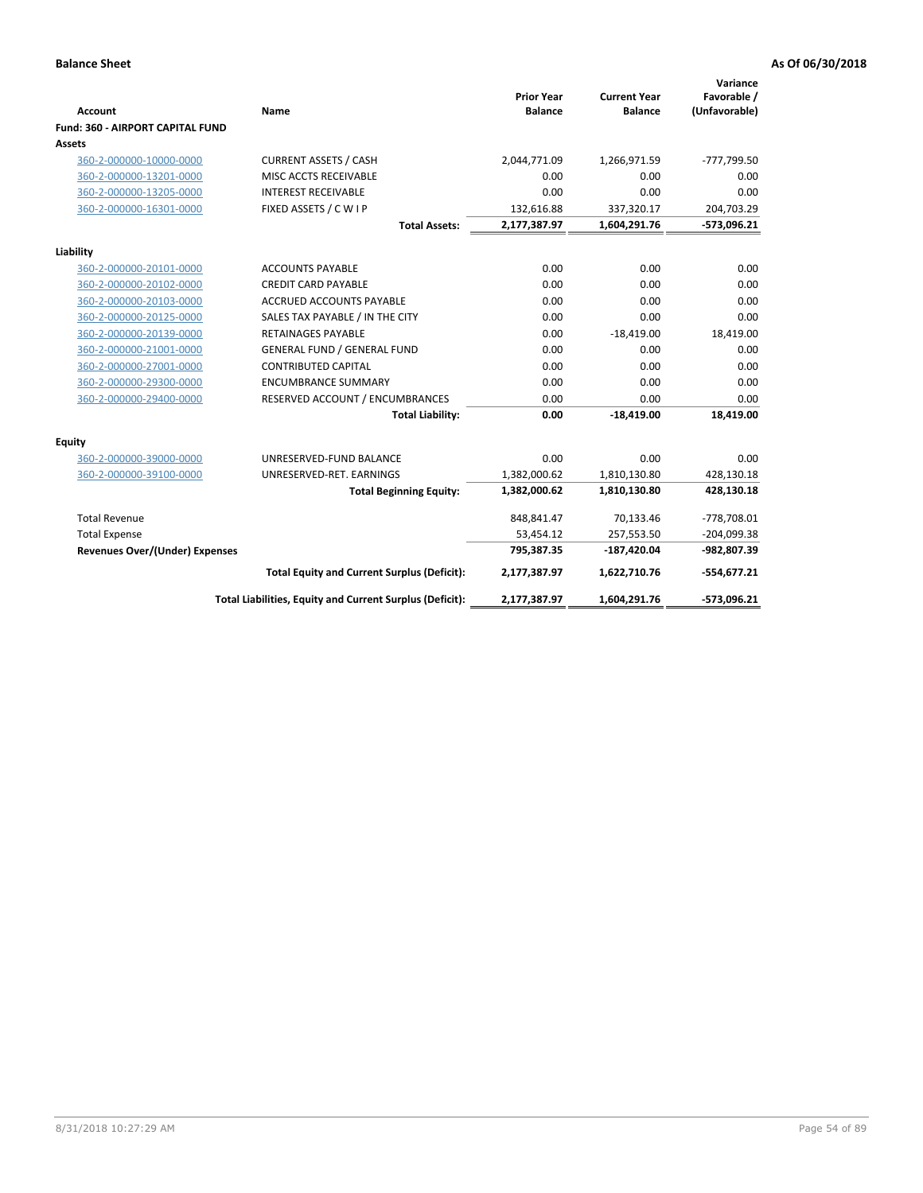| <b>Account</b>                          | Name                                                     | <b>Prior Year</b><br><b>Balance</b> | <b>Current Year</b><br><b>Balance</b> | Variance<br>Favorable /<br>(Unfavorable) |
|-----------------------------------------|----------------------------------------------------------|-------------------------------------|---------------------------------------|------------------------------------------|
| <b>Fund: 360 - AIRPORT CAPITAL FUND</b> |                                                          |                                     |                                       |                                          |
| Assets                                  |                                                          |                                     |                                       |                                          |
| 360-2-000000-10000-0000                 | <b>CURRENT ASSETS / CASH</b>                             | 2,044,771.09                        | 1,266,971.59                          | -777,799.50                              |
| 360-2-000000-13201-0000                 | MISC ACCTS RECEIVABLE                                    | 0.00                                | 0.00                                  | 0.00                                     |
| 360-2-000000-13205-0000                 | <b>INTEREST RECEIVABLE</b>                               | 0.00                                | 0.00                                  | 0.00                                     |
| 360-2-000000-16301-0000                 | FIXED ASSETS / C W I P                                   | 132,616.88                          | 337,320.17                            | 204,703.29                               |
|                                         | <b>Total Assets:</b>                                     | 2,177,387.97                        | 1,604,291.76                          | -573,096.21                              |
| Liability                               |                                                          |                                     |                                       |                                          |
| 360-2-000000-20101-0000                 | <b>ACCOUNTS PAYABLE</b>                                  | 0.00                                | 0.00                                  | 0.00                                     |
| 360-2-000000-20102-0000                 | <b>CREDIT CARD PAYABLE</b>                               | 0.00                                | 0.00                                  | 0.00                                     |
| 360-2-000000-20103-0000                 | ACCRUED ACCOUNTS PAYABLE                                 | 0.00                                | 0.00                                  | 0.00                                     |
| 360-2-000000-20125-0000                 | SALES TAX PAYABLE / IN THE CITY                          | 0.00                                | 0.00                                  | 0.00                                     |
| 360-2-000000-20139-0000                 | <b>RETAINAGES PAYABLE</b>                                | 0.00                                | $-18,419.00$                          | 18,419.00                                |
| 360-2-000000-21001-0000                 | <b>GENERAL FUND / GENERAL FUND</b>                       | 0.00                                | 0.00                                  | 0.00                                     |
| 360-2-000000-27001-0000                 | <b>CONTRIBUTED CAPITAL</b>                               | 0.00                                | 0.00                                  | 0.00                                     |
| 360-2-000000-29300-0000                 | <b>ENCUMBRANCE SUMMARY</b>                               | 0.00                                | 0.00                                  | 0.00                                     |
| 360-2-000000-29400-0000                 | RESERVED ACCOUNT / ENCUMBRANCES                          | 0.00                                | 0.00                                  | 0.00                                     |
|                                         | <b>Total Liability:</b>                                  | 0.00                                | $-18,419.00$                          | 18,419.00                                |
| <b>Equity</b>                           |                                                          |                                     |                                       |                                          |
| 360-2-000000-39000-0000                 | UNRESERVED-FUND BALANCE                                  | 0.00                                | 0.00                                  | 0.00                                     |
| 360-2-000000-39100-0000                 | UNRESERVED-RET. EARNINGS                                 | 1,382,000.62                        | 1,810,130.80                          | 428,130.18                               |
|                                         | <b>Total Beginning Equity:</b>                           | 1,382,000.62                        | 1,810,130.80                          | 428,130.18                               |
| <b>Total Revenue</b>                    |                                                          | 848,841.47                          | 70,133.46                             | -778,708.01                              |
| <b>Total Expense</b>                    |                                                          | 53,454.12                           | 257,553.50                            | $-204,099.38$                            |
| <b>Revenues Over/(Under) Expenses</b>   |                                                          | 795,387.35                          | $-187,420.04$                         | -982,807.39                              |
|                                         | <b>Total Equity and Current Surplus (Deficit):</b>       | 2,177,387.97                        | 1,622,710.76                          | $-554,677.21$                            |
|                                         | Total Liabilities, Equity and Current Surplus (Deficit): | 2,177,387.97                        | 1,604,291.76                          | -573,096.21                              |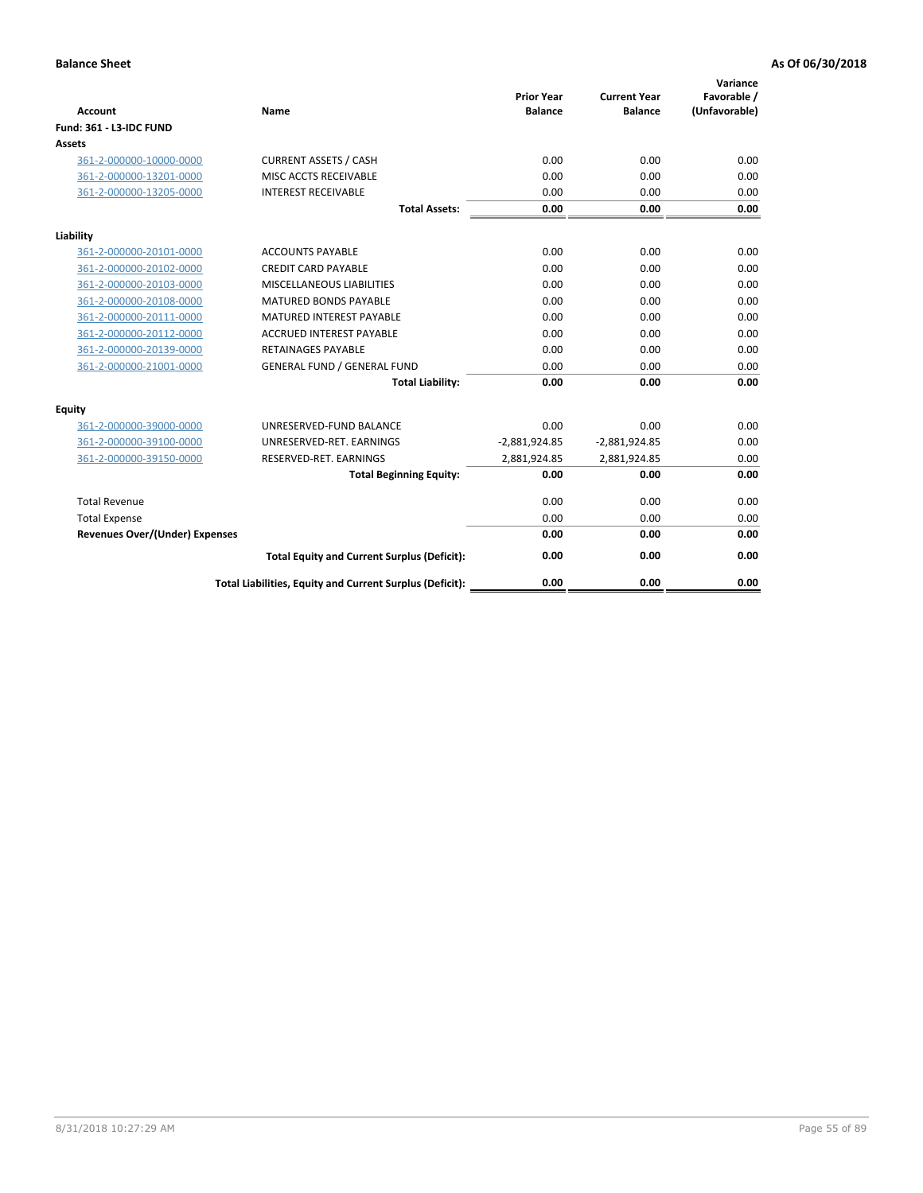| <b>Account</b>                        | <b>Name</b>                                              | <b>Prior Year</b><br><b>Balance</b> | <b>Current Year</b><br><b>Balance</b> | Variance<br>Favorable /<br>(Unfavorable) |
|---------------------------------------|----------------------------------------------------------|-------------------------------------|---------------------------------------|------------------------------------------|
| <b>Fund: 361 - L3-IDC FUND</b>        |                                                          |                                     |                                       |                                          |
| Assets                                |                                                          |                                     |                                       |                                          |
| 361-2-000000-10000-0000               | <b>CURRENT ASSETS / CASH</b>                             | 0.00                                | 0.00                                  | 0.00                                     |
| 361-2-000000-13201-0000               | MISC ACCTS RECEIVABLE                                    | 0.00                                | 0.00                                  | 0.00                                     |
| 361-2-000000-13205-0000               | <b>INTEREST RECEIVABLE</b>                               | 0.00                                | 0.00                                  | 0.00                                     |
|                                       | <b>Total Assets:</b>                                     | 0.00                                | 0.00                                  | 0.00                                     |
| Liability                             |                                                          |                                     |                                       |                                          |
| 361-2-000000-20101-0000               | <b>ACCOUNTS PAYABLE</b>                                  | 0.00                                | 0.00                                  | 0.00                                     |
| 361-2-000000-20102-0000               | <b>CREDIT CARD PAYABLE</b>                               | 0.00                                | 0.00                                  | 0.00                                     |
| 361-2-000000-20103-0000               | MISCELLANEOUS LIABILITIES                                | 0.00                                | 0.00                                  | 0.00                                     |
| 361-2-000000-20108-0000               | <b>MATURED BONDS PAYABLE</b>                             | 0.00                                | 0.00                                  | 0.00                                     |
| 361-2-000000-20111-0000               | <b>MATURED INTEREST PAYABLE</b>                          | 0.00                                | 0.00                                  | 0.00                                     |
| 361-2-000000-20112-0000               | <b>ACCRUED INTEREST PAYABLE</b>                          | 0.00                                | 0.00                                  | 0.00                                     |
| 361-2-000000-20139-0000               | <b>RETAINAGES PAYABLE</b>                                | 0.00                                | 0.00                                  | 0.00                                     |
| 361-2-000000-21001-0000               | <b>GENERAL FUND / GENERAL FUND</b>                       | 0.00                                | 0.00                                  | 0.00                                     |
|                                       | <b>Total Liability:</b>                                  | 0.00                                | 0.00                                  | 0.00                                     |
| Equity                                |                                                          |                                     |                                       |                                          |
| 361-2-000000-39000-0000               | UNRESERVED-FUND BALANCE                                  | 0.00                                | 0.00                                  | 0.00                                     |
| 361-2-000000-39100-0000               | UNRESERVED-RET. EARNINGS                                 | $-2,881,924.85$                     | $-2,881,924.85$                       | 0.00                                     |
| 361-2-000000-39150-0000               | RESERVED-RET. EARNINGS                                   | 2,881,924.85                        | 2,881,924.85                          | 0.00                                     |
|                                       | <b>Total Beginning Equity:</b>                           | 0.00                                | 0.00                                  | 0.00                                     |
| <b>Total Revenue</b>                  |                                                          | 0.00                                | 0.00                                  | 0.00                                     |
| <b>Total Expense</b>                  |                                                          | 0.00                                | 0.00                                  | 0.00                                     |
| <b>Revenues Over/(Under) Expenses</b> |                                                          | 0.00                                | 0.00                                  | 0.00                                     |
|                                       | <b>Total Equity and Current Surplus (Deficit):</b>       | 0.00                                | 0.00                                  | 0.00                                     |
|                                       | Total Liabilities, Equity and Current Surplus (Deficit): | 0.00                                | 0.00                                  | 0.00                                     |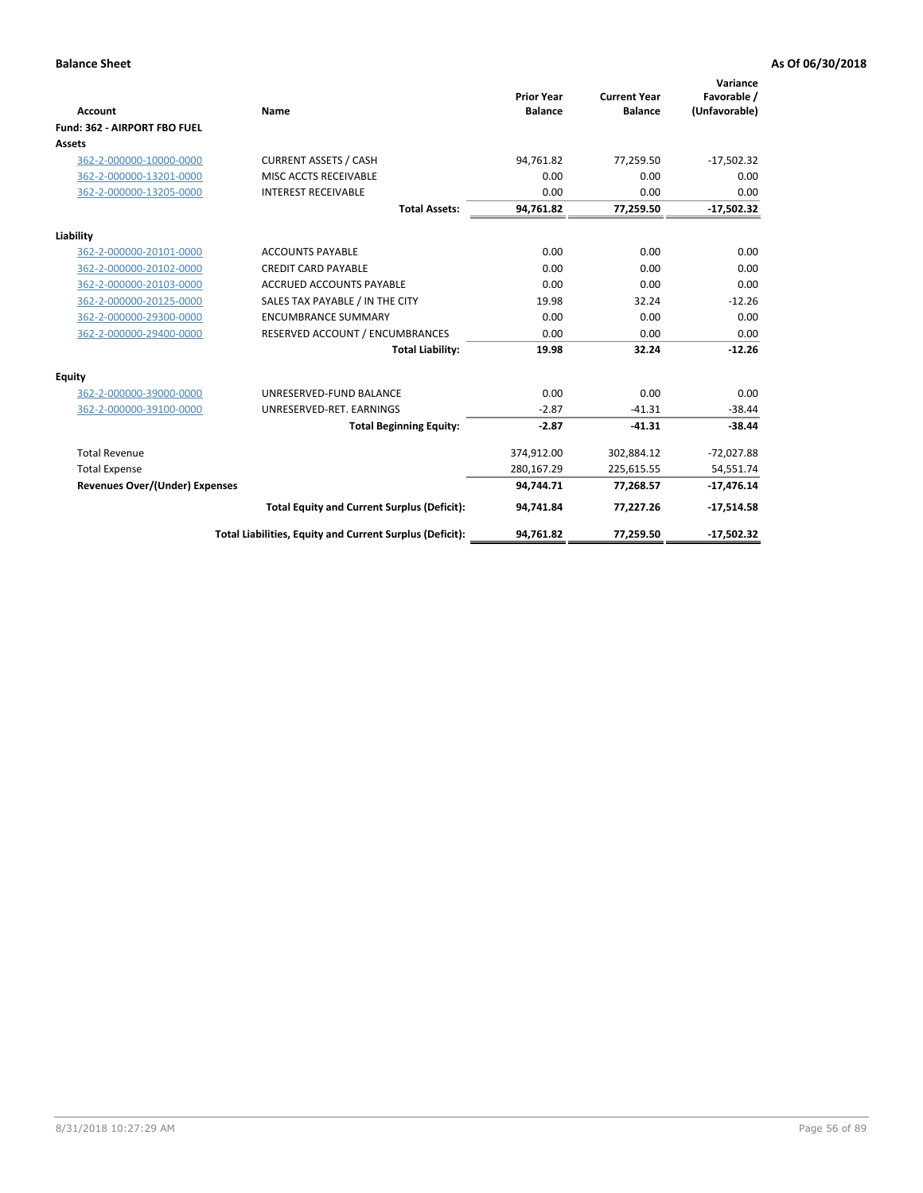|                                       |                                                          |                                     |                                       | Variance                     |
|---------------------------------------|----------------------------------------------------------|-------------------------------------|---------------------------------------|------------------------------|
| <b>Account</b>                        | Name                                                     | <b>Prior Year</b><br><b>Balance</b> | <b>Current Year</b><br><b>Balance</b> | Favorable /<br>(Unfavorable) |
| Fund: 362 - AIRPORT FBO FUEL          |                                                          |                                     |                                       |                              |
| Assets                                |                                                          |                                     |                                       |                              |
| 362-2-000000-10000-0000               | <b>CURRENT ASSETS / CASH</b>                             | 94.761.82                           | 77.259.50                             | $-17,502.32$                 |
| 362-2-000000-13201-0000               | MISC ACCTS RECEIVABLE                                    | 0.00                                | 0.00                                  | 0.00                         |
| 362-2-000000-13205-0000               | <b>INTEREST RECEIVABLE</b>                               | 0.00                                | 0.00                                  | 0.00                         |
|                                       | <b>Total Assets:</b>                                     | 94,761.82                           | 77,259.50                             | $-17,502.32$                 |
| Liability                             |                                                          |                                     |                                       |                              |
| 362-2-000000-20101-0000               | <b>ACCOUNTS PAYABLE</b>                                  | 0.00                                | 0.00                                  | 0.00                         |
| 362-2-000000-20102-0000               | <b>CREDIT CARD PAYABLE</b>                               | 0.00                                | 0.00                                  | 0.00                         |
| 362-2-000000-20103-0000               | <b>ACCRUED ACCOUNTS PAYABLE</b>                          | 0.00                                | 0.00                                  | 0.00                         |
| 362-2-000000-20125-0000               | SALES TAX PAYABLE / IN THE CITY                          | 19.98                               | 32.24                                 | $-12.26$                     |
| 362-2-000000-29300-0000               | <b>ENCUMBRANCE SUMMARY</b>                               | 0.00                                | 0.00                                  | 0.00                         |
| 362-2-000000-29400-0000               | RESERVED ACCOUNT / ENCUMBRANCES                          | 0.00                                | 0.00                                  | 0.00                         |
|                                       | <b>Total Liability:</b>                                  | 19.98                               | 32.24                                 | $-12.26$                     |
| <b>Equity</b>                         |                                                          |                                     |                                       |                              |
| 362-2-000000-39000-0000               | UNRESERVED-FUND BALANCE                                  | 0.00                                | 0.00                                  | 0.00                         |
| 362-2-000000-39100-0000               | UNRESERVED-RET. EARNINGS                                 | $-2.87$                             | $-41.31$                              | $-38.44$                     |
|                                       | <b>Total Beginning Equity:</b>                           | $-2.87$                             | $-41.31$                              | $-38.44$                     |
| <b>Total Revenue</b>                  |                                                          | 374,912.00                          | 302,884.12                            | $-72,027.88$                 |
| <b>Total Expense</b>                  |                                                          | 280,167.29                          | 225,615.55                            | 54,551.74                    |
| <b>Revenues Over/(Under) Expenses</b> |                                                          | 94,744.71                           | 77,268.57                             | $-17,476.14$                 |
|                                       | <b>Total Equity and Current Surplus (Deficit):</b>       | 94,741.84                           | 77,227.26                             | $-17,514.58$                 |
|                                       | Total Liabilities, Equity and Current Surplus (Deficit): | 94,761.82                           | 77,259.50                             | $-17,502.32$                 |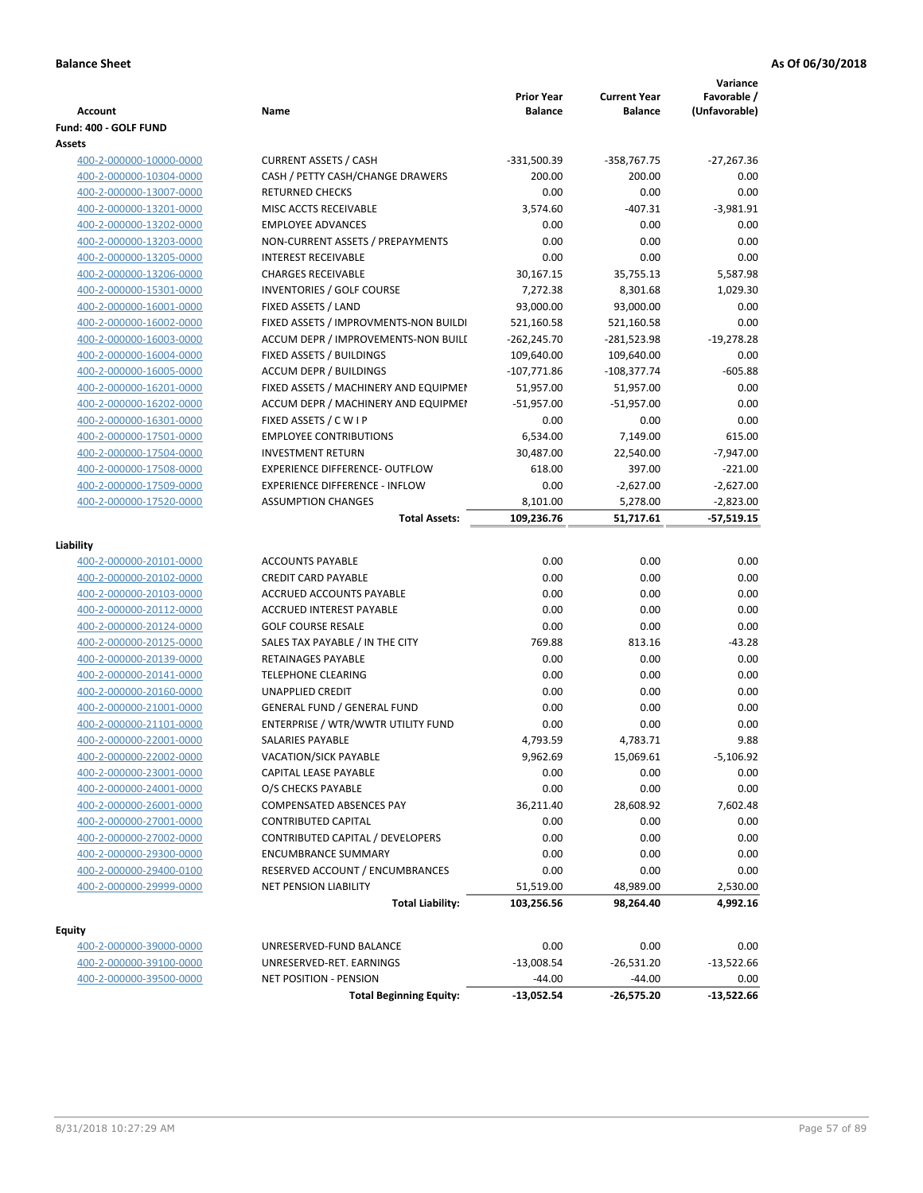| <b>Account</b><br>Fund: 400 - GOLF FUND            | Name                                    | <b>Prior Year</b><br><b>Balance</b> | <b>Current Year</b><br><b>Balance</b> | Variance<br>Favorable /<br>(Unfavorable) |
|----------------------------------------------------|-----------------------------------------|-------------------------------------|---------------------------------------|------------------------------------------|
| Assets                                             |                                         |                                     |                                       |                                          |
| 400-2-000000-10000-0000                            | <b>CURRENT ASSETS / CASH</b>            | $-331,500.39$                       | $-358,767.75$                         | $-27,267.36$                             |
| 400-2-000000-10304-0000                            | CASH / PETTY CASH/CHANGE DRAWERS        | 200.00                              | 200.00                                | 0.00                                     |
| 400-2-000000-13007-0000                            | <b>RETURNED CHECKS</b>                  | 0.00                                | 0.00                                  | 0.00                                     |
| 400-2-000000-13201-0000                            | MISC ACCTS RECEIVABLE                   | 3,574.60                            | $-407.31$                             | $-3,981.91$                              |
| 400-2-000000-13202-0000                            | <b>EMPLOYEE ADVANCES</b>                | 0.00                                | 0.00                                  | 0.00                                     |
| 400-2-000000-13203-0000                            | NON-CURRENT ASSETS / PREPAYMENTS        | 0.00                                | 0.00                                  | 0.00                                     |
| 400-2-000000-13205-0000                            | <b>INTEREST RECEIVABLE</b>              | 0.00                                | 0.00                                  | 0.00                                     |
| 400-2-000000-13206-0000                            | <b>CHARGES RECEIVABLE</b>               | 30,167.15                           | 35,755.13                             | 5,587.98                                 |
| 400-2-000000-15301-0000                            | INVENTORIES / GOLF COURSE               | 7,272.38                            | 8,301.68                              | 1,029.30                                 |
| 400-2-000000-16001-0000                            | FIXED ASSETS / LAND                     | 93,000.00                           | 93,000.00                             | 0.00                                     |
| 400-2-000000-16002-0000                            | FIXED ASSETS / IMPROVMENTS-NON BUILDI   | 521,160.58                          | 521,160.58                            | 0.00                                     |
| 400-2-000000-16003-0000                            | ACCUM DEPR / IMPROVEMENTS-NON BUILI     | $-262,245.70$                       | -281,523.98                           | $-19,278.28$                             |
| 400-2-000000-16004-0000                            | FIXED ASSETS / BUILDINGS                | 109,640.00                          | 109,640.00                            | 0.00                                     |
| 400-2-000000-16005-0000                            | <b>ACCUM DEPR / BUILDINGS</b>           | $-107,771.86$                       | $-108,377.74$                         | $-605.88$                                |
| 400-2-000000-16201-0000                            | FIXED ASSETS / MACHINERY AND EQUIPMEN   | 51,957.00                           | 51,957.00                             | 0.00                                     |
| 400-2-000000-16202-0000                            | ACCUM DEPR / MACHINERY AND EQUIPMEI     | $-51,957.00$                        | $-51,957.00$                          | 0.00                                     |
| 400-2-000000-16301-0000                            | FIXED ASSETS / C W I P                  | 0.00                                | 0.00                                  | 0.00                                     |
| 400-2-000000-17501-0000                            | <b>EMPLOYEE CONTRIBUTIONS</b>           | 6,534.00                            | 7,149.00                              | 615.00                                   |
| 400-2-000000-17504-0000                            | <b>INVESTMENT RETURN</b>                | 30,487.00                           | 22,540.00                             | $-7,947.00$                              |
| 400-2-000000-17508-0000                            | <b>EXPERIENCE DIFFERENCE- OUTFLOW</b>   | 618.00                              | 397.00                                | $-221.00$                                |
| 400-2-000000-17509-0000                            | <b>EXPERIENCE DIFFERENCE - INFLOW</b>   | 0.00                                | $-2,627.00$                           | $-2,627.00$                              |
| 400-2-000000-17520-0000                            | <b>ASSUMPTION CHANGES</b>               | 8,101.00                            | 5,278.00                              | $-2,823.00$                              |
|                                                    | <b>Total Assets:</b>                    | 109,236.76                          | 51,717.61                             | $-57,519.15$                             |
| Liability                                          |                                         |                                     |                                       |                                          |
|                                                    | <b>ACCOUNTS PAYABLE</b>                 | 0.00                                | 0.00                                  | 0.00                                     |
| 400-2-000000-20101-0000<br>400-2-000000-20102-0000 | <b>CREDIT CARD PAYABLE</b>              | 0.00                                | 0.00                                  | 0.00                                     |
| 400-2-000000-20103-0000                            | ACCRUED ACCOUNTS PAYABLE                | 0.00                                | 0.00                                  | 0.00                                     |
| 400-2-000000-20112-0000                            | <b>ACCRUED INTEREST PAYABLE</b>         | 0.00                                | 0.00                                  | 0.00                                     |
| 400-2-000000-20124-0000                            | <b>GOLF COURSE RESALE</b>               | 0.00                                | 0.00                                  | 0.00                                     |
| 400-2-000000-20125-0000                            | SALES TAX PAYABLE / IN THE CITY         | 769.88                              | 813.16                                | $-43.28$                                 |
| 400-2-000000-20139-0000                            | RETAINAGES PAYABLE                      | 0.00                                | 0.00                                  | 0.00                                     |
| 400-2-000000-20141-0000                            | <b>TELEPHONE CLEARING</b>               | 0.00                                | 0.00                                  | 0.00                                     |
| 400-2-000000-20160-0000                            | <b>UNAPPLIED CREDIT</b>                 | 0.00                                | 0.00                                  | 0.00                                     |
| 400-2-000000-21001-0000                            | <b>GENERAL FUND / GENERAL FUND</b>      | 0.00                                | 0.00                                  | 0.00                                     |
| 400-2-000000-21101-0000                            | ENTERPRISE / WTR/WWTR UTILITY FUND      | 0.00                                | 0.00                                  | 0.00                                     |
| 400-2-000000-22001-0000                            | <b>SALARIES PAYABLE</b>                 | 4,793.59                            | 4,783.71                              | 9.88                                     |
| 400-2-000000-22002-0000                            | VACATION/SICK PAYABLE                   | 9,962.69                            | 15,069.61                             | -5,106.92                                |
| 400-2-000000-23001-0000                            | CAPITAL LEASE PAYABLE                   | 0.00                                | 0.00                                  | 0.00                                     |
| 400-2-000000-24001-0000                            | O/S CHECKS PAYABLE                      | 0.00                                | 0.00                                  | 0.00                                     |
| 400-2-000000-26001-0000                            | <b>COMPENSATED ABSENCES PAY</b>         | 36,211.40                           | 28,608.92                             | 7,602.48                                 |
| 400-2-000000-27001-0000                            | <b>CONTRIBUTED CAPITAL</b>              | 0.00                                | 0.00                                  | 0.00                                     |
| 400-2-000000-27002-0000                            | <b>CONTRIBUTED CAPITAL / DEVELOPERS</b> | 0.00                                | 0.00                                  | 0.00                                     |
| 400-2-000000-29300-0000                            | <b>ENCUMBRANCE SUMMARY</b>              | 0.00                                | 0.00                                  | 0.00                                     |
| 400-2-000000-29400-0100                            | RESERVED ACCOUNT / ENCUMBRANCES         | 0.00                                | 0.00                                  | 0.00                                     |
| 400-2-000000-29999-0000                            | <b>NET PENSION LIABILITY</b>            | 51,519.00                           | 48,989.00                             | 2,530.00                                 |
|                                                    | <b>Total Liability:</b>                 | 103,256.56                          | 98,264.40                             | 4,992.16                                 |
|                                                    |                                         |                                     |                                       |                                          |
| <b>Equity</b>                                      |                                         |                                     |                                       |                                          |
| 400-2-000000-39000-0000                            | UNRESERVED-FUND BALANCE                 | 0.00                                | 0.00                                  | 0.00                                     |
| 400-2-000000-39100-0000                            | UNRESERVED-RET. EARNINGS                | $-13,008.54$                        | $-26,531.20$                          | $-13,522.66$                             |
| 400-2-000000-39500-0000                            | <b>NET POSITION - PENSION</b>           | $-44.00$                            | $-44.00$                              | 0.00                                     |
|                                                    | <b>Total Beginning Equity:</b>          | -13,052.54                          | -26,575.20                            | $-13,522.66$                             |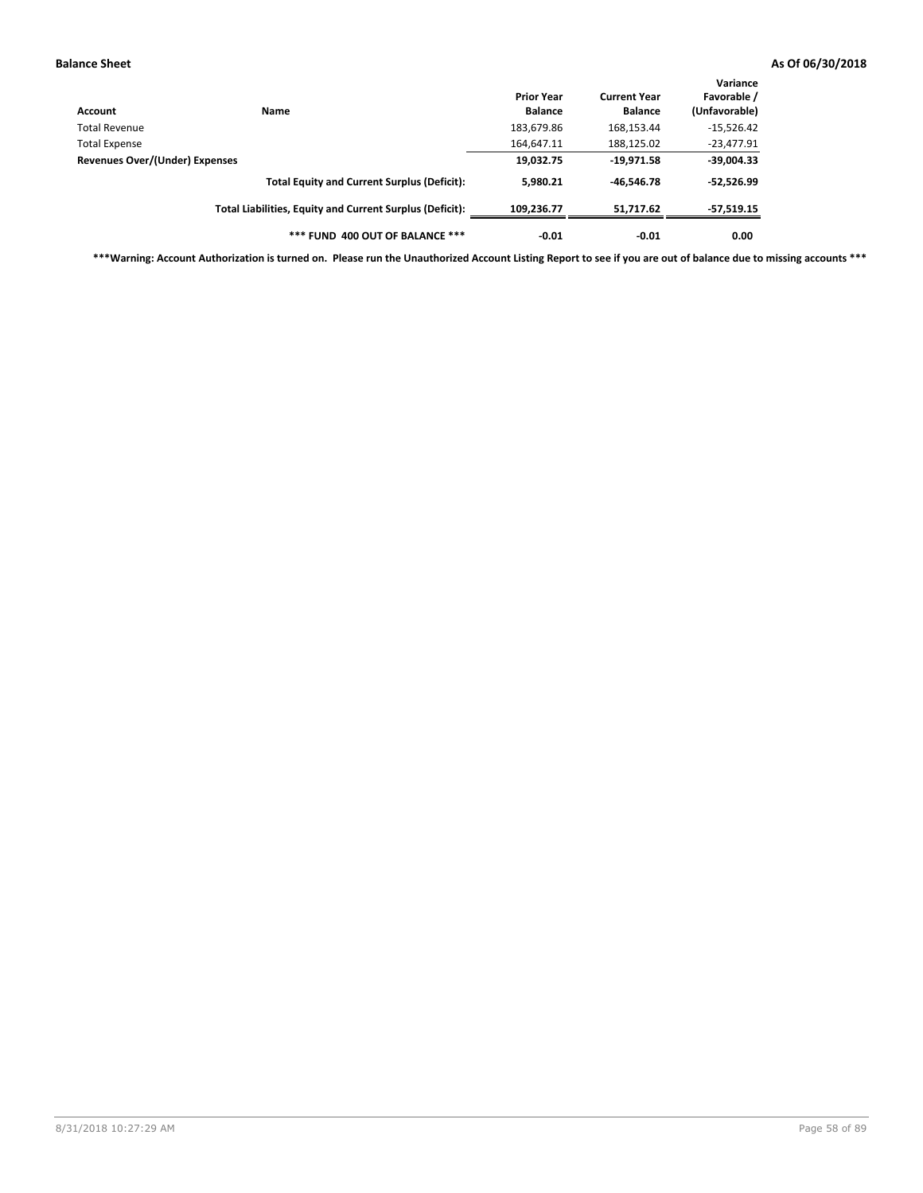| Account                        | Name                                                     | <b>Prior Year</b><br><b>Balance</b> | <b>Current Year</b><br><b>Balance</b> | Variance<br>Favorable /<br>(Unfavorable) |
|--------------------------------|----------------------------------------------------------|-------------------------------------|---------------------------------------|------------------------------------------|
| Total Revenue                  |                                                          | 183,679.86                          | 168,153.44                            | $-15,526.42$                             |
| <b>Total Expense</b>           |                                                          | 164,647.11                          | 188,125.02                            | $-23,477.91$                             |
| Revenues Over/(Under) Expenses |                                                          | 19,032.75                           | $-19,971.58$                          | $-39,004.33$                             |
|                                | <b>Total Equity and Current Surplus (Deficit):</b>       | 5,980.21                            | $-46.546.78$                          | $-52,526.99$                             |
|                                | Total Liabilities, Equity and Current Surplus (Deficit): | 109,236.77                          | 51,717.62                             | -57,519.15                               |
|                                | *** FUND 400 OUT OF BALANCE ***                          | $-0.01$                             | $-0.01$                               | 0.00                                     |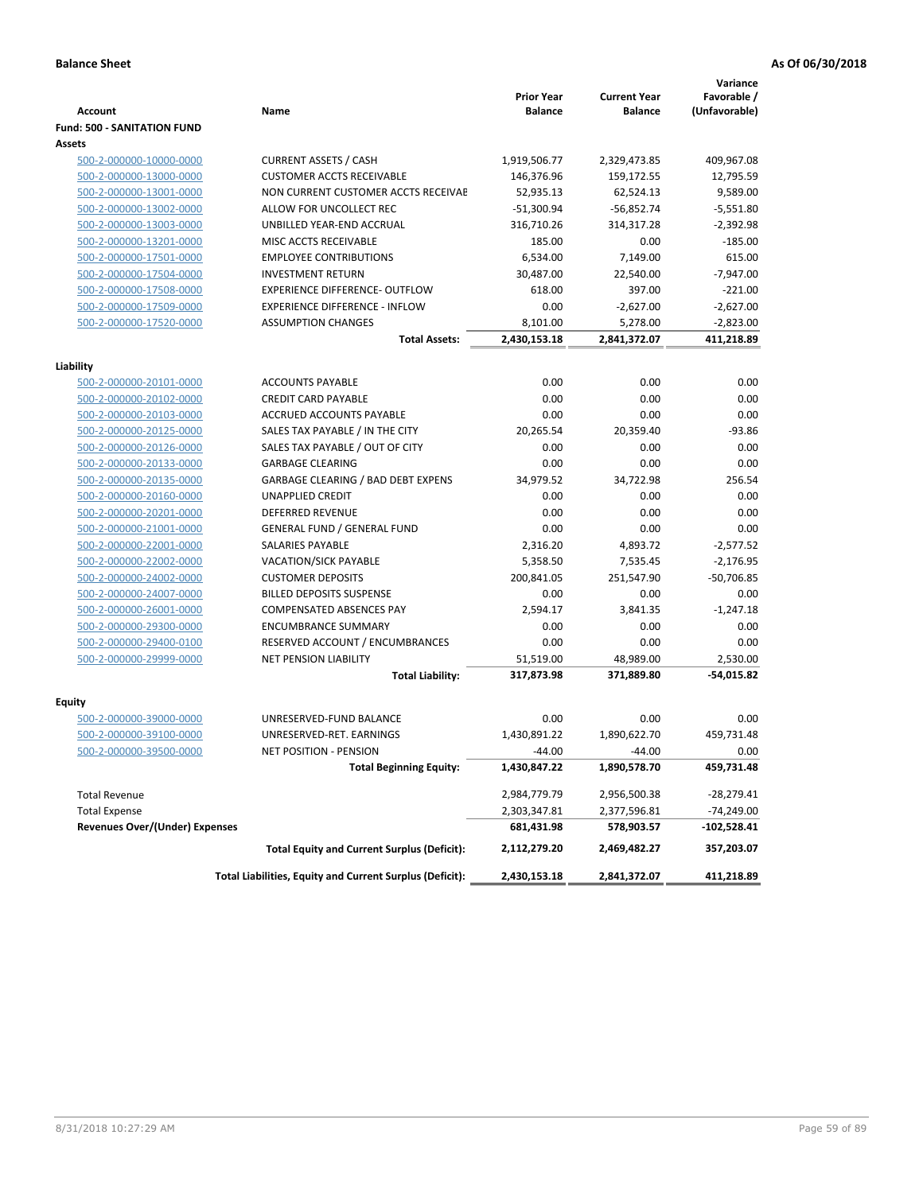|                                                    |                                                                 | <b>Prior Year</b> | <b>Current Year</b> | Variance<br>Favorable / |
|----------------------------------------------------|-----------------------------------------------------------------|-------------------|---------------------|-------------------------|
| <b>Account</b>                                     | Name                                                            | <b>Balance</b>    | <b>Balance</b>      | (Unfavorable)           |
| <b>Fund: 500 - SANITATION FUND</b>                 |                                                                 |                   |                     |                         |
| Assets                                             |                                                                 |                   |                     |                         |
| 500-2-000000-10000-0000                            | <b>CURRENT ASSETS / CASH</b>                                    | 1,919,506.77      | 2,329,473.85        | 409,967.08              |
| 500-2-000000-13000-0000                            | <b>CUSTOMER ACCTS RECEIVABLE</b>                                | 146,376.96        | 159,172.55          | 12,795.59               |
| 500-2-000000-13001-0000                            | NON CURRENT CUSTOMER ACCTS RECEIVAE                             | 52,935.13         | 62,524.13           | 9,589.00                |
| 500-2-000000-13002-0000                            | ALLOW FOR UNCOLLECT REC                                         | $-51,300.94$      | $-56,852.74$        | $-5,551.80$             |
| 500-2-000000-13003-0000                            | UNBILLED YEAR-END ACCRUAL                                       | 316,710.26        | 314,317.28          | $-2,392.98$             |
| 500-2-000000-13201-0000                            | MISC ACCTS RECEIVABLE                                           | 185.00            | 0.00                | $-185.00$               |
| 500-2-000000-17501-0000                            | <b>EMPLOYEE CONTRIBUTIONS</b>                                   | 6.534.00          | 7,149.00            | 615.00                  |
| 500-2-000000-17504-0000                            | <b>INVESTMENT RETURN</b>                                        | 30,487.00         | 22,540.00           | $-7.947.00$             |
| 500-2-000000-17508-0000                            | <b>EXPERIENCE DIFFERENCE- OUTFLOW</b>                           | 618.00            | 397.00              | $-221.00$               |
| 500-2-000000-17509-0000                            | <b>EXPERIENCE DIFFERENCE - INFLOW</b>                           | 0.00              | $-2,627.00$         | $-2,627.00$             |
| 500-2-000000-17520-0000                            | <b>ASSUMPTION CHANGES</b>                                       | 8,101.00          | 5,278.00            | $-2,823.00$             |
|                                                    | <b>Total Assets:</b>                                            | 2,430,153.18      | 2,841,372.07        | 411,218.89              |
|                                                    |                                                                 |                   |                     |                         |
| Liability                                          |                                                                 |                   |                     |                         |
| 500-2-000000-20101-0000                            | <b>ACCOUNTS PAYABLE</b>                                         | 0.00              | 0.00                | 0.00                    |
| 500-2-000000-20102-0000                            | <b>CREDIT CARD PAYABLE</b>                                      | 0.00              | 0.00                | 0.00                    |
| 500-2-000000-20103-0000                            | ACCRUED ACCOUNTS PAYABLE                                        | 0.00              | 0.00                | 0.00                    |
| 500-2-000000-20125-0000                            | SALES TAX PAYABLE / IN THE CITY                                 | 20,265.54         | 20,359.40           | $-93.86$                |
| 500-2-000000-20126-0000                            | SALES TAX PAYABLE / OUT OF CITY                                 | 0.00              | 0.00                | 0.00                    |
| 500-2-000000-20133-0000                            | <b>GARBAGE CLEARING</b>                                         | 0.00              | 0.00                | 0.00                    |
| 500-2-000000-20135-0000                            | <b>GARBAGE CLEARING / BAD DEBT EXPENS</b>                       | 34,979.52         | 34,722.98           | 256.54                  |
| 500-2-000000-20160-0000                            | UNAPPLIED CREDIT                                                | 0.00              | 0.00                | 0.00                    |
| 500-2-000000-20201-0000                            | <b>DEFERRED REVENUE</b>                                         | 0.00              | 0.00                | 0.00                    |
| 500-2-000000-21001-0000                            | <b>GENERAL FUND / GENERAL FUND</b>                              | 0.00              | 0.00                | 0.00                    |
| 500-2-000000-22001-0000                            | <b>SALARIES PAYABLE</b>                                         | 2,316.20          | 4,893.72            | $-2,577.52$             |
| 500-2-000000-22002-0000                            | <b>VACATION/SICK PAYABLE</b>                                    | 5,358.50          | 7,535.45            | $-2,176.95$             |
| 500-2-000000-24002-0000                            | <b>CUSTOMER DEPOSITS</b>                                        | 200,841.05        | 251,547.90          | $-50,706.85$            |
| 500-2-000000-24007-0000                            | <b>BILLED DEPOSITS SUSPENSE</b>                                 | 0.00              | 0.00                | 0.00                    |
| 500-2-000000-26001-0000                            | <b>COMPENSATED ABSENCES PAY</b>                                 | 2,594.17          | 3,841.35            | $-1,247.18$             |
| 500-2-000000-29300-0000                            | <b>ENCUMBRANCE SUMMARY</b>                                      | 0.00              | 0.00                | 0.00                    |
| 500-2-000000-29400-0100<br>500-2-000000-29999-0000 | RESERVED ACCOUNT / ENCUMBRANCES<br><b>NET PENSION LIABILITY</b> | 0.00<br>51,519.00 | 0.00<br>48,989.00   | 0.00<br>2,530.00        |
|                                                    |                                                                 |                   |                     |                         |
|                                                    | <b>Total Liability:</b>                                         | 317,873.98        | 371,889.80          | $-54,015.82$            |
| Equity                                             |                                                                 |                   |                     |                         |
| 500-2-000000-39000-0000                            | UNRESERVED-FUND BALANCE                                         | 0.00              | 0.00                | 0.00                    |
| 500-2-000000-39100-0000                            | UNRESERVED-RET. EARNINGS                                        | 1,430,891.22      | 1,890,622.70        | 459,731.48              |
| 500-2-000000-39500-0000                            | NET POSITION - PENSION                                          | $-44.00$          | $-44.00$            | 0.00                    |
|                                                    | <b>Total Beginning Equity:</b>                                  | 1,430,847.22      | 1,890,578.70        | 459,731.48              |
| <b>Total Revenue</b>                               |                                                                 | 2,984,779.79      | 2,956,500.38        | -28,279.41              |
| <b>Total Expense</b>                               |                                                                 | 2,303,347.81      | 2,377,596.81        | -74,249.00              |
| <b>Revenues Over/(Under) Expenses</b>              |                                                                 | 681,431.98        | 578,903.57          | -102,528.41             |
|                                                    | <b>Total Equity and Current Surplus (Deficit):</b>              | 2,112,279.20      | 2,469,482.27        | 357,203.07              |
|                                                    | Total Liabilities, Equity and Current Surplus (Deficit):        | 2,430,153.18      | 2,841,372.07        | 411,218.89              |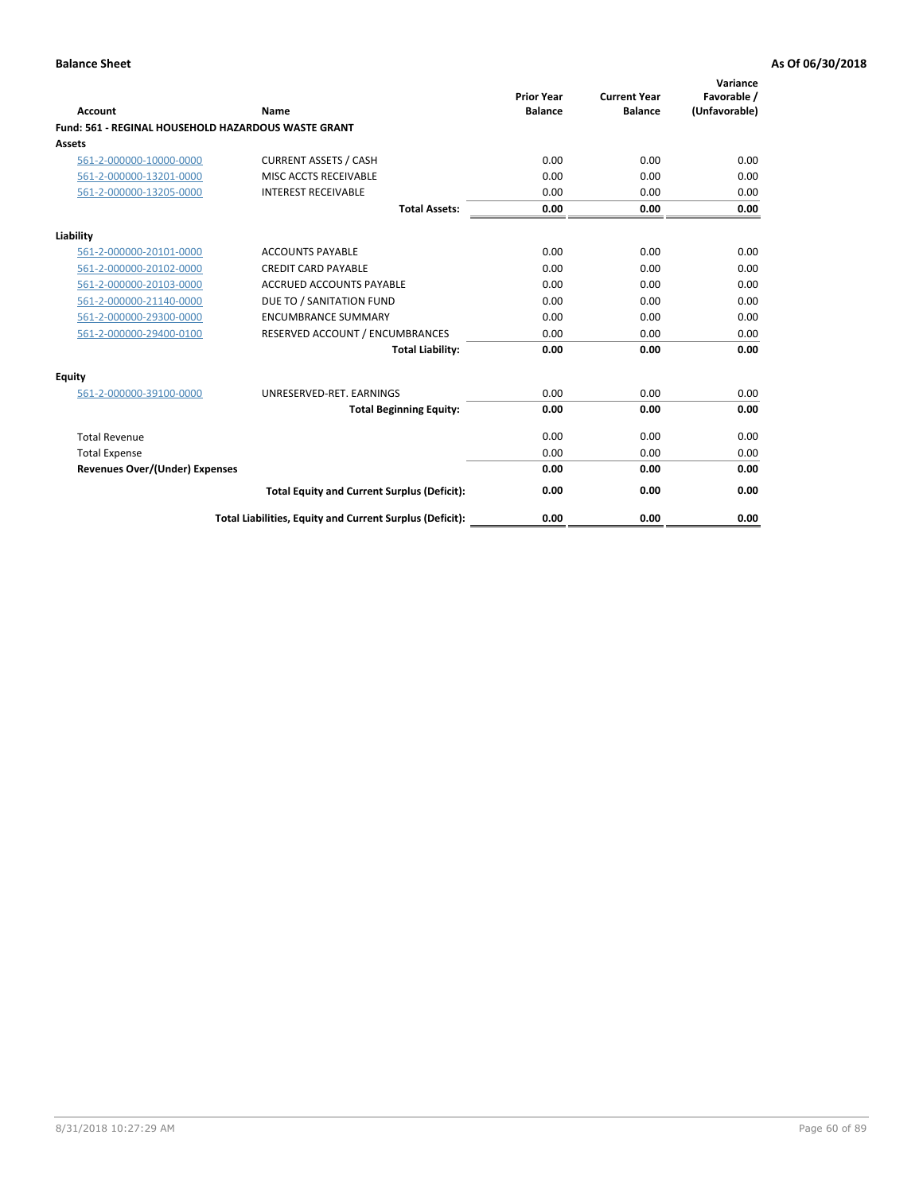| Account                                                    | Name                                                     | <b>Prior Year</b><br><b>Balance</b> | <b>Current Year</b><br><b>Balance</b> | Variance<br>Favorable /<br>(Unfavorable) |
|------------------------------------------------------------|----------------------------------------------------------|-------------------------------------|---------------------------------------|------------------------------------------|
| <b>Fund: 561 - REGINAL HOUSEHOLD HAZARDOUS WASTE GRANT</b> |                                                          |                                     |                                       |                                          |
| <b>Assets</b>                                              |                                                          |                                     |                                       |                                          |
| 561-2-000000-10000-0000                                    | <b>CURRENT ASSETS / CASH</b>                             | 0.00                                | 0.00                                  | 0.00                                     |
| 561-2-000000-13201-0000                                    | MISC ACCTS RECEIVABLE                                    | 0.00                                | 0.00                                  | 0.00                                     |
| 561-2-000000-13205-0000                                    | <b>INTEREST RECEIVABLE</b>                               | 0.00                                | 0.00                                  | 0.00                                     |
|                                                            | <b>Total Assets:</b>                                     | 0.00                                | 0.00                                  | 0.00                                     |
| Liability                                                  |                                                          |                                     |                                       |                                          |
| 561-2-000000-20101-0000                                    | <b>ACCOUNTS PAYABLE</b>                                  | 0.00                                | 0.00                                  | 0.00                                     |
| 561-2-000000-20102-0000                                    | <b>CREDIT CARD PAYABLE</b>                               | 0.00                                | 0.00                                  | 0.00                                     |
| 561-2-000000-20103-0000                                    | <b>ACCRUED ACCOUNTS PAYABLE</b>                          | 0.00                                | 0.00                                  | 0.00                                     |
| 561-2-000000-21140-0000                                    | DUE TO / SANITATION FUND                                 | 0.00                                | 0.00                                  | 0.00                                     |
| 561-2-000000-29300-0000                                    | <b>ENCUMBRANCE SUMMARY</b>                               | 0.00                                | 0.00                                  | 0.00                                     |
| 561-2-000000-29400-0100                                    | RESERVED ACCOUNT / ENCUMBRANCES                          | 0.00                                | 0.00                                  | 0.00                                     |
|                                                            | <b>Total Liability:</b>                                  | 0.00                                | 0.00                                  | 0.00                                     |
| <b>Equity</b>                                              |                                                          |                                     |                                       |                                          |
| 561-2-000000-39100-0000                                    | UNRESERVED-RET. EARNINGS                                 | 0.00                                | 0.00                                  | 0.00                                     |
|                                                            | <b>Total Beginning Equity:</b>                           | 0.00                                | 0.00                                  | 0.00                                     |
| <b>Total Revenue</b>                                       |                                                          | 0.00                                | 0.00                                  | 0.00                                     |
| <b>Total Expense</b>                                       |                                                          | 0.00                                | 0.00                                  | 0.00                                     |
| <b>Revenues Over/(Under) Expenses</b>                      |                                                          | 0.00                                | 0.00                                  | 0.00                                     |
|                                                            | <b>Total Equity and Current Surplus (Deficit):</b>       | 0.00                                | 0.00                                  | 0.00                                     |
|                                                            | Total Liabilities, Equity and Current Surplus (Deficit): | 0.00                                | 0.00                                  | 0.00                                     |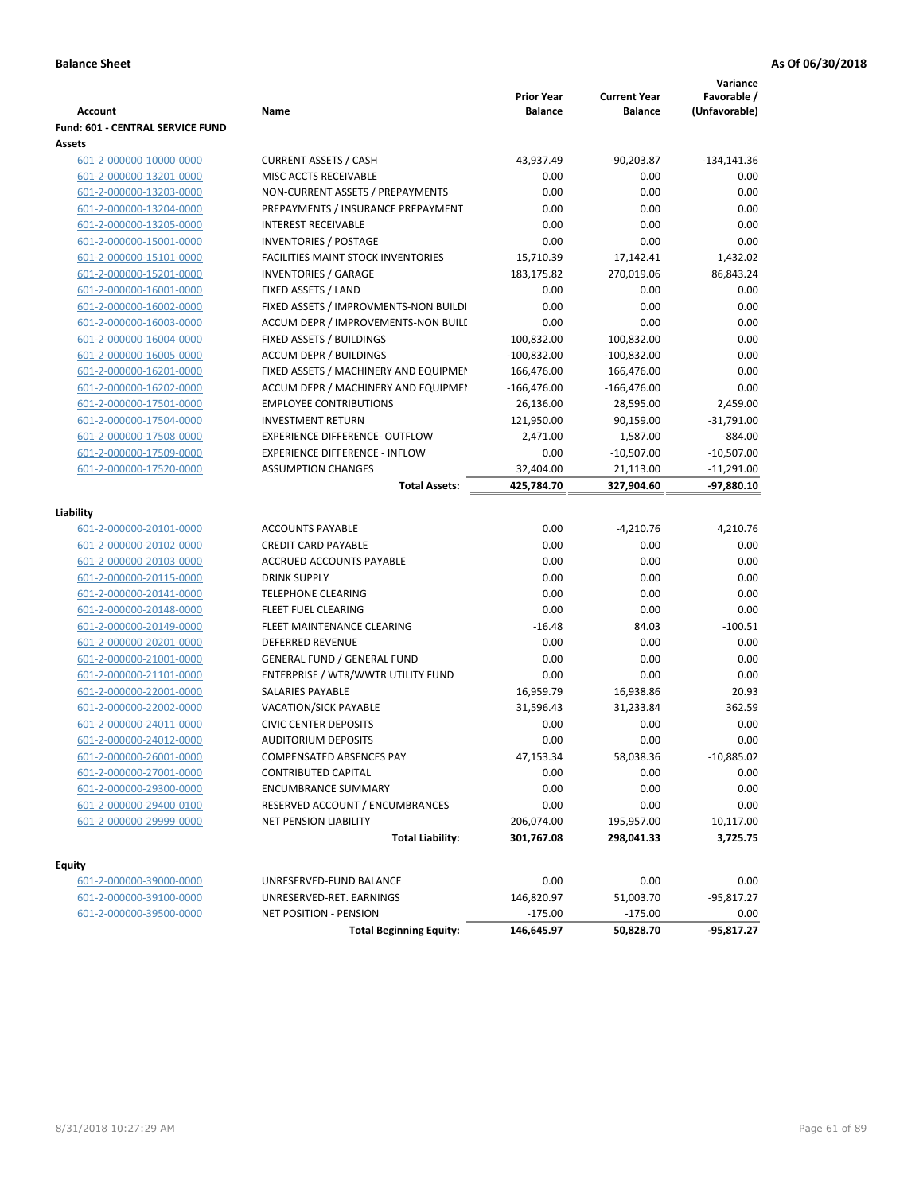| <b>Account</b>                          | Name                                      | <b>Prior Year</b><br><b>Balance</b> | <b>Current Year</b><br><b>Balance</b> | Variance<br>Favorable /<br>(Unfavorable) |
|-----------------------------------------|-------------------------------------------|-------------------------------------|---------------------------------------|------------------------------------------|
| <b>Fund: 601 - CENTRAL SERVICE FUND</b> |                                           |                                     |                                       |                                          |
| Assets                                  |                                           |                                     |                                       |                                          |
| 601-2-000000-10000-0000                 | <b>CURRENT ASSETS / CASH</b>              | 43,937.49                           | $-90,203.87$                          | $-134, 141.36$                           |
| 601-2-000000-13201-0000                 | MISC ACCTS RECEIVABLE                     | 0.00                                | 0.00                                  | 0.00                                     |
| 601-2-000000-13203-0000                 | NON-CURRENT ASSETS / PREPAYMENTS          | 0.00                                | 0.00                                  | 0.00                                     |
| 601-2-000000-13204-0000                 | PREPAYMENTS / INSURANCE PREPAYMENT        | 0.00                                | 0.00                                  | 0.00                                     |
| 601-2-000000-13205-0000                 | <b>INTEREST RECEIVABLE</b>                | 0.00                                | 0.00                                  | 0.00                                     |
| 601-2-000000-15001-0000                 | <b>INVENTORIES / POSTAGE</b>              | 0.00                                | 0.00                                  | 0.00                                     |
| 601-2-000000-15101-0000                 | <b>FACILITIES MAINT STOCK INVENTORIES</b> | 15,710.39                           | 17,142.41                             | 1,432.02                                 |
| 601-2-000000-15201-0000                 | <b>INVENTORIES / GARAGE</b>               | 183,175.82                          | 270,019.06                            | 86,843.24                                |
| 601-2-000000-16001-0000                 | FIXED ASSETS / LAND                       | 0.00                                | 0.00                                  | 0.00                                     |
| 601-2-000000-16002-0000                 | FIXED ASSETS / IMPROVMENTS-NON BUILDI     | 0.00                                | 0.00                                  | 0.00                                     |
| 601-2-000000-16003-0000                 | ACCUM DEPR / IMPROVEMENTS-NON BUILI       | 0.00                                | 0.00                                  | 0.00                                     |
| 601-2-000000-16004-0000                 | FIXED ASSETS / BUILDINGS                  | 100,832.00                          | 100,832.00                            | 0.00                                     |
| 601-2-000000-16005-0000                 | <b>ACCUM DEPR / BUILDINGS</b>             | $-100,832.00$                       | $-100,832.00$                         | 0.00                                     |
| 601-2-000000-16201-0000                 | FIXED ASSETS / MACHINERY AND EQUIPMEN     | 166,476.00                          | 166,476.00                            | 0.00                                     |
| 601-2-000000-16202-0000                 | ACCUM DEPR / MACHINERY AND EQUIPMEI       | $-166,476.00$                       | $-166,476.00$                         | 0.00                                     |
| 601-2-000000-17501-0000                 | <b>EMPLOYEE CONTRIBUTIONS</b>             | 26,136.00                           | 28,595.00                             | 2,459.00                                 |
| 601-2-000000-17504-0000                 | <b>INVESTMENT RETURN</b>                  | 121,950.00                          | 90,159.00                             | $-31,791.00$                             |
| 601-2-000000-17508-0000                 | <b>EXPERIENCE DIFFERENCE- OUTFLOW</b>     | 2,471.00                            | 1,587.00                              | $-884.00$                                |
| 601-2-000000-17509-0000                 | <b>EXPERIENCE DIFFERENCE - INFLOW</b>     | 0.00                                | $-10,507.00$                          | $-10,507.00$                             |
| 601-2-000000-17520-0000                 | <b>ASSUMPTION CHANGES</b>                 | 32,404.00                           | 21,113.00                             | $-11,291.00$                             |
|                                         | <b>Total Assets:</b>                      | 425,784.70                          | 327,904.60                            | -97,880.10                               |
|                                         |                                           |                                     |                                       |                                          |
| Liability                               | <b>ACCOUNTS PAYABLE</b>                   | 0.00                                |                                       |                                          |
| 601-2-000000-20101-0000                 |                                           |                                     | $-4,210.76$                           | 4,210.76                                 |
| 601-2-000000-20102-0000                 | <b>CREDIT CARD PAYABLE</b>                | 0.00                                | 0.00                                  | 0.00                                     |
| 601-2-000000-20103-0000                 | ACCRUED ACCOUNTS PAYABLE                  | 0.00                                | 0.00                                  | 0.00                                     |
| 601-2-000000-20115-0000                 | <b>DRINK SUPPLY</b>                       | 0.00                                | 0.00                                  | 0.00                                     |
| 601-2-000000-20141-0000                 | <b>TELEPHONE CLEARING</b>                 | 0.00                                | 0.00                                  | 0.00                                     |
| 601-2-000000-20148-0000                 | <b>FLEET FUEL CLEARING</b>                | 0.00                                | 0.00                                  | 0.00                                     |
| 601-2-000000-20149-0000                 | FLEET MAINTENANCE CLEARING                | $-16.48$                            | 84.03                                 | $-100.51$                                |
| 601-2-000000-20201-0000                 | <b>DEFERRED REVENUE</b>                   | 0.00                                | 0.00                                  | 0.00                                     |
| 601-2-000000-21001-0000                 | <b>GENERAL FUND / GENERAL FUND</b>        | 0.00                                | 0.00                                  | 0.00                                     |
| 601-2-000000-21101-0000                 | ENTERPRISE / WTR/WWTR UTILITY FUND        | 0.00                                | 0.00                                  | 0.00                                     |
| 601-2-000000-22001-0000                 | SALARIES PAYABLE                          | 16,959.79                           | 16,938.86                             | 20.93                                    |
| 601-2-000000-22002-0000                 | <b>VACATION/SICK PAYABLE</b>              | 31,596.43                           | 31,233.84                             | 362.59                                   |
| 601-2-000000-24011-0000                 | <b>CIVIC CENTER DEPOSITS</b>              | 0.00                                | 0.00                                  | 0.00                                     |
| 601-2-000000-24012-0000                 | <b>AUDITORIUM DEPOSITS</b>                | 0.00                                | 0.00                                  | 0.00                                     |
| 601-2-000000-26001-0000                 | COMPENSATED ABSENCES PAY                  | 47,153.34                           | 58,038.36                             | $-10,885.02$                             |
| 601-2-000000-27001-0000                 | <b>CONTRIBUTED CAPITAL</b>                | 0.00                                | 0.00                                  | 0.00                                     |
| 601-2-000000-29300-0000                 | <b>ENCUMBRANCE SUMMARY</b>                | 0.00                                | 0.00                                  | 0.00                                     |
| 601-2-000000-29400-0100                 | RESERVED ACCOUNT / ENCUMBRANCES           | 0.00                                | 0.00                                  | 0.00                                     |
| 601-2-000000-29999-0000                 | NET PENSION LIABILITY                     | 206,074.00                          | 195,957.00                            | 10,117.00                                |
|                                         | <b>Total Liability:</b>                   | 301,767.08                          | 298,041.33                            | 3,725.75                                 |
| <b>Equity</b>                           |                                           |                                     |                                       |                                          |
| 601-2-000000-39000-0000                 | UNRESERVED-FUND BALANCE                   | 0.00                                | 0.00                                  | 0.00                                     |
| 601-2-000000-39100-0000                 | UNRESERVED-RET. EARNINGS                  | 146,820.97                          | 51,003.70                             | -95,817.27                               |
| 601-2-000000-39500-0000                 | NET POSITION - PENSION                    | $-175.00$                           | $-175.00$                             | 0.00                                     |
|                                         | <b>Total Beginning Equity:</b>            | 146,645.97                          | 50,828.70                             | $-95,817.27$                             |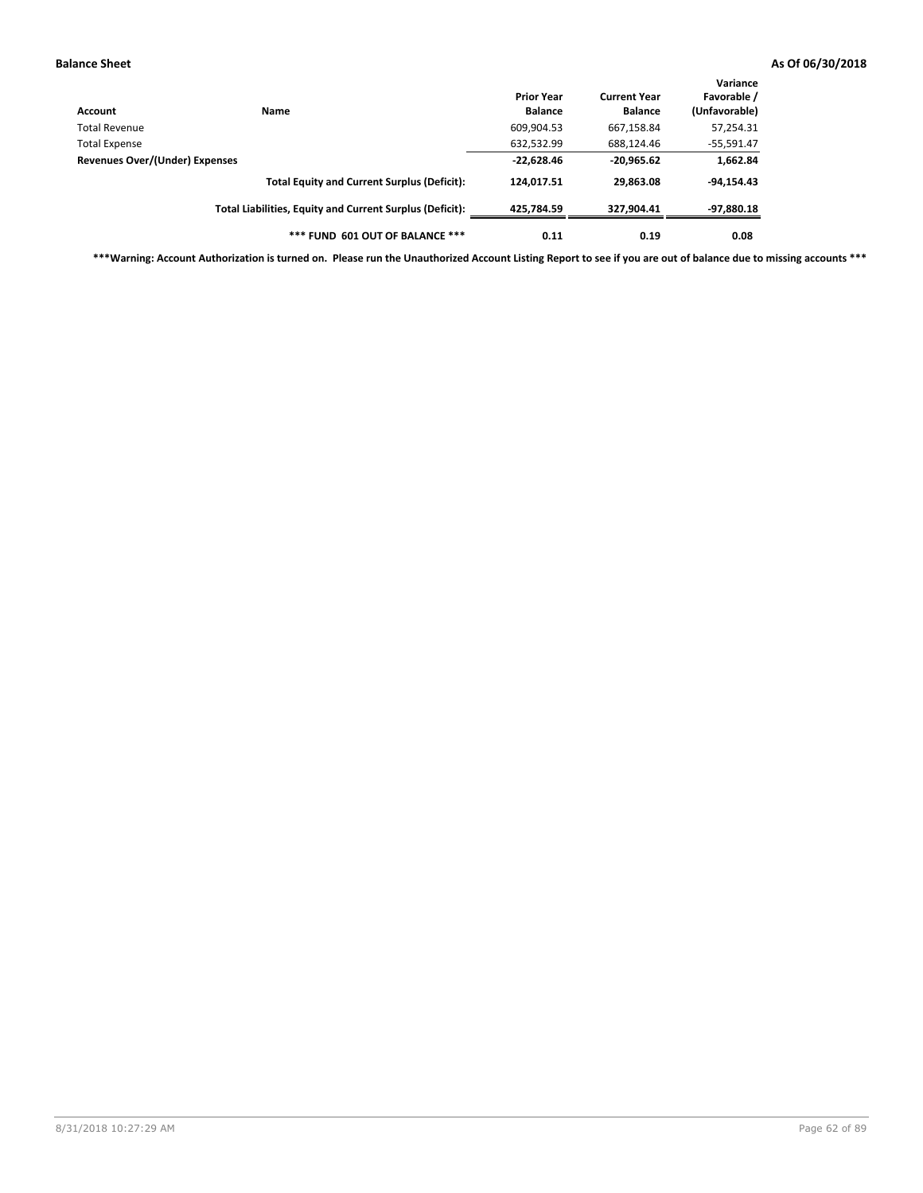| Account                        | <b>Name</b>                                              | <b>Prior Year</b><br><b>Balance</b> | <b>Current Year</b><br><b>Balance</b> | Variance<br>Favorable /<br>(Unfavorable) |
|--------------------------------|----------------------------------------------------------|-------------------------------------|---------------------------------------|------------------------------------------|
| Total Revenue                  |                                                          | 609,904.53                          | 667,158.84                            | 57,254.31                                |
| <b>Total Expense</b>           |                                                          | 632,532.99                          | 688,124.46                            | $-55,591.47$                             |
| Revenues Over/(Under) Expenses | $-22,628.46$                                             | $-20,965.62$                        | 1,662.84                              |                                          |
|                                | <b>Total Equity and Current Surplus (Deficit):</b>       | 124,017.51                          | 29.863.08                             | $-94,154.43$                             |
|                                | Total Liabilities, Equity and Current Surplus (Deficit): | 425.784.59                          | 327.904.41                            | -97,880.18                               |
|                                | *** FUND 601 OUT OF BALANCE ***                          | 0.11                                | 0.19                                  | 0.08                                     |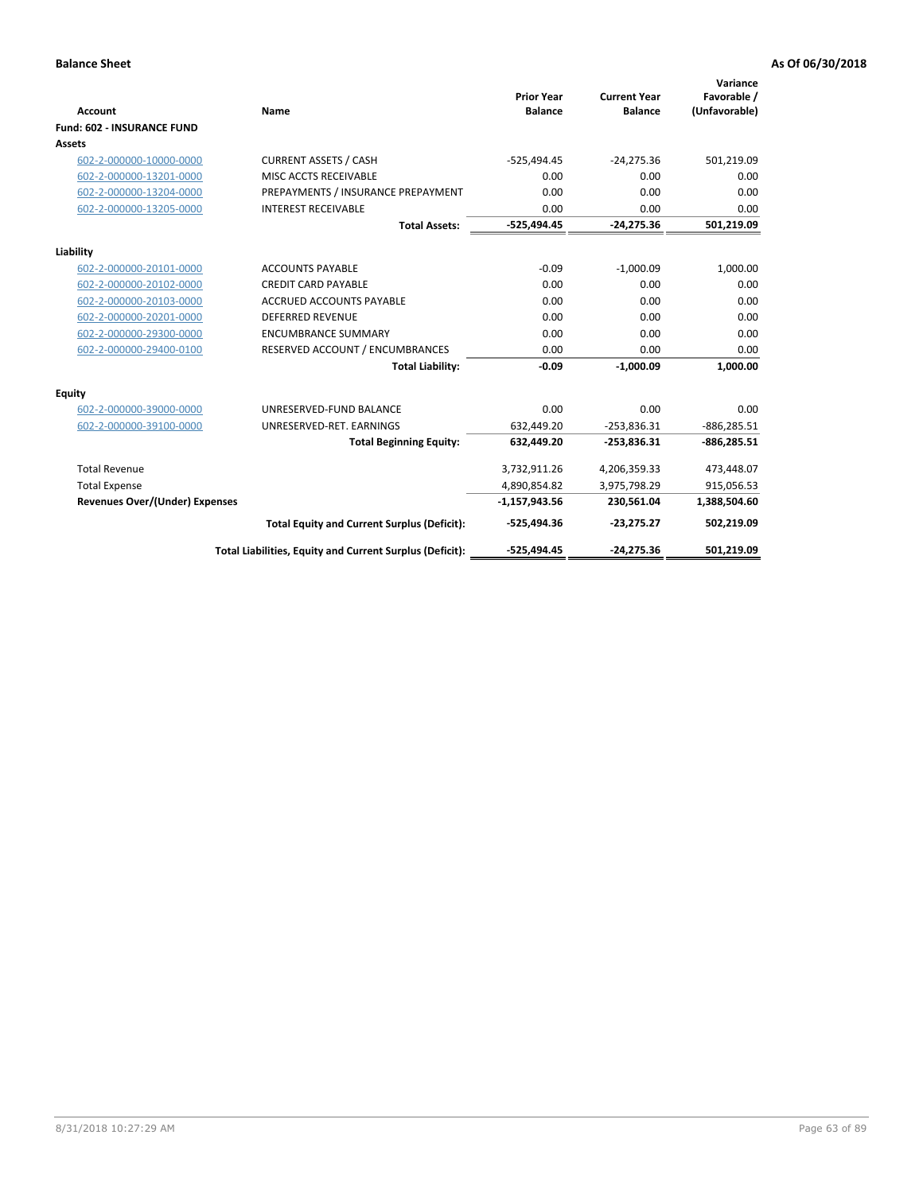| <b>Account</b>                        | Name                                                     | <b>Prior Year</b><br><b>Balance</b> | <b>Current Year</b><br><b>Balance</b> | Variance<br>Favorable /<br>(Unfavorable) |
|---------------------------------------|----------------------------------------------------------|-------------------------------------|---------------------------------------|------------------------------------------|
| <b>Fund: 602 - INSURANCE FUND</b>     |                                                          |                                     |                                       |                                          |
| <b>Assets</b>                         |                                                          |                                     |                                       |                                          |
| 602-2-000000-10000-0000               | <b>CURRENT ASSETS / CASH</b>                             | $-525,494.45$                       | $-24,275.36$                          | 501,219.09                               |
| 602-2-000000-13201-0000               | MISC ACCTS RECEIVABLE                                    | 0.00                                | 0.00                                  | 0.00                                     |
| 602-2-000000-13204-0000               | PREPAYMENTS / INSURANCE PREPAYMENT                       | 0.00                                | 0.00                                  | 0.00                                     |
| 602-2-000000-13205-0000               | <b>INTEREST RECEIVABLE</b>                               | 0.00                                | 0.00                                  | 0.00                                     |
|                                       | <b>Total Assets:</b>                                     | $-525,494.45$                       | $-24,275.36$                          | 501,219.09                               |
| Liability                             |                                                          |                                     |                                       |                                          |
| 602-2-000000-20101-0000               | <b>ACCOUNTS PAYABLE</b>                                  | $-0.09$                             | $-1,000.09$                           | 1,000.00                                 |
| 602-2-000000-20102-0000               | <b>CREDIT CARD PAYABLE</b>                               | 0.00                                | 0.00                                  | 0.00                                     |
| 602-2-000000-20103-0000               | <b>ACCRUED ACCOUNTS PAYABLE</b>                          | 0.00                                | 0.00                                  | 0.00                                     |
| 602-2-000000-20201-0000               | <b>DEFERRED REVENUE</b>                                  | 0.00                                | 0.00                                  | 0.00                                     |
| 602-2-000000-29300-0000               | <b>ENCUMBRANCE SUMMARY</b>                               | 0.00                                | 0.00                                  | 0.00                                     |
| 602-2-000000-29400-0100               | RESERVED ACCOUNT / ENCUMBRANCES                          | 0.00                                | 0.00                                  | 0.00                                     |
|                                       | <b>Total Liability:</b>                                  | $-0.09$                             | $-1,000.09$                           | 1,000.00                                 |
| <b>Equity</b>                         |                                                          |                                     |                                       |                                          |
| 602-2-000000-39000-0000               | UNRESERVED-FUND BALANCE                                  | 0.00                                | 0.00                                  | 0.00                                     |
| 602-2-000000-39100-0000               | UNRESERVED-RET. EARNINGS                                 | 632,449.20                          | $-253,836.31$                         | $-886, 285.51$                           |
|                                       | <b>Total Beginning Equity:</b>                           | 632,449.20                          | $-253,836.31$                         | $-886,285.51$                            |
|                                       |                                                          |                                     |                                       |                                          |
| <b>Total Revenue</b>                  |                                                          | 3,732,911.26                        | 4,206,359.33                          | 473,448.07                               |
| <b>Total Expense</b>                  |                                                          | 4,890,854.82                        | 3,975,798.29                          | 915,056.53                               |
| <b>Revenues Over/(Under) Expenses</b> |                                                          | $-1,157,943.56$                     | 230,561.04                            | 1,388,504.60                             |
|                                       | <b>Total Equity and Current Surplus (Deficit):</b>       | $-525,494.36$                       | $-23,275.27$                          | 502,219.09                               |
|                                       | Total Liabilities, Equity and Current Surplus (Deficit): | -525,494.45                         | $-24.275.36$                          | 501.219.09                               |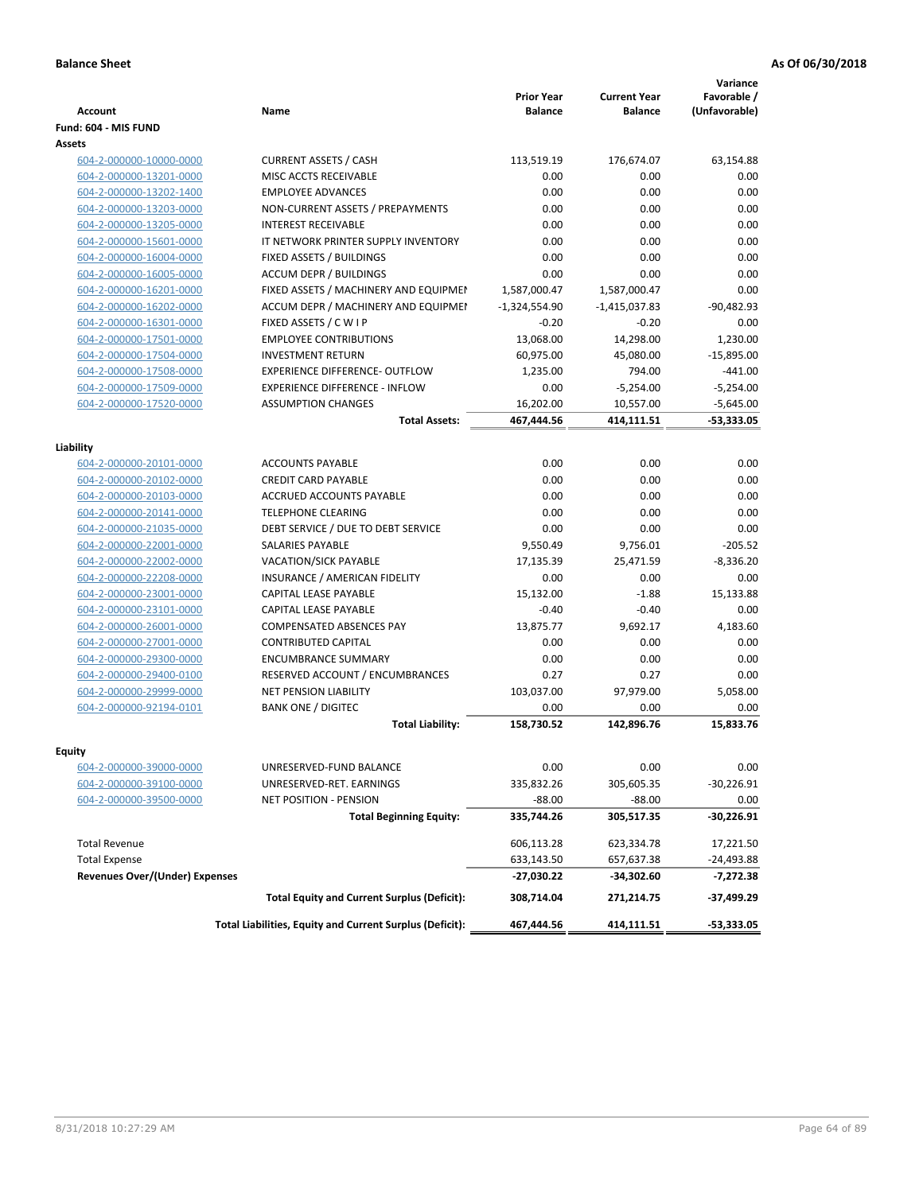| <b>Account</b>                        | Name                                                     | <b>Prior Year</b><br><b>Balance</b> | <b>Current Year</b><br><b>Balance</b> | Variance<br>Favorable /<br>(Unfavorable) |
|---------------------------------------|----------------------------------------------------------|-------------------------------------|---------------------------------------|------------------------------------------|
| Fund: 604 - MIS FUND                  |                                                          |                                     |                                       |                                          |
| Assets                                |                                                          |                                     |                                       |                                          |
| 604-2-000000-10000-0000               | <b>CURRENT ASSETS / CASH</b>                             | 113,519.19                          | 176,674.07                            | 63,154.88                                |
| 604-2-000000-13201-0000               | MISC ACCTS RECEIVABLE                                    | 0.00                                | 0.00                                  | 0.00                                     |
| 604-2-000000-13202-1400               | <b>EMPLOYEE ADVANCES</b>                                 | 0.00                                | 0.00                                  | 0.00                                     |
| 604-2-000000-13203-0000               | NON-CURRENT ASSETS / PREPAYMENTS                         | 0.00                                | 0.00                                  | 0.00                                     |
| 604-2-000000-13205-0000               | <b>INTEREST RECEIVABLE</b>                               | 0.00                                | 0.00                                  | 0.00                                     |
| 604-2-000000-15601-0000               | IT NETWORK PRINTER SUPPLY INVENTORY                      | 0.00                                | 0.00                                  | 0.00                                     |
| 604-2-000000-16004-0000               | FIXED ASSETS / BUILDINGS                                 | 0.00                                | 0.00                                  | 0.00                                     |
| 604-2-000000-16005-0000               | <b>ACCUM DEPR / BUILDINGS</b>                            | 0.00                                | 0.00                                  | 0.00                                     |
| 604-2-000000-16201-0000               | FIXED ASSETS / MACHINERY AND EQUIPMEN                    | 1,587,000.47                        | 1,587,000.47                          | 0.00                                     |
| 604-2-000000-16202-0000               | ACCUM DEPR / MACHINERY AND EQUIPMEI                      | $-1,324,554.90$                     | $-1,415,037.83$                       | $-90,482.93$                             |
| 604-2-000000-16301-0000               | FIXED ASSETS / C W I P                                   | $-0.20$                             | $-0.20$                               | 0.00                                     |
| 604-2-000000-17501-0000               | <b>EMPLOYEE CONTRIBUTIONS</b>                            | 13,068.00                           | 14,298.00                             | 1,230.00                                 |
| 604-2-000000-17504-0000               | <b>INVESTMENT RETURN</b>                                 | 60,975.00                           | 45,080.00                             | $-15,895.00$                             |
| 604-2-000000-17508-0000               | EXPERIENCE DIFFERENCE- OUTFLOW                           | 1,235.00                            | 794.00                                | $-441.00$                                |
| 604-2-000000-17509-0000               | <b>EXPERIENCE DIFFERENCE - INFLOW</b>                    | 0.00                                | $-5,254.00$                           | $-5,254.00$                              |
| 604-2-000000-17520-0000               | <b>ASSUMPTION CHANGES</b>                                | 16,202.00                           | 10,557.00                             | $-5,645.00$                              |
|                                       | <b>Total Assets:</b>                                     | 467,444.56                          | 414,111.51                            | $-53,333.05$                             |
|                                       |                                                          |                                     |                                       |                                          |
| Liability                             |                                                          |                                     |                                       |                                          |
| 604-2-000000-20101-0000               | <b>ACCOUNTS PAYABLE</b>                                  | 0.00                                | 0.00                                  | 0.00                                     |
| 604-2-000000-20102-0000               | <b>CREDIT CARD PAYABLE</b>                               | 0.00                                | 0.00                                  | 0.00                                     |
| 604-2-000000-20103-0000               | ACCRUED ACCOUNTS PAYABLE                                 | 0.00                                | 0.00                                  | 0.00                                     |
| 604-2-000000-20141-0000               | <b>TELEPHONE CLEARING</b>                                | 0.00                                | 0.00                                  | 0.00                                     |
| 604-2-000000-21035-0000               | DEBT SERVICE / DUE TO DEBT SERVICE                       | 0.00                                | 0.00                                  | 0.00                                     |
| 604-2-000000-22001-0000               | <b>SALARIES PAYABLE</b>                                  | 9,550.49                            | 9,756.01                              | $-205.52$                                |
| 604-2-000000-22002-0000               | VACATION/SICK PAYABLE                                    | 17,135.39                           | 25,471.59                             | $-8,336.20$                              |
| 604-2-000000-22208-0000               | INSURANCE / AMERICAN FIDELITY                            | 0.00                                | 0.00                                  | 0.00                                     |
| 604-2-000000-23001-0000               | CAPITAL LEASE PAYABLE                                    | 15,132.00                           | $-1.88$                               | 15,133.88                                |
| 604-2-000000-23101-0000               | CAPITAL LEASE PAYABLE                                    | $-0.40$                             | $-0.40$                               | 0.00                                     |
| 604-2-000000-26001-0000               | <b>COMPENSATED ABSENCES PAY</b>                          | 13,875.77                           | 9,692.17                              | 4,183.60                                 |
| 604-2-000000-27001-0000               | <b>CONTRIBUTED CAPITAL</b>                               | 0.00                                | 0.00                                  | 0.00                                     |
| 604-2-000000-29300-0000               | <b>ENCUMBRANCE SUMMARY</b>                               | 0.00                                | 0.00                                  | 0.00                                     |
| 604-2-000000-29400-0100               | RESERVED ACCOUNT / ENCUMBRANCES                          | 0.27                                | 0.27                                  | 0.00                                     |
| 604-2-000000-29999-0000               | <b>NET PENSION LIABILITY</b>                             | 103,037.00                          | 97,979.00                             | 5.058.00                                 |
| 604-2-000000-92194-0101               | <b>BANK ONE / DIGITEC</b>                                | 0.00                                | 0.00                                  | 0.00                                     |
|                                       | <b>Total Liability:</b>                                  | 158,730.52                          | 142,896.76                            | 15,833.76                                |
|                                       |                                                          |                                     |                                       |                                          |
| Equity                                |                                                          |                                     |                                       |                                          |
| 604-2-000000-39000-0000               | UNRESERVED-FUND BALANCE                                  | 0.00                                | 0.00                                  | 0.00                                     |
| 604-2-000000-39100-0000               | UNRESERVED-RET. EARNINGS                                 | 335,832.26                          | 305,605.35                            | $-30,226.91$                             |
| 604-2-000000-39500-0000               | <b>NET POSITION - PENSION</b>                            | $-88.00$                            | $-88.00$                              | 0.00                                     |
|                                       | <b>Total Beginning Equity:</b>                           | 335,744.26                          | 305,517.35                            | -30,226.91                               |
| <b>Total Revenue</b>                  |                                                          | 606,113.28                          | 623,334.78                            | 17,221.50                                |
| <b>Total Expense</b>                  |                                                          | 633,143.50                          | 657,637.38                            | -24,493.88                               |
| <b>Revenues Over/(Under) Expenses</b> |                                                          | -27,030.22                          | -34,302.60                            | -7,272.38                                |
|                                       | <b>Total Equity and Current Surplus (Deficit):</b>       | 308,714.04                          | 271,214.75                            | -37,499.29                               |
|                                       | Total Liabilities, Equity and Current Surplus (Deficit): | 467,444.56                          | 414,111.51                            | -53,333.05                               |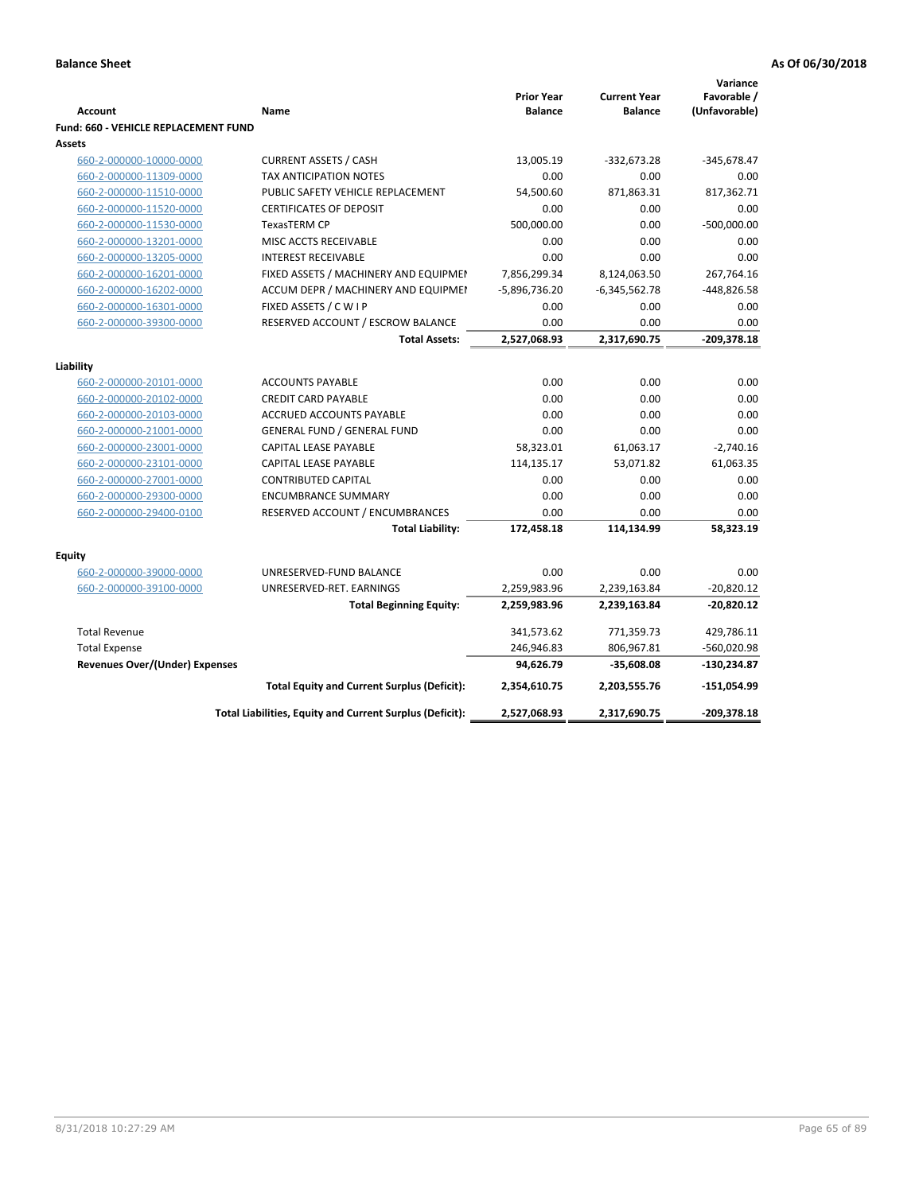|                                             |                                                          |                                     |                                       | Variance                     |
|---------------------------------------------|----------------------------------------------------------|-------------------------------------|---------------------------------------|------------------------------|
| <b>Account</b>                              | Name                                                     | <b>Prior Year</b><br><b>Balance</b> | <b>Current Year</b><br><b>Balance</b> | Favorable /<br>(Unfavorable) |
| <b>Fund: 660 - VEHICLE REPLACEMENT FUND</b> |                                                          |                                     |                                       |                              |
| Assets                                      |                                                          |                                     |                                       |                              |
| 660-2-000000-10000-0000                     | <b>CURRENT ASSETS / CASH</b>                             | 13,005.19                           | $-332,673.28$                         | $-345,678.47$                |
| 660-2-000000-11309-0000                     | <b>TAX ANTICIPATION NOTES</b>                            | 0.00                                | 0.00                                  | 0.00                         |
| 660-2-000000-11510-0000                     | PUBLIC SAFETY VEHICLE REPLACEMENT                        | 54,500.60                           | 871,863.31                            | 817,362.71                   |
| 660-2-000000-11520-0000                     | <b>CERTIFICATES OF DEPOSIT</b>                           | 0.00                                | 0.00                                  | 0.00                         |
| 660-2-000000-11530-0000                     | <b>TexasTERM CP</b>                                      | 500,000.00                          | 0.00                                  | $-500,000.00$                |
| 660-2-000000-13201-0000                     | MISC ACCTS RECEIVABLE                                    | 0.00                                | 0.00                                  | 0.00                         |
| 660-2-000000-13205-0000                     | <b>INTEREST RECEIVABLE</b>                               | 0.00                                | 0.00                                  | 0.00                         |
| 660-2-000000-16201-0000                     | FIXED ASSETS / MACHINERY AND EQUIPMEN                    | 7,856,299.34                        | 8,124,063.50                          | 267,764.16                   |
| 660-2-000000-16202-0000                     | ACCUM DEPR / MACHINERY AND EQUIPMEI                      | $-5,896,736.20$                     | $-6,345,562.78$                       | $-448,826.58$                |
| 660-2-000000-16301-0000                     | FIXED ASSETS / C W I P                                   | 0.00                                | 0.00                                  | 0.00                         |
| 660-2-000000-39300-0000                     | RESERVED ACCOUNT / ESCROW BALANCE                        | 0.00                                | 0.00                                  | 0.00                         |
|                                             | <b>Total Assets:</b>                                     | 2,527,068.93                        | 2,317,690.75                          | -209,378.18                  |
|                                             |                                                          |                                     |                                       |                              |
| Liability                                   |                                                          |                                     |                                       |                              |
| 660-2-000000-20101-0000                     | <b>ACCOUNTS PAYABLE</b>                                  | 0.00                                | 0.00                                  | 0.00                         |
| 660-2-000000-20102-0000                     | <b>CREDIT CARD PAYABLE</b>                               | 0.00                                | 0.00                                  | 0.00                         |
| 660-2-000000-20103-0000                     | ACCRUED ACCOUNTS PAYABLE                                 | 0.00                                | 0.00                                  | 0.00                         |
| 660-2-000000-21001-0000                     | <b>GENERAL FUND / GENERAL FUND</b>                       | 0.00                                | 0.00                                  | 0.00                         |
| 660-2-000000-23001-0000                     | CAPITAL LEASE PAYABLE                                    | 58,323.01                           | 61,063.17                             | $-2,740.16$                  |
| 660-2-000000-23101-0000                     | CAPITAL LEASE PAYABLE                                    | 114,135.17                          | 53,071.82                             | 61,063.35                    |
| 660-2-000000-27001-0000                     | <b>CONTRIBUTED CAPITAL</b>                               | 0.00                                | 0.00                                  | 0.00                         |
| 660-2-000000-29300-0000                     | <b>ENCUMBRANCE SUMMARY</b>                               | 0.00                                | 0.00                                  | 0.00                         |
| 660-2-000000-29400-0100                     | RESERVED ACCOUNT / ENCUMBRANCES                          | 0.00                                | 0.00                                  | 0.00                         |
|                                             | <b>Total Liability:</b>                                  | 172,458.18                          | 114,134.99                            | 58,323.19                    |
| <b>Equity</b>                               |                                                          |                                     |                                       |                              |
| 660-2-000000-39000-0000                     | UNRESERVED-FUND BALANCE                                  | 0.00                                | 0.00                                  | 0.00                         |
| 660-2-000000-39100-0000                     | UNRESERVED-RET. EARNINGS                                 | 2,259,983.96                        | 2,239,163.84                          | $-20,820.12$                 |
|                                             | <b>Total Beginning Equity:</b>                           | 2,259,983.96                        | 2,239,163.84                          | $-20,820.12$                 |
| <b>Total Revenue</b>                        |                                                          | 341,573.62                          | 771,359.73                            | 429,786.11                   |
| <b>Total Expense</b>                        |                                                          | 246,946.83                          | 806,967.81                            | -560,020.98                  |
| <b>Revenues Over/(Under) Expenses</b>       |                                                          | 94,626.79                           | $-35,608.08$                          | $-130,234.87$                |
|                                             |                                                          |                                     |                                       | $-151,054.99$                |
|                                             | <b>Total Equity and Current Surplus (Deficit):</b>       | 2,354,610.75                        | 2,203,555.76                          |                              |
|                                             | Total Liabilities, Equity and Current Surplus (Deficit): | 2,527,068.93                        | 2,317,690.75                          | -209,378.18                  |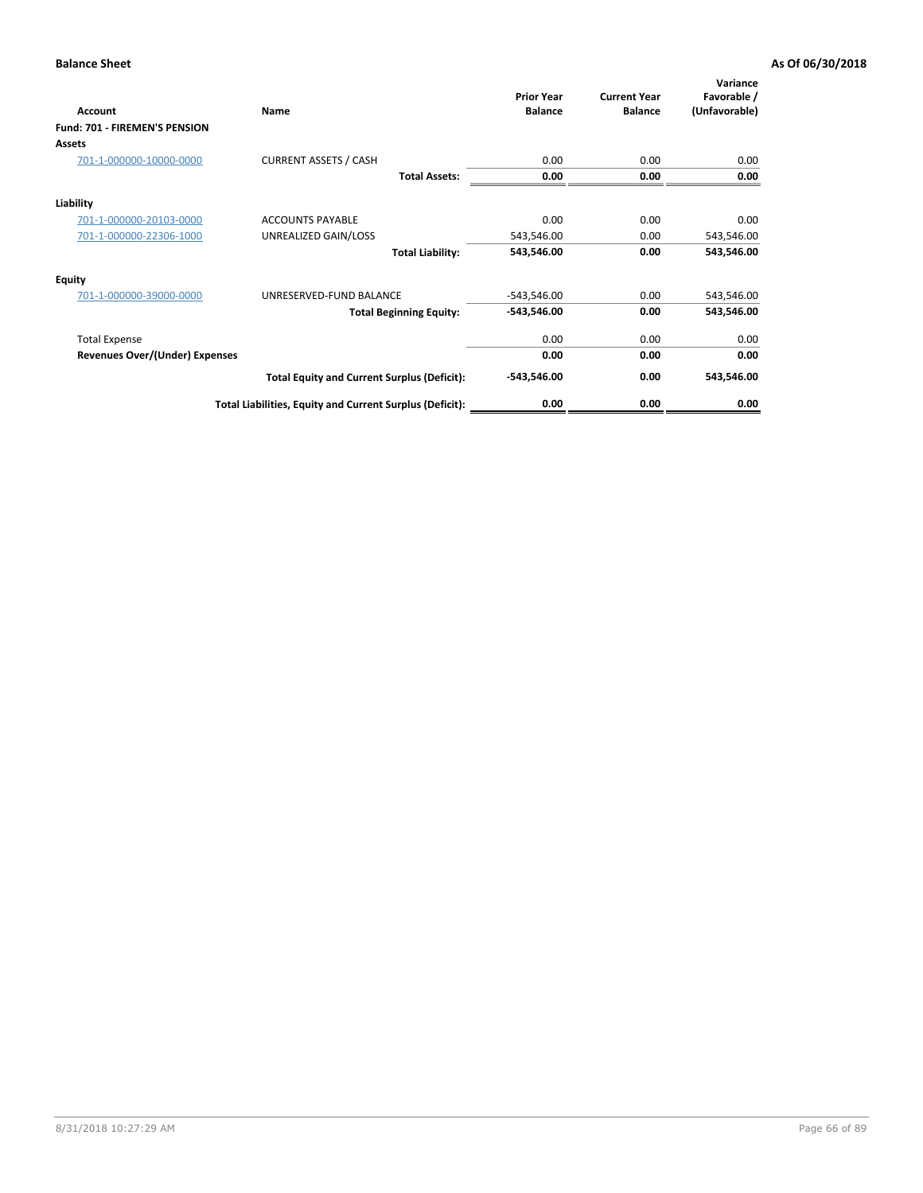| Account                               | Name                                                     | <b>Prior Year</b><br><b>Balance</b> | <b>Current Year</b><br><b>Balance</b> | Variance<br>Favorable /<br>(Unfavorable) |
|---------------------------------------|----------------------------------------------------------|-------------------------------------|---------------------------------------|------------------------------------------|
| Fund: 701 - FIREMEN'S PENSION         |                                                          |                                     |                                       |                                          |
| <b>Assets</b>                         |                                                          |                                     |                                       |                                          |
| 701-1-000000-10000-0000               | <b>CURRENT ASSETS / CASH</b>                             | 0.00                                | 0.00                                  | 0.00                                     |
|                                       | <b>Total Assets:</b>                                     | 0.00                                | 0.00                                  | 0.00                                     |
| Liability                             |                                                          |                                     |                                       |                                          |
| 701-1-000000-20103-0000               | <b>ACCOUNTS PAYABLE</b>                                  | 0.00                                | 0.00                                  | 0.00                                     |
| 701-1-000000-22306-1000               | UNREALIZED GAIN/LOSS                                     | 543,546.00                          | 0.00                                  | 543,546.00                               |
|                                       | <b>Total Liability:</b>                                  | 543,546.00                          | 0.00                                  | 543,546.00                               |
| <b>Equity</b>                         |                                                          |                                     |                                       |                                          |
| 701-1-000000-39000-0000               | UNRESERVED-FUND BALANCE                                  | $-543,546.00$                       | 0.00                                  | 543,546.00                               |
|                                       | <b>Total Beginning Equity:</b>                           | $-543,546.00$                       | 0.00                                  | 543,546.00                               |
| <b>Total Expense</b>                  |                                                          | 0.00                                | 0.00                                  | 0.00                                     |
| <b>Revenues Over/(Under) Expenses</b> |                                                          | 0.00                                | 0.00                                  | 0.00                                     |
|                                       | <b>Total Equity and Current Surplus (Deficit):</b>       | $-543,546.00$                       | 0.00                                  | 543,546.00                               |
|                                       | Total Liabilities, Equity and Current Surplus (Deficit): | 0.00                                | 0.00                                  | 0.00                                     |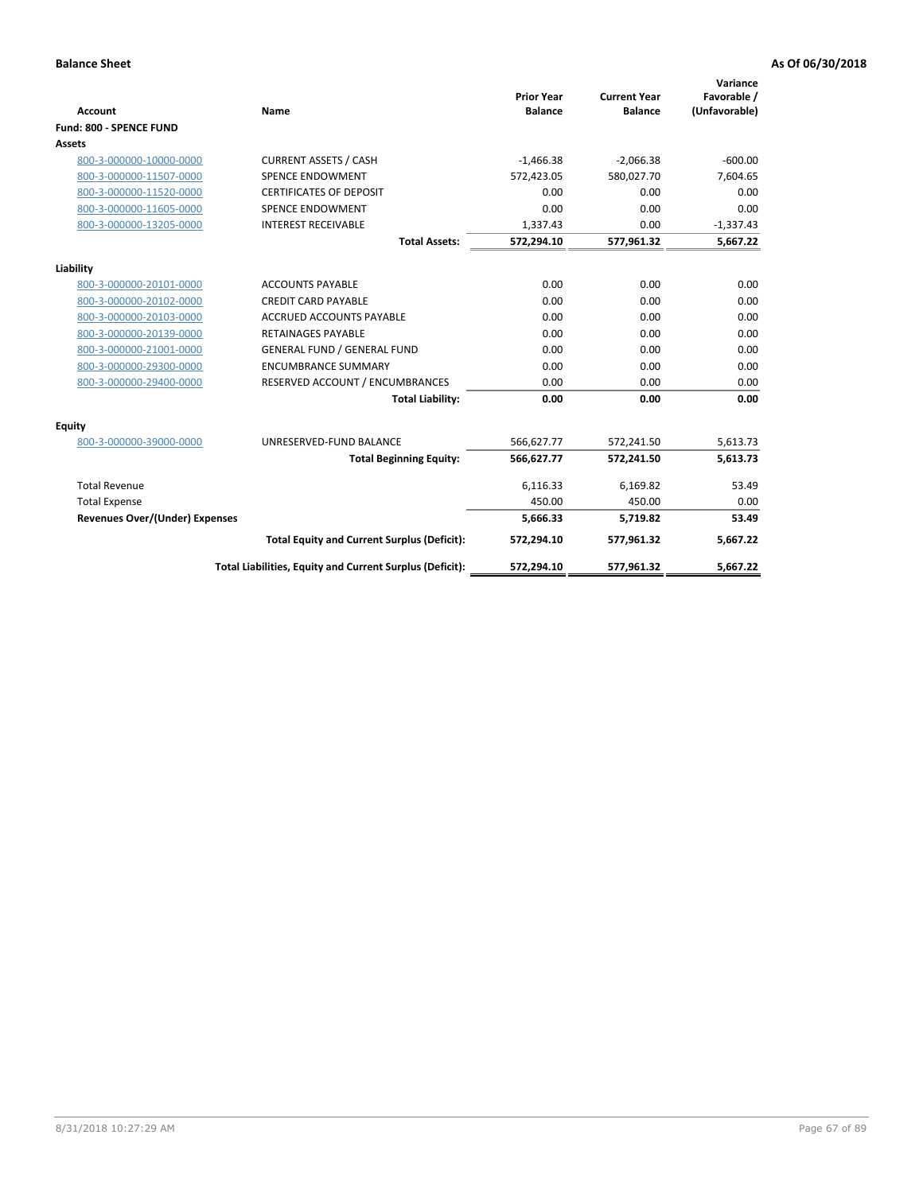|                                       |                                                          |                                     |                                       | Variance                     |
|---------------------------------------|----------------------------------------------------------|-------------------------------------|---------------------------------------|------------------------------|
| <b>Account</b>                        | Name                                                     | <b>Prior Year</b><br><b>Balance</b> | <b>Current Year</b><br><b>Balance</b> | Favorable /<br>(Unfavorable) |
| Fund: 800 - SPENCE FUND               |                                                          |                                     |                                       |                              |
| <b>Assets</b>                         |                                                          |                                     |                                       |                              |
|                                       |                                                          |                                     |                                       |                              |
| 800-3-000000-10000-0000               | <b>CURRENT ASSETS / CASH</b>                             | $-1,466.38$                         | $-2,066.38$                           | $-600.00$                    |
| 800-3-000000-11507-0000               | <b>SPENCE ENDOWMENT</b>                                  | 572,423.05                          | 580,027.70                            | 7,604.65                     |
| 800-3-000000-11520-0000               | <b>CERTIFICATES OF DEPOSIT</b>                           | 0.00                                | 0.00                                  | 0.00                         |
| 800-3-000000-11605-0000               | <b>SPENCE ENDOWMENT</b>                                  | 0.00                                | 0.00                                  | 0.00                         |
| 800-3-000000-13205-0000               | <b>INTEREST RECEIVABLE</b>                               | 1,337.43                            | 0.00                                  | $-1,337.43$                  |
|                                       | <b>Total Assets:</b>                                     | 572,294.10                          | 577,961.32                            | 5,667.22                     |
| Liability                             |                                                          |                                     |                                       |                              |
| 800-3-000000-20101-0000               | <b>ACCOUNTS PAYABLE</b>                                  | 0.00                                | 0.00                                  | 0.00                         |
| 800-3-000000-20102-0000               | <b>CREDIT CARD PAYABLE</b>                               | 0.00                                | 0.00                                  | 0.00                         |
| 800-3-000000-20103-0000               | <b>ACCRUED ACCOUNTS PAYABLE</b>                          | 0.00                                | 0.00                                  | 0.00                         |
| 800-3-000000-20139-0000               | RETAINAGES PAYABLE                                       | 0.00                                | 0.00                                  | 0.00                         |
| 800-3-000000-21001-0000               | <b>GENERAL FUND / GENERAL FUND</b>                       | 0.00                                | 0.00                                  | 0.00                         |
| 800-3-000000-29300-0000               | <b>ENCUMBRANCE SUMMARY</b>                               | 0.00                                | 0.00                                  | 0.00                         |
| 800-3-000000-29400-0000               | RESERVED ACCOUNT / ENCUMBRANCES                          | 0.00                                | 0.00                                  | 0.00                         |
|                                       | <b>Total Liability:</b>                                  | 0.00                                | 0.00                                  | 0.00                         |
| <b>Equity</b>                         |                                                          |                                     |                                       |                              |
| 800-3-000000-39000-0000               | UNRESERVED-FUND BALANCE                                  | 566,627.77                          | 572,241.50                            | 5,613.73                     |
|                                       | <b>Total Beginning Equity:</b>                           | 566,627.77                          | 572,241.50                            | 5,613.73                     |
| <b>Total Revenue</b>                  |                                                          | 6,116.33                            | 6,169.82                              | 53.49                        |
| <b>Total Expense</b>                  |                                                          | 450.00                              | 450.00                                | 0.00                         |
| <b>Revenues Over/(Under) Expenses</b> |                                                          | 5,666.33                            | 5,719.82                              | 53.49                        |
|                                       | <b>Total Equity and Current Surplus (Deficit):</b>       | 572,294.10                          | 577,961.32                            | 5,667.22                     |
|                                       | Total Liabilities, Equity and Current Surplus (Deficit): | 572,294.10                          | 577,961.32                            | 5,667.22                     |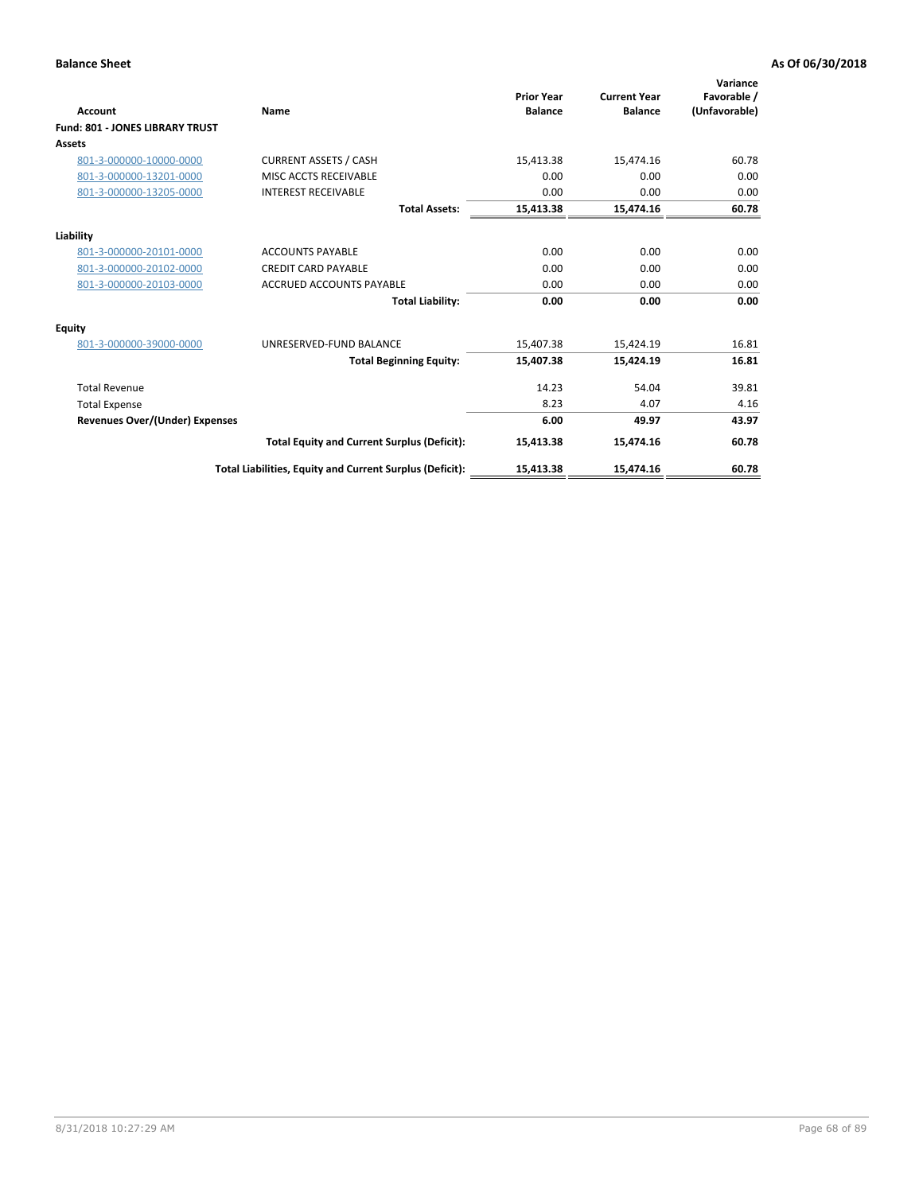| <b>Account</b>                        | Name                                                     | <b>Prior Year</b><br><b>Balance</b> | <b>Current Year</b><br><b>Balance</b> | Variance<br>Favorable /<br>(Unfavorable) |
|---------------------------------------|----------------------------------------------------------|-------------------------------------|---------------------------------------|------------------------------------------|
| Fund: 801 - JONES LIBRARY TRUST       |                                                          |                                     |                                       |                                          |
| Assets                                |                                                          |                                     |                                       |                                          |
| 801-3-000000-10000-0000               | <b>CURRENT ASSETS / CASH</b>                             | 15,413.38                           | 15,474.16                             | 60.78                                    |
| 801-3-000000-13201-0000               | MISC ACCTS RECEIVABLE                                    | 0.00                                | 0.00                                  | 0.00                                     |
| 801-3-000000-13205-0000               | <b>INTEREST RECEIVABLE</b>                               | 0.00                                | 0.00                                  | 0.00                                     |
|                                       | <b>Total Assets:</b>                                     | 15,413.38                           | 15,474.16                             | 60.78                                    |
| Liability                             |                                                          |                                     |                                       |                                          |
| 801-3-000000-20101-0000               | <b>ACCOUNTS PAYABLE</b>                                  | 0.00                                | 0.00                                  | 0.00                                     |
| 801-3-000000-20102-0000               | <b>CREDIT CARD PAYABLE</b>                               | 0.00                                | 0.00                                  | 0.00                                     |
| 801-3-000000-20103-0000               | <b>ACCRUED ACCOUNTS PAYABLE</b>                          | 0.00                                | 0.00                                  | 0.00                                     |
|                                       | <b>Total Liability:</b>                                  | 0.00                                | 0.00                                  | 0.00                                     |
| Equity                                |                                                          |                                     |                                       |                                          |
| 801-3-000000-39000-0000               | UNRESERVED-FUND BALANCE                                  | 15,407.38                           | 15,424.19                             | 16.81                                    |
|                                       | <b>Total Beginning Equity:</b>                           | 15,407.38                           | 15,424.19                             | 16.81                                    |
| <b>Total Revenue</b>                  |                                                          | 14.23                               | 54.04                                 | 39.81                                    |
| <b>Total Expense</b>                  |                                                          | 8.23                                | 4.07                                  | 4.16                                     |
| <b>Revenues Over/(Under) Expenses</b> |                                                          | 6.00                                | 49.97                                 | 43.97                                    |
|                                       | <b>Total Equity and Current Surplus (Deficit):</b>       | 15,413.38                           | 15,474.16                             | 60.78                                    |
|                                       | Total Liabilities, Equity and Current Surplus (Deficit): | 15,413.38                           | 15,474.16                             | 60.78                                    |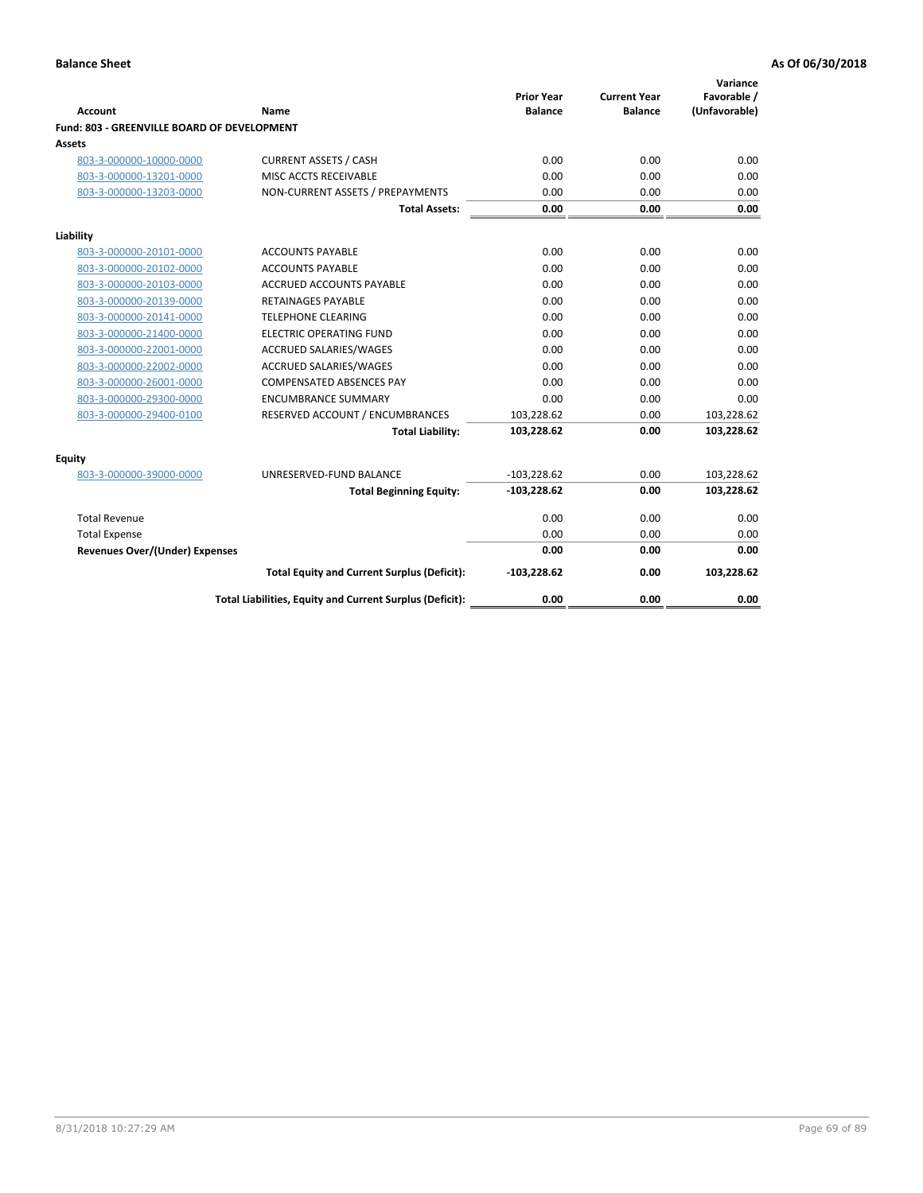| <b>Account</b>                              | Name                                                     | <b>Prior Year</b><br><b>Balance</b> | <b>Current Year</b><br><b>Balance</b> | Variance<br>Favorable /<br>(Unfavorable) |
|---------------------------------------------|----------------------------------------------------------|-------------------------------------|---------------------------------------|------------------------------------------|
| Fund: 803 - GREENVILLE BOARD OF DEVELOPMENT |                                                          |                                     |                                       |                                          |
| Assets                                      |                                                          |                                     |                                       |                                          |
| 803-3-000000-10000-0000                     | <b>CURRENT ASSETS / CASH</b>                             | 0.00                                | 0.00                                  | 0.00                                     |
| 803-3-000000-13201-0000                     | MISC ACCTS RECEIVABLE                                    | 0.00                                | 0.00                                  | 0.00                                     |
| 803-3-000000-13203-0000                     | NON-CURRENT ASSETS / PREPAYMENTS                         | 0.00                                | 0.00                                  | 0.00                                     |
|                                             | <b>Total Assets:</b>                                     | 0.00                                | 0.00                                  | 0.00                                     |
| Liability                                   |                                                          |                                     |                                       |                                          |
| 803-3-000000-20101-0000                     | <b>ACCOUNTS PAYABLE</b>                                  | 0.00                                | 0.00                                  | 0.00                                     |
| 803-3-000000-20102-0000                     | <b>ACCOUNTS PAYABLE</b>                                  | 0.00                                | 0.00                                  | 0.00                                     |
| 803-3-000000-20103-0000                     | <b>ACCRUED ACCOUNTS PAYABLE</b>                          | 0.00                                | 0.00                                  | 0.00                                     |
| 803-3-000000-20139-0000                     | <b>RETAINAGES PAYABLE</b>                                | 0.00                                | 0.00                                  | 0.00                                     |
| 803-3-000000-20141-0000                     | <b>TELEPHONE CLEARING</b>                                | 0.00                                | 0.00                                  | 0.00                                     |
| 803-3-000000-21400-0000                     | <b>ELECTRIC OPERATING FUND</b>                           | 0.00                                | 0.00                                  | 0.00                                     |
| 803-3-000000-22001-0000                     | ACCRUED SALARIES/WAGES                                   | 0.00                                | 0.00                                  | 0.00                                     |
| 803-3-000000-22002-0000                     | <b>ACCRUED SALARIES/WAGES</b>                            | 0.00                                | 0.00                                  | 0.00                                     |
| 803-3-000000-26001-0000                     | <b>COMPENSATED ABSENCES PAY</b>                          | 0.00                                | 0.00                                  | 0.00                                     |
| 803-3-000000-29300-0000                     | <b>ENCUMBRANCE SUMMARY</b>                               | 0.00                                | 0.00                                  | 0.00                                     |
| 803-3-000000-29400-0100                     | RESERVED ACCOUNT / ENCUMBRANCES                          | 103,228.62                          | 0.00                                  | 103,228.62                               |
|                                             | <b>Total Liability:</b>                                  | 103,228.62                          | 0.00                                  | 103,228.62                               |
| Equity                                      |                                                          |                                     |                                       |                                          |
| 803-3-000000-39000-0000                     | UNRESERVED-FUND BALANCE                                  | $-103,228.62$                       | 0.00                                  | 103,228.62                               |
|                                             | <b>Total Beginning Equity:</b>                           | $-103,228.62$                       | 0.00                                  | 103,228.62                               |
| <b>Total Revenue</b>                        |                                                          | 0.00                                | 0.00                                  | 0.00                                     |
| <b>Total Expense</b>                        |                                                          | 0.00                                | 0.00                                  | 0.00                                     |
| <b>Revenues Over/(Under) Expenses</b>       |                                                          | 0.00                                | 0.00                                  | 0.00                                     |
|                                             | <b>Total Equity and Current Surplus (Deficit):</b>       | $-103,228.62$                       | 0.00                                  | 103,228.62                               |
|                                             | Total Liabilities, Equity and Current Surplus (Deficit): | 0.00                                | 0.00                                  | 0.00                                     |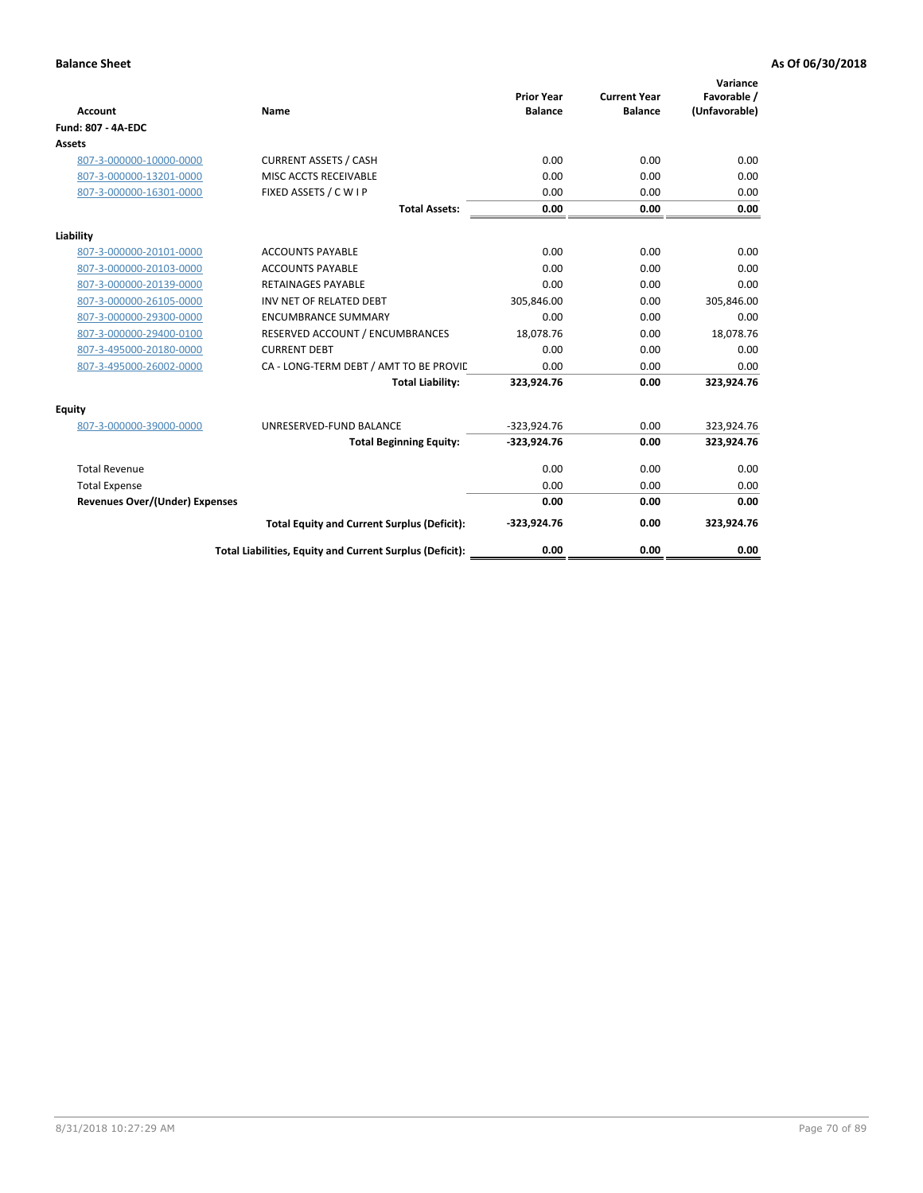| <b>Account</b>                        | Name                                                     | <b>Prior Year</b><br><b>Balance</b> | <b>Current Year</b><br><b>Balance</b> | Variance<br>Favorable /<br>(Unfavorable) |
|---------------------------------------|----------------------------------------------------------|-------------------------------------|---------------------------------------|------------------------------------------|
| <b>Fund: 807 - 4A-EDC</b>             |                                                          |                                     |                                       |                                          |
| <b>Assets</b>                         |                                                          |                                     |                                       |                                          |
| 807-3-000000-10000-0000               | <b>CURRENT ASSETS / CASH</b>                             | 0.00                                | 0.00                                  | 0.00                                     |
| 807-3-000000-13201-0000               | MISC ACCTS RECEIVABLE                                    | 0.00                                | 0.00                                  | 0.00                                     |
| 807-3-000000-16301-0000               | FIXED ASSETS / C W I P                                   | 0.00                                | 0.00                                  | 0.00                                     |
|                                       | <b>Total Assets:</b>                                     | 0.00                                | 0.00                                  | 0.00                                     |
| Liability                             |                                                          |                                     |                                       |                                          |
| 807-3-000000-20101-0000               | <b>ACCOUNTS PAYABLE</b>                                  | 0.00                                | 0.00                                  | 0.00                                     |
| 807-3-000000-20103-0000               | <b>ACCOUNTS PAYABLE</b>                                  | 0.00                                | 0.00                                  | 0.00                                     |
| 807-3-000000-20139-0000               | <b>RETAINAGES PAYABLE</b>                                | 0.00                                | 0.00                                  | 0.00                                     |
| 807-3-000000-26105-0000               | INV NET OF RELATED DEBT                                  | 305,846.00                          | 0.00                                  | 305,846.00                               |
| 807-3-000000-29300-0000               | <b>ENCUMBRANCE SUMMARY</b>                               | 0.00                                | 0.00                                  | 0.00                                     |
| 807-3-000000-29400-0100               | RESERVED ACCOUNT / ENCUMBRANCES                          | 18,078.76                           | 0.00                                  | 18,078.76                                |
| 807-3-495000-20180-0000               | <b>CURRENT DEBT</b>                                      | 0.00                                | 0.00                                  | 0.00                                     |
| 807-3-495000-26002-0000               | CA - LONG-TERM DEBT / AMT TO BE PROVIL                   | 0.00                                | 0.00                                  | 0.00                                     |
|                                       | <b>Total Liability:</b>                                  | 323,924.76                          | 0.00                                  | 323,924.76                               |
| Equity                                |                                                          |                                     |                                       |                                          |
| 807-3-000000-39000-0000               | UNRESERVED-FUND BALANCE                                  | $-323,924.76$                       | 0.00                                  | 323,924.76                               |
|                                       | <b>Total Beginning Equity:</b>                           | $-323,924.76$                       | 0.00                                  | 323,924.76                               |
| <b>Total Revenue</b>                  |                                                          | 0.00                                | 0.00                                  | 0.00                                     |
| <b>Total Expense</b>                  |                                                          | 0.00                                | 0.00                                  | 0.00                                     |
| <b>Revenues Over/(Under) Expenses</b> |                                                          | 0.00                                | 0.00                                  | 0.00                                     |
|                                       | <b>Total Equity and Current Surplus (Deficit):</b>       | $-323,924.76$                       | 0.00                                  | 323,924.76                               |
|                                       | Total Liabilities, Equity and Current Surplus (Deficit): | 0.00                                | 0.00                                  | 0.00                                     |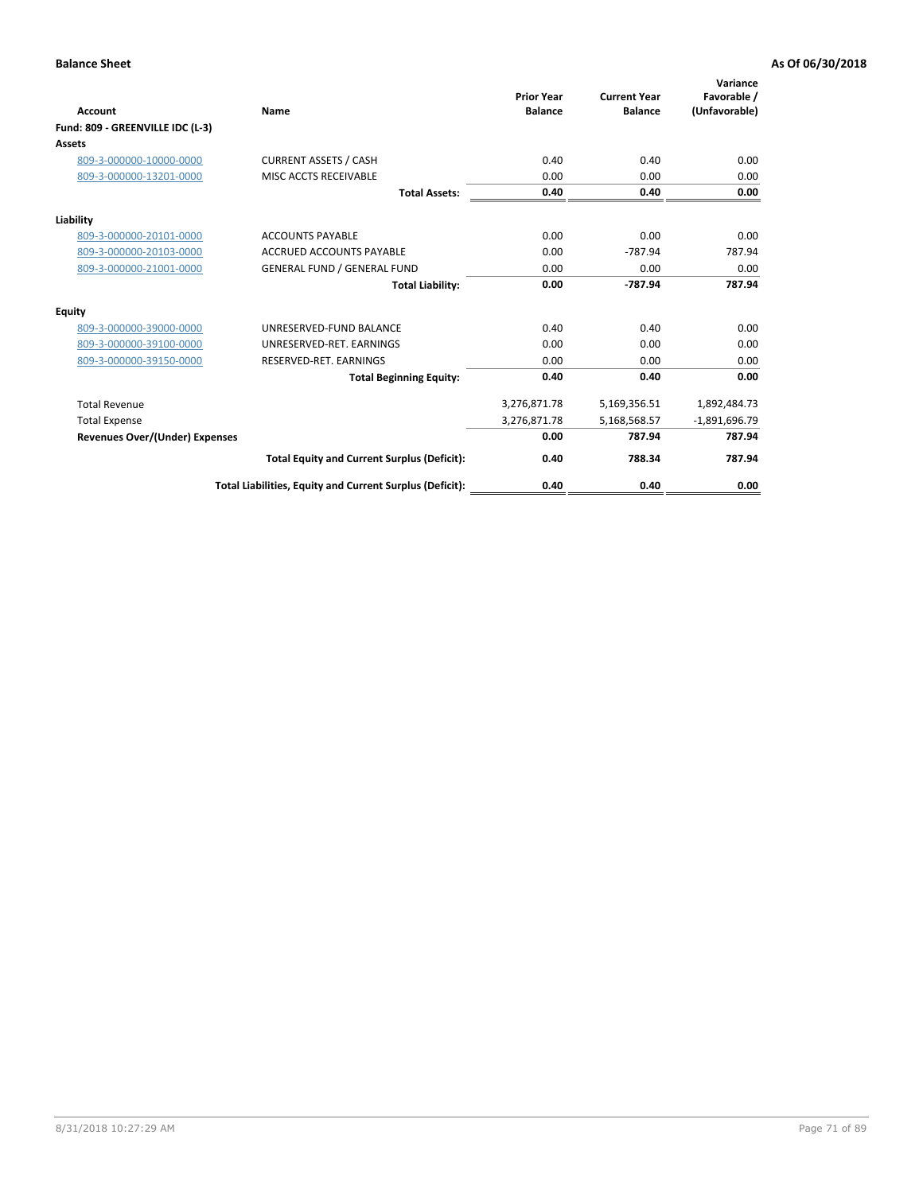| <b>Account</b>                        | <b>Name</b>                                              | <b>Prior Year</b><br><b>Balance</b> | <b>Current Year</b><br><b>Balance</b> | Variance<br>Favorable /<br>(Unfavorable) |
|---------------------------------------|----------------------------------------------------------|-------------------------------------|---------------------------------------|------------------------------------------|
| Fund: 809 - GREENVILLE IDC (L-3)      |                                                          |                                     |                                       |                                          |
| Assets                                |                                                          |                                     |                                       |                                          |
| 809-3-000000-10000-0000               | <b>CURRENT ASSETS / CASH</b>                             | 0.40                                | 0.40                                  | 0.00                                     |
| 809-3-000000-13201-0000               | MISC ACCTS RECEIVABLE                                    | 0.00                                | 0.00                                  | 0.00                                     |
|                                       | <b>Total Assets:</b>                                     | 0.40                                | 0.40                                  | 0.00                                     |
| Liability                             |                                                          |                                     |                                       |                                          |
| 809-3-000000-20101-0000               | <b>ACCOUNTS PAYABLE</b>                                  | 0.00                                | 0.00                                  | 0.00                                     |
| 809-3-000000-20103-0000               | <b>ACCRUED ACCOUNTS PAYABLE</b>                          | 0.00                                | $-787.94$                             | 787.94                                   |
| 809-3-000000-21001-0000               | <b>GENERAL FUND / GENERAL FUND</b>                       | 0.00                                | 0.00                                  | 0.00                                     |
|                                       | <b>Total Liability:</b>                                  | 0.00                                | $-787.94$                             | 787.94                                   |
| Equity                                |                                                          |                                     |                                       |                                          |
| 809-3-000000-39000-0000               | UNRESERVED-FUND BALANCE                                  | 0.40                                | 0.40                                  | 0.00                                     |
| 809-3-000000-39100-0000               | UNRESERVED-RET. EARNINGS                                 | 0.00                                | 0.00                                  | 0.00                                     |
| 809-3-000000-39150-0000               | RESERVED-RET. EARNINGS                                   | 0.00                                | 0.00                                  | 0.00                                     |
|                                       | <b>Total Beginning Equity:</b>                           | 0.40                                | 0.40                                  | 0.00                                     |
| <b>Total Revenue</b>                  |                                                          | 3,276,871.78                        | 5,169,356.51                          | 1,892,484.73                             |
| <b>Total Expense</b>                  |                                                          | 3,276,871.78                        | 5,168,568.57                          | $-1,891,696.79$                          |
| <b>Revenues Over/(Under) Expenses</b> |                                                          | 0.00                                | 787.94                                | 787.94                                   |
|                                       | <b>Total Equity and Current Surplus (Deficit):</b>       | 0.40                                | 788.34                                | 787.94                                   |
|                                       | Total Liabilities, Equity and Current Surplus (Deficit): | 0.40                                | 0.40                                  | 0.00                                     |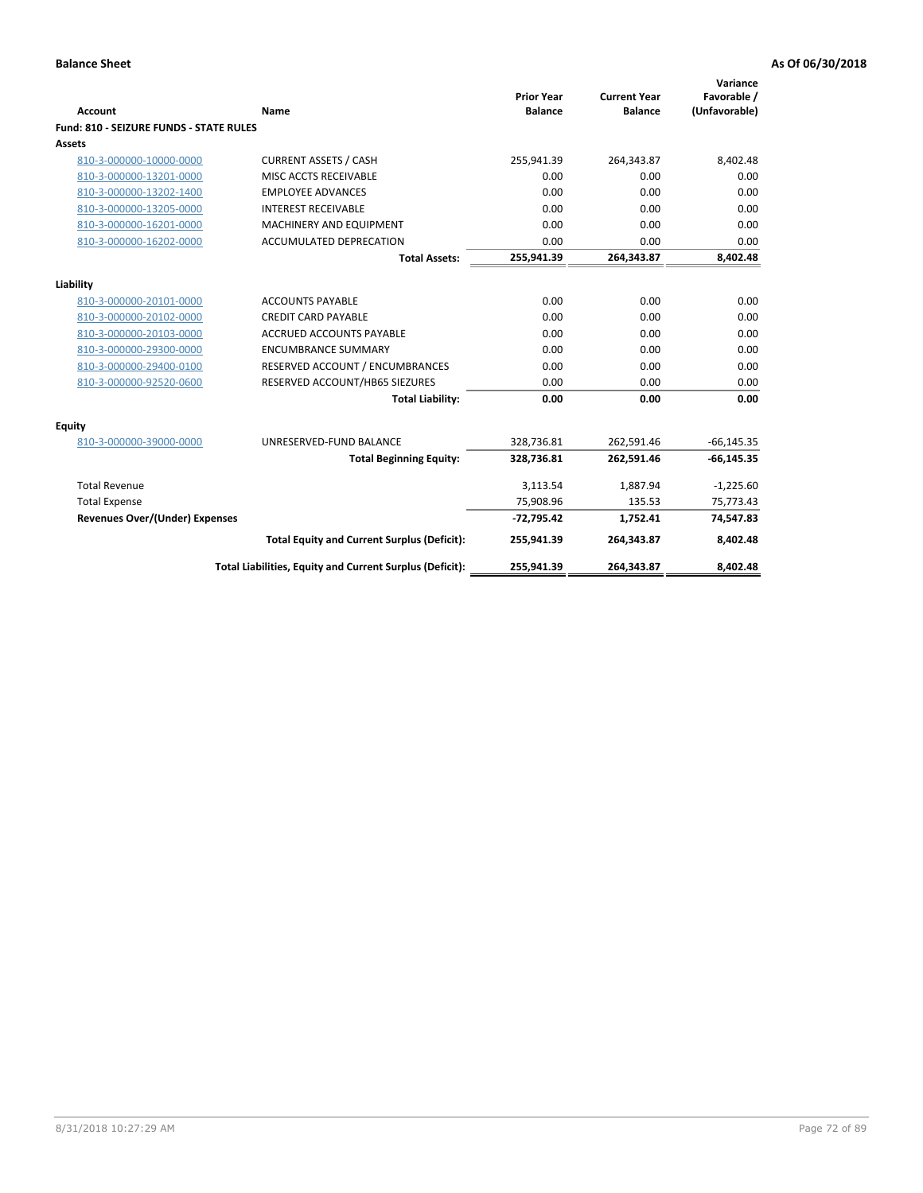| <b>Account</b>                          | <b>Name</b>                                              | <b>Prior Year</b><br><b>Balance</b> | <b>Current Year</b><br><b>Balance</b> | Variance<br>Favorable /<br>(Unfavorable) |
|-----------------------------------------|----------------------------------------------------------|-------------------------------------|---------------------------------------|------------------------------------------|
| Fund: 810 - SEIZURE FUNDS - STATE RULES |                                                          |                                     |                                       |                                          |
| <b>Assets</b>                           |                                                          |                                     |                                       |                                          |
| 810-3-000000-10000-0000                 | <b>CURRENT ASSETS / CASH</b>                             | 255,941.39                          | 264,343.87                            | 8,402.48                                 |
| 810-3-000000-13201-0000                 | MISC ACCTS RECEIVABLE                                    | 0.00                                | 0.00                                  | 0.00                                     |
| 810-3-000000-13202-1400                 | <b>EMPLOYEE ADVANCES</b>                                 | 0.00                                | 0.00                                  | 0.00                                     |
| 810-3-000000-13205-0000                 | <b>INTEREST RECEIVABLE</b>                               | 0.00                                | 0.00                                  | 0.00                                     |
| 810-3-000000-16201-0000                 | MACHINERY AND EQUIPMENT                                  | 0.00                                | 0.00                                  | 0.00                                     |
| 810-3-000000-16202-0000                 | ACCUMULATED DEPRECATION                                  | 0.00                                | 0.00                                  | 0.00                                     |
|                                         | <b>Total Assets:</b>                                     | 255,941.39                          | 264,343.87                            | 8,402.48                                 |
|                                         |                                                          |                                     |                                       |                                          |
| Liability                               |                                                          |                                     |                                       |                                          |
| 810-3-000000-20101-0000                 | <b>ACCOUNTS PAYABLE</b>                                  | 0.00                                | 0.00                                  | 0.00                                     |
| 810-3-000000-20102-0000                 | <b>CREDIT CARD PAYABLE</b>                               | 0.00                                | 0.00                                  | 0.00                                     |
| 810-3-000000-20103-0000                 | <b>ACCRUED ACCOUNTS PAYABLE</b>                          | 0.00                                | 0.00                                  | 0.00                                     |
| 810-3-000000-29300-0000                 | <b>ENCUMBRANCE SUMMARY</b>                               | 0.00                                | 0.00                                  | 0.00                                     |
| 810-3-000000-29400-0100                 | RESERVED ACCOUNT / ENCUMBRANCES                          | 0.00                                | 0.00                                  | 0.00                                     |
| 810-3-000000-92520-0600                 | RESERVED ACCOUNT/HB65 SIEZURES                           | 0.00                                | 0.00                                  | 0.00                                     |
|                                         | <b>Total Liability:</b>                                  | 0.00                                | 0.00                                  | 0.00                                     |
| <b>Equity</b>                           |                                                          |                                     |                                       |                                          |
| 810-3-000000-39000-0000                 | UNRESERVED-FUND BALANCE                                  | 328,736.81                          | 262,591.46                            | $-66, 145.35$                            |
|                                         | <b>Total Beginning Equity:</b>                           | 328,736.81                          | 262,591.46                            | $-66, 145.35$                            |
| <b>Total Revenue</b>                    |                                                          | 3,113.54                            | 1,887.94                              | $-1,225.60$                              |
| <b>Total Expense</b>                    |                                                          | 75,908.96                           | 135.53                                | 75,773.43                                |
| <b>Revenues Over/(Under) Expenses</b>   |                                                          | $-72,795.42$                        | 1,752.41                              | 74,547.83                                |
|                                         | <b>Total Equity and Current Surplus (Deficit):</b>       | 255,941.39                          | 264,343.87                            | 8,402.48                                 |
|                                         | Total Liabilities, Equity and Current Surplus (Deficit): | 255,941.39                          | 264,343.87                            | 8,402.48                                 |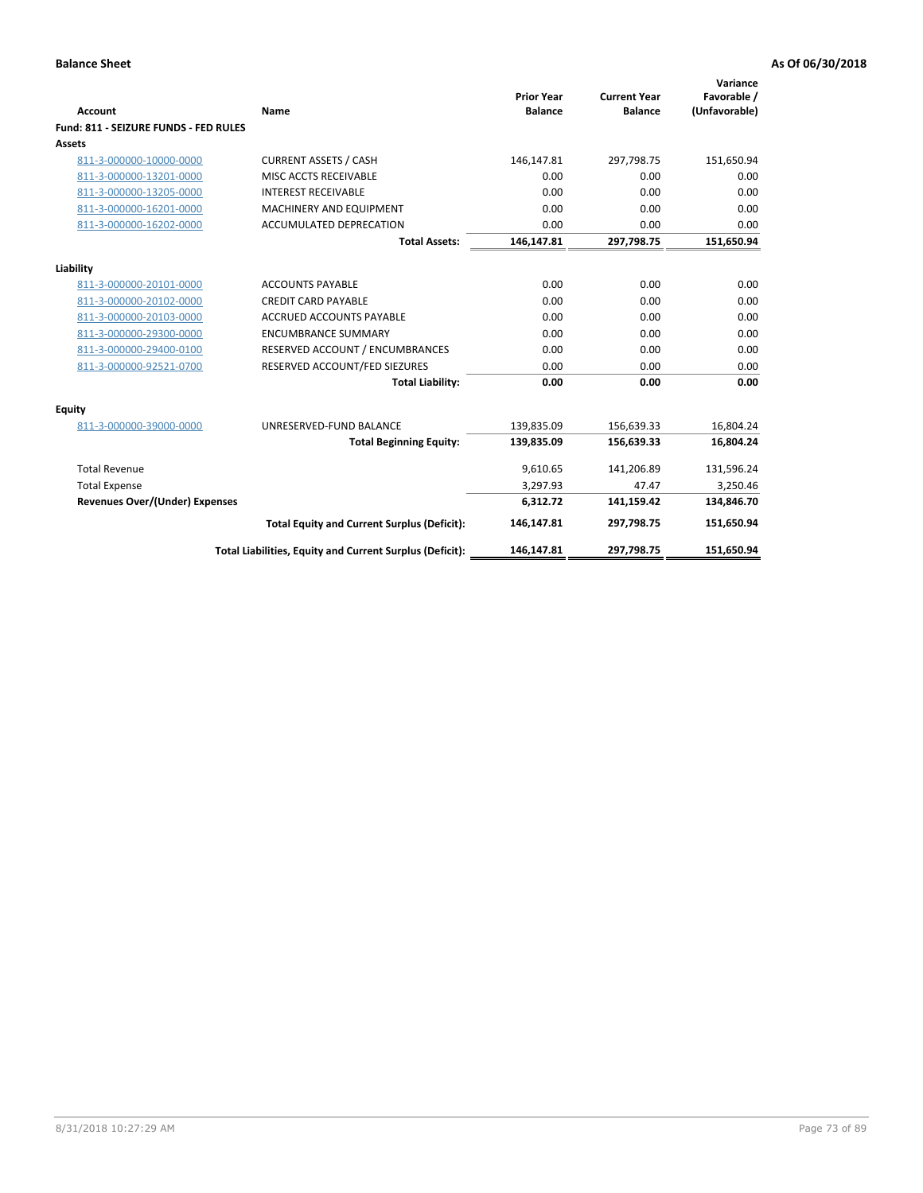| <b>Account</b>                        | Name                                                     | <b>Prior Year</b><br><b>Balance</b> | <b>Current Year</b><br><b>Balance</b> | Variance<br>Favorable /<br>(Unfavorable) |
|---------------------------------------|----------------------------------------------------------|-------------------------------------|---------------------------------------|------------------------------------------|
| Fund: 811 - SEIZURE FUNDS - FED RULES |                                                          |                                     |                                       |                                          |
| <b>Assets</b>                         |                                                          |                                     |                                       |                                          |
| 811-3-000000-10000-0000               | <b>CURRENT ASSETS / CASH</b>                             | 146,147.81                          | 297,798.75                            | 151,650.94                               |
| 811-3-000000-13201-0000               | MISC ACCTS RECEIVABLE                                    | 0.00                                | 0.00                                  | 0.00                                     |
| 811-3-000000-13205-0000               | <b>INTEREST RECEIVABLE</b>                               | 0.00                                | 0.00                                  | 0.00                                     |
| 811-3-000000-16201-0000               | <b>MACHINERY AND EQUIPMENT</b>                           | 0.00                                | 0.00                                  | 0.00                                     |
| 811-3-000000-16202-0000               | <b>ACCUMULATED DEPRECATION</b>                           | 0.00                                | 0.00                                  | 0.00                                     |
|                                       | <b>Total Assets:</b>                                     | 146,147.81                          | 297,798.75                            | 151,650.94                               |
| Liability                             |                                                          |                                     |                                       |                                          |
| 811-3-000000-20101-0000               | <b>ACCOUNTS PAYABLE</b>                                  | 0.00                                | 0.00                                  | 0.00                                     |
| 811-3-000000-20102-0000               | <b>CREDIT CARD PAYABLE</b>                               | 0.00                                | 0.00                                  | 0.00                                     |
| 811-3-000000-20103-0000               | <b>ACCRUED ACCOUNTS PAYABLE</b>                          | 0.00                                | 0.00                                  | 0.00                                     |
| 811-3-000000-29300-0000               | <b>ENCUMBRANCE SUMMARY</b>                               | 0.00                                | 0.00                                  | 0.00                                     |
| 811-3-000000-29400-0100               | RESERVED ACCOUNT / ENCUMBRANCES                          | 0.00                                | 0.00                                  | 0.00                                     |
| 811-3-000000-92521-0700               | RESERVED ACCOUNT/FED SIEZURES                            | 0.00                                | 0.00                                  | 0.00                                     |
|                                       | <b>Total Liability:</b>                                  | 0.00                                | 0.00                                  | 0.00                                     |
| Equity                                |                                                          |                                     |                                       |                                          |
| 811-3-000000-39000-0000               | UNRESERVED-FUND BALANCE                                  | 139,835.09                          | 156,639.33                            | 16,804.24                                |
|                                       | <b>Total Beginning Equity:</b>                           | 139,835.09                          | 156,639.33                            | 16,804.24                                |
| <b>Total Revenue</b>                  |                                                          | 9,610.65                            | 141,206.89                            | 131,596.24                               |
| <b>Total Expense</b>                  |                                                          | 3,297.93                            | 47.47                                 | 3,250.46                                 |
| Revenues Over/(Under) Expenses        |                                                          | 6,312.72                            | 141,159.42                            | 134,846.70                               |
|                                       | <b>Total Equity and Current Surplus (Deficit):</b>       | 146,147.81                          | 297,798.75                            | 151,650.94                               |
|                                       | Total Liabilities, Equity and Current Surplus (Deficit): | 146,147.81                          | 297,798.75                            | 151.650.94                               |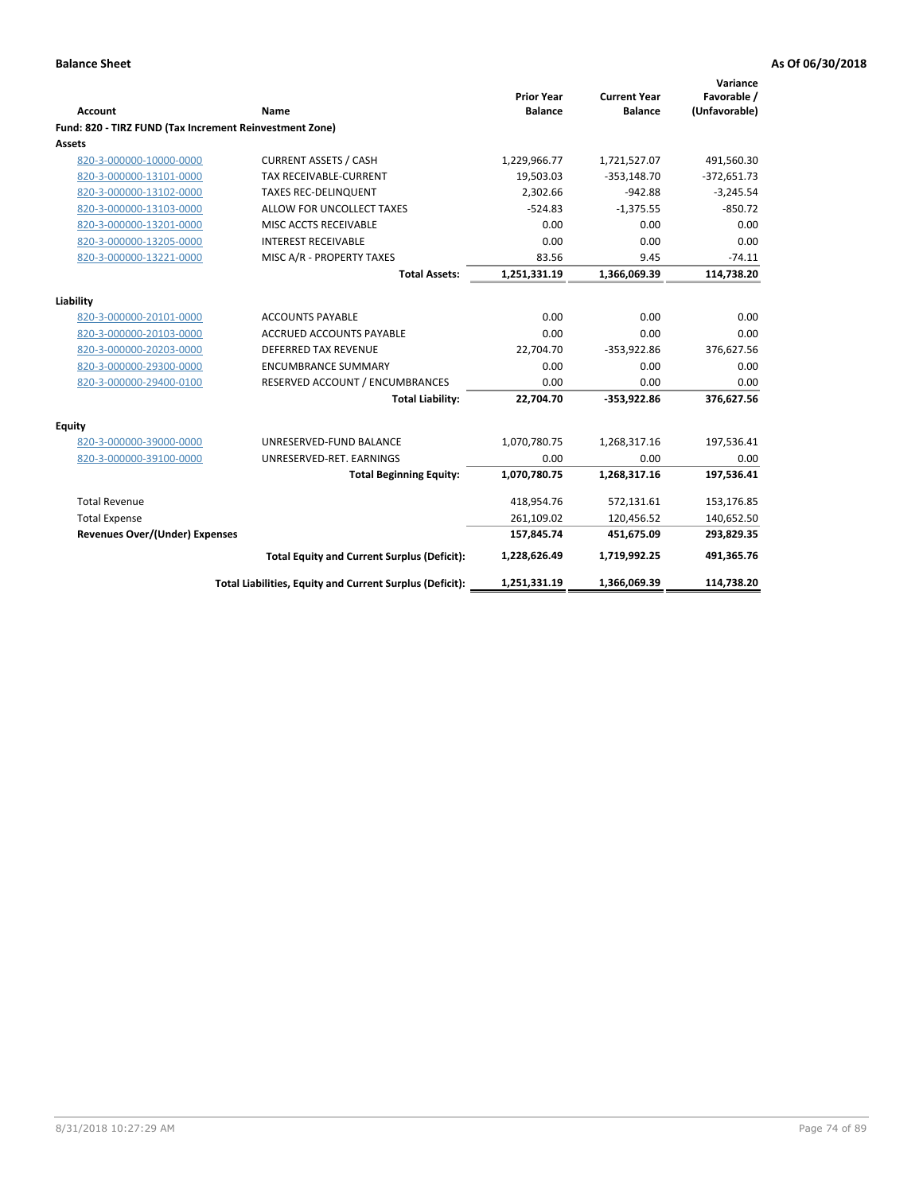|                                                         |                                                          | <b>Prior Year</b> | <b>Current Year</b> | Variance<br>Favorable / |
|---------------------------------------------------------|----------------------------------------------------------|-------------------|---------------------|-------------------------|
| <b>Account</b>                                          | <b>Name</b>                                              | <b>Balance</b>    | <b>Balance</b>      | (Unfavorable)           |
| Fund: 820 - TIRZ FUND (Tax Increment Reinvestment Zone) |                                                          |                   |                     |                         |
| <b>Assets</b>                                           |                                                          |                   |                     |                         |
| 820-3-000000-10000-0000                                 | <b>CURRENT ASSETS / CASH</b>                             | 1,229,966.77      | 1,721,527.07        | 491,560.30              |
| 820-3-000000-13101-0000                                 | <b>TAX RECEIVABLE-CURRENT</b>                            | 19,503.03         | $-353,148.70$       | $-372,651.73$           |
| 820-3-000000-13102-0000                                 | <b>TAXES REC-DELINQUENT</b>                              | 2,302.66          | $-942.88$           | $-3,245.54$             |
| 820-3-000000-13103-0000                                 | ALLOW FOR UNCOLLECT TAXES                                | $-524.83$         | $-1,375.55$         | $-850.72$               |
| 820-3-000000-13201-0000                                 | MISC ACCTS RECEIVABLE                                    | 0.00              | 0.00                | 0.00                    |
| 820-3-000000-13205-0000                                 | <b>INTEREST RECEIVABLE</b>                               | 0.00              | 0.00                | 0.00                    |
| 820-3-000000-13221-0000                                 | MISC A/R - PROPERTY TAXES                                | 83.56             | 9.45                | $-74.11$                |
|                                                         | <b>Total Assets:</b>                                     | 1,251,331.19      | 1,366,069.39        | 114,738.20              |
| Liability                                               |                                                          |                   |                     |                         |
| 820-3-000000-20101-0000                                 | <b>ACCOUNTS PAYABLE</b>                                  | 0.00              | 0.00                | 0.00                    |
| 820-3-000000-20103-0000                                 | <b>ACCRUED ACCOUNTS PAYABLE</b>                          | 0.00              | 0.00                | 0.00                    |
| 820-3-000000-20203-0000                                 | <b>DEFERRED TAX REVENUE</b>                              | 22,704.70         | $-353,922.86$       | 376,627.56              |
| 820-3-000000-29300-0000                                 | <b>ENCUMBRANCE SUMMARY</b>                               | 0.00              | 0.00                | 0.00                    |
| 820-3-000000-29400-0100                                 | RESERVED ACCOUNT / ENCUMBRANCES                          | 0.00              | 0.00                | 0.00                    |
|                                                         | <b>Total Liability:</b>                                  | 22,704.70         | -353,922.86         | 376,627.56              |
| <b>Equity</b>                                           |                                                          |                   |                     |                         |
| 820-3-000000-39000-0000                                 | UNRESERVED-FUND BALANCE                                  | 1,070,780.75      | 1,268,317.16        | 197,536.41              |
| 820-3-000000-39100-0000                                 | UNRESERVED-RET. EARNINGS                                 | 0.00              | 0.00                | 0.00                    |
|                                                         | <b>Total Beginning Equity:</b>                           | 1,070,780.75      | 1,268,317.16        | 197,536.41              |
| <b>Total Revenue</b>                                    |                                                          | 418,954.76        | 572,131.61          | 153,176.85              |
| <b>Total Expense</b>                                    |                                                          | 261,109.02        | 120,456.52          | 140,652.50              |
| <b>Revenues Over/(Under) Expenses</b>                   |                                                          | 157,845.74        | 451,675.09          | 293,829.35              |
|                                                         | <b>Total Equity and Current Surplus (Deficit):</b>       | 1,228,626.49      | 1,719,992.25        | 491,365.76              |
|                                                         | Total Liabilities, Equity and Current Surplus (Deficit): | 1,251,331.19      | 1,366,069.39        | 114,738.20              |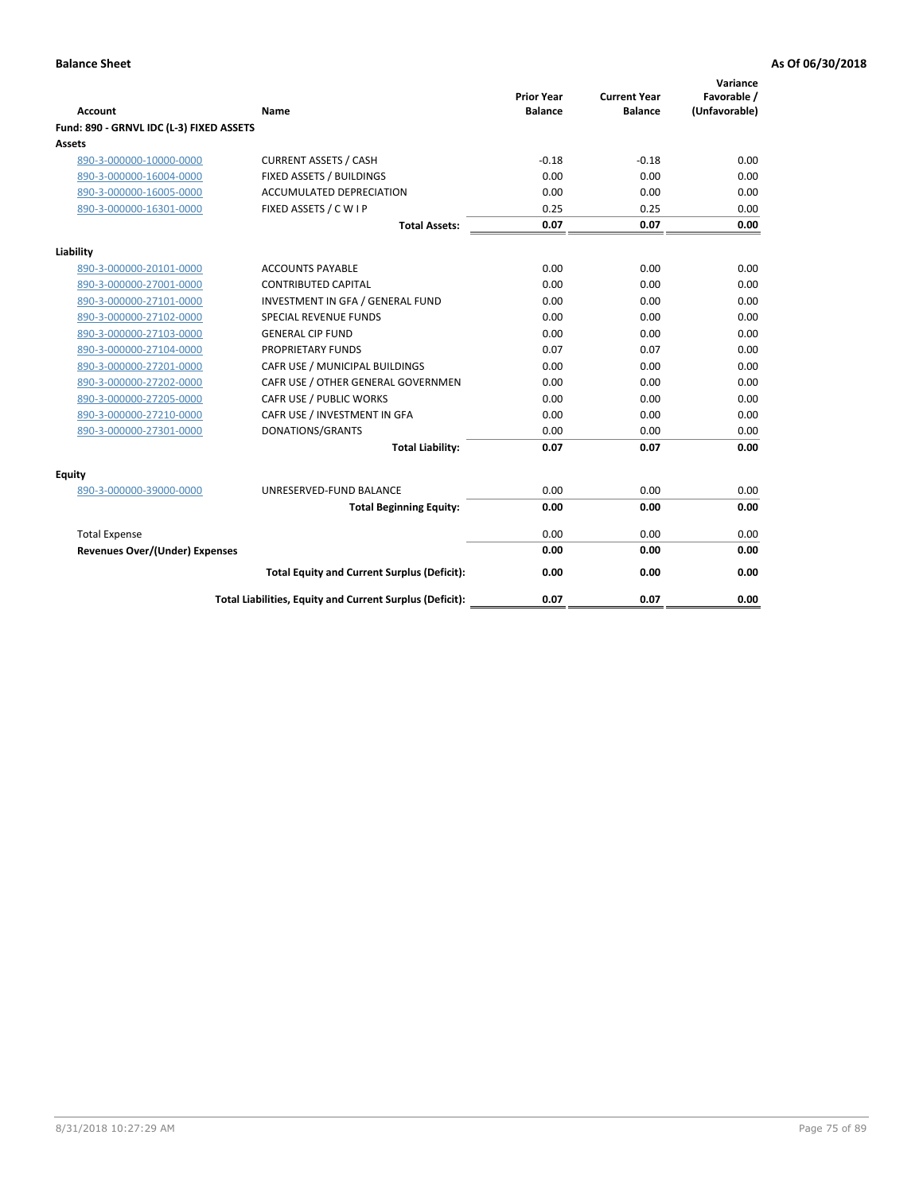| <b>Account</b>                           | Name                                                     | <b>Prior Year</b><br><b>Balance</b> | <b>Current Year</b><br><b>Balance</b> | Variance<br>Favorable /<br>(Unfavorable) |
|------------------------------------------|----------------------------------------------------------|-------------------------------------|---------------------------------------|------------------------------------------|
| Fund: 890 - GRNVL IDC (L-3) FIXED ASSETS |                                                          |                                     |                                       |                                          |
| <b>Assets</b>                            |                                                          |                                     |                                       |                                          |
| 890-3-000000-10000-0000                  | <b>CURRENT ASSETS / CASH</b>                             | $-0.18$                             | $-0.18$                               | 0.00                                     |
| 890-3-000000-16004-0000                  | FIXED ASSETS / BUILDINGS                                 | 0.00                                | 0.00                                  | 0.00                                     |
| 890-3-000000-16005-0000                  | <b>ACCUMULATED DEPRECIATION</b>                          | 0.00                                | 0.00                                  | 0.00                                     |
| 890-3-000000-16301-0000                  | FIXED ASSETS / C W I P                                   | 0.25                                | 0.25                                  | 0.00                                     |
|                                          | <b>Total Assets:</b>                                     | 0.07                                | 0.07                                  | 0.00                                     |
| Liability                                |                                                          |                                     |                                       |                                          |
| 890-3-000000-20101-0000                  | <b>ACCOUNTS PAYABLE</b>                                  | 0.00                                | 0.00                                  | 0.00                                     |
| 890-3-000000-27001-0000                  | <b>CONTRIBUTED CAPITAL</b>                               | 0.00                                | 0.00                                  | 0.00                                     |
| 890-3-000000-27101-0000                  | INVESTMENT IN GFA / GENERAL FUND                         | 0.00                                | 0.00                                  | 0.00                                     |
| 890-3-000000-27102-0000                  | <b>SPECIAL REVENUE FUNDS</b>                             | 0.00                                | 0.00                                  | 0.00                                     |
| 890-3-000000-27103-0000                  | <b>GENERAL CIP FUND</b>                                  | 0.00                                | 0.00                                  | 0.00                                     |
| 890-3-000000-27104-0000                  | PROPRIETARY FUNDS                                        | 0.07                                | 0.07                                  | 0.00                                     |
| 890-3-000000-27201-0000                  | CAFR USE / MUNICIPAL BUILDINGS                           | 0.00                                | 0.00                                  | 0.00                                     |
| 890-3-000000-27202-0000                  | CAFR USE / OTHER GENERAL GOVERNMEN                       | 0.00                                | 0.00                                  | 0.00                                     |
| 890-3-000000-27205-0000                  | CAFR USE / PUBLIC WORKS                                  | 0.00                                | 0.00                                  | 0.00                                     |
| 890-3-000000-27210-0000                  | CAFR USE / INVESTMENT IN GFA                             | 0.00                                | 0.00                                  | 0.00                                     |
| 890-3-000000-27301-0000                  | DONATIONS/GRANTS                                         | 0.00                                | 0.00                                  | 0.00                                     |
|                                          | <b>Total Liability:</b>                                  | 0.07                                | 0.07                                  | 0.00                                     |
| Equity                                   |                                                          |                                     |                                       |                                          |
| 890-3-000000-39000-0000                  | UNRESERVED-FUND BALANCE                                  | 0.00                                | 0.00                                  | 0.00                                     |
|                                          | <b>Total Beginning Equity:</b>                           | 0.00                                | 0.00                                  | 0.00                                     |
| <b>Total Expense</b>                     |                                                          | 0.00                                | 0.00                                  | 0.00                                     |
| Revenues Over/(Under) Expenses           |                                                          | 0.00                                | 0.00                                  | 0.00                                     |
|                                          |                                                          |                                     |                                       |                                          |
|                                          | <b>Total Equity and Current Surplus (Deficit):</b>       | 0.00                                | 0.00                                  | 0.00                                     |
|                                          | Total Liabilities, Equity and Current Surplus (Deficit): | 0.07                                | 0.07                                  | 0.00                                     |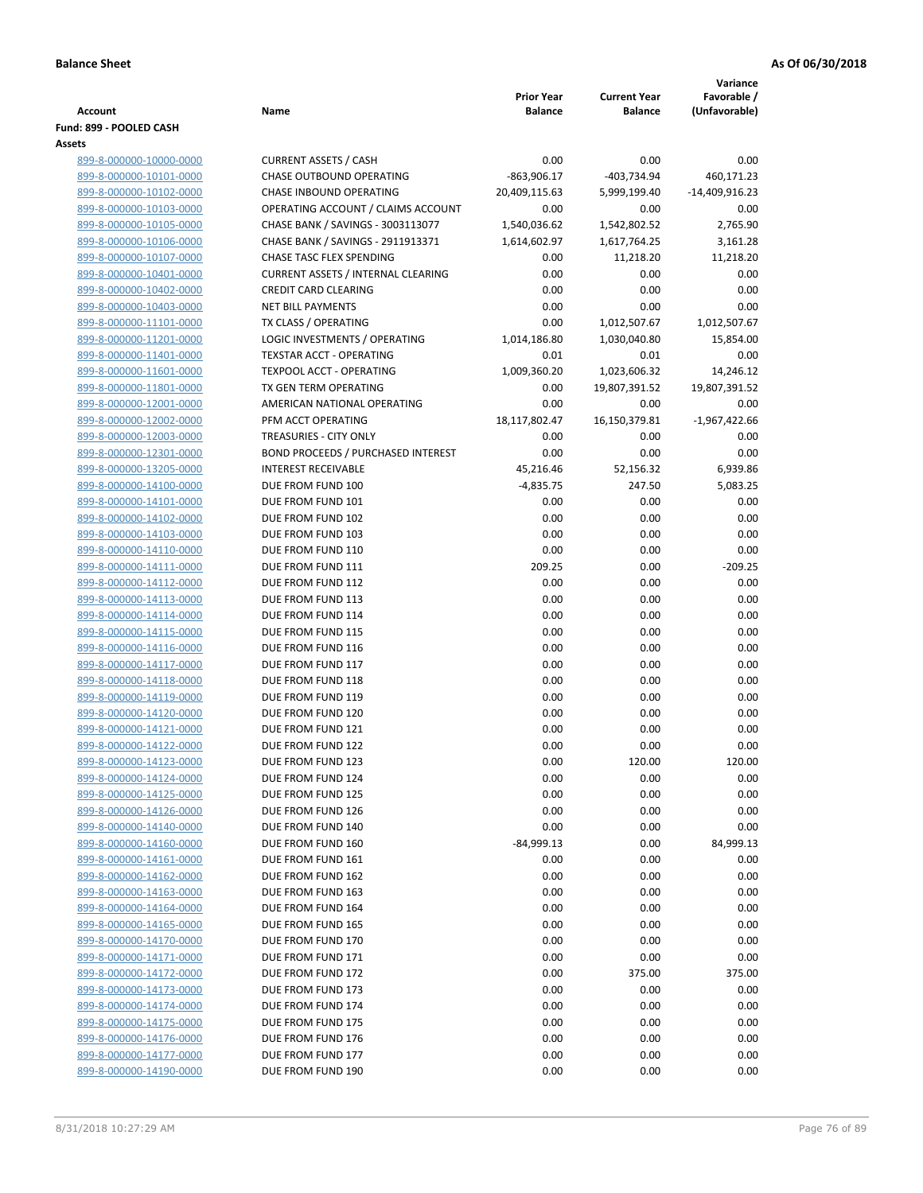|                                                    |                                           | <b>Prior Year</b>   | <b>Current Year</b> | Variance                     |
|----------------------------------------------------|-------------------------------------------|---------------------|---------------------|------------------------------|
| <b>Account</b>                                     | Name                                      | <b>Balance</b>      | <b>Balance</b>      | Favorable /<br>(Unfavorable) |
| Fund: 899 - POOLED CASH                            |                                           |                     |                     |                              |
| Assets                                             |                                           |                     |                     |                              |
| 899-8-000000-10000-0000                            | <b>CURRENT ASSETS / CASH</b>              | 0.00                | 0.00                | 0.00                         |
| 899-8-000000-10101-0000                            | <b>CHASE OUTBOUND OPERATING</b>           | $-863,906.17$       | -403,734.94         | 460,171.23                   |
| 899-8-000000-10102-0000                            | CHASE INBOUND OPERATING                   | 20,409,115.63       | 5,999,199.40        | -14,409,916.23               |
| 899-8-000000-10103-0000                            | OPERATING ACCOUNT / CLAIMS ACCOUNT        | 0.00                | 0.00                | 0.00                         |
| 899-8-000000-10105-0000                            | CHASE BANK / SAVINGS - 3003113077         | 1,540,036.62        | 1,542,802.52        | 2,765.90                     |
| 899-8-000000-10106-0000                            | CHASE BANK / SAVINGS - 2911913371         | 1,614,602.97        | 1,617,764.25        | 3,161.28                     |
| 899-8-000000-10107-0000                            | <b>CHASE TASC FLEX SPENDING</b>           | 0.00                | 11,218.20           | 11,218.20                    |
| 899-8-000000-10401-0000                            | <b>CURRENT ASSETS / INTERNAL CLEARING</b> | 0.00                | 0.00                | 0.00                         |
| 899-8-000000-10402-0000                            | <b>CREDIT CARD CLEARING</b>               | 0.00                | 0.00                | 0.00                         |
| 899-8-000000-10403-0000                            | <b>NET BILL PAYMENTS</b>                  | 0.00                | 0.00                | 0.00                         |
| 899-8-000000-11101-0000                            | TX CLASS / OPERATING                      | 0.00                | 1,012,507.67        | 1,012,507.67                 |
| 899-8-000000-11201-0000                            | LOGIC INVESTMENTS / OPERATING             | 1,014,186.80        | 1,030,040.80        | 15,854.00                    |
| 899-8-000000-11401-0000                            | <b>TEXSTAR ACCT - OPERATING</b>           | 0.01                | 0.01                | 0.00                         |
| 899-8-000000-11601-0000                            | <b>TEXPOOL ACCT - OPERATING</b>           | 1,009,360.20        | 1,023,606.32        | 14,246.12                    |
| 899-8-000000-11801-0000                            | TX GEN TERM OPERATING                     | 0.00                | 19,807,391.52       | 19,807,391.52                |
| 899-8-000000-12001-0000                            | AMERICAN NATIONAL OPERATING               | 0.00                | 0.00                | 0.00                         |
| 899-8-000000-12002-0000                            | PFM ACCT OPERATING                        | 18,117,802.47       | 16,150,379.81       | $-1,967,422.66$              |
| 899-8-000000-12003-0000                            | TREASURIES - CITY ONLY                    | 0.00                | 0.00                | 0.00                         |
| 899-8-000000-12301-0000                            | <b>BOND PROCEEDS / PURCHASED INTEREST</b> | 0.00                | 0.00                | 0.00                         |
| 899-8-000000-13205-0000                            | <b>INTEREST RECEIVABLE</b>                | 45,216.46           | 52,156.32           | 6,939.86                     |
| 899-8-000000-14100-0000<br>899-8-000000-14101-0000 | DUE FROM FUND 100<br>DUE FROM FUND 101    | $-4,835.75$<br>0.00 | 247.50<br>0.00      | 5,083.25                     |
| 899-8-000000-14102-0000                            | DUE FROM FUND 102                         | 0.00                | 0.00                | 0.00<br>0.00                 |
| 899-8-000000-14103-0000                            | DUE FROM FUND 103                         | 0.00                | 0.00                | 0.00                         |
| 899-8-000000-14110-0000                            | DUE FROM FUND 110                         | 0.00                | 0.00                | 0.00                         |
| 899-8-000000-14111-0000                            | DUE FROM FUND 111                         | 209.25              | 0.00                | $-209.25$                    |
| 899-8-000000-14112-0000                            | DUE FROM FUND 112                         | 0.00                | 0.00                | 0.00                         |
| 899-8-000000-14113-0000                            | DUE FROM FUND 113                         | 0.00                | 0.00                | 0.00                         |
| 899-8-000000-14114-0000                            | DUE FROM FUND 114                         | 0.00                | 0.00                | 0.00                         |
| 899-8-000000-14115-0000                            | DUE FROM FUND 115                         | 0.00                | 0.00                | 0.00                         |
| 899-8-000000-14116-0000                            | DUE FROM FUND 116                         | 0.00                | 0.00                | 0.00                         |
| 899-8-000000-14117-0000                            | DUE FROM FUND 117                         | 0.00                | 0.00                | 0.00                         |
| 899-8-000000-14118-0000                            | DUE FROM FUND 118                         | 0.00                | 0.00                | 0.00                         |
| 899-8-000000-14119-0000                            | DUE FROM FUND 119                         | 0.00                | 0.00                | 0.00                         |
| 899-8-000000-14120-0000                            | DUE FROM FUND 120                         | 0.00                | 0.00                | 0.00                         |
| 899-8-000000-14121-0000                            | DUE FROM FUND 121                         | 0.00                | 0.00                | 0.00                         |
| 899-8-000000-14122-0000                            | DUE FROM FUND 122                         | 0.00                | 0.00                | 0.00                         |
| 899-8-000000-14123-0000                            | DUE FROM FUND 123                         | 0.00                | 120.00              | 120.00                       |
| 899-8-000000-14124-0000                            | DUE FROM FUND 124                         | 0.00                | 0.00                | 0.00                         |
| 899-8-000000-14125-0000                            | DUE FROM FUND 125                         | 0.00                | 0.00                | 0.00                         |
| 899-8-000000-14126-0000                            | DUE FROM FUND 126                         | 0.00                | 0.00                | 0.00                         |
| 899-8-000000-14140-0000                            | DUE FROM FUND 140                         | 0.00                | 0.00                | 0.00                         |
| 899-8-000000-14160-0000                            | DUE FROM FUND 160                         | $-84,999.13$        | 0.00                | 84,999.13                    |
| 899-8-000000-14161-0000                            | DUE FROM FUND 161                         | 0.00                | 0.00                | 0.00                         |
| 899-8-000000-14162-0000                            | DUE FROM FUND 162                         | 0.00                | 0.00                | 0.00                         |
| 899-8-000000-14163-0000                            | DUE FROM FUND 163                         | 0.00                | 0.00                | 0.00                         |
| 899-8-000000-14164-0000                            | DUE FROM FUND 164                         | 0.00                | 0.00                | 0.00                         |
| 899-8-000000-14165-0000                            | DUE FROM FUND 165                         | 0.00                | 0.00                | 0.00                         |
| 899-8-000000-14170-0000                            | DUE FROM FUND 170                         | 0.00                | 0.00                | 0.00                         |
| 899-8-000000-14171-0000                            | DUE FROM FUND 171                         | 0.00                | 0.00                | 0.00                         |
| 899-8-000000-14172-0000                            | DUE FROM FUND 172                         | 0.00                | 375.00              | 375.00                       |
| 899-8-000000-14173-0000                            | DUE FROM FUND 173                         | 0.00                | 0.00                | 0.00                         |
| 899-8-000000-14174-0000                            | DUE FROM FUND 174                         | 0.00                | 0.00                | 0.00                         |
| 899-8-000000-14175-0000<br>899-8-000000-14176-0000 | DUE FROM FUND 175<br>DUE FROM FUND 176    | 0.00<br>0.00        | 0.00<br>0.00        | 0.00<br>0.00                 |
| 899-8-000000-14177-0000                            | DUE FROM FUND 177                         | 0.00                | 0.00                | 0.00                         |
| 899-8-000000-14190-0000                            | DUE FROM FUND 190                         | 0.00                | 0.00                | 0.00                         |
|                                                    |                                           |                     |                     |                              |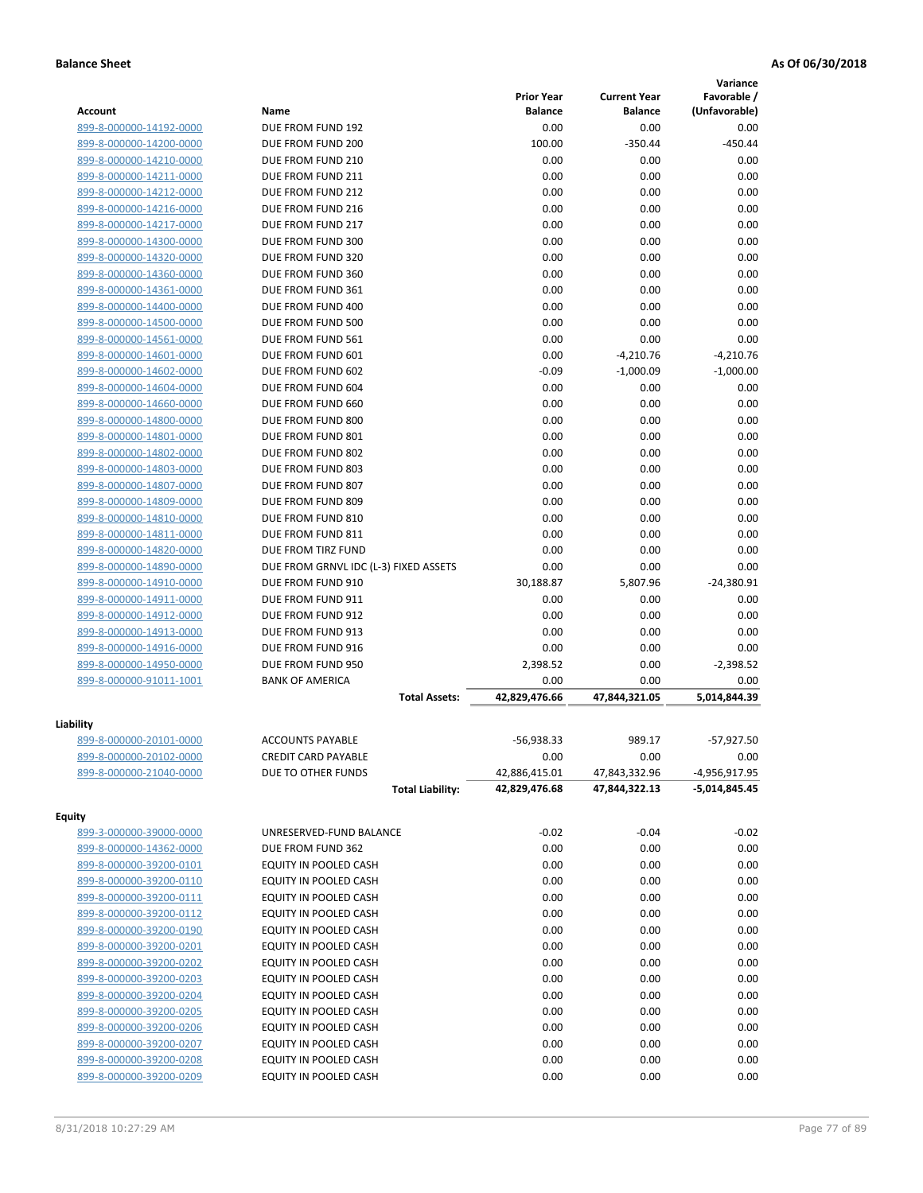|                         |                                       |                       |                       | Variance             |
|-------------------------|---------------------------------------|-----------------------|-----------------------|----------------------|
|                         |                                       | <b>Prior Year</b>     | <b>Current Year</b>   | Favorable /          |
| <b>Account</b>          | Name                                  | <b>Balance</b>        | <b>Balance</b>        | (Unfavorable)        |
| 899-8-000000-14192-0000 | DUE FROM FUND 192                     | 0.00                  | 0.00                  | 0.00                 |
| 899-8-000000-14200-0000 | DUE FROM FUND 200                     | 100.00                | $-350.44$             | $-450.44$            |
| 899-8-000000-14210-0000 | DUE FROM FUND 210                     | 0.00                  | 0.00                  | 0.00                 |
| 899-8-000000-14211-0000 | DUE FROM FUND 211                     | 0.00                  | 0.00                  | 0.00                 |
| 899-8-000000-14212-0000 | DUE FROM FUND 212                     | 0.00                  | 0.00                  | 0.00                 |
| 899-8-000000-14216-0000 | DUE FROM FUND 216                     | 0.00                  | 0.00                  | 0.00                 |
| 899-8-000000-14217-0000 | DUE FROM FUND 217                     | 0.00                  | 0.00                  | 0.00                 |
| 899-8-000000-14300-0000 | DUE FROM FUND 300                     | 0.00                  | 0.00                  | 0.00                 |
| 899-8-000000-14320-0000 | DUE FROM FUND 320                     | 0.00                  | 0.00                  | 0.00                 |
| 899-8-000000-14360-0000 | DUE FROM FUND 360                     | 0.00                  | 0.00                  | 0.00                 |
| 899-8-000000-14361-0000 | DUE FROM FUND 361                     | 0.00                  | 0.00                  | 0.00                 |
| 899-8-000000-14400-0000 | DUE FROM FUND 400                     | 0.00                  | 0.00                  | 0.00                 |
| 899-8-000000-14500-0000 | DUE FROM FUND 500                     | 0.00                  | 0.00                  | 0.00                 |
| 899-8-000000-14561-0000 | DUE FROM FUND 561                     | 0.00                  | 0.00                  | 0.00                 |
| 899-8-000000-14601-0000 | DUE FROM FUND 601                     | 0.00                  | $-4,210.76$           | $-4,210.76$          |
| 899-8-000000-14602-0000 | DUE FROM FUND 602                     | $-0.09$               | $-1,000.09$           | $-1,000.00$          |
| 899-8-000000-14604-0000 | DUE FROM FUND 604                     | 0.00                  | 0.00                  | 0.00                 |
| 899-8-000000-14660-0000 | DUE FROM FUND 660                     | 0.00                  | 0.00                  | 0.00                 |
| 899-8-000000-14800-0000 | DUE FROM FUND 800                     | 0.00                  | 0.00                  | 0.00                 |
| 899-8-000000-14801-0000 | DUE FROM FUND 801                     | 0.00                  | 0.00                  | 0.00                 |
| 899-8-000000-14802-0000 | DUE FROM FUND 802                     | 0.00                  | 0.00                  | 0.00                 |
| 899-8-000000-14803-0000 | DUE FROM FUND 803                     | 0.00                  | 0.00                  | 0.00                 |
| 899-8-000000-14807-0000 | DUE FROM FUND 807                     | 0.00                  | 0.00                  | 0.00                 |
| 899-8-000000-14809-0000 | DUE FROM FUND 809                     | 0.00                  | 0.00                  | 0.00                 |
| 899-8-000000-14810-0000 | DUE FROM FUND 810                     | 0.00                  | 0.00                  | 0.00                 |
| 899-8-000000-14811-0000 | DUE FROM FUND 811                     | 0.00                  | 0.00                  | 0.00                 |
| 899-8-000000-14820-0000 | DUE FROM TIRZ FUND                    | 0.00                  | 0.00                  | 0.00                 |
| 899-8-000000-14890-0000 | DUE FROM GRNVL IDC (L-3) FIXED ASSETS | 0.00                  | 0.00                  | 0.00                 |
| 899-8-000000-14910-0000 | DUE FROM FUND 910                     | 30,188.87             | 5,807.96              | $-24,380.91$         |
| 899-8-000000-14911-0000 | DUE FROM FUND 911                     | 0.00                  | 0.00                  | 0.00                 |
| 899-8-000000-14912-0000 | DUE FROM FUND 912                     | 0.00                  | 0.00                  | 0.00                 |
| 899-8-000000-14913-0000 | DUE FROM FUND 913                     | 0.00                  | 0.00                  | 0.00                 |
|                         | DUE FROM FUND 916                     | 0.00                  | 0.00                  | 0.00                 |
| 899-8-000000-14916-0000 | DUE FROM FUND 950                     |                       |                       |                      |
| 899-8-000000-14950-0000 |                                       | 2,398.52              | 0.00                  | $-2,398.52$          |
| 899-8-000000-91011-1001 | <b>BANK OF AMERICA</b>                | 0.00<br>42.829.476.66 | 0.00<br>47,844,321.05 | 0.00<br>5.014.844.39 |
|                         | <b>Total Assets:</b>                  |                       |                       |                      |
| Liability               |                                       |                       |                       |                      |
| 899-8-000000-20101-0000 | <b>ACCOUNTS PAYABLE</b>               | $-56,938.33$          | 989.17                | $-57,927.50$         |
| 899-8-000000-20102-0000 | <b>CREDIT CARD PAYABLE</b>            | 0.00                  | 0.00                  | 0.00                 |
| 899-8-000000-21040-0000 | DUE TO OTHER FUNDS                    | 42,886,415.01         | 47,843,332.96         | -4,956,917.95        |
|                         | <b>Total Liability:</b>               | 42,829,476.68         | 47,844,322.13         | $-5,014,845.45$      |
|                         |                                       |                       |                       |                      |
| <b>Equity</b>           |                                       |                       |                       |                      |
| 899-3-000000-39000-0000 | UNRESERVED-FUND BALANCE               | $-0.02$               | $-0.04$               | $-0.02$              |
| 899-8-000000-14362-0000 | DUE FROM FUND 362                     | 0.00                  | 0.00                  | 0.00                 |
| 899-8-000000-39200-0101 | EQUITY IN POOLED CASH                 | 0.00                  | 0.00                  | 0.00                 |
| 899-8-000000-39200-0110 | EQUITY IN POOLED CASH                 | 0.00                  | 0.00                  | 0.00                 |
| 899-8-000000-39200-0111 | EQUITY IN POOLED CASH                 | 0.00                  | 0.00                  | 0.00                 |
| 899-8-000000-39200-0112 | EQUITY IN POOLED CASH                 | 0.00                  | 0.00                  | 0.00                 |
| 899-8-000000-39200-0190 | EQUITY IN POOLED CASH                 | 0.00                  | 0.00                  | 0.00                 |
| 899-8-000000-39200-0201 | EQUITY IN POOLED CASH                 | 0.00                  | 0.00                  | 0.00                 |
| 899-8-000000-39200-0202 | EQUITY IN POOLED CASH                 | 0.00                  | 0.00                  | 0.00                 |
| 899-8-000000-39200-0203 | EQUITY IN POOLED CASH                 | 0.00                  | 0.00                  | 0.00                 |
| 899-8-000000-39200-0204 | EQUITY IN POOLED CASH                 | 0.00                  | 0.00                  | 0.00                 |
| 899-8-000000-39200-0205 | EQUITY IN POOLED CASH                 | 0.00                  | 0.00                  | 0.00                 |
| 899-8-000000-39200-0206 | EQUITY IN POOLED CASH                 | 0.00                  | 0.00                  | 0.00                 |
| 899-8-000000-39200-0207 | EQUITY IN POOLED CASH                 | 0.00                  | 0.00                  | 0.00                 |
| 899-8-000000-39200-0208 | EQUITY IN POOLED CASH                 | 0.00                  | 0.00                  | 0.00                 |
|                         |                                       |                       | 0.00                  |                      |
| 899-8-000000-39200-0209 | EQUITY IN POOLED CASH                 | 0.00                  |                       | 0.00                 |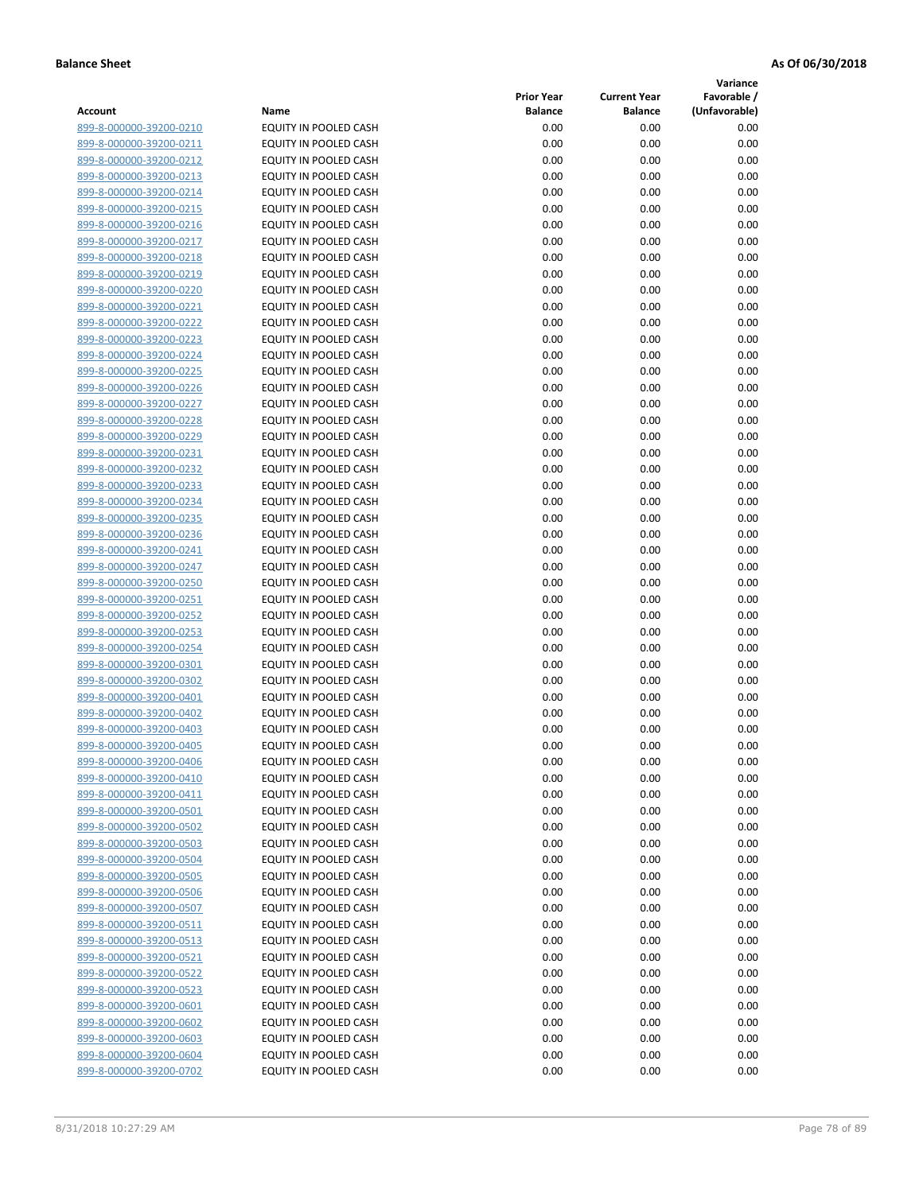**Variance**

|                         |                              | <b>Prior Year</b> | <b>Current Year</b> | Favorable /   |
|-------------------------|------------------------------|-------------------|---------------------|---------------|
| Account                 | Name                         | <b>Balance</b>    | <b>Balance</b>      | (Unfavorable) |
| 899-8-000000-39200-0210 | EQUITY IN POOLED CASH        | 0.00              | 0.00                | 0.00          |
| 899-8-000000-39200-0211 | EQUITY IN POOLED CASH        | 0.00              | 0.00                | 0.00          |
| 899-8-000000-39200-0212 | EQUITY IN POOLED CASH        | 0.00              | 0.00                | 0.00          |
| 899-8-000000-39200-0213 | EQUITY IN POOLED CASH        | 0.00              | 0.00                | 0.00          |
| 899-8-000000-39200-0214 | <b>EQUITY IN POOLED CASH</b> | 0.00              | 0.00                | 0.00          |
| 899-8-000000-39200-0215 | EQUITY IN POOLED CASH        | 0.00              | 0.00                | 0.00          |
| 899-8-000000-39200-0216 | EQUITY IN POOLED CASH        | 0.00              | 0.00                | 0.00          |
| 899-8-000000-39200-0217 | EQUITY IN POOLED CASH        | 0.00              | 0.00                | 0.00          |
| 899-8-000000-39200-0218 | EQUITY IN POOLED CASH        | 0.00              | 0.00                | 0.00          |
| 899-8-000000-39200-0219 | EQUITY IN POOLED CASH        | 0.00              | 0.00                | 0.00          |
| 899-8-000000-39200-0220 | EQUITY IN POOLED CASH        | 0.00              | 0.00                | 0.00          |
| 899-8-000000-39200-0221 | EQUITY IN POOLED CASH        | 0.00              | 0.00                | 0.00          |
| 899-8-000000-39200-0222 | EQUITY IN POOLED CASH        | 0.00              | 0.00                | 0.00          |
| 899-8-000000-39200-0223 | EQUITY IN POOLED CASH        | 0.00              | 0.00                | 0.00          |
| 899-8-000000-39200-0224 | EQUITY IN POOLED CASH        | 0.00              | 0.00                | 0.00          |
| 899-8-000000-39200-0225 | EQUITY IN POOLED CASH        | 0.00              | 0.00                | 0.00          |
| 899-8-000000-39200-0226 | EQUITY IN POOLED CASH        | 0.00              | 0.00                | 0.00          |
| 899-8-000000-39200-0227 | EQUITY IN POOLED CASH        | 0.00              | 0.00                | 0.00          |
| 899-8-000000-39200-0228 | EQUITY IN POOLED CASH        | 0.00              | 0.00                | 0.00          |
| 899-8-000000-39200-0229 | <b>EQUITY IN POOLED CASH</b> | 0.00              | 0.00                | 0.00          |
| 899-8-000000-39200-0231 | EQUITY IN POOLED CASH        | 0.00              | 0.00                | 0.00          |
| 899-8-000000-39200-0232 | EQUITY IN POOLED CASH        | 0.00              | 0.00                | 0.00          |
| 899-8-000000-39200-0233 | <b>EQUITY IN POOLED CASH</b> | 0.00              | 0.00                | 0.00          |
| 899-8-000000-39200-0234 | EQUITY IN POOLED CASH        | 0.00              | 0.00                | 0.00          |
| 899-8-000000-39200-0235 | EQUITY IN POOLED CASH        | 0.00              | 0.00                | 0.00          |
| 899-8-000000-39200-0236 | EQUITY IN POOLED CASH        | 0.00              | 0.00                | 0.00          |
| 899-8-000000-39200-0241 | EQUITY IN POOLED CASH        | 0.00              | 0.00                | 0.00          |
| 899-8-000000-39200-0247 | EQUITY IN POOLED CASH        | 0.00              | 0.00                | 0.00          |
| 899-8-000000-39200-0250 | EQUITY IN POOLED CASH        | 0.00              | 0.00                | 0.00          |
| 899-8-000000-39200-0251 | EQUITY IN POOLED CASH        | 0.00              | 0.00                | 0.00          |
| 899-8-000000-39200-0252 | EQUITY IN POOLED CASH        | 0.00              | 0.00                | 0.00          |
| 899-8-000000-39200-0253 | EQUITY IN POOLED CASH        | 0.00              | 0.00                | 0.00          |
| 899-8-000000-39200-0254 | EQUITY IN POOLED CASH        | 0.00              | 0.00                | 0.00          |
| 899-8-000000-39200-0301 | EQUITY IN POOLED CASH        | 0.00              | 0.00                | 0.00          |
| 899-8-000000-39200-0302 | <b>EQUITY IN POOLED CASH</b> | 0.00              | 0.00                | 0.00          |
| 899-8-000000-39200-0401 | EQUITY IN POOLED CASH        | 0.00              | 0.00                | 0.00          |
| 899-8-000000-39200-0402 | EQUITY IN POOLED CASH        | 0.00              | 0.00                | 0.00          |
| 899-8-000000-39200-0403 | <b>EQUITY IN POOLED CASH</b> | 0.00              | 0.00                | 0.00          |
| 899-8-000000-39200-0405 | EQUITY IN POOLED CASH        | 0.00              | 0.00                | 0.00          |
| 899-8-000000-39200-0406 | EQUITY IN POOLED CASH        | 0.00              | 0.00                | 0.00          |
| 899-8-000000-39200-0410 | EQUITY IN POOLED CASH        | 0.00              | 0.00                | 0.00          |
| 899-8-000000-39200-0411 | EQUITY IN POOLED CASH        | 0.00              | 0.00                | 0.00          |
| 899-8-000000-39200-0501 | EQUITY IN POOLED CASH        | 0.00              | 0.00                | 0.00          |
| 899-8-000000-39200-0502 | EQUITY IN POOLED CASH        | 0.00              | 0.00                | 0.00          |
| 899-8-000000-39200-0503 | EQUITY IN POOLED CASH        | 0.00              | 0.00                | 0.00          |
| 899-8-000000-39200-0504 | <b>EQUITY IN POOLED CASH</b> | 0.00              | 0.00                | 0.00          |
| 899-8-000000-39200-0505 | EQUITY IN POOLED CASH        | 0.00              | 0.00                | 0.00          |
| 899-8-000000-39200-0506 | EQUITY IN POOLED CASH        | 0.00              | 0.00                | 0.00          |
| 899-8-000000-39200-0507 | EQUITY IN POOLED CASH        | 0.00              | 0.00                | 0.00          |
| 899-8-000000-39200-0511 | EQUITY IN POOLED CASH        |                   |                     |               |
|                         |                              | 0.00              | 0.00                | 0.00          |
| 899-8-000000-39200-0513 | EQUITY IN POOLED CASH        | 0.00              | 0.00                | 0.00          |
| 899-8-000000-39200-0521 | EQUITY IN POOLED CASH        | 0.00              | 0.00                | 0.00          |
| 899-8-000000-39200-0522 | EQUITY IN POOLED CASH        | 0.00              | 0.00                | 0.00          |
| 899-8-000000-39200-0523 | EQUITY IN POOLED CASH        | 0.00              | 0.00                | 0.00          |
| 899-8-000000-39200-0601 | EQUITY IN POOLED CASH        | 0.00              | 0.00                | 0.00          |
| 899-8-000000-39200-0602 | EQUITY IN POOLED CASH        | 0.00              | 0.00                | 0.00          |
| 899-8-000000-39200-0603 | EQUITY IN POOLED CASH        | 0.00              | 0.00                | 0.00          |
| 899-8-000000-39200-0604 | EQUITY IN POOLED CASH        | 0.00              | 0.00                | 0.00          |
| 899-8-000000-39200-0702 | EQUITY IN POOLED CASH        | 0.00              | 0.00                | 0.00          |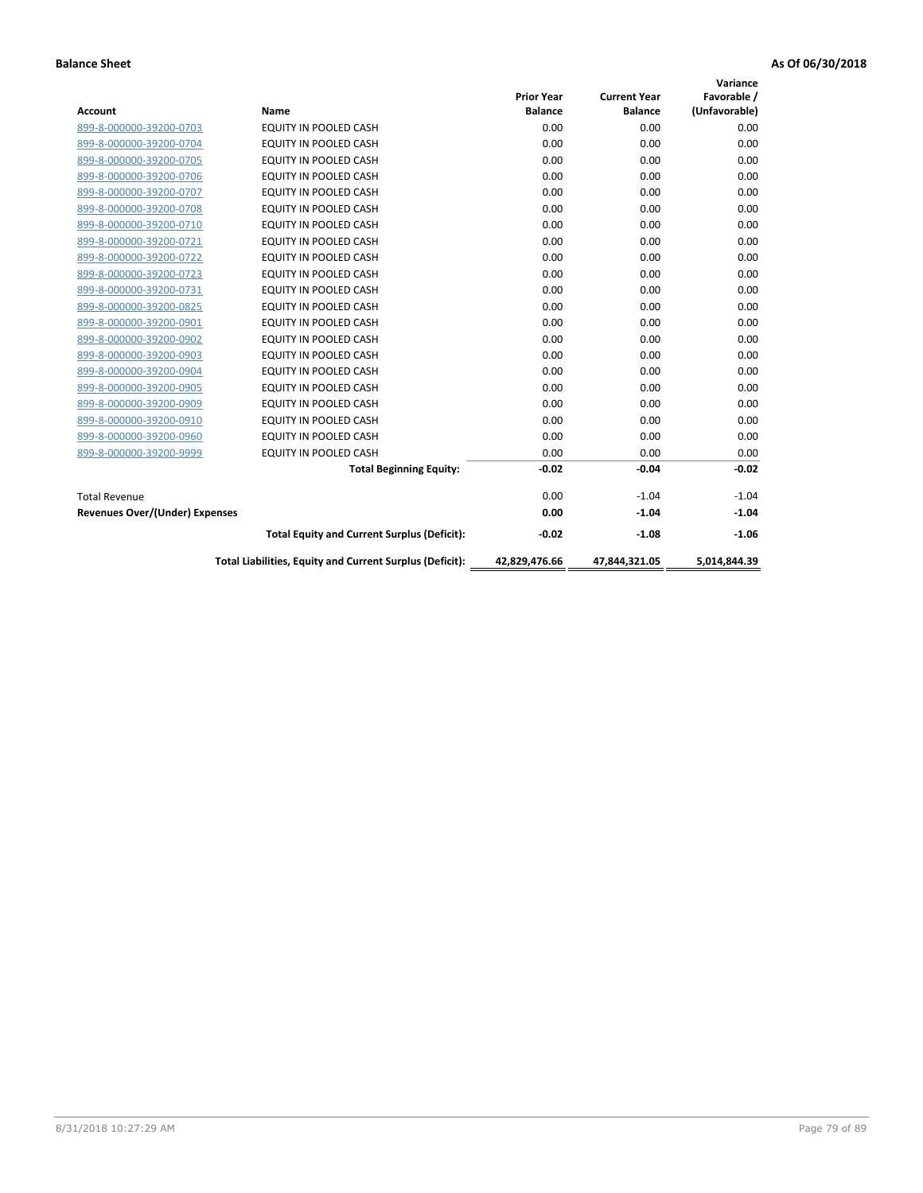|                                |                                                          |                   |                     | Variance      |
|--------------------------------|----------------------------------------------------------|-------------------|---------------------|---------------|
|                                |                                                          | <b>Prior Year</b> | <b>Current Year</b> | Favorable /   |
| <b>Account</b>                 | <b>Name</b>                                              | <b>Balance</b>    | <b>Balance</b>      | (Unfavorable) |
| 899-8-000000-39200-0703        | EQUITY IN POOLED CASH                                    | 0.00              | 0.00                | 0.00          |
| 899-8-000000-39200-0704        | <b>EQUITY IN POOLED CASH</b>                             | 0.00              | 0.00                | 0.00          |
| 899-8-000000-39200-0705        | EQUITY IN POOLED CASH                                    | 0.00              | 0.00                | 0.00          |
| 899-8-000000-39200-0706        | <b>EQUITY IN POOLED CASH</b>                             | 0.00              | 0.00                | 0.00          |
| 899-8-000000-39200-0707        | <b>EQUITY IN POOLED CASH</b>                             | 0.00              | 0.00                | 0.00          |
| 899-8-000000-39200-0708        | <b>EQUITY IN POOLED CASH</b>                             | 0.00              | 0.00                | 0.00          |
| 899-8-000000-39200-0710        | <b>EQUITY IN POOLED CASH</b>                             | 0.00              | 0.00                | 0.00          |
| 899-8-000000-39200-0721        | <b>EQUITY IN POOLED CASH</b>                             | 0.00              | 0.00                | 0.00          |
| 899-8-000000-39200-0722        | EQUITY IN POOLED CASH                                    | 0.00              | 0.00                | 0.00          |
| 899-8-000000-39200-0723        | <b>EQUITY IN POOLED CASH</b>                             | 0.00              | 0.00                | 0.00          |
| 899-8-000000-39200-0731        | <b>EQUITY IN POOLED CASH</b>                             | 0.00              | 0.00                | 0.00          |
| 899-8-000000-39200-0825        | EQUITY IN POOLED CASH                                    | 0.00              | 0.00                | 0.00          |
| 899-8-000000-39200-0901        | EQUITY IN POOLED CASH                                    | 0.00              | 0.00                | 0.00          |
| 899-8-000000-39200-0902        | <b>EQUITY IN POOLED CASH</b>                             | 0.00              | 0.00                | 0.00          |
| 899-8-000000-39200-0903        | <b>EQUITY IN POOLED CASH</b>                             | 0.00              | 0.00                | 0.00          |
| 899-8-000000-39200-0904        | <b>EQUITY IN POOLED CASH</b>                             | 0.00              | 0.00                | 0.00          |
| 899-8-000000-39200-0905        | <b>EQUITY IN POOLED CASH</b>                             | 0.00              | 0.00                | 0.00          |
| 899-8-000000-39200-0909        | EQUITY IN POOLED CASH                                    | 0.00              | 0.00                | 0.00          |
| 899-8-000000-39200-0910        | <b>EQUITY IN POOLED CASH</b>                             | 0.00              | 0.00                | 0.00          |
| 899-8-000000-39200-0960        | <b>EQUITY IN POOLED CASH</b>                             | 0.00              | 0.00                | 0.00          |
| 899-8-000000-39200-9999        | <b>EQUITY IN POOLED CASH</b>                             | 0.00              | 0.00                | 0.00          |
|                                | <b>Total Beginning Equity:</b>                           | $-0.02$           | $-0.04$             | $-0.02$       |
| <b>Total Revenue</b>           |                                                          | 0.00              | $-1.04$             | $-1.04$       |
| Revenues Over/(Under) Expenses |                                                          | 0.00              | $-1.04$             | $-1.04$       |
|                                | <b>Total Equity and Current Surplus (Deficit):</b>       | $-0.02$           | $-1.08$             | $-1.06$       |
|                                | Total Liabilities, Equity and Current Surplus (Deficit): | 42,829,476.66     | 47,844,321.05       | 5,014,844.39  |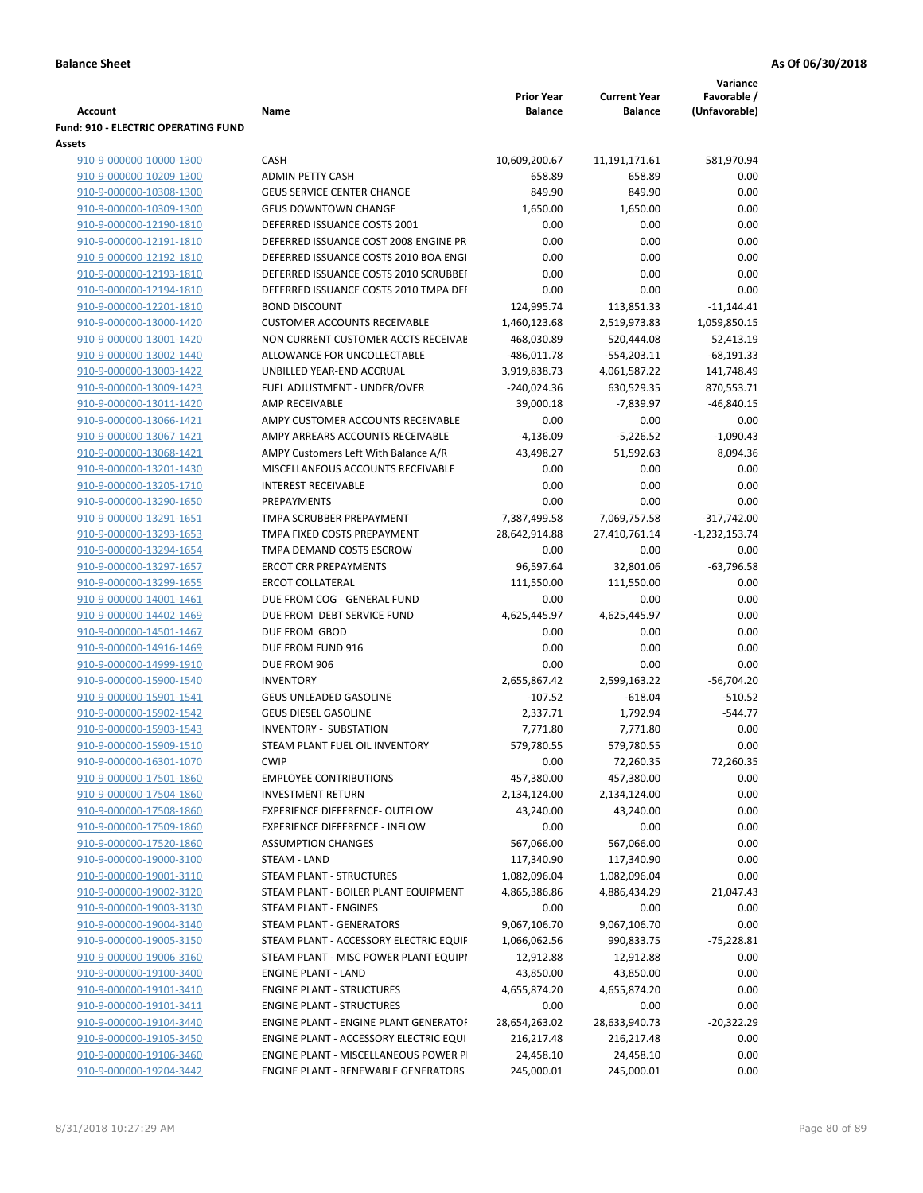| <b>Account</b>                                     | Name                                                    | <b>Prior Year</b><br><b>Balance</b> | <b>Current Year</b><br><b>Balance</b> | Variance<br>Favorable /<br>(Unfavorable) |
|----------------------------------------------------|---------------------------------------------------------|-------------------------------------|---------------------------------------|------------------------------------------|
| <b>Fund: 910 - ELECTRIC OPERATING FUND</b>         |                                                         |                                     |                                       |                                          |
| Assets                                             |                                                         |                                     |                                       |                                          |
| 910-9-000000-10000-1300                            | CASH                                                    | 10,609,200.67                       | 11,191,171.61                         | 581,970.94                               |
| 910-9-000000-10209-1300                            | <b>ADMIN PETTY CASH</b>                                 | 658.89                              | 658.89                                | 0.00                                     |
| 910-9-000000-10308-1300                            | <b>GEUS SERVICE CENTER CHANGE</b>                       | 849.90                              | 849.90                                | 0.00                                     |
| 910-9-000000-10309-1300                            | <b>GEUS DOWNTOWN CHANGE</b>                             | 1,650.00                            | 1,650.00                              | 0.00                                     |
| 910-9-000000-12190-1810                            | DEFERRED ISSUANCE COSTS 2001                            | 0.00                                | 0.00                                  | 0.00                                     |
| 910-9-000000-12191-1810                            | DEFERRED ISSUANCE COST 2008 ENGINE PR                   | 0.00                                | 0.00                                  | 0.00                                     |
| 910-9-000000-12192-1810                            | DEFERRED ISSUANCE COSTS 2010 BOA ENGI                   | 0.00                                | 0.00                                  | 0.00                                     |
| 910-9-000000-12193-1810                            | DEFERRED ISSUANCE COSTS 2010 SCRUBBEI                   | 0.00                                | 0.00                                  | 0.00                                     |
| 910-9-000000-12194-1810                            | DEFERRED ISSUANCE COSTS 2010 TMPA DEI                   | 0.00                                | 0.00                                  | 0.00                                     |
| 910-9-000000-12201-1810                            | <b>BOND DISCOUNT</b>                                    | 124,995.74                          | 113,851.33                            | $-11,144.41$                             |
| 910-9-000000-13000-1420                            | <b>CUSTOMER ACCOUNTS RECEIVABLE</b>                     | 1,460,123.68                        | 2,519,973.83                          | 1,059,850.15                             |
| 910-9-000000-13001-1420                            | NON CURRENT CUSTOMER ACCTS RECEIVAE                     | 468,030.89                          | 520,444.08                            | 52,413.19                                |
| 910-9-000000-13002-1440                            | ALLOWANCE FOR UNCOLLECTABLE                             | $-486,011.78$                       | $-554,203.11$                         | $-68,191.33$                             |
| 910-9-000000-13003-1422                            | UNBILLED YEAR-END ACCRUAL                               | 3,919,838.73                        | 4,061,587.22                          | 141,748.49                               |
| 910-9-000000-13009-1423                            | FUEL ADJUSTMENT - UNDER/OVER                            | $-240,024.36$                       | 630,529.35                            | 870,553.71                               |
| 910-9-000000-13011-1420                            | AMP RECEIVABLE                                          | 39,000.18                           | $-7,839.97$                           | $-46,840.15$                             |
| 910-9-000000-13066-1421                            | AMPY CUSTOMER ACCOUNTS RECEIVABLE                       | 0.00                                | 0.00                                  | 0.00                                     |
| 910-9-000000-13067-1421                            | AMPY ARREARS ACCOUNTS RECEIVABLE                        | $-4,136.09$                         | $-5,226.52$                           | $-1,090.43$                              |
| 910-9-000000-13068-1421                            | AMPY Customers Left With Balance A/R                    | 43,498.27                           | 51,592.63                             | 8,094.36                                 |
| 910-9-000000-13201-1430                            | MISCELLANEOUS ACCOUNTS RECEIVABLE                       | 0.00                                | 0.00                                  | 0.00                                     |
| 910-9-000000-13205-1710                            | <b>INTEREST RECEIVABLE</b>                              | 0.00                                | 0.00                                  | 0.00                                     |
| 910-9-000000-13290-1650                            | <b>PREPAYMENTS</b>                                      | 0.00                                | 0.00                                  | 0.00                                     |
| 910-9-000000-13291-1651                            | TMPA SCRUBBER PREPAYMENT                                | 7,387,499.58                        | 7,069,757.58                          | $-317,742.00$                            |
| 910-9-000000-13293-1653<br>910-9-000000-13294-1654 | TMPA FIXED COSTS PREPAYMENT<br>TMPA DEMAND COSTS ESCROW | 28,642,914.88<br>0.00               | 27,410,761.14<br>0.00                 | $-1,232,153.74$<br>0.00                  |
| 910-9-000000-13297-1657                            | <b>ERCOT CRR PREPAYMENTS</b>                            | 96,597.64                           | 32,801.06                             | $-63,796.58$                             |
| 910-9-000000-13299-1655                            | <b>ERCOT COLLATERAL</b>                                 | 111,550.00                          | 111,550.00                            | 0.00                                     |
| 910-9-000000-14001-1461                            | DUE FROM COG - GENERAL FUND                             | 0.00                                | 0.00                                  | 0.00                                     |
| 910-9-000000-14402-1469                            | DUE FROM DEBT SERVICE FUND                              | 4,625,445.97                        | 4,625,445.97                          | 0.00                                     |
| 910-9-000000-14501-1467                            | DUE FROM GBOD                                           | 0.00                                | 0.00                                  | 0.00                                     |
| 910-9-000000-14916-1469                            | DUE FROM FUND 916                                       | 0.00                                | 0.00                                  | 0.00                                     |
| 910-9-000000-14999-1910                            | DUE FROM 906                                            | 0.00                                | 0.00                                  | 0.00                                     |
| 910-9-000000-15900-1540                            | <b>INVENTORY</b>                                        | 2,655,867.42                        | 2,599,163.22                          | $-56,704.20$                             |
| 910-9-000000-15901-1541                            | <b>GEUS UNLEADED GASOLINE</b>                           | $-107.52$                           | $-618.04$                             | $-510.52$                                |
| 910-9-000000-15902-1542                            | <b>GEUS DIESEL GASOLINE</b>                             | 2,337.71                            | 1,792.94                              | $-544.77$                                |
| 910-9-000000-15903-1543                            | <b>INVENTORY - SUBSTATION</b>                           | 7,771.80                            | 7,771.80                              | 0.00                                     |
| 910-9-000000-15909-1510                            | STEAM PLANT FUEL OIL INVENTORY                          | 579,780.55                          | 579,780.55                            | 0.00                                     |
| 910-9-000000-16301-1070                            | <b>CWIP</b>                                             | 0.00                                | 72,260.35                             | 72,260.35                                |
| 910-9-000000-17501-1860                            | <b>EMPLOYEE CONTRIBUTIONS</b>                           | 457,380.00                          | 457,380.00                            | 0.00                                     |
| 910-9-000000-17504-1860                            | <b>INVESTMENT RETURN</b>                                | 2,134,124.00                        | 2,134,124.00                          | 0.00                                     |
| 910-9-000000-17508-1860                            | <b>EXPERIENCE DIFFERENCE- OUTFLOW</b>                   | 43,240.00                           | 43,240.00                             | 0.00                                     |
| 910-9-000000-17509-1860                            | <b>EXPERIENCE DIFFERENCE - INFLOW</b>                   | 0.00                                | 0.00                                  | 0.00                                     |
| 910-9-000000-17520-1860                            | <b>ASSUMPTION CHANGES</b>                               | 567,066.00                          | 567,066.00                            | 0.00                                     |
| 910-9-000000-19000-3100                            | STEAM - LAND                                            | 117,340.90                          | 117,340.90                            | 0.00                                     |
| 910-9-000000-19001-3110                            | STEAM PLANT - STRUCTURES                                | 1,082,096.04                        | 1,082,096.04                          | 0.00                                     |
| 910-9-000000-19002-3120                            | STEAM PLANT - BOILER PLANT EQUIPMENT                    | 4,865,386.86                        | 4,886,434.29                          | 21,047.43                                |
| 910-9-000000-19003-3130                            | STEAM PLANT - ENGINES                                   | 0.00                                | 0.00                                  | 0.00                                     |
| 910-9-000000-19004-3140                            | STEAM PLANT - GENERATORS                                | 9,067,106.70                        | 9,067,106.70                          | 0.00                                     |
| 910-9-000000-19005-3150                            | STEAM PLANT - ACCESSORY ELECTRIC EQUIF                  | 1,066,062.56                        | 990,833.75                            | $-75,228.81$                             |
| 910-9-000000-19006-3160                            | STEAM PLANT - MISC POWER PLANT EQUIPI                   | 12,912.88                           | 12,912.88                             | 0.00                                     |
| 910-9-000000-19100-3400                            | <b>ENGINE PLANT - LAND</b>                              | 43,850.00                           | 43,850.00                             | 0.00                                     |
| 910-9-000000-19101-3410                            | <b>ENGINE PLANT - STRUCTURES</b>                        | 4,655,874.20                        | 4,655,874.20                          | 0.00                                     |
| 910-9-000000-19101-3411                            | <b>ENGINE PLANT - STRUCTURES</b>                        | 0.00                                | 0.00                                  | 0.00                                     |
| 910-9-000000-19104-3440                            | ENGINE PLANT - ENGINE PLANT GENERATOF                   | 28,654,263.02                       | 28,633,940.73                         | $-20,322.29$                             |
| 910-9-000000-19105-3450                            | ENGINE PLANT - ACCESSORY ELECTRIC EQUI                  | 216,217.48                          | 216,217.48                            | 0.00                                     |
| 910-9-000000-19106-3460                            | ENGINE PLANT - MISCELLANEOUS POWER P                    | 24,458.10                           | 24,458.10                             | 0.00                                     |
| 910-9-000000-19204-3442                            | ENGINE PLANT - RENEWABLE GENERATORS                     | 245,000.01                          | 245,000.01                            | 0.00                                     |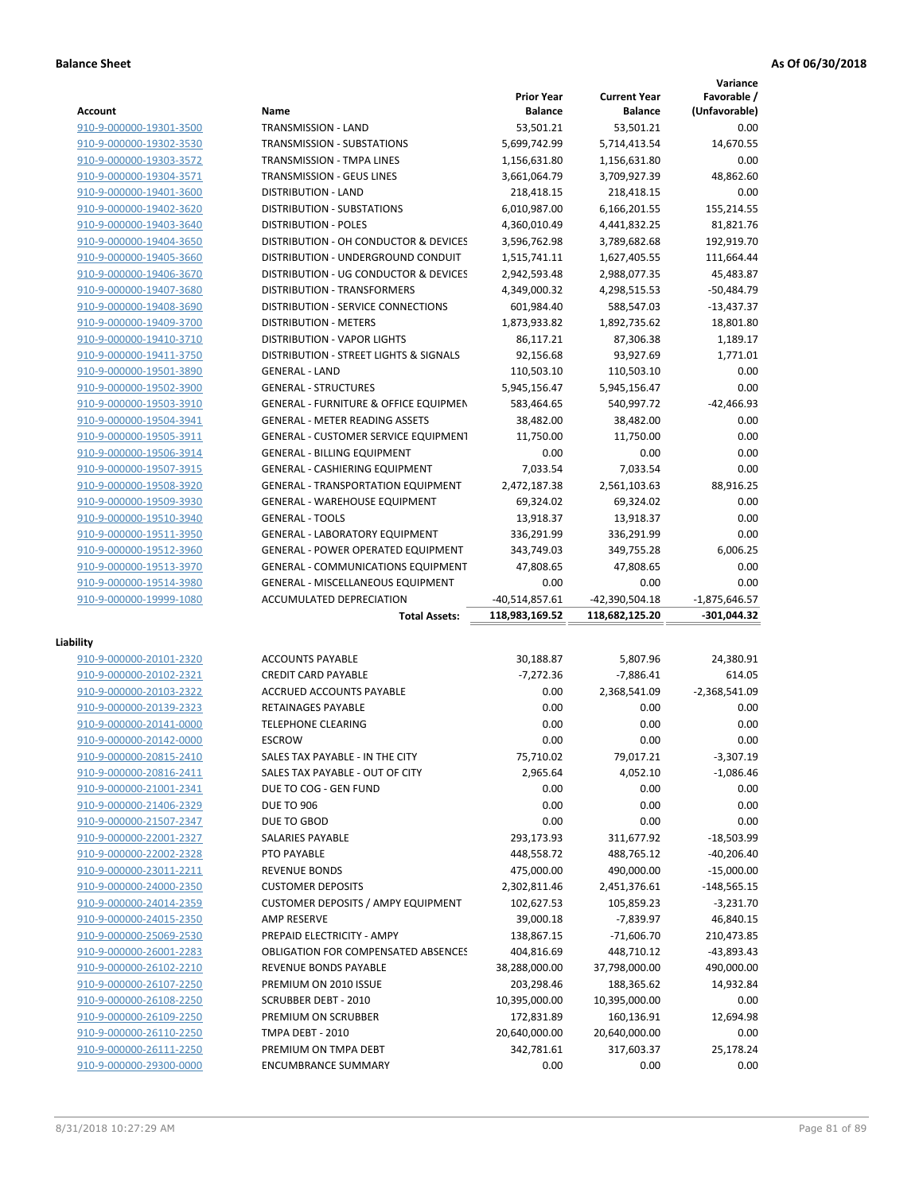**Variance**

|                         |                                                  | <b>Prior Year</b> | <b>Current Year</b> | Favorable /     |
|-------------------------|--------------------------------------------------|-------------------|---------------------|-----------------|
| <b>Account</b>          | Name                                             | <b>Balance</b>    | <b>Balance</b>      | (Unfavorable)   |
| 910-9-000000-19301-3500 | TRANSMISSION - LAND                              | 53,501.21         | 53,501.21           | 0.00            |
| 910-9-000000-19302-3530 | TRANSMISSION - SUBSTATIONS                       | 5,699,742.99      | 5,714,413.54        | 14,670.55       |
| 910-9-000000-19303-3572 | TRANSMISSION - TMPA LINES                        | 1,156,631.80      | 1,156,631.80        | 0.00            |
| 910-9-000000-19304-3571 | TRANSMISSION - GEUS LINES                        | 3,661,064.79      | 3,709,927.39        | 48,862.60       |
| 910-9-000000-19401-3600 | <b>DISTRIBUTION - LAND</b>                       | 218,418.15        | 218,418.15          | 0.00            |
| 910-9-000000-19402-3620 | DISTRIBUTION - SUBSTATIONS                       | 6,010,987.00      | 6,166,201.55        | 155,214.55      |
| 910-9-000000-19403-3640 | <b>DISTRIBUTION - POLES</b>                      | 4,360,010.49      | 4,441,832.25        | 81,821.76       |
| 910-9-000000-19404-3650 | DISTRIBUTION - OH CONDUCTOR & DEVICES            | 3,596,762.98      | 3,789,682.68        | 192,919.70      |
| 910-9-000000-19405-3660 | DISTRIBUTION - UNDERGROUND CONDUIT               | 1,515,741.11      | 1,627,405.55        | 111,664.44      |
| 910-9-000000-19406-3670 | DISTRIBUTION - UG CONDUCTOR & DEVICES            | 2,942,593.48      | 2,988,077.35        | 45,483.87       |
| 910-9-000000-19407-3680 | DISTRIBUTION - TRANSFORMERS                      | 4,349,000.32      | 4,298,515.53        | $-50,484.79$    |
| 910-9-000000-19408-3690 | <b>DISTRIBUTION - SERVICE CONNECTIONS</b>        | 601,984.40        | 588,547.03          | $-13,437.37$    |
| 910-9-000000-19409-3700 | <b>DISTRIBUTION - METERS</b>                     | 1,873,933.82      | 1,892,735.62        | 18,801.80       |
| 910-9-000000-19410-3710 | <b>DISTRIBUTION - VAPOR LIGHTS</b>               | 86,117.21         | 87,306.38           | 1,189.17        |
| 910-9-000000-19411-3750 | DISTRIBUTION - STREET LIGHTS & SIGNALS           | 92,156.68         | 93,927.69           | 1,771.01        |
| 910-9-000000-19501-3890 | <b>GENERAL - LAND</b>                            | 110,503.10        | 110,503.10          | 0.00            |
| 910-9-000000-19502-3900 | <b>GENERAL - STRUCTURES</b>                      | 5,945,156.47      | 5,945,156.47        | 0.00            |
| 910-9-000000-19503-3910 | <b>GENERAL - FURNITURE &amp; OFFICE EQUIPMEN</b> | 583,464.65        | 540,997.72          | $-42,466.93$    |
|                         |                                                  | 38,482.00         |                     |                 |
| 910-9-000000-19504-3941 | <b>GENERAL - METER READING ASSETS</b>            |                   | 38,482.00           | 0.00            |
| 910-9-000000-19505-3911 | GENERAL - CUSTOMER SERVICE EQUIPMENT             | 11,750.00         | 11,750.00           | 0.00            |
| 910-9-000000-19506-3914 | <b>GENERAL - BILLING EQUIPMENT</b>               | 0.00              | 0.00                | 0.00            |
| 910-9-000000-19507-3915 | GENERAL - CASHIERING EQUIPMENT                   | 7,033.54          | 7,033.54            | 0.00            |
| 910-9-000000-19508-3920 | <b>GENERAL - TRANSPORTATION EQUIPMENT</b>        | 2,472,187.38      | 2,561,103.63        | 88,916.25       |
| 910-9-000000-19509-3930 | <b>GENERAL - WAREHOUSE EQUIPMENT</b>             | 69,324.02         | 69,324.02           | 0.00            |
| 910-9-000000-19510-3940 | <b>GENERAL - TOOLS</b>                           | 13,918.37         | 13,918.37           | 0.00            |
| 910-9-000000-19511-3950 | <b>GENERAL - LABORATORY EQUIPMENT</b>            | 336,291.99        | 336,291.99          | 0.00            |
| 910-9-000000-19512-3960 | <b>GENERAL - POWER OPERATED EQUIPMENT</b>        | 343,749.03        | 349,755.28          | 6,006.25        |
| 910-9-000000-19513-3970 | <b>GENERAL - COMMUNICATIONS EQUIPMENT</b>        | 47,808.65         | 47,808.65           | 0.00            |
| 910-9-000000-19514-3980 | <b>GENERAL - MISCELLANEOUS EQUIPMENT</b>         | 0.00              | 0.00                | 0.00            |
| 910-9-000000-19999-1080 | ACCUMULATED DEPRECIATION                         | $-40,514,857.61$  | -42,390,504.18      | $-1,875,646.57$ |
|                         | <b>Total Assets:</b>                             | 118,983,169.52    | 118,682,125.20      | -301,044.32     |
| Liability               |                                                  |                   |                     |                 |
| 910-9-000000-20101-2320 | <b>ACCOUNTS PAYABLE</b>                          | 30,188.87         | 5,807.96            | 24,380.91       |
| 910-9-000000-20102-2321 | <b>CREDIT CARD PAYABLE</b>                       | $-7,272.36$       | $-7,886.41$         | 614.05          |
| 910-9-000000-20103-2322 | ACCRUED ACCOUNTS PAYABLE                         | 0.00              | 2,368,541.09        | $-2,368,541.09$ |
| 910-9-000000-20139-2323 | RETAINAGES PAYABLE                               | 0.00              | 0.00                | 0.00            |
| 910-9-000000-20141-0000 | <b>TELEPHONE CLEARING</b>                        | 0.00              | 0.00                | 0.00            |
| 910-9-000000-20142-0000 | <b>ESCROW</b>                                    | 0.00              | 0.00                | 0.00            |
|                         | SALES TAX PAYABLE - IN THE CITY                  |                   |                     |                 |
| 910-9-000000-20815-2410 |                                                  | 75,710.02         | 79,017.21           | $-3,307.19$     |
| 910-9-000000-20816-2411 | SALES TAX PAYABLE - OUT OF CITY                  | 2,965.64          | 4,052.10            | $-1,086.46$     |
| 910-9-000000-21001-2341 | DUE TO COG - GEN FUND                            | 0.00              | 0.00                | 0.00            |
| 910-9-000000-21406-2329 | <b>DUE TO 906</b>                                | 0.00              | 0.00                | 0.00            |
| 910-9-000000-21507-2347 | DUE TO GBOD                                      | 0.00              | 0.00                | 0.00            |
| 910-9-000000-22001-2327 | SALARIES PAYABLE                                 | 293,173.93        | 311,677.92          | $-18,503.99$    |
| 910-9-000000-22002-2328 | PTO PAYABLE                                      | 448,558.72        | 488,765.12          | $-40,206.40$    |
| 910-9-000000-23011-2211 | <b>REVENUE BONDS</b>                             | 475,000.00        | 490,000.00          | $-15,000.00$    |
| 910-9-000000-24000-2350 | <b>CUSTOMER DEPOSITS</b>                         | 2,302,811.46      | 2,451,376.61        | $-148,565.15$   |
| 910-9-000000-24014-2359 | <b>CUSTOMER DEPOSITS / AMPY EQUIPMENT</b>        | 102,627.53        | 105,859.23          | $-3,231.70$     |
| 910-9-000000-24015-2350 | <b>AMP RESERVE</b>                               | 39,000.18         | -7,839.97           | 46,840.15       |
| 910-9-000000-25069-2530 | PREPAID ELECTRICITY - AMPY                       | 138,867.15        | $-71,606.70$        | 210,473.85      |
| 910-9-000000-26001-2283 | <b>OBLIGATION FOR COMPENSATED ABSENCES</b>       | 404,816.69        | 448,710.12          | -43,893.43      |
| 910-9-000000-26102-2210 | REVENUE BONDS PAYABLE                            | 38,288,000.00     | 37,798,000.00       | 490,000.00      |
| 910-9-000000-26107-2250 | PREMIUM ON 2010 ISSUE                            | 203,298.46        | 188,365.62          | 14,932.84       |
| 910-9-000000-26108-2250 | SCRUBBER DEBT - 2010                             | 10,395,000.00     | 10,395,000.00       | 0.00            |
| 910-9-000000-26109-2250 | PREMIUM ON SCRUBBER                              | 172,831.89        | 160,136.91          | 12,694.98       |
| 910-9-000000-26110-2250 | TMPA DEBT - 2010                                 | 20,640,000.00     | 20,640,000.00       | 0.00            |
| 910-9-000000-26111-2250 | PREMIUM ON TMPA DEBT                             | 342,781.61        | 317,603.37          | 25,178.24       |
| 910-9-000000-29300-0000 | <b>ENCUMBRANCE SUMMARY</b>                       | 0.00              | 0.00                | 0.00            |
|                         |                                                  |                   |                     |                 |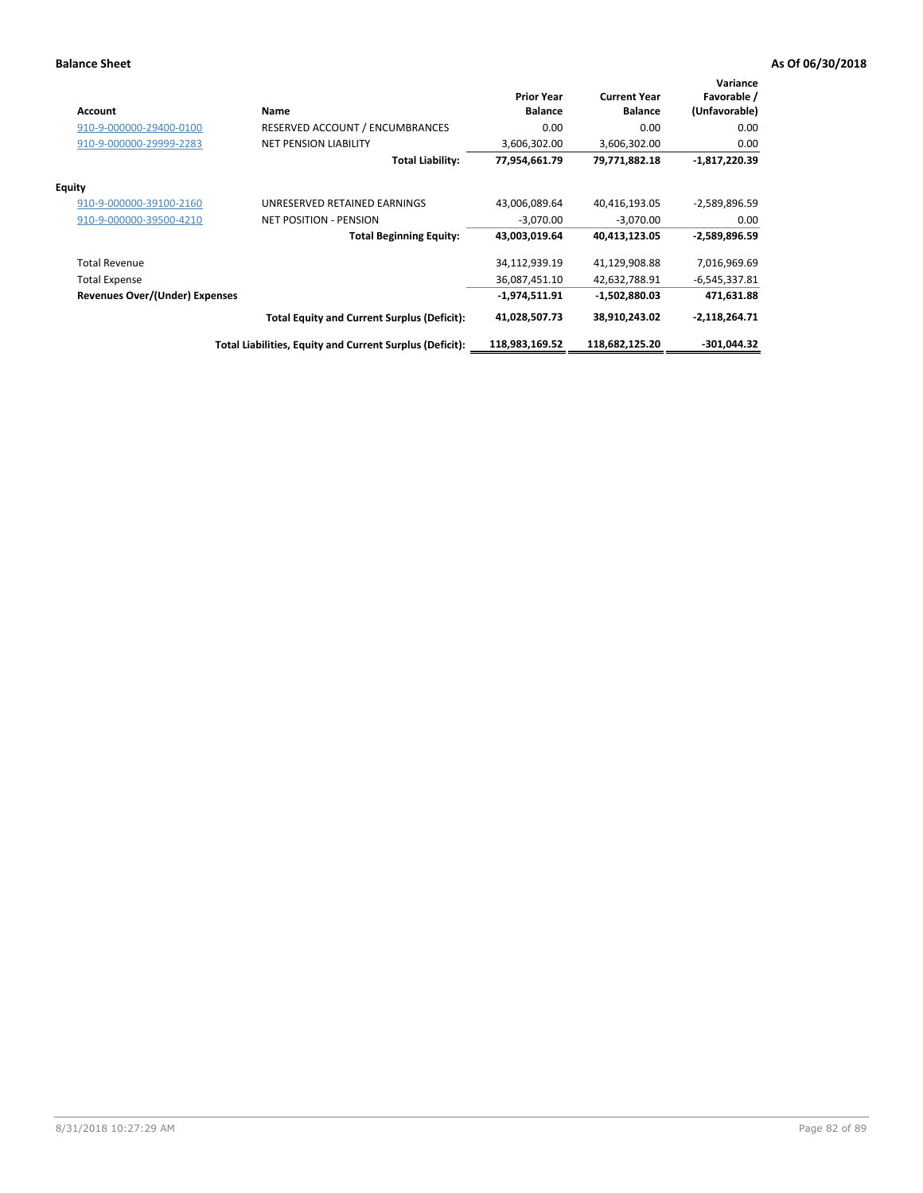| <b>Account</b>                        | Name                                                     | <b>Prior Year</b><br><b>Balance</b> | <b>Current Year</b><br><b>Balance</b> | Variance<br>Favorable /<br>(Unfavorable) |
|---------------------------------------|----------------------------------------------------------|-------------------------------------|---------------------------------------|------------------------------------------|
| 910-9-000000-29400-0100               | RESERVED ACCOUNT / ENCUMBRANCES                          | 0.00                                | 0.00                                  | 0.00                                     |
| 910-9-000000-29999-2283               | <b>NET PENSION LIABILITY</b>                             | 3,606,302.00                        | 3,606,302.00                          | 0.00                                     |
|                                       | <b>Total Liability:</b>                                  | 77,954,661.79                       | 79,771,882.18                         | $-1,817,220.39$                          |
| <b>Equity</b>                         |                                                          |                                     |                                       |                                          |
| 910-9-000000-39100-2160               | UNRESERVED RETAINED EARNINGS                             | 43,006,089.64                       | 40,416,193.05                         | $-2,589,896.59$                          |
| 910-9-000000-39500-4210               | <b>NET POSITION - PENSION</b>                            | $-3,070.00$                         | $-3,070.00$                           | 0.00                                     |
|                                       | <b>Total Beginning Equity:</b>                           | 43,003,019.64                       | 40,413,123.05                         | $-2,589,896.59$                          |
| <b>Total Revenue</b>                  |                                                          | 34,112,939.19                       | 41,129,908.88                         | 7,016,969.69                             |
| <b>Total Expense</b>                  |                                                          | 36,087,451.10                       | 42,632,788.91                         | $-6,545,337.81$                          |
| <b>Revenues Over/(Under) Expenses</b> |                                                          | $-1,974,511.91$                     | -1,502,880.03                         | 471,631.88                               |
|                                       | <b>Total Equity and Current Surplus (Deficit):</b>       | 41,028,507.73                       | 38,910,243.02                         | $-2,118,264.71$                          |
|                                       | Total Liabilities, Equity and Current Surplus (Deficit): | 118,983,169.52                      | 118,682,125.20                        | $-301,044.32$                            |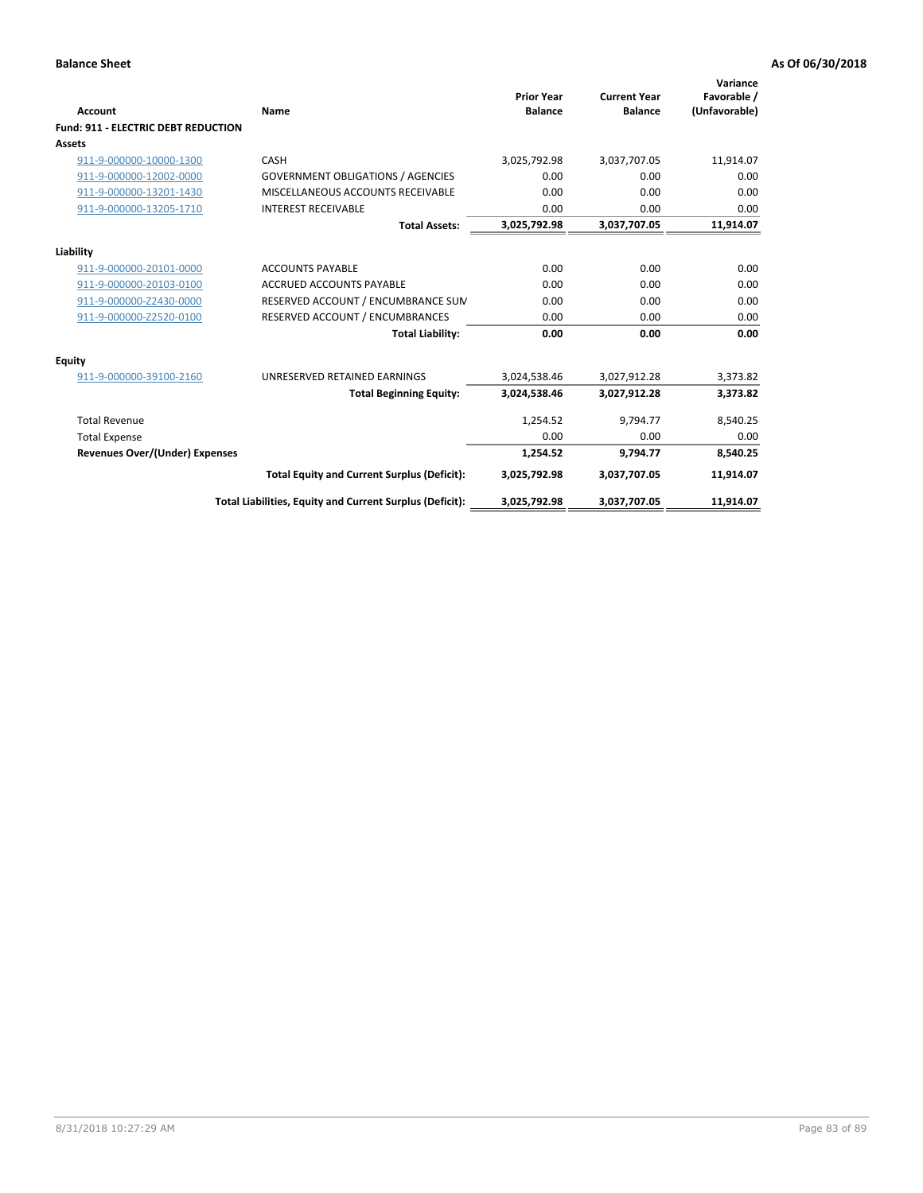| <b>Account</b>                             | Name                                                     | <b>Prior Year</b><br><b>Balance</b> | <b>Current Year</b><br><b>Balance</b> | Variance<br>Favorable /<br>(Unfavorable) |
|--------------------------------------------|----------------------------------------------------------|-------------------------------------|---------------------------------------|------------------------------------------|
| <b>Fund: 911 - ELECTRIC DEBT REDUCTION</b> |                                                          |                                     |                                       |                                          |
| Assets                                     |                                                          |                                     |                                       |                                          |
| 911-9-000000-10000-1300                    | CASH                                                     | 3,025,792.98                        | 3,037,707.05                          | 11,914.07                                |
| 911-9-000000-12002-0000                    | <b>GOVERNMENT OBLIGATIONS / AGENCIES</b>                 | 0.00                                | 0.00                                  | 0.00                                     |
| 911-9-000000-13201-1430                    | MISCELLANEOUS ACCOUNTS RECEIVABLE                        | 0.00                                | 0.00                                  | 0.00                                     |
| 911-9-000000-13205-1710                    | <b>INTEREST RECEIVABLE</b>                               | 0.00                                | 0.00                                  | 0.00                                     |
|                                            | <b>Total Assets:</b>                                     | 3,025,792.98                        | 3,037,707.05                          | 11,914.07                                |
| Liability                                  |                                                          |                                     |                                       |                                          |
| 911-9-000000-20101-0000                    | <b>ACCOUNTS PAYABLE</b>                                  | 0.00                                | 0.00                                  | 0.00                                     |
| 911-9-000000-20103-0100                    | <b>ACCRUED ACCOUNTS PAYABLE</b>                          | 0.00                                | 0.00                                  | 0.00                                     |
| 911-9-000000-Z2430-0000                    | RESERVED ACCOUNT / ENCUMBRANCE SUM                       | 0.00                                | 0.00                                  | 0.00                                     |
| 911-9-000000-Z2520-0100                    | RESERVED ACCOUNT / ENCUMBRANCES                          | 0.00                                | 0.00                                  | 0.00                                     |
|                                            | <b>Total Liability:</b>                                  | 0.00                                | 0.00                                  | 0.00                                     |
| <b>Equity</b>                              |                                                          |                                     |                                       |                                          |
| 911-9-000000-39100-2160                    | UNRESERVED RETAINED EARNINGS                             | 3,024,538.46                        | 3,027,912.28                          | 3,373.82                                 |
|                                            | <b>Total Beginning Equity:</b>                           | 3,024,538.46                        | 3,027,912.28                          | 3,373.82                                 |
| <b>Total Revenue</b>                       |                                                          | 1,254.52                            | 9.794.77                              | 8,540.25                                 |
| <b>Total Expense</b>                       |                                                          | 0.00                                | 0.00                                  | 0.00                                     |
| <b>Revenues Over/(Under) Expenses</b>      |                                                          | 1,254.52                            | 9,794.77                              | 8,540.25                                 |
|                                            | <b>Total Equity and Current Surplus (Deficit):</b>       | 3,025,792.98                        | 3,037,707.05                          | 11,914.07                                |
|                                            | Total Liabilities, Equity and Current Surplus (Deficit): | 3,025,792.98                        | 3,037,707.05                          | 11,914.07                                |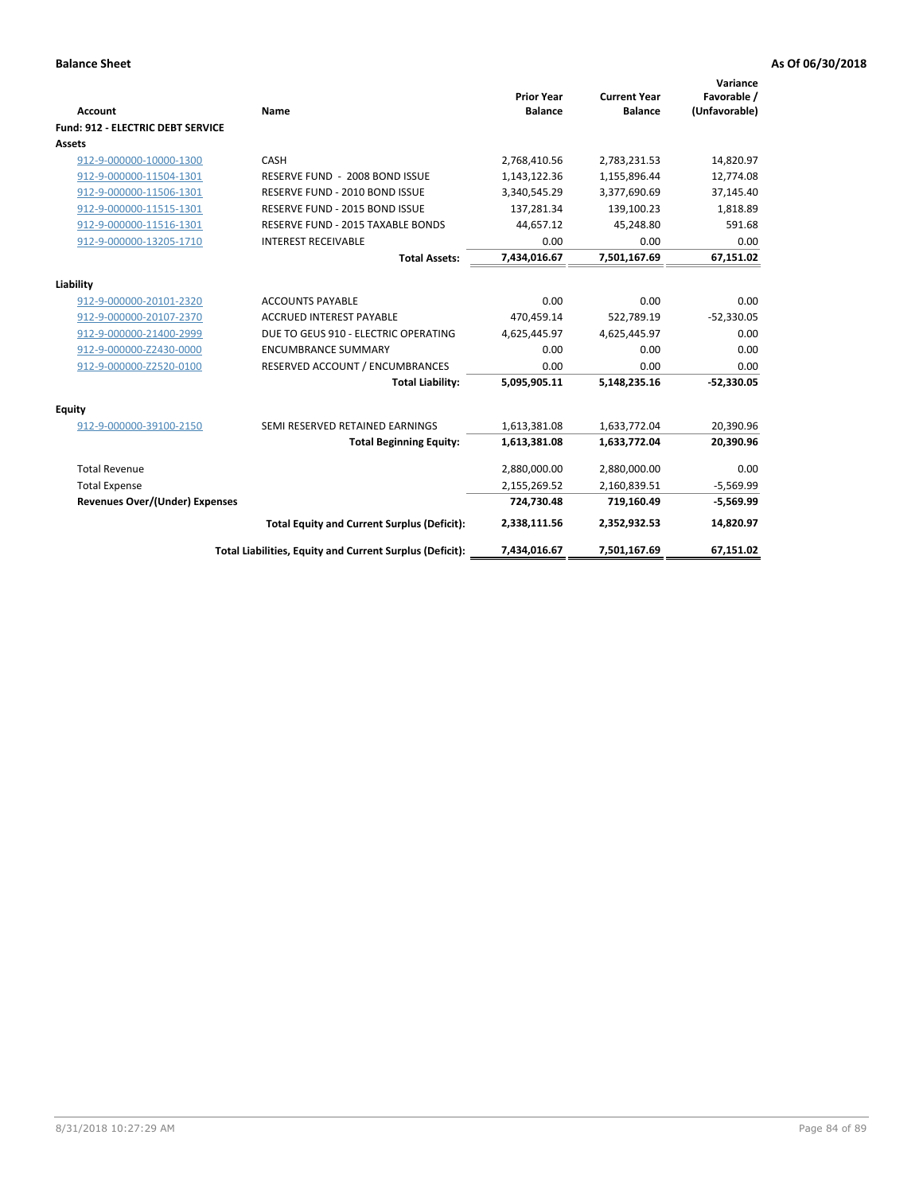| Account                                  | Name                                                     | <b>Prior Year</b><br><b>Balance</b> | <b>Current Year</b><br><b>Balance</b> | Variance<br>Favorable /<br>(Unfavorable) |
|------------------------------------------|----------------------------------------------------------|-------------------------------------|---------------------------------------|------------------------------------------|
| <b>Fund: 912 - ELECTRIC DEBT SERVICE</b> |                                                          |                                     |                                       |                                          |
| <b>Assets</b>                            |                                                          |                                     |                                       |                                          |
| 912-9-000000-10000-1300                  | CASH                                                     | 2,768,410.56                        | 2,783,231.53                          | 14,820.97                                |
| 912-9-000000-11504-1301                  | RESERVE FUND - 2008 BOND ISSUE                           | 1,143,122.36                        | 1,155,896.44                          | 12,774.08                                |
| 912-9-000000-11506-1301                  | RESERVE FUND - 2010 BOND ISSUE                           | 3,340,545.29                        | 3,377,690.69                          | 37,145.40                                |
| 912-9-000000-11515-1301                  | RESERVE FUND - 2015 BOND ISSUE                           | 137,281.34                          | 139,100.23                            | 1,818.89                                 |
| 912-9-000000-11516-1301                  | <b>RESERVE FUND - 2015 TAXABLE BONDS</b>                 | 44,657.12                           | 45,248.80                             | 591.68                                   |
| 912-9-000000-13205-1710                  | <b>INTEREST RECEIVABLE</b>                               | 0.00                                | 0.00                                  | 0.00                                     |
|                                          | <b>Total Assets:</b>                                     | 7,434,016.67                        | 7,501,167.69                          | 67,151.02                                |
| Liability                                |                                                          |                                     |                                       |                                          |
| 912-9-000000-20101-2320                  | <b>ACCOUNTS PAYABLE</b>                                  | 0.00                                | 0.00                                  | 0.00                                     |
| 912-9-000000-20107-2370                  | <b>ACCRUED INTEREST PAYABLE</b>                          | 470,459.14                          | 522,789.19                            | $-52,330.05$                             |
| 912-9-000000-21400-2999                  | DUE TO GEUS 910 - ELECTRIC OPERATING                     | 4,625,445.97                        | 4,625,445.97                          | 0.00                                     |
| 912-9-000000-Z2430-0000                  | <b>ENCUMBRANCE SUMMARY</b>                               | 0.00                                | 0.00                                  | 0.00                                     |
| 912-9-000000-Z2520-0100                  | RESERVED ACCOUNT / ENCUMBRANCES                          | 0.00                                | 0.00                                  | 0.00                                     |
|                                          | <b>Total Liability:</b>                                  | 5,095,905.11                        | 5,148,235.16                          | $-52,330.05$                             |
| Equity                                   |                                                          |                                     |                                       |                                          |
| 912-9-000000-39100-2150                  | SEMI RESERVED RETAINED EARNINGS                          | 1,613,381.08                        | 1,633,772.04                          | 20,390.96                                |
|                                          | <b>Total Beginning Equity:</b>                           | 1,613,381.08                        | 1,633,772.04                          | 20,390.96                                |
| <b>Total Revenue</b>                     |                                                          | 2,880,000.00                        | 2,880,000.00                          | 0.00                                     |
| <b>Total Expense</b>                     |                                                          | 2,155,269.52                        | 2,160,839.51                          | $-5,569.99$                              |
| Revenues Over/(Under) Expenses           |                                                          | 724,730.48                          | 719,160.49                            | $-5,569.99$                              |
|                                          | <b>Total Equity and Current Surplus (Deficit):</b>       | 2,338,111.56                        | 2,352,932.53                          | 14,820.97                                |
|                                          | Total Liabilities, Equity and Current Surplus (Deficit): | 7,434,016.67                        | 7,501,167.69                          | 67,151.02                                |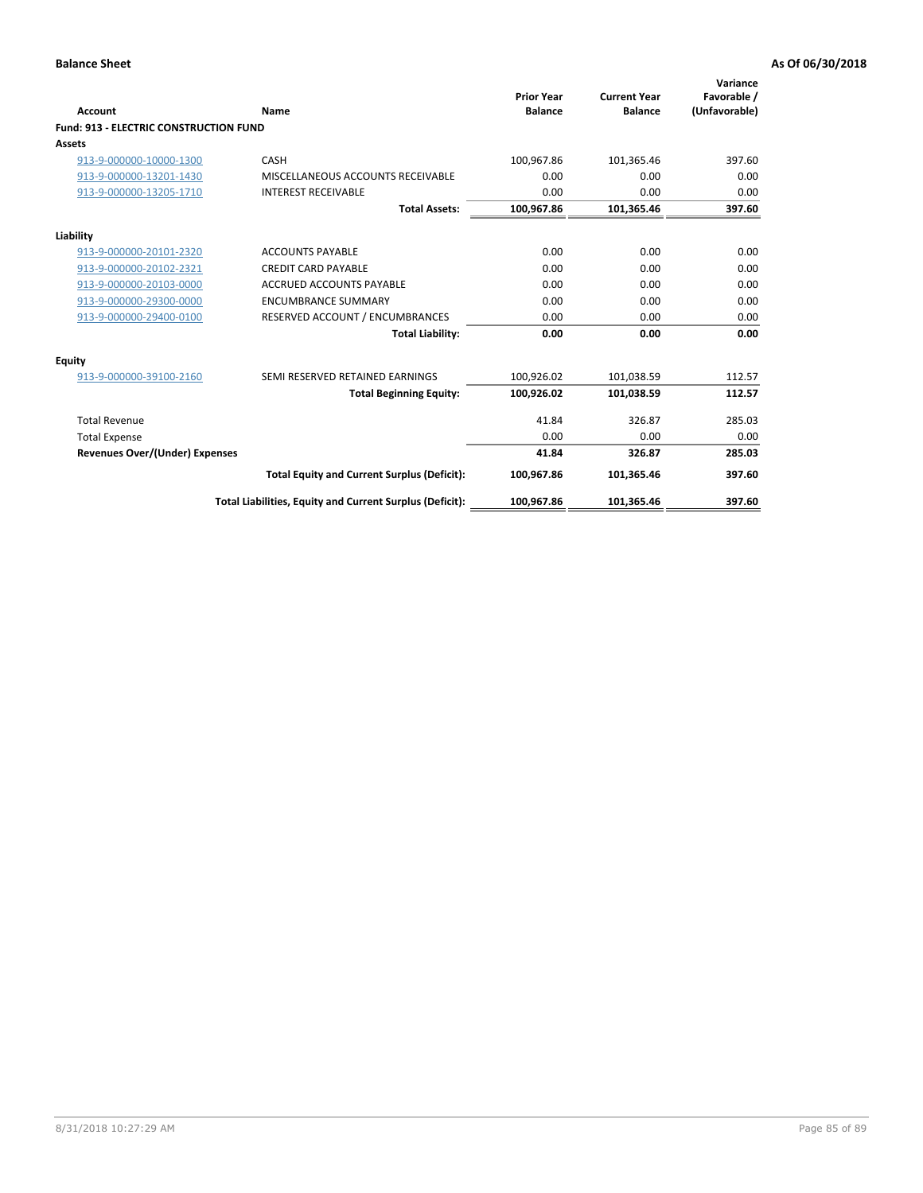| Account                                       | Name                                                     | <b>Prior Year</b><br><b>Balance</b> | <b>Current Year</b><br><b>Balance</b> | Variance<br>Favorable /<br>(Unfavorable) |
|-----------------------------------------------|----------------------------------------------------------|-------------------------------------|---------------------------------------|------------------------------------------|
| <b>Fund: 913 - ELECTRIC CONSTRUCTION FUND</b> |                                                          |                                     |                                       |                                          |
| <b>Assets</b>                                 |                                                          |                                     |                                       |                                          |
| 913-9-000000-10000-1300                       | CASH                                                     | 100,967.86                          | 101,365.46                            | 397.60                                   |
| 913-9-000000-13201-1430                       | MISCELLANEOUS ACCOUNTS RECEIVABLE                        | 0.00                                | 0.00                                  | 0.00                                     |
| 913-9-000000-13205-1710                       | <b>INTEREST RECEIVABLE</b>                               | 0.00                                | 0.00                                  | 0.00                                     |
|                                               | <b>Total Assets:</b>                                     | 100,967.86                          | 101,365.46                            | 397.60                                   |
| Liability                                     |                                                          |                                     |                                       |                                          |
| 913-9-000000-20101-2320                       | <b>ACCOUNTS PAYABLE</b>                                  | 0.00                                | 0.00                                  | 0.00                                     |
| 913-9-000000-20102-2321                       | <b>CREDIT CARD PAYABLE</b>                               | 0.00                                | 0.00                                  | 0.00                                     |
| 913-9-000000-20103-0000                       | <b>ACCRUED ACCOUNTS PAYABLE</b>                          | 0.00                                | 0.00                                  | 0.00                                     |
| 913-9-000000-29300-0000                       | <b>ENCUMBRANCE SUMMARY</b>                               | 0.00                                | 0.00                                  | 0.00                                     |
| 913-9-000000-29400-0100                       | RESERVED ACCOUNT / ENCUMBRANCES                          | 0.00                                | 0.00                                  | 0.00                                     |
|                                               | <b>Total Liability:</b>                                  | 0.00                                | 0.00                                  | 0.00                                     |
| Equity                                        |                                                          |                                     |                                       |                                          |
| 913-9-000000-39100-2160                       | SEMI RESERVED RETAINED EARNINGS                          | 100,926.02                          | 101,038.59                            | 112.57                                   |
|                                               | <b>Total Beginning Equity:</b>                           | 100,926.02                          | 101,038.59                            | 112.57                                   |
| <b>Total Revenue</b>                          |                                                          | 41.84                               | 326.87                                | 285.03                                   |
| <b>Total Expense</b>                          |                                                          | 0.00                                | 0.00                                  | 0.00                                     |
| Revenues Over/(Under) Expenses                |                                                          | 41.84                               | 326.87                                | 285.03                                   |
|                                               | <b>Total Equity and Current Surplus (Deficit):</b>       | 100,967.86                          | 101,365.46                            | 397.60                                   |
|                                               | Total Liabilities, Equity and Current Surplus (Deficit): | 100,967.86                          | 101,365.46                            | 397.60                                   |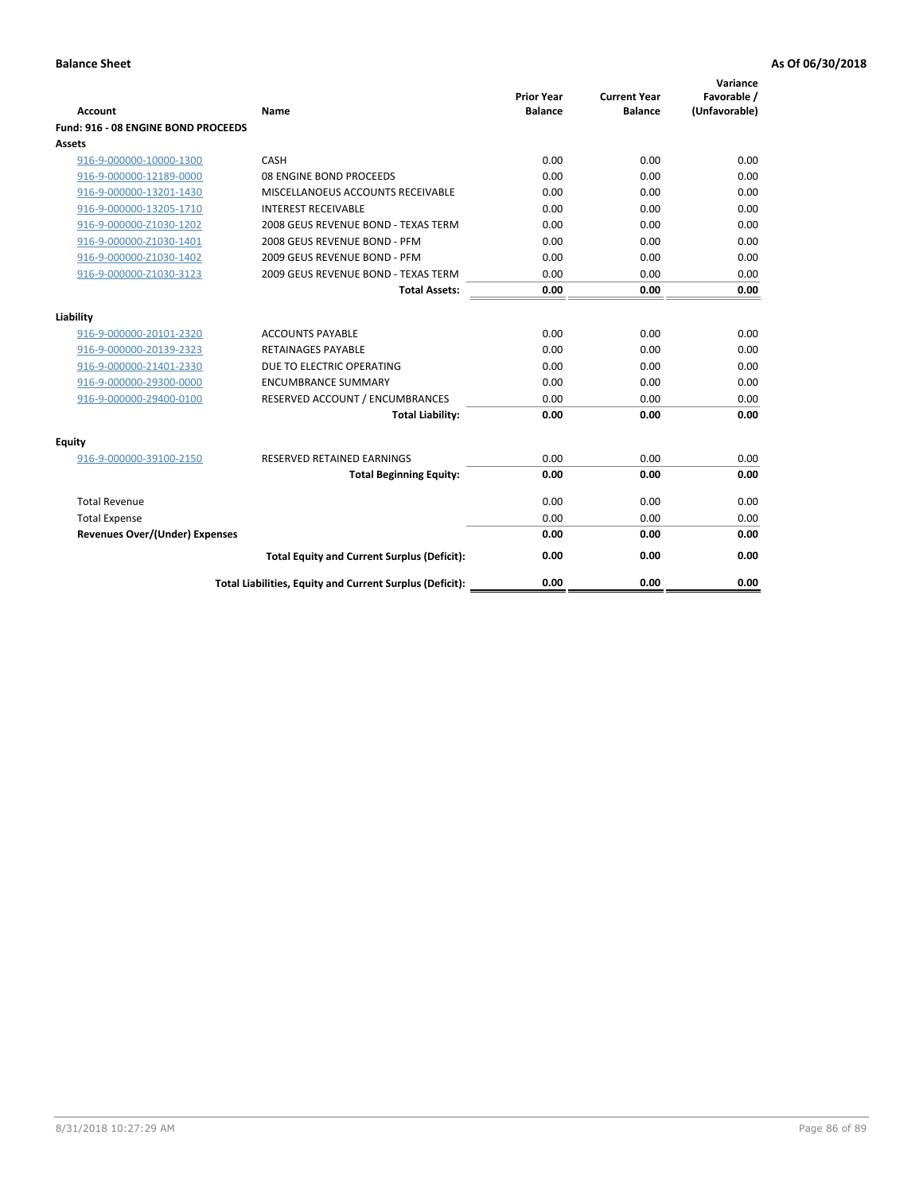| <b>Account</b>                        | Name                                                     | <b>Prior Year</b><br><b>Balance</b> | <b>Current Year</b><br><b>Balance</b> | Variance<br>Favorable /<br>(Unfavorable) |
|---------------------------------------|----------------------------------------------------------|-------------------------------------|---------------------------------------|------------------------------------------|
| Fund: 916 - 08 ENGINE BOND PROCEEDS   |                                                          |                                     |                                       |                                          |
| Assets                                |                                                          |                                     |                                       |                                          |
| 916-9-000000-10000-1300               | CASH                                                     | 0.00                                | 0.00                                  | 0.00                                     |
| 916-9-000000-12189-0000               | 08 ENGINE BOND PROCEEDS                                  | 0.00                                | 0.00                                  | 0.00                                     |
| 916-9-000000-13201-1430               | MISCELLANOEUS ACCOUNTS RECEIVABLE                        | 0.00                                | 0.00                                  | 0.00                                     |
| 916-9-000000-13205-1710               | <b>INTEREST RECEIVABLE</b>                               | 0.00                                | 0.00                                  | 0.00                                     |
| 916-9-000000-Z1030-1202               | 2008 GEUS REVENUE BOND - TEXAS TERM                      | 0.00                                | 0.00                                  | 0.00                                     |
| 916-9-000000-Z1030-1401               | 2008 GEUS REVENUE BOND - PFM                             | 0.00                                | 0.00                                  | 0.00                                     |
| 916-9-000000-Z1030-1402               | 2009 GEUS REVENUE BOND - PFM                             | 0.00                                | 0.00                                  | 0.00                                     |
| 916-9-000000-Z1030-3123               | 2009 GEUS REVENUE BOND - TEXAS TERM                      | 0.00                                | 0.00                                  | 0.00                                     |
|                                       | <b>Total Assets:</b>                                     | 0.00                                | 0.00                                  | 0.00                                     |
| Liability                             |                                                          |                                     |                                       |                                          |
| 916-9-000000-20101-2320               | <b>ACCOUNTS PAYABLE</b>                                  | 0.00                                | 0.00                                  | 0.00                                     |
| 916-9-000000-20139-2323               | <b>RETAINAGES PAYABLE</b>                                | 0.00                                | 0.00                                  | 0.00                                     |
| 916-9-000000-21401-2330               | DUE TO ELECTRIC OPERATING                                | 0.00                                | 0.00                                  | 0.00                                     |
| 916-9-000000-29300-0000               | <b>ENCUMBRANCE SUMMARY</b>                               | 0.00                                | 0.00                                  | 0.00                                     |
| 916-9-000000-29400-0100               | RESERVED ACCOUNT / ENCUMBRANCES                          | 0.00                                | 0.00                                  | 0.00                                     |
|                                       | <b>Total Liability:</b>                                  | 0.00                                | 0.00                                  | 0.00                                     |
|                                       |                                                          |                                     |                                       |                                          |
| Equity                                |                                                          |                                     |                                       |                                          |
| 916-9-000000-39100-2150               | <b>RESERVED RETAINED EARNINGS</b>                        | 0.00                                | 0.00                                  | 0.00                                     |
|                                       | <b>Total Beginning Equity:</b>                           | 0.00                                | 0.00                                  | 0.00                                     |
| <b>Total Revenue</b>                  |                                                          | 0.00                                | 0.00                                  | 0.00                                     |
| <b>Total Expense</b>                  |                                                          | 0.00                                | 0.00                                  | 0.00                                     |
| <b>Revenues Over/(Under) Expenses</b> |                                                          | 0.00                                | 0.00                                  | 0.00                                     |
|                                       | <b>Total Equity and Current Surplus (Deficit):</b>       | 0.00                                | 0.00                                  | 0.00                                     |
|                                       | Total Liabilities, Equity and Current Surplus (Deficit): | 0.00                                | 0.00                                  | 0.00                                     |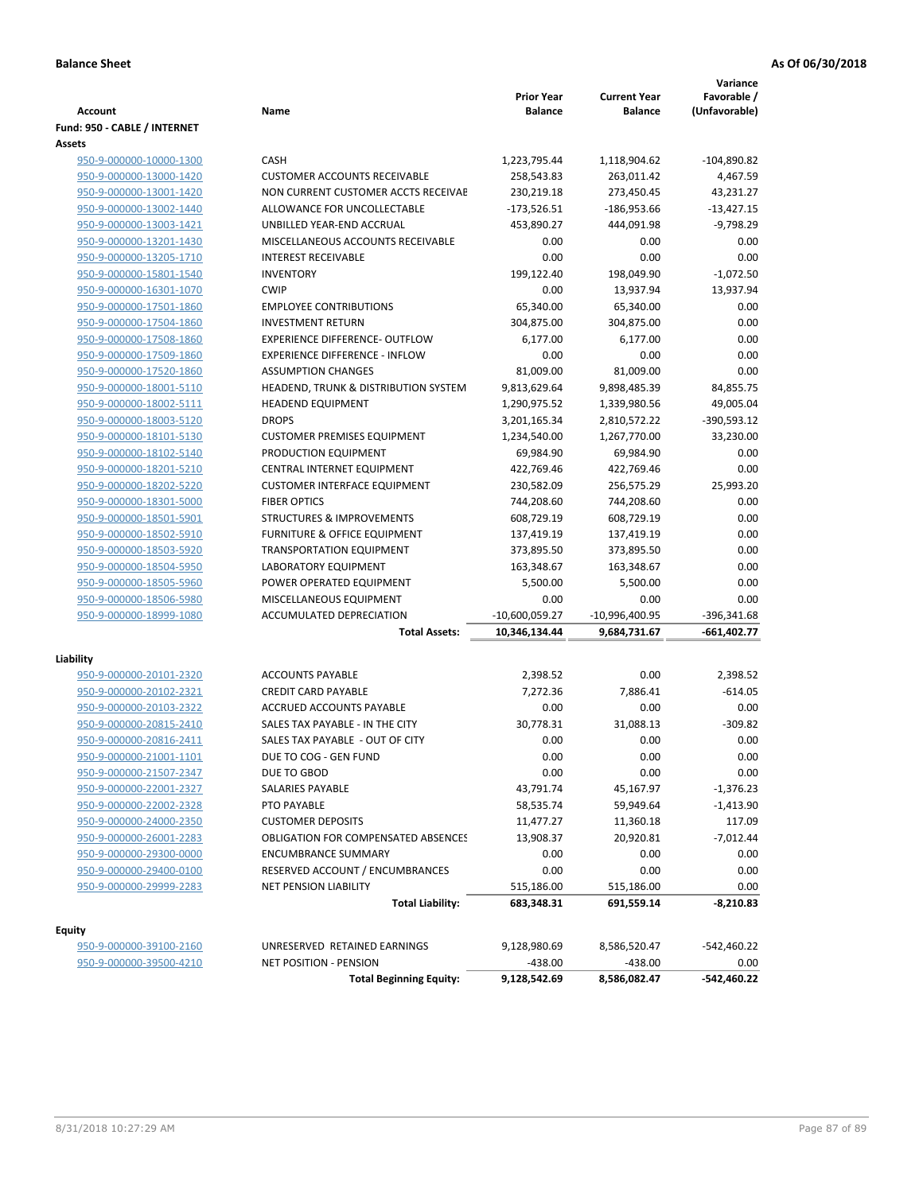| <b>Account</b>                                     | Name                                                            | <b>Prior Year</b><br><b>Balance</b> | <b>Current Year</b><br><b>Balance</b> | Variance<br>Favorable /<br>(Unfavorable) |
|----------------------------------------------------|-----------------------------------------------------------------|-------------------------------------|---------------------------------------|------------------------------------------|
| Fund: 950 - CABLE / INTERNET                       |                                                                 |                                     |                                       |                                          |
| Assets                                             |                                                                 |                                     |                                       |                                          |
| 950-9-000000-10000-1300                            | CASH                                                            | 1,223,795.44                        | 1,118,904.62                          | $-104,890.82$                            |
| 950-9-000000-13000-1420                            | <b>CUSTOMER ACCOUNTS RECEIVABLE</b>                             | 258,543.83                          | 263,011.42                            | 4,467.59                                 |
| 950-9-000000-13001-1420                            | NON CURRENT CUSTOMER ACCTS RECEIVAE                             | 230,219.18                          | 273,450.45                            | 43,231.27                                |
| 950-9-000000-13002-1440                            | ALLOWANCE FOR UNCOLLECTABLE                                     | -173,526.51                         | $-186,953.66$                         | $-13,427.15$                             |
| 950-9-000000-13003-1421                            | UNBILLED YEAR-END ACCRUAL                                       | 453,890.27                          | 444,091.98                            | $-9,798.29$                              |
| 950-9-000000-13201-1430                            | MISCELLANEOUS ACCOUNTS RECEIVABLE                               | 0.00                                | 0.00                                  | 0.00                                     |
| 950-9-000000-13205-1710                            | <b>INTEREST RECEIVABLE</b>                                      | 0.00                                | 0.00                                  | 0.00                                     |
| 950-9-000000-15801-1540                            | <b>INVENTORY</b>                                                | 199,122.40                          | 198,049.90                            | $-1,072.50$                              |
| 950-9-000000-16301-1070                            | <b>CWIP</b>                                                     | 0.00                                | 13,937.94                             | 13,937.94                                |
| 950-9-000000-17501-1860                            | <b>EMPLOYEE CONTRIBUTIONS</b>                                   | 65,340.00                           | 65,340.00                             | 0.00                                     |
| 950-9-000000-17504-1860                            | <b>INVESTMENT RETURN</b>                                        | 304,875.00                          | 304,875.00                            | 0.00                                     |
| 950-9-000000-17508-1860                            | <b>EXPERIENCE DIFFERENCE- OUTFLOW</b>                           | 6,177.00                            | 6,177.00                              | 0.00                                     |
| 950-9-000000-17509-1860                            | <b>EXPERIENCE DIFFERENCE - INFLOW</b>                           | 0.00                                | 0.00                                  | 0.00<br>0.00                             |
| 950-9-000000-17520-1860                            | <b>ASSUMPTION CHANGES</b>                                       | 81,009.00                           | 81,009.00                             |                                          |
| 950-9-000000-18001-5110                            | HEADEND, TRUNK & DISTRIBUTION SYSTEM                            | 9,813,629.64                        | 9,898,485.39                          | 84,855.75                                |
| 950-9-000000-18002-5111                            | <b>HEADEND EQUIPMENT</b><br><b>DROPS</b>                        | 1,290,975.52                        | 1,339,980.56                          | 49,005.04                                |
| 950-9-000000-18003-5120                            |                                                                 | 3,201,165.34                        | 2,810,572.22                          | -390,593.12                              |
| 950-9-000000-18101-5130                            | <b>CUSTOMER PREMISES EQUIPMENT</b><br>PRODUCTION EQUIPMENT      | 1,234,540.00<br>69,984.90           | 1,267,770.00                          | 33,230.00<br>0.00                        |
| 950-9-000000-18102-5140<br>950-9-000000-18201-5210 | CENTRAL INTERNET EQUIPMENT                                      | 422,769.46                          | 69,984.90<br>422,769.46               | 0.00                                     |
| 950-9-000000-18202-5220                            | <b>CUSTOMER INTERFACE EQUIPMENT</b>                             | 230,582.09                          | 256,575.29                            | 25,993.20                                |
| 950-9-000000-18301-5000                            | <b>FIBER OPTICS</b>                                             | 744,208.60                          | 744,208.60                            | 0.00                                     |
| 950-9-000000-18501-5901                            | <b>STRUCTURES &amp; IMPROVEMENTS</b>                            | 608,729.19                          | 608,729.19                            | 0.00                                     |
| 950-9-000000-18502-5910                            | <b>FURNITURE &amp; OFFICE EQUIPMENT</b>                         | 137,419.19                          | 137,419.19                            | 0.00                                     |
| 950-9-000000-18503-5920                            | <b>TRANSPORTATION EQUIPMENT</b>                                 | 373,895.50                          | 373,895.50                            | 0.00                                     |
| 950-9-000000-18504-5950                            | LABORATORY EQUIPMENT                                            | 163,348.67                          | 163,348.67                            | 0.00                                     |
| 950-9-000000-18505-5960                            | POWER OPERATED EQUIPMENT                                        | 5,500.00                            | 5,500.00                              | 0.00                                     |
| 950-9-000000-18506-5980                            | MISCELLANEOUS EQUIPMENT                                         | 0.00                                | 0.00                                  | 0.00                                     |
| 950-9-000000-18999-1080                            | ACCUMULATED DEPRECIATION                                        | -10,600,059.27                      | $-10,996,400.95$                      | $-396,341.68$                            |
|                                                    | <b>Total Assets:</b>                                            | 10,346,134.44                       | 9,684,731.67                          | -661,402.77                              |
|                                                    |                                                                 |                                     |                                       |                                          |
| Liability                                          |                                                                 |                                     |                                       |                                          |
| 950-9-000000-20101-2320                            | <b>ACCOUNTS PAYABLE</b>                                         | 2,398.52                            | 0.00                                  | 2,398.52                                 |
| 950-9-000000-20102-2321                            | <b>CREDIT CARD PAYABLE</b>                                      | 7,272.36                            | 7,886.41                              | $-614.05$                                |
| 950-9-000000-20103-2322                            | ACCRUED ACCOUNTS PAYABLE                                        | 0.00                                | 0.00                                  | 0.00                                     |
| 950-9-000000-20815-2410                            | SALES TAX PAYABLE - IN THE CITY                                 | 30,778.31                           | 31,088.13                             | $-309.82$                                |
| 950-9-000000-20816-2411                            | SALES TAX PAYABLE - OUT OF CITY                                 | 0.00                                | 0.00                                  | 0.00                                     |
| 950-9-000000-21001-1101                            | DUE TO COG - GEN FUND                                           | 0.00                                | 0.00                                  | 0.00                                     |
| 950-9-000000-21507-2347                            | DUE TO GBOD                                                     | 0.00                                | 0.00                                  | 0.00                                     |
| 950-9-000000-22001-2327                            | SALARIES PAYABLE                                                | 43,791.74                           | 45,167.97                             | -1,376.23                                |
| 950-9-000000-22002-2328                            | PTO PAYABLE                                                     | 58,535.74                           | 59,949.64                             | $-1,413.90$                              |
| 950-9-000000-24000-2350                            | <b>CUSTOMER DEPOSITS</b>                                        | 11,477.27                           | 11,360.18                             | 117.09                                   |
| 950-9-000000-26001-2283                            | <b>OBLIGATION FOR COMPENSATED ABSENCES</b>                      | 13,908.37                           | 20,920.81                             | $-7,012.44$                              |
| 950-9-000000-29300-0000                            | <b>ENCUMBRANCE SUMMARY</b>                                      | 0.00                                | 0.00                                  | 0.00                                     |
| 950-9-000000-29400-0100                            | RESERVED ACCOUNT / ENCUMBRANCES<br><b>NET PENSION LIABILITY</b> | 0.00                                | 0.00                                  | 0.00                                     |
| 950-9-000000-29999-2283                            | <b>Total Liability:</b>                                         | 515,186.00<br>683,348.31            | 515,186.00<br>691,559.14              | 0.00<br>$-8,210.83$                      |
|                                                    |                                                                 |                                     |                                       |                                          |
| Equity                                             |                                                                 |                                     |                                       |                                          |
| 950-9-000000-39100-2160                            | UNRESERVED RETAINED EARNINGS                                    | 9,128,980.69                        | 8,586,520.47                          | -542,460.22                              |
| 950-9-000000-39500-4210                            | <b>NET POSITION - PENSION</b><br><b>Total Beginning Equity:</b> | $-438.00$<br>9,128,542.69           | $-438.00$<br>8,586,082.47             | 0.00<br>-542,460.22                      |
|                                                    |                                                                 |                                     |                                       |                                          |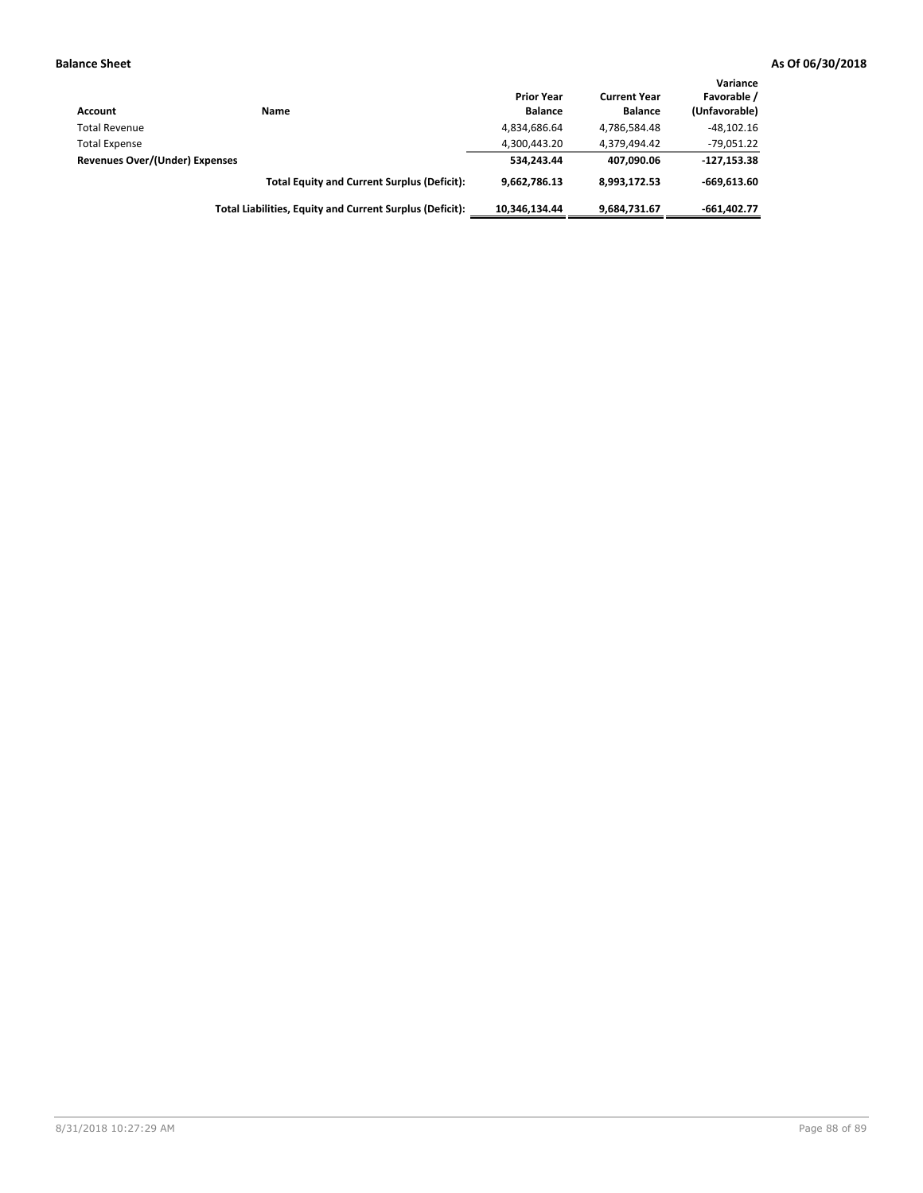| Account                        | Name                                                     | <b>Prior Year</b><br><b>Balance</b> | <b>Current Year</b><br><b>Balance</b> | Variance<br>Favorable /<br>(Unfavorable) |
|--------------------------------|----------------------------------------------------------|-------------------------------------|---------------------------------------|------------------------------------------|
| <b>Total Revenue</b>           |                                                          | 4,834,686.64                        | 4,786,584.48                          | $-48,102.16$                             |
| <b>Total Expense</b>           |                                                          | 4,300,443.20                        | 4.379.494.42                          | $-79,051.22$                             |
| Revenues Over/(Under) Expenses |                                                          | 534.243.44                          | 407.090.06                            | $-127,153.38$                            |
|                                | <b>Total Equity and Current Surplus (Deficit):</b>       | 9.662.786.13                        | 8.993.172.53                          | $-669.613.60$                            |
|                                | Total Liabilities, Equity and Current Surplus (Deficit): | 10.346.134.44                       | 9,684,731.67                          | $-661.402.77$                            |